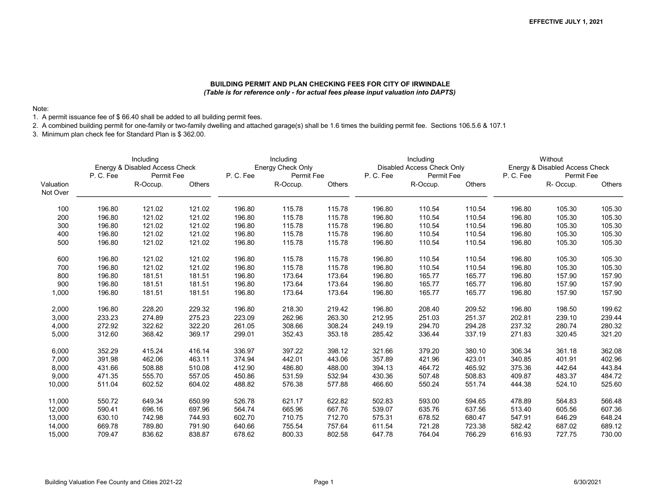## BUILDING PERMIT AND PLAN CHECKING FEES FOR CITY OF IRWINDALE (Table is for reference only - for actual fees please input valuation into DAPTS)

## Note:

1. A permit issuance fee of \$ 66.40 shall be added to all building permit fees.

2. A combined building permit for one-family or two-family dwelling and attached garage(s) shall be 1.6 times the building permit fee. Sections 106.5.6 & 107.1

3. Minimum plan check fee for Standard Plan is \$ 362.00.

|                       |        | Including<br>Energy & Disabled Access Check<br>P.C.Fee<br><b>Permit Fee</b> |        |         | Including<br>Energy Check Only |               |         | Including<br>Disabled Access Check Only |               |         | Without<br>Energy & Disabled Access Check |        |
|-----------------------|--------|-----------------------------------------------------------------------------|--------|---------|--------------------------------|---------------|---------|-----------------------------------------|---------------|---------|-------------------------------------------|--------|
|                       |        |                                                                             |        | P.C.Fee | Permit Fee                     |               | P.C.Fee | Permit Fee                              |               | P.C.Fee | Permit Fee                                |        |
| Valuation<br>Not Over |        | R-Occup.                                                                    | Others |         | R-Occup.                       | <b>Others</b> |         | R-Occup.                                | <b>Others</b> |         | R-Occup.                                  | Others |
| 100                   | 196.80 | 121.02                                                                      | 121.02 | 196.80  | 115.78                         | 115.78        | 196.80  | 110.54                                  | 110.54        | 196.80  | 105.30                                    | 105.30 |
| 200                   | 196.80 | 121.02                                                                      | 121.02 | 196.80  | 115.78                         | 115.78        | 196.80  | 110.54                                  | 110.54        | 196.80  | 105.30                                    | 105.30 |
| 300                   | 196.80 | 121.02                                                                      | 121.02 | 196.80  | 115.78                         | 115.78        | 196.80  | 110.54                                  | 110.54        | 196.80  | 105.30                                    | 105.30 |
| 400                   | 196.80 | 121.02                                                                      | 121.02 | 196.80  | 115.78                         | 115.78        | 196.80  | 110.54                                  | 110.54        | 196.80  | 105.30                                    | 105.30 |
| 500                   | 196.80 | 121.02                                                                      | 121.02 | 196.80  | 115.78                         | 115.78        | 196.80  | 110.54                                  | 110.54        | 196.80  | 105.30                                    | 105.30 |
| 600                   | 196.80 | 121.02                                                                      | 121.02 | 196.80  | 115.78                         | 115.78        | 196.80  | 110.54                                  | 110.54        | 196.80  | 105.30                                    | 105.30 |
| 700                   | 196.80 | 121.02                                                                      | 121.02 | 196.80  | 115.78                         | 115.78        | 196.80  | 110.54                                  | 110.54        | 196.80  | 105.30                                    | 105.30 |
| 800                   | 196.80 | 181.51                                                                      | 181.51 | 196.80  | 173.64                         | 173.64        | 196.80  | 165.77                                  | 165.77        | 196.80  | 157.90                                    | 157.90 |
| 900                   | 196.80 | 181.51                                                                      | 181.51 | 196.80  | 173.64                         | 173.64        | 196.80  | 165.77                                  | 165.77        | 196.80  | 157.90                                    | 157.90 |
| 1,000                 | 196.80 | 181.51                                                                      | 181.51 | 196.80  | 173.64                         | 173.64        | 196.80  | 165.77                                  | 165.77        | 196.80  | 157.90                                    | 157.90 |
| 2,000                 | 196.80 | 228.20                                                                      | 229.32 | 196.80  | 218.30                         | 219.42        | 196.80  | 208.40                                  | 209.52        | 196.80  | 198.50                                    | 199.62 |
| 3,000                 | 233.23 | 274.89                                                                      | 275.23 | 223.09  | 262.96                         | 263.30        | 212.95  | 251.03                                  | 251.37        | 202.81  | 239.10                                    | 239.44 |
| 4,000                 | 272.92 | 322.62                                                                      | 322.20 | 261.05  | 308.66                         | 308.24        | 249.19  | 294.70                                  | 294.28        | 237.32  | 280.74                                    | 280.32 |
| 5,000                 | 312.60 | 368.42                                                                      | 369.17 | 299.01  | 352.43                         | 353.18        | 285.42  | 336.44                                  | 337.19        | 271.83  | 320.45                                    | 321.20 |
| 6,000                 | 352.29 | 415.24                                                                      | 416.14 | 336.97  | 397.22                         | 398.12        | 321.66  | 379.20                                  | 380.10        | 306.34  | 361.18                                    | 362.08 |
| 7,000                 | 391.98 | 462.06                                                                      | 463.11 | 374.94  | 442.01                         | 443.06        | 357.89  | 421.96                                  | 423.01        | 340.85  | 401.91                                    | 402.96 |
| 8,000                 | 431.66 | 508.88                                                                      | 510.08 | 412.90  | 486.80                         | 488.00        | 394.13  | 464.72                                  | 465.92        | 375.36  | 442.64                                    | 443.84 |
| 9,000                 | 471.35 | 555.70                                                                      | 557.05 | 450.86  | 531.59                         | 532.94        | 430.36  | 507.48                                  | 508.83        | 409.87  | 483.37                                    | 484.72 |
| 10,000                | 511.04 | 602.52                                                                      | 604.02 | 488.82  | 576.38                         | 577.88        | 466.60  | 550.24                                  | 551.74        | 444.38  | 524.10                                    | 525.60 |
| 11,000                | 550.72 | 649.34                                                                      | 650.99 | 526.78  | 621.17                         | 622.82        | 502.83  | 593.00                                  | 594.65        | 478.89  | 564.83                                    | 566.48 |
| 12,000                | 590.41 | 696.16                                                                      | 697.96 | 564.74  | 665.96                         | 667.76        | 539.07  | 635.76                                  | 637.56        | 513.40  | 605.56                                    | 607.36 |
| 13,000                | 630.10 | 742.98                                                                      | 744.93 | 602.70  | 710.75                         | 712.70        | 575.31  | 678.52                                  | 680.47        | 547.91  | 646.29                                    | 648.24 |
| 14,000                | 669.78 | 789.80                                                                      | 791.90 | 640.66  | 755.54                         | 757.64        | 611.54  | 721.28                                  | 723.38        | 582.42  | 687.02                                    | 689.12 |
| 15,000                | 709.47 | 836.62                                                                      | 838.87 | 678.62  | 800.33                         | 802.58        | 647.78  | 764.04                                  | 766.29        | 616.93  | 727.75                                    | 730.00 |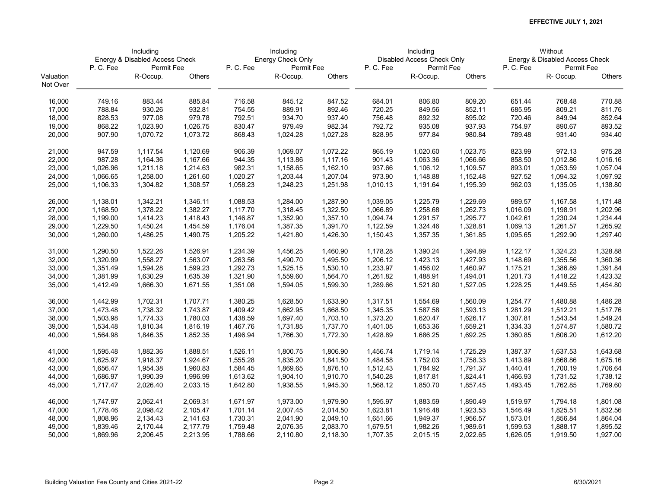|                       |                  | Including<br>Energy & Disabled Access Check |                  |                  | Including<br>Energy Check Only |                  |                  | Including<br>Disabled Access Check Only |                  |                  | Without<br>Energy & Disabled Access Check |                  |
|-----------------------|------------------|---------------------------------------------|------------------|------------------|--------------------------------|------------------|------------------|-----------------------------------------|------------------|------------------|-------------------------------------------|------------------|
|                       | P.C.Fee          | Permit Fee                                  |                  | P. C. Fee        | Permit Fee                     |                  | P.C.Fee          | Permit Fee                              |                  | P.C.Fee          | Permit Fee                                |                  |
| Valuation<br>Not Over |                  | R-Occup.                                    | Others           |                  | R-Occup.                       | Others           |                  | R-Occup.                                | Others           |                  | R-Occup.                                  | Others           |
| 16,000<br>17,000      | 749.16<br>788.84 | 883.44<br>930.26                            | 885.84<br>932.81 | 716.58<br>754.55 | 845.12<br>889.91               | 847.52<br>892.46 | 684.01<br>720.25 | 806.80<br>849.56                        | 809.20<br>852.11 | 651.44<br>685.95 | 768.48<br>809.21                          | 770.88<br>811.76 |
|                       |                  | 977.08                                      | 979.78           |                  |                                |                  |                  |                                         |                  |                  |                                           |                  |
| 18,000                | 828.53           |                                             |                  | 792.51           | 934.70                         | 937.40           | 756.48           | 892.32                                  | 895.02           | 720.46           | 849.94                                    | 852.64           |
| 19,000                | 868.22           | 1,023.90                                    | 1,026.75         | 830.47           | 979.49                         | 982.34           | 792.72           | 935.08                                  | 937.93           | 754.97           | 890.67                                    | 893.52           |
| 20,000                | 907.90           | 1,070.72                                    | 1,073.72         | 868.43           | 1,024.28                       | 1,027.28         | 828.95           | 977.84                                  | 980.84           | 789.48           | 931.40                                    | 934.40           |
| 21,000                | 947.59           | 1,117.54                                    | 1,120.69         | 906.39           | 1,069.07                       | 1,072.22         | 865.19           | 1,020.60                                | 1,023.75         | 823.99           | 972.13                                    | 975.28           |
| 22,000                | 987.28           | 1,164.36                                    | 1,167.66         | 944.35           | 1,113.86                       | 1,117.16         | 901.43           | 1,063.36                                | 1,066.66         | 858.50           | 1,012.86                                  | 1,016.16         |
| 23,000                | 1,026.96         | 1,211.18                                    | 1,214.63         | 982.31           | 1,158.65                       | 1,162.10         | 937.66           | 1,106.12                                | 1,109.57         | 893.01           | 1,053.59                                  | 1,057.04         |
| 24,000                | 1,066.65         | 1,258.00                                    | 1,261.60         | 1,020.27         | 1,203.44                       | 1,207.04         | 973.90           | 1,148.88                                | 1,152.48         | 927.52           | 1,094.32                                  | 1,097.92         |
| 25,000                | 1,106.33         | 1,304.82                                    | 1,308.57         | 1,058.23         | 1,248.23                       | 1,251.98         | 1,010.13         | 1,191.64                                | 1,195.39         | 962.03           | 1,135.05                                  | 1,138.80         |
| 26,000                | 1,138.01         | 1,342.21                                    | 1,346.11         | 1,088.53         | 1,284.00                       | 1,287.90         | 1,039.05         | 1,225.79                                | 1,229.69         | 989.57           | 1,167.58                                  | 1,171.48         |
| 27,000                | 1,168.50         | 1,378.22                                    | 1,382.27         | 1,117.70         | 1,318.45                       | 1,322.50         | 1,066.89         | 1,258.68                                | 1,262.73         | 1,016.09         | 1,198.91                                  | 1,202.96         |
| 28,000                | 1,199.00         | 1,414.23                                    | 1,418.43         | 1,146.87         | 1,352.90                       | 1,357.10         | 1,094.74         | 1,291.57                                | 1,295.77         | 1,042.61         | 1,230.24                                  | 1,234.44         |
| 29,000                | 1,229.50         | 1,450.24                                    | 1,454.59         | 1,176.04         | 1,387.35                       | 1,391.70         | 1,122.59         | 1,324.46                                | 1,328.81         | 1,069.13         | 1,261.57                                  | 1,265.92         |
| 30,000                | 1,260.00         | 1,486.25                                    | 1,490.75         | 1,205.22         | 1,421.80                       | 1,426.30         | 1,150.43         | 1,357.35                                | 1,361.85         | 1,095.65         | 1,292.90                                  | 1,297.40         |
| 31,000                | 1,290.50         | 1,522.26                                    | 1,526.91         | 1,234.39         | 1,456.25                       | 1,460.90         | 1,178.28         | 1,390.24                                | 1,394.89         | 1,122.17         | 1,324.23                                  | 1,328.88         |
| 32,000                | 1,320.99         | 1,558.27                                    | 1,563.07         | 1,263.56         | 1,490.70                       | 1,495.50         | 1,206.12         | 1,423.13                                | 1,427.93         | 1,148.69         | 1,355.56                                  | 1,360.36         |
| 33,000                | 1,351.49         | 1,594.28                                    | 1,599.23         | 1,292.73         | 1,525.15                       | 1,530.10         | 1,233.97         | 1,456.02                                | 1,460.97         | 1,175.21         | 1,386.89                                  | 1,391.84         |
| 34,000                | 1,381.99         | 1,630.29                                    | 1,635.39         | 1,321.90         | 1,559.60                       | 1,564.70         | 1,261.82         | 1,488.91                                | 1,494.01         | 1,201.73         | 1,418.22                                  | 1,423.32         |
| 35,000                | 1,412.49         | 1,666.30                                    | 1,671.55         | 1,351.08         | 1,594.05                       | 1,599.30         | 1,289.66         | 1,521.80                                | 1,527.05         | 1,228.25         | 1,449.55                                  | 1,454.80         |
| 36,000                | 1,442.99         | 1,702.31                                    | 1,707.71         | 1,380.25         | 1,628.50                       | 1,633.90         | 1,317.51         | 1,554.69                                | 1,560.09         | 1,254.77         | 1,480.88                                  | 1,486.28         |
| 37,000                | 1,473.48         | 1,738.32                                    | 1,743.87         | 1,409.42         | 1,662.95                       | 1,668.50         | 1,345.35         | 1,587.58                                | 1,593.13         | 1,281.29         | 1,512.21                                  | 1,517.76         |
| 38,000                | 1,503.98         | 1,774.33                                    | 1,780.03         | 1,438.59         | 1,697.40                       | 1,703.10         | 1,373.20         | 1,620.47                                | 1,626.17         | 1,307.81         | 1,543.54                                  | 1,549.24         |
| 39,000                | 1,534.48         | 1,810.34                                    | 1,816.19         | 1,467.76         | 1,731.85                       | 1,737.70         | 1,401.05         | 1,653.36                                | 1,659.21         | 1,334.33         | 1,574.87                                  | 1,580.72         |
| 40,000                | 1,564.98         | 1,846.35                                    | 1,852.35         | 1,496.94         | 1,766.30                       | 1,772.30         | 1,428.89         | 1,686.25                                | 1,692.25         | 1,360.85         | 1,606.20                                  | 1,612.20         |
| 41,000                | 1,595.48         | 1,882.36                                    | 1,888.51         | 1,526.11         | 1,800.75                       | 1,806.90         | 1,456.74         | 1,719.14                                | 1,725.29         | 1,387.37         | 1,637.53                                  | 1,643.68         |
| 42,000                | 1,625.97         | 1,918.37                                    | 1,924.67         | 1,555.28         | 1,835.20                       | 1,841.50         | 1,484.58         | 1,752.03                                | 1,758.33         | 1,413.89         | 1,668.86                                  | 1,675.16         |
| 43,000                | 1,656.47         | 1,954.38                                    | 1,960.83         | 1,584.45         | 1,869.65                       | 1,876.10         | 1,512.43         | 1,784.92                                | 1,791.37         | 1,440.41         | 1,700.19                                  | 1,706.64         |
| 44,000                | 1,686.97         | 1,990.39                                    | 1,996.99         | 1,613.62         | 1,904.10                       | 1,910.70         | 1,540.28         | 1,817.81                                | 1,824.41         | 1,466.93         | 1,731.52                                  | 1,738.12         |
| 45,000                | 1,717.47         | 2,026.40                                    | 2,033.15         | 1,642.80         | 1,938.55                       | 1,945.30         | 1,568.12         | 1,850.70                                | 1,857.45         | 1,493.45         | 1,762.85                                  | 1,769.60         |
| 46,000                | 1,747.97         | 2,062.41                                    | 2,069.31         | 1,671.97         | 1,973.00                       | 1,979.90         | 1,595.97         | 1,883.59                                | 1,890.49         | 1,519.97         | 1,794.18                                  | 1,801.08         |
| 47,000                | 1,778.46         | 2,098.42                                    | 2,105.47         | 1,701.14         | 2,007.45                       | 2,014.50         | 1,623.81         | 1,916.48                                | 1,923.53         | 1,546.49         | 1,825.51                                  | 1,832.56         |
| 48,000                | 1,808.96         | 2,134.43                                    | 2,141.63         | 1,730.31         | 2,041.90                       | 2,049.10         | 1,651.66         | 1,949.37                                | 1,956.57         | 1,573.01         | 1,856.84                                  | 1,864.04         |
| 49,000                | 1,839.46         | 2,170.44                                    | 2,177.79         | 1,759.48         | 2,076.35                       | 2,083.70         | 1,679.51         | 1,982.26                                | 1,989.61         | 1,599.53         | 1,888.17                                  | 1,895.52         |
| 50,000                | 1,869.96         | 2,206.45                                    | 2,213.95         | 1,788.66         | 2,110.80                       | 2,118.30         | 1,707.35         | 2,015.15                                | 2,022.65         | 1,626.05         | 1,919.50                                  | 1,927.00         |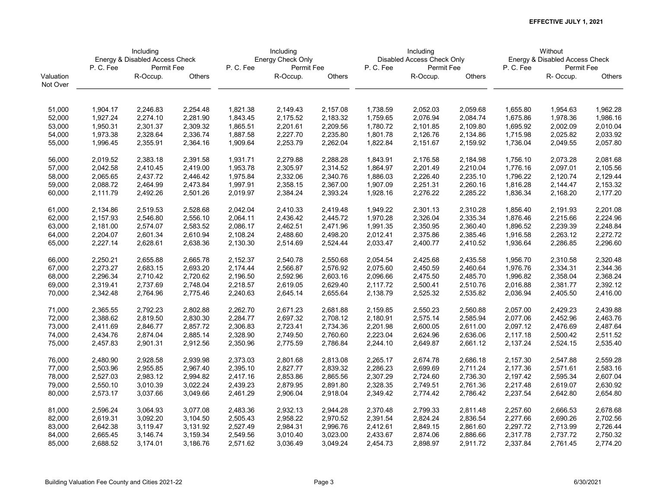|                       | Including<br>Energy & Disabled Access Check |            |          |          | Including         |          |          | Including                  |          |          | Without                        |               |
|-----------------------|---------------------------------------------|------------|----------|----------|-------------------|----------|----------|----------------------------|----------|----------|--------------------------------|---------------|
|                       |                                             |            |          |          | Energy Check Only |          |          | Disabled Access Check Only |          |          | Energy & Disabled Access Check |               |
|                       | P.C.Fee                                     | Permit Fee |          | P.C.Fee  | Permit Fee        |          | P.C.Fee  | Permit Fee                 |          | P.C.Fee  | Permit Fee                     |               |
| Valuation<br>Not Over |                                             | R-Occup.   | Others   |          | R-Occup.          | Others   |          | R-Occup.                   | Others   |          | R-Occup.                       | <b>Others</b> |
|                       |                                             |            |          |          |                   |          |          |                            |          |          |                                |               |
| 51,000                | 1,904.17                                    | 2,246.83   | 2,254.48 | 1,821.38 | 2,149.43          | 2,157.08 | 1,738.59 | 2,052.03                   | 2,059.68 | 1,655.80 | 1,954.63                       | 1,962.28      |
| 52,000                | 1,927.24                                    | 2,274.10   | 2,281.90 | 1,843.45 | 2,175.52          | 2,183.32 | 1,759.65 | 2,076.94                   | 2,084.74 | 1,675.86 | 1,978.36                       | 1,986.16      |
| 53,000                | 1,950.31                                    | 2,301.37   | 2,309.32 | 1,865.51 | 2,201.61          | 2,209.56 | 1,780.72 | 2,101.85                   | 2,109.80 | 1,695.92 | 2,002.09                       | 2,010.04      |
| 54,000                | 1,973.38                                    | 2,328.64   | 2,336.74 | 1,887.58 | 2,227.70          | 2,235.80 | 1,801.78 | 2,126.76                   | 2,134.86 | 1,715.98 | 2,025.82                       | 2,033.92      |
| 55,000                | 1,996.45                                    | 2,355.91   | 2,364.16 | 1,909.64 | 2,253.79          | 2,262.04 | 1,822.84 | 2,151.67                   | 2,159.92 | 1,736.04 | 2,049.55                       | 2,057.80      |
| 56,000                | 2,019.52                                    | 2,383.18   | 2,391.58 | 1,931.71 | 2,279.88          | 2,288.28 | 1,843.91 | 2,176.58                   | 2,184.98 | 1,756.10 | 2,073.28                       | 2,081.68      |
| 57,000                | 2,042.58                                    | 2,410.45   | 2,419.00 | 1,953.78 | 2,305.97          | 2,314.52 | 1,864.97 | 2,201.49                   | 2,210.04 | 1,776.16 | 2,097.01                       | 2,105.56      |
| 58,000                | 2,065.65                                    | 2,437.72   | 2,446.42 | 1,975.84 | 2,332.06          | 2,340.76 | 1,886.03 | 2,226.40                   | 2,235.10 | 1,796.22 | 2,120.74                       | 2,129.44      |
| 59,000                | 2,088.72                                    | 2,464.99   | 2,473.84 | 1,997.91 | 2,358.15          | 2,367.00 | 1,907.09 | 2,251.31                   | 2,260.16 | 1,816.28 | 2,144.47                       | 2,153.32      |
| 60,000                | 2,111.79                                    | 2,492.26   | 2,501.26 | 2,019.97 | 2,384.24          | 2,393.24 | 1,928.16 | 2,276.22                   | 2,285.22 | 1,836.34 | 2,168.20                       | 2,177.20      |
| 61,000                | 2,134.86                                    | 2,519.53   | 2,528.68 | 2,042.04 | 2,410.33          | 2,419.48 | 1,949.22 | 2,301.13                   | 2,310.28 | 1,856.40 | 2,191.93                       | 2,201.08      |
| 62,000                | 2,157.93                                    | 2,546.80   | 2,556.10 | 2,064.11 | 2,436.42          | 2,445.72 | 1,970.28 | 2,326.04                   | 2,335.34 | 1,876.46 | 2,215.66                       | 2,224.96      |
| 63,000                | 2,181.00                                    | 2,574.07   | 2,583.52 | 2,086.17 | 2,462.51          | 2,471.96 | 1,991.35 | 2,350.95                   | 2,360.40 | 1,896.52 | 2,239.39                       | 2,248.84      |
| 64,000                | 2,204.07                                    | 2,601.34   | 2,610.94 | 2,108.24 | 2,488.60          | 2,498.20 | 2,012.41 | 2,375.86                   | 2,385.46 | 1,916.58 | 2,263.12                       | 2,272.72      |
| 65,000                | 2,227.14                                    | 2,628.61   | 2,638.36 | 2,130.30 | 2,514.69          | 2,524.44 | 2,033.47 | 2,400.77                   | 2,410.52 | 1,936.64 | 2,286.85                       | 2,296.60      |
| 66,000                | 2,250.21                                    | 2,655.88   | 2,665.78 | 2,152.37 | 2,540.78          | 2,550.68 | 2,054.54 | 2,425.68                   | 2,435.58 | 1,956.70 | 2,310.58                       | 2,320.48      |
| 67,000                | 2,273.27                                    | 2,683.15   | 2,693.20 | 2,174.44 | 2,566.87          | 2,576.92 | 2,075.60 | 2,450.59                   | 2,460.64 | 1,976.76 | 2,334.31                       | 2,344.36      |
| 68,000                | 2,296.34                                    | 2,710.42   | 2,720.62 | 2,196.50 | 2,592.96          | 2,603.16 | 2,096.66 | 2,475.50                   | 2,485.70 | 1,996.82 | 2,358.04                       | 2,368.24      |
| 69,000                | 2,319.41                                    | 2,737.69   | 2,748.04 | 2,218.57 | 2,619.05          | 2,629.40 | 2,117.72 | 2,500.41                   | 2,510.76 | 2,016.88 | 2,381.77                       | 2,392.12      |
| 70,000                | 2,342.48                                    | 2,764.96   | 2,775.46 | 2,240.63 | 2,645.14          | 2,655.64 | 2,138.79 | 2,525.32                   | 2,535.82 | 2,036.94 | 2,405.50                       | 2,416.00      |
| 71,000                | 2,365.55                                    | 2,792.23   | 2,802.88 | 2,262.70 | 2,671.23          | 2,681.88 | 2,159.85 | 2,550.23                   | 2,560.88 | 2,057.00 | 2,429.23                       | 2,439.88      |
| 72,000                | 2,388.62                                    | 2,819.50   | 2,830.30 | 2,284.77 | 2,697.32          | 2,708.12 | 2,180.91 | 2,575.14                   | 2,585.94 | 2,077.06 | 2,452.96                       | 2,463.76      |
| 73,000                | 2,411.69                                    | 2,846.77   | 2,857.72 | 2,306.83 | 2,723.41          | 2,734.36 | 2,201.98 | 2,600.05                   | 2,611.00 | 2,097.12 | 2,476.69                       | 2,487.64      |
| 74,000                | 2,434.76                                    | 2,874.04   | 2,885.14 | 2,328.90 | 2,749.50          | 2,760.60 | 2,223.04 | 2,624.96                   | 2,636.06 | 2,117.18 | 2,500.42                       | 2,511.52      |
| 75,000                | 2,457.83                                    | 2,901.31   | 2,912.56 | 2,350.96 | 2,775.59          | 2,786.84 | 2,244.10 | 2,649.87                   | 2,661.12 | 2,137.24 | 2,524.15                       | 2,535.40      |
| 76,000                | 2,480.90                                    | 2,928.58   | 2,939.98 | 2,373.03 | 2,801.68          | 2,813.08 | 2,265.17 | 2,674.78                   | 2,686.18 | 2,157.30 | 2,547.88                       | 2,559.28      |
| 77,000                | 2,503.96                                    | 2,955.85   | 2,967.40 | 2,395.10 | 2,827.77          | 2,839.32 | 2,286.23 | 2,699.69                   | 2,711.24 | 2,177.36 | 2,571.61                       | 2,583.16      |
| 78,000                | 2,527.03                                    | 2,983.12   | 2,994.82 | 2,417.16 | 2,853.86          | 2,865.56 | 2,307.29 | 2,724.60                   | 2,736.30 | 2,197.42 | 2,595.34                       | 2,607.04      |
| 79,000                | 2,550.10                                    | 3,010.39   | 3,022.24 | 2,439.23 | 2,879.95          | 2,891.80 | 2,328.35 | 2,749.51                   | 2,761.36 | 2,217.48 | 2,619.07                       | 2,630.92      |
| 80,000                | 2,573.17                                    | 3,037.66   | 3,049.66 | 2,461.29 | 2,906.04          | 2,918.04 | 2,349.42 | 2,774.42                   | 2,786.42 | 2,237.54 | 2,642.80                       | 2,654.80      |
| 81,000                | 2,596.24                                    | 3,064.93   | 3,077.08 | 2,483.36 | 2,932.13          | 2,944.28 | 2,370.48 | 2,799.33                   | 2,811.48 | 2,257.60 | 2,666.53                       | 2,678.68      |
| 82,000                | 2,619.31                                    | 3,092.20   | 3,104.50 | 2,505.43 | 2,958.22          | 2,970.52 | 2,391.54 | 2,824.24                   | 2,836.54 | 2,277.66 | 2,690.26                       | 2,702.56      |
| 83,000                | 2,642.38                                    | 3,119.47   | 3,131.92 | 2,527.49 | 2,984.31          | 2,996.76 | 2,412.61 | 2,849.15                   | 2,861.60 | 2,297.72 | 2,713.99                       | 2,726.44      |
| 84,000                | 2,665.45                                    | 3,146.74   | 3,159.34 | 2,549.56 | 3,010.40          | 3,023.00 | 2,433.67 | 2,874.06                   | 2,886.66 | 2,317.78 | 2,737.72                       | 2,750.32      |
| 85,000                | 2,688.52                                    | 3,174.01   | 3,186.76 | 2,571.62 | 3,036.49          | 3,049.24 | 2,454.73 | 2,898.97                   | 2,911.72 | 2,337.84 | 2,761.45                       | 2,774.20      |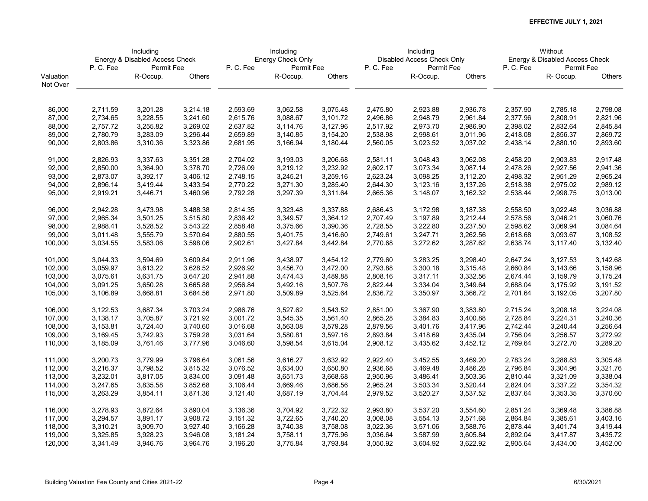|           | Including<br>Energy & Disabled Access Check |            |          |          | Including         |          |          | Including                  |          |          | Without                        |          |
|-----------|---------------------------------------------|------------|----------|----------|-------------------|----------|----------|----------------------------|----------|----------|--------------------------------|----------|
|           |                                             |            |          |          | Energy Check Only |          |          | Disabled Access Check Only |          |          | Energy & Disabled Access Check |          |
|           | P.C.Fee                                     | Permit Fee |          | P.C.Fee  | Permit Fee        |          | P.C.Fee  | Permit Fee                 |          | P.C.Fee  | Permit Fee                     |          |
| Valuation |                                             | R-Occup.   | Others   |          | R-Occup.          | Others   |          | R-Occup.                   | Others   |          | R-Occup.                       | Others   |
| Not Over  |                                             |            |          |          |                   |          |          |                            |          |          |                                |          |
| 86,000    | 2,711.59                                    | 3,201.28   | 3,214.18 | 2,593.69 | 3,062.58          | 3,075.48 | 2,475.80 | 2,923.88                   | 2,936.78 | 2,357.90 | 2,785.18                       | 2,798.08 |
| 87,000    | 2,734.65                                    | 3,228.55   | 3,241.60 | 2,615.76 | 3,088.67          | 3,101.72 | 2,496.86 | 2,948.79                   | 2,961.84 | 2,377.96 | 2,808.91                       | 2,821.96 |
| 88,000    | 2,757.72                                    | 3,255.82   | 3,269.02 | 2,637.82 | 3,114.76          | 3,127.96 | 2,517.92 | 2,973.70                   | 2,986.90 | 2,398.02 | 2,832.64                       | 2,845.84 |
| 89,000    | 2,780.79                                    | 3,283.09   | 3,296.44 | 2,659.89 | 3,140.85          | 3,154.20 | 2,538.98 | 2,998.61                   | 3,011.96 | 2,418.08 | 2,856.37                       | 2,869.72 |
| 90,000    | 2,803.86                                    | 3,310.36   | 3,323.86 | 2,681.95 | 3,166.94          | 3,180.44 | 2,560.05 | 3,023.52                   | 3,037.02 | 2,438.14 | 2,880.10                       | 2,893.60 |
|           |                                             |            |          |          |                   |          |          |                            |          |          |                                |          |
| 91,000    | 2,826.93                                    | 3,337.63   | 3,351.28 | 2,704.02 | 3,193.03          | 3,206.68 | 2,581.11 | 3,048.43                   | 3,062.08 | 2,458.20 | 2,903.83                       | 2,917.48 |
| 92,000    | 2,850.00                                    | 3,364.90   | 3,378.70 | 2,726.09 | 3,219.12          | 3,232.92 | 2,602.17 | 3,073.34                   | 3,087.14 | 2,478.26 | 2,927.56                       | 2,941.36 |
| 93,000    | 2,873.07                                    | 3,392.17   | 3,406.12 | 2,748.15 | 3,245.21          | 3,259.16 | 2,623.24 | 3,098.25                   | 3,112.20 | 2,498.32 | 2,951.29                       | 2,965.24 |
| 94,000    | 2,896.14                                    | 3,419.44   | 3,433.54 | 2,770.22 | 3,271.30          | 3,285.40 | 2,644.30 | 3,123.16                   | 3,137.26 | 2,518.38 | 2,975.02                       | 2,989.12 |
| 95,000    | 2,919.21                                    | 3,446.71   | 3,460.96 | 2,792.28 | 3,297.39          | 3,311.64 | 2,665.36 | 3,148.07                   | 3,162.32 | 2,538.44 | 2,998.75                       | 3,013.00 |
| 96,000    | 2,942.28                                    | 3,473.98   | 3,488.38 | 2,814.35 | 3,323.48          | 3,337.88 | 2,686.43 | 3,172.98                   | 3,187.38 | 2,558.50 | 3,022.48                       | 3,036.88 |
| 97,000    | 2,965.34                                    | 3,501.25   | 3,515.80 | 2,836.42 | 3,349.57          | 3,364.12 | 2,707.49 | 3,197.89                   | 3,212.44 | 2,578.56 | 3,046.21                       | 3,060.76 |
| 98,000    | 2,988.41                                    | 3,528.52   | 3,543.22 | 2,858.48 | 3,375.66          | 3,390.36 | 2,728.55 | 3,222.80                   | 3,237.50 | 2,598.62 | 3,069.94                       | 3,084.64 |
| 99,000    | 3,011.48                                    | 3,555.79   | 3,570.64 | 2,880.55 | 3,401.75          | 3,416.60 | 2,749.61 | 3,247.71                   | 3,262.56 | 2,618.68 | 3,093.67                       | 3,108.52 |
| 100,000   | 3,034.55                                    | 3,583.06   | 3,598.06 | 2,902.61 | 3,427.84          | 3,442.84 | 2,770.68 | 3,272.62                   | 3,287.62 | 2,638.74 | 3,117.40                       | 3,132.40 |
| 101,000   | 3,044.33                                    | 3,594.69   | 3,609.84 | 2,911.96 | 3,438.97          | 3,454.12 | 2,779.60 | 3,283.25                   | 3,298.40 | 2,647.24 | 3,127.53                       | 3,142.68 |
| 102,000   | 3,059.97                                    | 3,613.22   | 3,628.52 | 2,926.92 | 3,456.70          | 3,472.00 | 2,793.88 | 3,300.18                   | 3,315.48 | 2,660.84 | 3,143.66                       | 3,158.96 |
| 103,000   | 3,075.61                                    | 3,631.75   | 3,647.20 | 2,941.88 | 3,474.43          | 3,489.88 | 2,808.16 | 3,317.11                   | 3,332.56 | 2,674.44 | 3,159.79                       | 3,175.24 |
| 104,000   | 3,091.25                                    | 3,650.28   | 3,665.88 | 2,956.84 | 3,492.16          | 3,507.76 | 2,822.44 | 3,334.04                   | 3,349.64 | 2,688.04 | 3,175.92                       | 3,191.52 |
| 105,000   | 3,106.89                                    | 3,668.81   | 3,684.56 | 2,971.80 | 3,509.89          | 3,525.64 | 2,836.72 | 3,350.97                   | 3,366.72 | 2,701.64 | 3,192.05                       | 3,207.80 |
| 106,000   | 3,122.53                                    | 3,687.34   | 3,703.24 | 2,986.76 | 3,527.62          | 3,543.52 | 2,851.00 | 3,367.90                   | 3,383.80 | 2,715.24 | 3,208.18                       | 3,224.08 |
| 107,000   | 3,138.17                                    | 3,705.87   | 3,721.92 | 3,001.72 | 3,545.35          | 3,561.40 | 2,865.28 | 3,384.83                   | 3,400.88 | 2,728.84 | 3,224.31                       | 3,240.36 |
| 108,000   | 3,153.81                                    | 3,724.40   | 3,740.60 | 3,016.68 | 3,563.08          | 3,579.28 | 2,879.56 | 3,401.76                   | 3,417.96 | 2,742.44 | 3,240.44                       | 3,256.64 |
| 109,000   | 3,169.45                                    | 3,742.93   | 3,759.28 | 3,031.64 | 3,580.81          | 3,597.16 | 2,893.84 | 3,418.69                   | 3,435.04 | 2,756.04 | 3,256.57                       | 3,272.92 |
| 110,000   | 3,185.09                                    | 3,761.46   | 3,777.96 | 3,046.60 | 3,598.54          | 3,615.04 | 2,908.12 | 3,435.62                   | 3,452.12 | 2,769.64 | 3,272.70                       | 3,289.20 |
| 111,000   | 3,200.73                                    | 3,779.99   | 3,796.64 | 3,061.56 | 3,616.27          | 3,632.92 | 2,922.40 | 3,452.55                   | 3,469.20 | 2,783.24 | 3,288.83                       | 3,305.48 |
| 112,000   | 3,216.37                                    | 3,798.52   | 3,815.32 | 3,076.52 | 3,634.00          | 3,650.80 | 2,936.68 | 3,469.48                   | 3,486.28 | 2,796.84 | 3,304.96                       | 3,321.76 |
| 113,000   | 3,232.01                                    | 3,817.05   | 3,834.00 | 3,091.48 | 3,651.73          | 3,668.68 | 2,950.96 | 3,486.41                   | 3,503.36 | 2,810.44 | 3,321.09                       | 3,338.04 |
| 114,000   | 3,247.65                                    | 3,835.58   | 3,852.68 | 3,106.44 | 3,669.46          | 3,686.56 | 2,965.24 | 3,503.34                   | 3,520.44 | 2,824.04 | 3,337.22                       | 3,354.32 |
| 115,000   | 3,263.29                                    | 3,854.11   | 3,871.36 | 3,121.40 | 3,687.19          | 3,704.44 | 2,979.52 | 3,520.27                   | 3,537.52 | 2,837.64 | 3,353.35                       | 3,370.60 |
| 116,000   | 3,278.93                                    | 3,872.64   | 3,890.04 | 3,136.36 | 3,704.92          | 3,722.32 | 2,993.80 | 3,537.20                   | 3,554.60 | 2,851.24 | 3,369.48                       | 3,386.88 |
| 117,000   | 3,294.57                                    | 3,891.17   | 3,908.72 | 3,151.32 | 3,722.65          | 3,740.20 | 3,008.08 | 3,554.13                   | 3,571.68 | 2,864.84 | 3,385.61                       | 3,403.16 |
| 118,000   | 3,310.21                                    | 3,909.70   | 3,927.40 | 3,166.28 | 3,740.38          | 3,758.08 | 3,022.36 | 3,571.06                   | 3,588.76 | 2,878.44 | 3,401.74                       | 3,419.44 |
| 119,000   | 3,325.85                                    | 3,928.23   | 3,946.08 | 3,181.24 | 3,758.11          | 3,775.96 | 3,036.64 | 3,587.99                   | 3,605.84 | 2,892.04 | 3,417.87                       | 3,435.72 |
| 120,000   | 3,341.49                                    | 3,946.76   | 3,964.76 | 3,196.20 | 3,775.84          | 3,793.84 | 3,050.92 | 3,604.92                   | 3,622.92 | 2,905.64 | 3,434.00                       | 3,452.00 |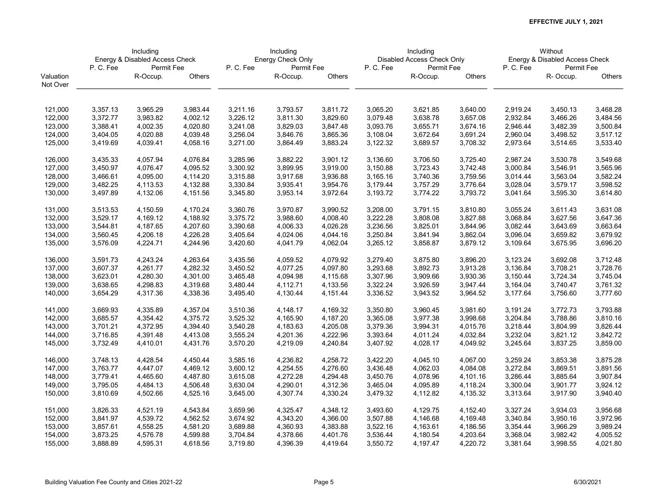|           | Including<br>Energy & Disabled Access Check |            |          |          | Including         |          |          | Including                  |          |          | Without                        |          |
|-----------|---------------------------------------------|------------|----------|----------|-------------------|----------|----------|----------------------------|----------|----------|--------------------------------|----------|
|           |                                             |            |          |          | Energy Check Only |          |          | Disabled Access Check Only |          |          | Energy & Disabled Access Check |          |
|           | P.C.Fee                                     | Permit Fee |          | P.C.Fee  | Permit Fee        |          | P.C.Fee  | Permit Fee                 |          | P.C.Fee  | Permit Fee                     |          |
| Valuation |                                             | R-Occup.   | Others   |          | R-Occup.          | Others   |          | R-Occup.                   | Others   |          | R-Occup.                       | Others   |
| Not Over  |                                             |            |          |          |                   |          |          |                            |          |          |                                |          |
|           |                                             |            |          |          |                   |          |          |                            |          |          |                                |          |
| 121,000   | 3,357.13                                    | 3,965.29   | 3,983.44 | 3,211.16 | 3,793.57          | 3,811.72 | 3,065.20 | 3,621.85                   | 3,640.00 | 2,919.24 | 3,450.13                       | 3,468.28 |
| 122,000   | 3,372.77                                    | 3,983.82   | 4,002.12 | 3,226.12 | 3,811.30          | 3,829.60 | 3,079.48 | 3,638.78                   | 3,657.08 | 2,932.84 | 3,466.26                       | 3,484.56 |
| 123,000   | 3,388.41                                    | 4,002.35   | 4,020.80 | 3,241.08 | 3,829.03          | 3,847.48 | 3,093.76 | 3,655.71                   | 3,674.16 | 2,946.44 | 3,482.39                       | 3,500.84 |
| 124,000   | 3,404.05                                    | 4,020.88   | 4,039.48 | 3,256.04 | 3,846.76          | 3,865.36 | 3,108.04 | 3,672.64                   | 3,691.24 | 2,960.04 | 3,498.52                       | 3,517.12 |
| 125,000   | 3,419.69                                    | 4,039.41   | 4,058.16 | 3,271.00 | 3,864.49          | 3,883.24 | 3,122.32 | 3,689.57                   | 3,708.32 | 2,973.64 | 3,514.65                       | 3,533.40 |
| 126,000   | 3,435.33                                    | 4,057.94   | 4,076.84 | 3,285.96 | 3,882.22          | 3,901.12 | 3,136.60 | 3,706.50                   | 3,725.40 | 2,987.24 | 3,530.78                       | 3,549.68 |
| 127,000   | 3,450.97                                    | 4,076.47   | 4,095.52 | 3,300.92 | 3,899.95          | 3,919.00 | 3,150.88 | 3,723.43                   | 3,742.48 | 3,000.84 | 3,546.91                       | 3,565.96 |
| 128,000   | 3,466.61                                    | 4,095.00   | 4,114.20 | 3,315.88 | 3,917.68          | 3,936.88 | 3,165.16 | 3,740.36                   | 3,759.56 | 3,014.44 | 3,563.04                       | 3,582.24 |
| 129,000   | 3,482.25                                    | 4,113.53   | 4,132.88 | 3,330.84 | 3,935.41          | 3,954.76 | 3,179.44 | 3,757.29                   | 3,776.64 | 3,028.04 | 3,579.17                       | 3,598.52 |
| 130,000   | 3,497.89                                    | 4,132.06   | 4,151.56 | 3,345.80 | 3,953.14          | 3,972.64 | 3,193.72 | 3,774.22                   | 3,793.72 | 3,041.64 | 3,595.30                       | 3,614.80 |
| 131,000   | 3,513.53                                    | 4,150.59   | 4,170.24 | 3,360.76 | 3,970.87          | 3,990.52 | 3,208.00 | 3,791.15                   | 3,810.80 | 3,055.24 | 3,611.43                       | 3,631.08 |
| 132,000   | 3,529.17                                    | 4,169.12   | 4,188.92 | 3,375.72 | 3,988.60          | 4,008.40 | 3,222.28 | 3,808.08                   | 3,827.88 | 3,068.84 | 3,627.56                       | 3,647.36 |
| 133,000   | 3,544.81                                    | 4,187.65   | 4,207.60 | 3,390.68 | 4,006.33          | 4,026.28 | 3,236.56 | 3,825.01                   | 3,844.96 | 3,082.44 | 3,643.69                       | 3,663.64 |
| 134,000   | 3,560.45                                    | 4,206.18   | 4,226.28 | 3,405.64 | 4,024.06          | 4,044.16 | 3,250.84 | 3,841.94                   | 3,862.04 | 3,096.04 | 3,659.82                       | 3,679.92 |
| 135,000   | 3,576.09                                    | 4,224.71   | 4,244.96 | 3,420.60 | 4,041.79          | 4,062.04 | 3,265.12 | 3,858.87                   | 3,879.12 | 3,109.64 | 3,675.95                       | 3,696.20 |
| 136,000   | 3,591.73                                    | 4,243.24   | 4,263.64 | 3,435.56 | 4,059.52          | 4,079.92 | 3,279.40 | 3,875.80                   | 3,896.20 | 3,123.24 | 3,692.08                       | 3,712.48 |
| 137,000   | 3,607.37                                    | 4,261.77   | 4,282.32 | 3,450.52 | 4,077.25          | 4,097.80 | 3,293.68 | 3,892.73                   | 3,913.28 | 3,136.84 | 3,708.21                       | 3,728.76 |
| 138,000   | 3,623.01                                    | 4,280.30   | 4,301.00 | 3,465.48 | 4,094.98          | 4,115.68 | 3,307.96 | 3,909.66                   | 3,930.36 | 3,150.44 | 3,724.34                       | 3,745.04 |
| 139,000   | 3,638.65                                    | 4,298.83   | 4,319.68 | 3,480.44 | 4,112.71          | 4,133.56 | 3,322.24 | 3,926.59                   | 3,947.44 | 3,164.04 | 3,740.47                       | 3,761.32 |
| 140,000   | 3,654.29                                    | 4,317.36   | 4,338.36 | 3,495.40 | 4,130.44          | 4,151.44 | 3,336.52 | 3,943.52                   | 3,964.52 | 3,177.64 | 3,756.60                       | 3,777.60 |
| 141,000   | 3,669.93                                    | 4,335.89   | 4,357.04 | 3,510.36 | 4,148.17          | 4,169.32 | 3,350.80 | 3,960.45                   | 3,981.60 | 3,191.24 | 3,772.73                       | 3,793.88 |
| 142,000   | 3,685.57                                    | 4,354.42   | 4,375.72 | 3,525.32 | 4,165.90          | 4,187.20 | 3,365.08 | 3,977.38                   | 3,998.68 | 3,204.84 | 3,788.86                       | 3,810.16 |
| 143,000   | 3,701.21                                    | 4,372.95   | 4,394.40 | 3,540.28 | 4,183.63          | 4,205.08 | 3,379.36 | 3,994.31                   | 4,015.76 | 3,218.44 | 3,804.99                       | 3,826.44 |
| 144,000   | 3,716.85                                    | 4,391.48   | 4,413.08 | 3,555.24 | 4,201.36          | 4,222.96 | 3,393.64 | 4,011.24                   | 4,032.84 | 3,232.04 | 3,821.12                       | 3,842.72 |
| 145,000   | 3,732.49                                    | 4,410.01   | 4,431.76 | 3,570.20 | 4,219.09          | 4,240.84 | 3,407.92 | 4,028.17                   | 4,049.92 | 3,245.64 | 3,837.25                       | 3,859.00 |
| 146,000   | 3,748.13                                    | 4,428.54   | 4,450.44 | 3,585.16 | 4,236.82          | 4,258.72 | 3,422.20 | 4,045.10                   | 4,067.00 | 3,259.24 | 3,853.38                       | 3,875.28 |
| 147,000   | 3,763.77                                    | 4,447.07   | 4,469.12 | 3,600.12 | 4,254.55          | 4,276.60 | 3,436.48 | 4,062.03                   | 4,084.08 | 3,272.84 | 3,869.51                       | 3,891.56 |
| 148,000   | 3,779.41                                    | 4,465.60   | 4,487.80 | 3,615.08 | 4,272.28          | 4,294.48 | 3,450.76 | 4,078.96                   | 4,101.16 | 3,286.44 | 3,885.64                       | 3,907.84 |
| 149,000   | 3,795.05                                    | 4,484.13   | 4,506.48 | 3,630.04 | 4,290.01          | 4,312.36 | 3,465.04 | 4,095.89                   | 4,118.24 | 3,300.04 | 3,901.77                       | 3,924.12 |
| 150,000   | 3,810.69                                    | 4,502.66   | 4,525.16 | 3,645.00 | 4,307.74          |          | 3,479.32 | 4,112.82                   | 4,135.32 |          | 3,917.90                       | 3,940.40 |
|           |                                             |            |          |          |                   | 4,330.24 |          |                            |          | 3,313.64 |                                |          |
| 151,000   | 3,826.33                                    | 4,521.19   | 4,543.84 | 3,659.96 | 4,325.47          | 4,348.12 | 3,493.60 | 4,129.75                   | 4,152.40 | 3,327.24 | 3,934.03                       | 3,956.68 |
| 152,000   | 3,841.97                                    | 4,539.72   | 4,562.52 | 3,674.92 | 4,343.20          | 4,366.00 | 3,507.88 | 4,146.68                   | 4,169.48 | 3,340.84 | 3,950.16                       | 3,972.96 |
| 153,000   | 3,857.61                                    | 4,558.25   | 4,581.20 | 3,689.88 | 4,360.93          | 4,383.88 | 3,522.16 | 4,163.61                   | 4,186.56 | 3,354.44 | 3,966.29                       | 3,989.24 |
| 154,000   | 3,873.25                                    | 4,576.78   | 4,599.88 | 3,704.84 | 4,378.66          | 4,401.76 | 3,536.44 | 4,180.54                   | 4,203.64 | 3,368.04 | 3,982.42                       | 4,005.52 |
| 155,000   | 3,888.89                                    | 4,595.31   | 4,618.56 | 3,719.80 | 4,396.39          | 4,419.64 | 3,550.72 | 4,197.47                   | 4,220.72 | 3,381.64 | 3,998.55                       | 4,021.80 |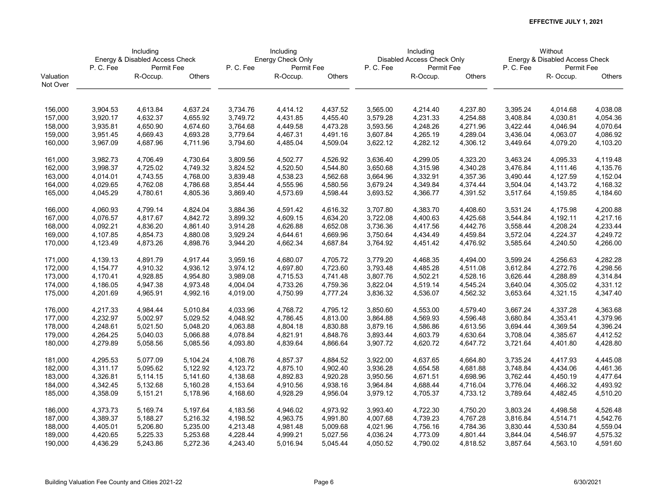|           | Including<br>Energy & Disabled Access Check |            |          |          | Including         |          |          | Including                  |          |          | Without                        |          |
|-----------|---------------------------------------------|------------|----------|----------|-------------------|----------|----------|----------------------------|----------|----------|--------------------------------|----------|
|           |                                             |            |          |          | Energy Check Only |          |          | Disabled Access Check Only |          |          | Energy & Disabled Access Check |          |
|           | P.C.Fee                                     | Permit Fee |          | P.C.Fee  | Permit Fee        |          | P.C.Fee  | Permit Fee                 |          | P.C.Fee  | Permit Fee                     |          |
| Valuation |                                             | R-Occup.   | Others   |          | R-Occup.          | Others   |          | R-Occup.                   | Others   |          | R-Occup.                       | Others   |
| Not Over  |                                             |            |          |          |                   |          |          |                            |          |          |                                |          |
| 156,000   | 3,904.53                                    | 4,613.84   | 4,637.24 | 3,734.76 | 4,414.12          | 4,437.52 | 3,565.00 | 4,214.40                   | 4,237.80 | 3,395.24 | 4,014.68                       | 4,038.08 |
| 157,000   | 3,920.17                                    | 4,632.37   | 4,655.92 | 3,749.72 | 4,431.85          | 4,455.40 | 3,579.28 | 4,231.33                   | 4,254.88 | 3,408.84 | 4,030.81                       | 4,054.36 |
| 158,000   | 3,935.81                                    | 4,650.90   | 4,674.60 | 3,764.68 | 4,449.58          | 4,473.28 | 3,593.56 | 4,248.26                   | 4,271.96 | 3,422.44 | 4,046.94                       | 4,070.64 |
| 159,000   | 3,951.45                                    | 4,669.43   | 4,693.28 | 3,779.64 | 4,467.31          | 4,491.16 | 3,607.84 | 4,265.19                   | 4,289.04 | 3,436.04 | 4,063.07                       | 4,086.92 |
| 160,000   | 3,967.09                                    | 4,687.96   | 4,711.96 | 3,794.60 | 4,485.04          | 4,509.04 | 3,622.12 | 4,282.12                   | 4,306.12 | 3,449.64 | 4,079.20                       | 4,103.20 |
|           |                                             |            |          |          |                   |          |          |                            |          |          |                                |          |
| 161,000   | 3,982.73                                    | 4,706.49   | 4,730.64 | 3,809.56 | 4,502.77          | 4,526.92 | 3,636.40 | 4,299.05                   | 4,323.20 | 3,463.24 | 4,095.33                       | 4,119.48 |
| 162,000   | 3,998.37                                    | 4,725.02   | 4,749.32 | 3,824.52 | 4,520.50          | 4,544.80 | 3,650.68 | 4,315.98                   | 4,340.28 | 3,476.84 | 4,111.46                       | 4,135.76 |
| 163,000   | 4,014.01                                    | 4,743.55   | 4,768.00 | 3,839.48 | 4,538.23          | 4,562.68 | 3,664.96 | 4,332.91                   | 4,357.36 | 3,490.44 | 4,127.59                       | 4,152.04 |
| 164,000   | 4,029.65                                    | 4,762.08   | 4,786.68 | 3,854.44 | 4,555.96          | 4,580.56 | 3,679.24 | 4,349.84                   | 4,374.44 | 3,504.04 | 4,143.72                       | 4,168.32 |
| 165,000   | 4,045.29                                    | 4,780.61   | 4,805.36 | 3,869.40 | 4,573.69          | 4,598.44 | 3,693.52 | 4,366.77                   | 4,391.52 | 3,517.64 | 4,159.85                       | 4,184.60 |
| 166,000   | 4,060.93                                    | 4,799.14   | 4,824.04 | 3,884.36 | 4,591.42          | 4,616.32 | 3,707.80 | 4,383.70                   | 4,408.60 | 3,531.24 | 4,175.98                       | 4,200.88 |
| 167,000   | 4,076.57                                    | 4,817.67   | 4,842.72 | 3,899.32 | 4,609.15          | 4,634.20 | 3,722.08 | 4,400.63                   | 4,425.68 | 3,544.84 | 4,192.11                       | 4,217.16 |
| 168,000   | 4,092.21                                    | 4,836.20   | 4,861.40 | 3,914.28 | 4,626.88          | 4,652.08 | 3,736.36 | 4,417.56                   | 4,442.76 | 3,558.44 | 4,208.24                       | 4,233.44 |
| 169,000   | 4,107.85                                    | 4,854.73   | 4,880.08 | 3,929.24 | 4,644.61          | 4,669.96 | 3,750.64 | 4,434.49                   | 4,459.84 | 3,572.04 | 4,224.37                       | 4,249.72 |
| 170,000   | 4,123.49                                    | 4,873.26   | 4,898.76 | 3,944.20 | 4,662.34          | 4,687.84 | 3,764.92 | 4,451.42                   | 4,476.92 | 3,585.64 | 4,240.50                       | 4,266.00 |
| 171,000   | 4,139.13                                    | 4,891.79   | 4,917.44 | 3,959.16 | 4,680.07          | 4,705.72 | 3,779.20 | 4,468.35                   | 4,494.00 | 3,599.24 | 4,256.63                       | 4,282.28 |
| 172,000   | 4,154.77                                    | 4,910.32   | 4,936.12 | 3,974.12 | 4,697.80          | 4,723.60 | 3,793.48 | 4,485.28                   | 4,511.08 | 3,612.84 | 4,272.76                       | 4,298.56 |
| 173,000   | 4,170.41                                    | 4,928.85   | 4,954.80 | 3,989.08 | 4,715.53          | 4,741.48 | 3,807.76 | 4,502.21                   | 4,528.16 | 3,626.44 | 4,288.89                       | 4,314.84 |
| 174,000   | 4,186.05                                    | 4,947.38   | 4,973.48 | 4,004.04 | 4,733.26          | 4,759.36 | 3,822.04 | 4,519.14                   | 4,545.24 | 3,640.04 | 4,305.02                       | 4,331.12 |
| 175,000   | 4,201.69                                    | 4,965.91   | 4,992.16 | 4,019.00 | 4,750.99          | 4,777.24 | 3,836.32 | 4,536.07                   | 4,562.32 | 3,653.64 | 4,321.15                       | 4,347.40 |
| 176,000   | 4,217.33                                    | 4,984.44   | 5,010.84 | 4,033.96 | 4,768.72          | 4,795.12 | 3,850.60 | 4,553.00                   | 4,579.40 | 3,667.24 | 4,337.28                       | 4,363.68 |
| 177,000   | 4,232.97                                    | 5,002.97   | 5,029.52 | 4,048.92 | 4,786.45          | 4,813.00 | 3,864.88 | 4,569.93                   | 4,596.48 | 3,680.84 | 4,353.41                       | 4,379.96 |
| 178,000   | 4,248.61                                    | 5,021.50   | 5,048.20 | 4,063.88 | 4,804.18          | 4,830.88 | 3,879.16 | 4,586.86                   | 4,613.56 | 3,694.44 | 4,369.54                       | 4,396.24 |
| 179,000   | 4,264.25                                    | 5,040.03   | 5,066.88 | 4,078.84 | 4,821.91          | 4,848.76 | 3,893.44 | 4,603.79                   | 4,630.64 | 3,708.04 | 4,385.67                       | 4,412.52 |
| 180,000   | 4,279.89                                    | 5,058.56   | 5,085.56 | 4,093.80 | 4,839.64          | 4,866.64 | 3,907.72 | 4,620.72                   | 4,647.72 | 3,721.64 | 4,401.80                       | 4,428.80 |
| 181,000   | 4,295.53                                    | 5,077.09   | 5,104.24 | 4,108.76 | 4,857.37          | 4,884.52 | 3,922.00 | 4,637.65                   | 4,664.80 | 3,735.24 | 4,417.93                       | 4,445.08 |
| 182,000   | 4,311.17                                    | 5,095.62   | 5,122.92 | 4,123.72 | 4,875.10          | 4,902.40 | 3,936.28 | 4,654.58                   | 4,681.88 | 3,748.84 | 4,434.06                       | 4,461.36 |
| 183,000   | 4,326.81                                    | 5,114.15   | 5,141.60 | 4,138.68 | 4,892.83          | 4,920.28 | 3,950.56 | 4,671.51                   | 4,698.96 | 3,762.44 | 4,450.19                       | 4,477.64 |
| 184,000   | 4,342.45                                    | 5,132.68   | 5,160.28 | 4,153.64 | 4,910.56          | 4,938.16 | 3,964.84 | 4,688.44                   | 4,716.04 | 3,776.04 | 4,466.32                       | 4,493.92 |
| 185,000   | 4,358.09                                    | 5,151.21   | 5,178.96 | 4,168.60 | 4,928.29          | 4,956.04 | 3,979.12 | 4,705.37                   | 4,733.12 | 3,789.64 | 4,482.45                       | 4,510.20 |
| 186,000   | 4,373.73                                    | 5,169.74   | 5,197.64 | 4,183.56 | 4,946.02          | 4,973.92 | 3,993.40 | 4,722.30                   | 4,750.20 | 3,803.24 | 4,498.58                       | 4,526.48 |
| 187,000   | 4,389.37                                    | 5,188.27   | 5,216.32 | 4,198.52 | 4,963.75          | 4,991.80 | 4,007.68 | 4,739.23                   | 4,767.28 | 3,816.84 | 4,514.71                       | 4,542.76 |
| 188,000   | 4,405.01                                    | 5,206.80   | 5,235.00 | 4,213.48 | 4,981.48          | 5,009.68 | 4,021.96 | 4,756.16                   | 4,784.36 | 3,830.44 | 4,530.84                       | 4,559.04 |
| 189,000   | 4,420.65                                    | 5,225.33   | 5,253.68 | 4,228.44 | 4,999.21          | 5,027.56 | 4,036.24 | 4,773.09                   | 4,801.44 | 3,844.04 | 4,546.97                       | 4,575.32 |
| 190,000   | 4,436.29                                    | 5,243.86   | 5,272.36 | 4,243.40 | 5,016.94          | 5,045.44 | 4,050.52 | 4,790.02                   | 4,818.52 | 3,857.64 | 4,563.10                       | 4,591.60 |
|           |                                             |            |          |          |                   |          |          |                            |          |          |                                |          |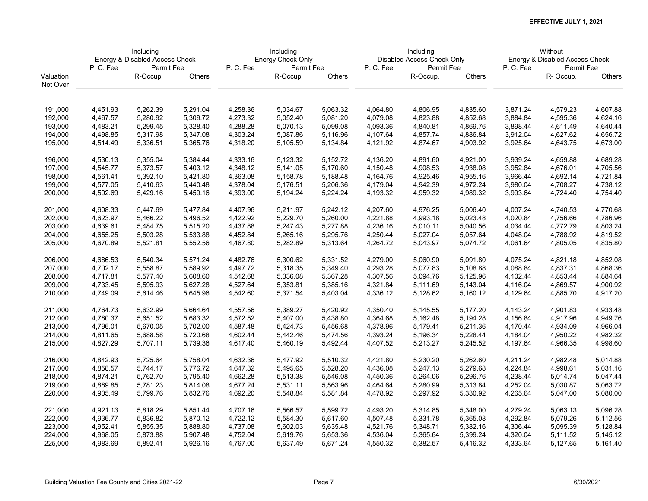|           | Including<br>Energy & Disabled Access Check |            |          |          | Including         |          |          | Including                  |          |          | Without                        |               |
|-----------|---------------------------------------------|------------|----------|----------|-------------------|----------|----------|----------------------------|----------|----------|--------------------------------|---------------|
|           |                                             |            |          |          | Energy Check Only |          |          | Disabled Access Check Only |          |          | Energy & Disabled Access Check |               |
|           | P.C.Fee                                     | Permit Fee |          | P.C.Fee  | Permit Fee        |          | P.C.Fee  | Permit Fee                 |          | P.C.Fee  | Permit Fee                     |               |
| Valuation |                                             | R-Occup.   | Others   |          | R-Occup.          | Others   |          | R-Occup.                   | Others   |          | R-Occup.                       | <b>Others</b> |
| Not Over  |                                             |            |          |          |                   |          |          |                            |          |          |                                |               |
| 191,000   | 4,451.93                                    | 5,262.39   | 5,291.04 | 4,258.36 | 5,034.67          | 5,063.32 | 4,064.80 | 4,806.95                   | 4,835.60 | 3,871.24 | 4,579.23                       | 4,607.88      |
| 192,000   | 4,467.57                                    | 5,280.92   | 5,309.72 | 4,273.32 | 5,052.40          | 5,081.20 | 4,079.08 | 4,823.88                   | 4,852.68 | 3,884.84 | 4,595.36                       | 4,624.16      |
| 193,000   | 4,483.21                                    | 5,299.45   | 5,328.40 | 4,288.28 | 5,070.13          | 5,099.08 | 4,093.36 | 4,840.81                   | 4,869.76 | 3,898.44 | 4,611.49                       | 4,640.44      |
| 194,000   | 4,498.85                                    | 5,317.98   | 5,347.08 | 4,303.24 | 5,087.86          | 5,116.96 | 4,107.64 | 4,857.74                   | 4,886.84 | 3,912.04 | 4,627.62                       | 4,656.72      |
| 195,000   | 4,514.49                                    | 5,336.51   | 5,365.76 | 4,318.20 | 5,105.59          | 5,134.84 | 4,121.92 | 4,874.67                   | 4,903.92 | 3,925.64 | 4,643.75                       | 4,673.00      |
| 196,000   | 4,530.13                                    | 5,355.04   | 5,384.44 | 4,333.16 | 5,123.32          | 5,152.72 | 4,136.20 | 4,891.60                   | 4,921.00 | 3,939.24 | 4,659.88                       | 4,689.28      |
| 197,000   | 4,545.77                                    | 5,373.57   | 5,403.12 | 4,348.12 | 5,141.05          | 5,170.60 | 4,150.48 | 4,908.53                   | 4,938.08 | 3,952.84 | 4,676.01                       | 4,705.56      |
| 198,000   | 4,561.41                                    | 5,392.10   | 5,421.80 | 4,363.08 | 5,158.78          | 5,188.48 | 4,164.76 | 4,925.46                   | 4,955.16 | 3,966.44 | 4,692.14                       | 4,721.84      |
| 199,000   | 4,577.05                                    | 5,410.63   | 5,440.48 | 4,378.04 | 5,176.51          | 5,206.36 | 4,179.04 | 4,942.39                   | 4,972.24 | 3,980.04 | 4,708.27                       | 4,738.12      |
| 200,000   | 4,592.69                                    | 5,429.16   | 5,459.16 | 4,393.00 | 5,194.24          | 5,224.24 | 4,193.32 | 4,959.32                   | 4,989.32 | 3,993.64 | 4,724.40                       | 4,754.40      |
| 201,000   | 4,608.33                                    | 5,447.69   | 5,477.84 | 4,407.96 | 5,211.97          | 5,242.12 | 4,207.60 | 4,976.25                   | 5,006.40 | 4,007.24 | 4,740.53                       | 4,770.68      |
| 202,000   | 4,623.97                                    | 5,466.22   | 5,496.52 | 4,422.92 | 5,229.70          | 5,260.00 | 4,221.88 | 4,993.18                   | 5,023.48 | 4,020.84 | 4,756.66                       | 4,786.96      |
| 203,000   | 4,639.61                                    | 5,484.75   | 5,515.20 | 4,437.88 | 5,247.43          | 5,277.88 | 4,236.16 | 5,010.11                   | 5,040.56 | 4,034.44 | 4,772.79                       | 4,803.24      |
| 204,000   | 4,655.25                                    | 5,503.28   | 5,533.88 | 4,452.84 | 5,265.16          | 5,295.76 | 4,250.44 | 5,027.04                   | 5,057.64 | 4,048.04 | 4,788.92                       | 4,819.52      |
| 205,000   | 4,670.89                                    | 5,521.81   | 5,552.56 | 4,467.80 | 5,282.89          | 5,313.64 | 4,264.72 | 5,043.97                   | 5,074.72 | 4,061.64 | 4,805.05                       | 4,835.80      |
| 206,000   | 4,686.53                                    | 5,540.34   | 5,571.24 | 4,482.76 | 5,300.62          | 5,331.52 | 4,279.00 | 5,060.90                   | 5,091.80 | 4,075.24 | 4,821.18                       | 4,852.08      |
| 207,000   | 4,702.17                                    | 5,558.87   | 5,589.92 | 4,497.72 | 5,318.35          | 5,349.40 | 4,293.28 | 5,077.83                   | 5,108.88 | 4,088.84 | 4,837.31                       | 4,868.36      |
| 208,000   | 4,717.81                                    | 5,577.40   | 5,608.60 | 4,512.68 | 5,336.08          | 5,367.28 | 4,307.56 | 5,094.76                   | 5,125.96 | 4,102.44 | 4,853.44                       | 4,884.64      |
| 209,000   | 4,733.45                                    | 5,595.93   | 5,627.28 | 4,527.64 | 5,353.81          | 5,385.16 | 4,321.84 | 5,111.69                   | 5,143.04 | 4,116.04 | 4,869.57                       | 4,900.92      |
| 210,000   | 4,749.09                                    | 5,614.46   | 5,645.96 | 4,542.60 | 5,371.54          | 5,403.04 | 4,336.12 | 5,128.62                   | 5,160.12 | 4,129.64 | 4,885.70                       | 4,917.20      |
| 211,000   | 4,764.73                                    | 5,632.99   | 5,664.64 | 4,557.56 | 5,389.27          | 5,420.92 | 4,350.40 | 5,145.55                   | 5,177.20 | 4,143.24 | 4,901.83                       | 4,933.48      |
| 212,000   | 4,780.37                                    | 5,651.52   | 5,683.32 | 4,572.52 | 5,407.00          | 5,438.80 | 4,364.68 | 5,162.48                   | 5,194.28 | 4,156.84 | 4,917.96                       | 4,949.76      |
| 213,000   | 4,796.01                                    | 5,670.05   | 5,702.00 | 4,587.48 | 5,424.73          | 5,456.68 | 4,378.96 | 5,179.41                   | 5,211.36 | 4,170.44 | 4,934.09                       | 4,966.04      |
| 214,000   | 4,811.65                                    | 5,688.58   | 5,720.68 | 4,602.44 | 5,442.46          | 5,474.56 | 4,393.24 | 5,196.34                   | 5,228.44 | 4,184.04 | 4,950.22                       | 4,982.32      |
| 215,000   | 4,827.29                                    | 5,707.11   | 5,739.36 | 4,617.40 | 5,460.19          | 5,492.44 | 4,407.52 | 5,213.27                   | 5,245.52 | 4,197.64 | 4,966.35                       | 4,998.60      |
| 216,000   | 4,842.93                                    | 5,725.64   | 5,758.04 | 4,632.36 | 5,477.92          | 5,510.32 | 4,421.80 | 5,230.20                   | 5,262.60 | 4,211.24 | 4,982.48                       | 5,014.88      |
| 217,000   | 4,858.57                                    | 5,744.17   | 5,776.72 | 4,647.32 | 5,495.65          | 5,528.20 | 4,436.08 | 5,247.13                   | 5,279.68 | 4,224.84 | 4,998.61                       | 5,031.16      |
| 218,000   | 4,874.21                                    | 5,762.70   | 5,795.40 | 4,662.28 | 5,513.38          | 5,546.08 | 4,450.36 | 5,264.06                   | 5,296.76 | 4,238.44 | 5,014.74                       | 5,047.44      |
| 219,000   | 4,889.85                                    | 5,781.23   | 5,814.08 | 4,677.24 | 5,531.11          | 5,563.96 | 4,464.64 | 5,280.99                   | 5,313.84 | 4,252.04 | 5,030.87                       | 5,063.72      |
| 220,000   | 4,905.49                                    | 5,799.76   | 5,832.76 | 4,692.20 | 5,548.84          | 5,581.84 | 4,478.92 | 5,297.92                   | 5,330.92 | 4,265.64 | 5,047.00                       | 5,080.00      |
| 221,000   | 4,921.13                                    | 5,818.29   | 5,851.44 | 4,707.16 | 5,566.57          | 5,599.72 | 4,493.20 | 5,314.85                   | 5,348.00 | 4,279.24 | 5,063.13                       | 5,096.28      |
| 222,000   | 4,936.77                                    | 5,836.82   | 5,870.12 | 4,722.12 | 5,584.30          | 5,617.60 | 4,507.48 | 5,331.78                   | 5,365.08 | 4,292.84 | 5,079.26                       | 5,112.56      |
| 223,000   | 4,952.41                                    | 5,855.35   | 5,888.80 | 4,737.08 | 5,602.03          | 5,635.48 | 4,521.76 | 5,348.71                   | 5,382.16 | 4,306.44 | 5,095.39                       | 5,128.84      |
| 224,000   | 4,968.05                                    | 5,873.88   | 5,907.48 | 4,752.04 | 5,619.76          | 5,653.36 | 4,536.04 | 5,365.64                   | 5,399.24 | 4,320.04 | 5,111.52                       | 5,145.12      |
| 225,000   | 4,983.69                                    | 5,892.41   | 5,926.16 | 4,767.00 | 5,637.49          | 5,671.24 | 4,550.32 | 5,382.57                   | 5,416.32 | 4,333.64 | 5,127.65                       | 5,161.40      |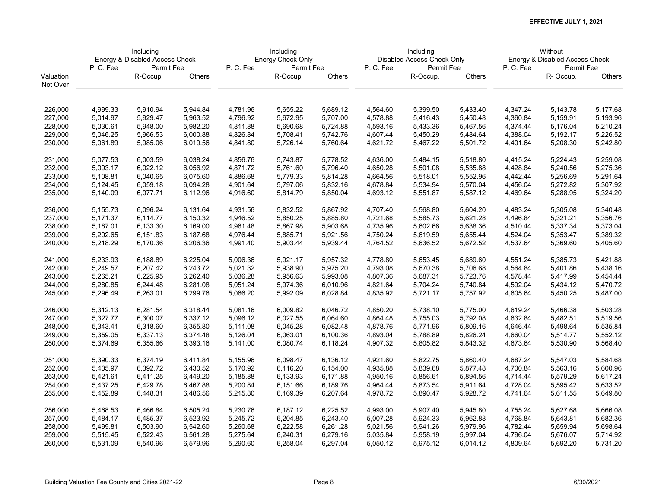|           | Including<br>Energy & Disabled Access Check |            |          |          | Including         |          |          | Including                  |          |          | Without                        |          |
|-----------|---------------------------------------------|------------|----------|----------|-------------------|----------|----------|----------------------------|----------|----------|--------------------------------|----------|
|           |                                             |            |          |          | Energy Check Only |          |          | Disabled Access Check Only |          |          | Energy & Disabled Access Check |          |
|           | P.C.Fee                                     | Permit Fee |          | P.C.Fee  | Permit Fee        |          | P.C.Fee  | Permit Fee                 |          | P.C.Fee  | Permit Fee                     |          |
| Valuation |                                             | R-Occup.   | Others   |          | R-Occup.          | Others   |          | R-Occup.                   | Others   |          | R- Occup.                      | Others   |
| Not Over  |                                             |            |          |          |                   |          |          |                            |          |          |                                |          |
|           |                                             |            |          |          |                   |          |          |                            |          |          |                                |          |
| 226,000   | 4,999.33                                    | 5,910.94   | 5,944.84 | 4,781.96 | 5,655.22          | 5,689.12 | 4,564.60 | 5,399.50                   | 5,433.40 | 4,347.24 | 5,143.78                       | 5,177.68 |
| 227,000   | 5,014.97                                    | 5,929.47   | 5,963.52 | 4,796.92 | 5,672.95          | 5,707.00 | 4,578.88 | 5,416.43                   | 5,450.48 | 4,360.84 | 5,159.91                       | 5,193.96 |
| 228,000   | 5,030.61                                    | 5,948.00   | 5,982.20 | 4,811.88 | 5,690.68          | 5,724.88 | 4,593.16 | 5,433.36                   | 5,467.56 | 4,374.44 | 5,176.04                       | 5,210.24 |
| 229,000   | 5,046.25                                    | 5,966.53   | 6,000.88 | 4,826.84 | 5,708.41          | 5,742.76 | 4,607.44 | 5,450.29                   | 5,484.64 | 4,388.04 | 5,192.17                       | 5,226.52 |
| 230,000   | 5,061.89                                    | 5,985.06   | 6,019.56 | 4,841.80 | 5,726.14          | 5,760.64 | 4,621.72 | 5,467.22                   | 5,501.72 | 4,401.64 | 5,208.30                       | 5,242.80 |
| 231,000   | 5,077.53                                    | 6,003.59   | 6,038.24 | 4,856.76 | 5,743.87          | 5,778.52 | 4,636.00 | 5,484.15                   | 5,518.80 | 4,415.24 | 5,224.43                       | 5,259.08 |
| 232,000   | 5,093.17                                    | 6,022.12   | 6,056.92 | 4,871.72 | 5,761.60          | 5,796.40 | 4,650.28 | 5,501.08                   | 5,535.88 | 4,428.84 | 5,240.56                       | 5,275.36 |
| 233,000   | 5,108.81                                    | 6,040.65   | 6,075.60 | 4,886.68 | 5,779.33          | 5,814.28 | 4,664.56 | 5,518.01                   | 5,552.96 | 4,442.44 | 5,256.69                       | 5,291.64 |
| 234,000   | 5,124.45                                    | 6,059.18   | 6,094.28 | 4,901.64 | 5,797.06          | 5,832.16 | 4,678.84 | 5,534.94                   | 5,570.04 | 4,456.04 | 5,272.82                       | 5,307.92 |
| 235,000   | 5,140.09                                    | 6,077.71   | 6,112.96 | 4,916.60 | 5,814.79          | 5,850.04 | 4,693.12 | 5,551.87                   | 5,587.12 | 4,469.64 | 5,288.95                       | 5,324.20 |
| 236,000   | 5,155.73                                    | 6,096.24   | 6,131.64 | 4,931.56 | 5,832.52          | 5,867.92 | 4,707.40 | 5,568.80                   | 5,604.20 | 4,483.24 | 5,305.08                       | 5,340.48 |
| 237,000   | 5,171.37                                    | 6,114.77   | 6,150.32 | 4,946.52 | 5,850.25          | 5,885.80 | 4,721.68 | 5,585.73                   | 5,621.28 | 4,496.84 | 5,321.21                       | 5,356.76 |
| 238,000   | 5,187.01                                    | 6,133.30   | 6,169.00 | 4,961.48 | 5,867.98          | 5,903.68 | 4,735.96 | 5,602.66                   | 5,638.36 | 4,510.44 | 5,337.34                       | 5,373.04 |
| 239,000   | 5,202.65                                    | 6,151.83   | 6,187.68 | 4,976.44 | 5,885.71          | 5,921.56 | 4,750.24 | 5,619.59                   | 5,655.44 | 4,524.04 | 5,353.47                       | 5,389.32 |
| 240,000   | 5,218.29                                    | 6,170.36   | 6,206.36 | 4,991.40 | 5,903.44          | 5,939.44 | 4,764.52 | 5,636.52                   | 5,672.52 | 4,537.64 | 5,369.60                       | 5,405.60 |
|           |                                             |            |          |          |                   |          |          |                            |          |          |                                |          |
| 241,000   | 5,233.93                                    | 6,188.89   | 6,225.04 | 5,006.36 | 5,921.17          | 5,957.32 | 4,778.80 | 5,653.45                   | 5,689.60 | 4,551.24 | 5,385.73                       | 5,421.88 |
| 242,000   | 5,249.57                                    | 6,207.42   | 6,243.72 | 5,021.32 | 5,938.90          | 5,975.20 | 4,793.08 | 5,670.38                   | 5,706.68 | 4,564.84 | 5,401.86                       | 5,438.16 |
| 243,000   | 5,265.21                                    | 6,225.95   | 6,262.40 | 5,036.28 | 5,956.63          | 5,993.08 | 4,807.36 | 5,687.31                   | 5,723.76 | 4,578.44 | 5,417.99                       | 5,454.44 |
| 244,000   | 5,280.85                                    | 6,244.48   | 6,281.08 | 5,051.24 | 5,974.36          | 6,010.96 | 4,821.64 | 5,704.24                   | 5,740.84 | 4,592.04 | 5,434.12                       | 5,470.72 |
| 245,000   | 5,296.49                                    | 6,263.01   | 6,299.76 | 5,066.20 | 5,992.09          | 6,028.84 | 4,835.92 | 5,721.17                   | 5,757.92 | 4,605.64 | 5,450.25                       | 5,487.00 |
| 246,000   | 5,312.13                                    | 6,281.54   | 6,318.44 | 5,081.16 | 6,009.82          | 6,046.72 | 4,850.20 | 5,738.10                   | 5,775.00 | 4,619.24 | 5,466.38                       | 5,503.28 |
| 247,000   | 5,327.77                                    | 6,300.07   | 6,337.12 | 5,096.12 | 6,027.55          | 6,064.60 | 4,864.48 | 5,755.03                   | 5,792.08 | 4,632.84 | 5,482.51                       | 5,519.56 |
| 248,000   | 5,343.41                                    | 6,318.60   | 6,355.80 | 5,111.08 | 6,045.28          | 6,082.48 | 4,878.76 | 5,771.96                   | 5,809.16 | 4,646.44 | 5,498.64                       | 5,535.84 |
| 249,000   | 5,359.05                                    | 6,337.13   | 6,374.48 | 5,126.04 | 6,063.01          | 6,100.36 | 4,893.04 | 5,788.89                   | 5,826.24 | 4,660.04 | 5,514.77                       | 5,552.12 |
| 250,000   | 5,374.69                                    | 6,355.66   | 6,393.16 | 5,141.00 | 6,080.74          | 6,118.24 | 4,907.32 | 5,805.82                   | 5,843.32 | 4,673.64 | 5,530.90                       | 5,568.40 |
| 251,000   | 5,390.33                                    | 6,374.19   | 6,411.84 | 5,155.96 | 6,098.47          | 6,136.12 | 4,921.60 | 5,822.75                   | 5,860.40 | 4,687.24 | 5,547.03                       | 5,584.68 |
| 252,000   | 5,405.97                                    | 6,392.72   | 6,430.52 | 5,170.92 | 6,116.20          | 6,154.00 | 4,935.88 | 5,839.68                   | 5,877.48 | 4,700.84 | 5,563.16                       | 5,600.96 |
| 253,000   | 5,421.61                                    | 6,411.25   | 6,449.20 | 5,185.88 | 6,133.93          | 6,171.88 | 4,950.16 | 5,856.61                   | 5,894.56 | 4,714.44 | 5,579.29                       | 5,617.24 |
| 254,000   | 5,437.25                                    | 6,429.78   | 6,467.88 | 5,200.84 | 6,151.66          | 6,189.76 | 4,964.44 | 5,873.54                   | 5,911.64 | 4,728.04 | 5,595.42                       | 5,633.52 |
| 255,000   | 5,452.89                                    | 6,448.31   | 6,486.56 | 5,215.80 | 6,169.39          | 6,207.64 | 4,978.72 | 5,890.47                   | 5,928.72 | 4,741.64 | 5,611.55                       | 5,649.80 |
| 256,000   | 5,468.53                                    | 6,466.84   | 6,505.24 | 5,230.76 | 6,187.12          | 6,225.52 | 4,993.00 | 5,907.40                   | 5,945.80 | 4,755.24 | 5,627.68                       | 5,666.08 |
| 257,000   | 5,484.17                                    | 6,485.37   | 6,523.92 | 5,245.72 | 6,204.85          | 6,243.40 | 5,007.28 | 5,924.33                   | 5,962.88 | 4,768.84 | 5,643.81                       | 5,682.36 |
| 258,000   | 5,499.81                                    | 6,503.90   | 6,542.60 | 5,260.68 | 6,222.58          | 6,261.28 | 5,021.56 | 5,941.26                   | 5,979.96 | 4,782.44 | 5,659.94                       | 5,698.64 |
| 259,000   | 5,515.45                                    | 6,522.43   | 6,561.28 | 5,275.64 | 6,240.31          | 6,279.16 | 5,035.84 | 5,958.19                   | 5,997.04 | 4,796.04 | 5,676.07                       | 5,714.92 |
| 260,000   | 5,531.09                                    | 6,540.96   | 6,579.96 | 5,290.60 | 6,258.04          | 6,297.04 | 5,050.12 | 5,975.12                   | 6,014.12 | 4,809.64 | 5,692.20                       | 5,731.20 |
|           |                                             |            |          |          |                   |          |          |                            |          |          |                                |          |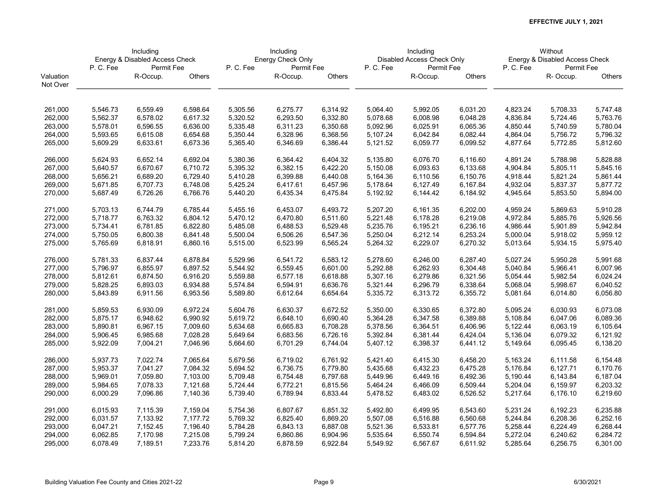|           | Including<br>Energy & Disabled Access Check |                      |          |          | Including         |          |          | Including                  |                      |                      | Without                        |               |
|-----------|---------------------------------------------|----------------------|----------|----------|-------------------|----------|----------|----------------------------|----------------------|----------------------|--------------------------------|---------------|
|           |                                             |                      |          |          | Energy Check Only |          |          | Disabled Access Check Only |                      |                      | Energy & Disabled Access Check |               |
|           | P.C.Fee                                     | Permit Fee           |          | P.C.Fee  | Permit Fee        |          | P.C.Fee  | Permit Fee                 |                      | P.C.Fee              | Permit Fee                     |               |
| Valuation |                                             | R-Occup.             | Others   |          | R-Occup.          | Others   |          | R-Occup.                   | Others               |                      | R-Occup.                       | <b>Others</b> |
| Not Over  |                                             |                      |          |          |                   |          |          |                            |                      |                      |                                |               |
| 261,000   | 5,546.73                                    | 6,559.49             | 6,598.64 | 5,305.56 | 6,275.77          | 6,314.92 | 5,064.40 | 5,992.05                   | 6,031.20             | 4,823.24             | 5,708.33                       | 5,747.48      |
| 262,000   | 5,562.37                                    | 6,578.02             | 6,617.32 | 5,320.52 | 6,293.50          | 6,332.80 | 5,078.68 | 6,008.98                   | 6,048.28             | 4,836.84             | 5,724.46                       | 5,763.76      |
|           |                                             |                      |          |          |                   |          |          |                            |                      |                      |                                |               |
| 263,000   | 5,578.01                                    | 6,596.55             | 6,636.00 | 5,335.48 | 6,311.23          | 6,350.68 | 5,092.96 | 6,025.91                   | 6,065.36             | 4,850.44             | 5,740.59                       | 5,780.04      |
| 264,000   | 5,593.65                                    | 6,615.08             | 6,654.68 | 5,350.44 | 6,328.96          | 6,368.56 | 5,107.24 | 6,042.84                   | 6,082.44             | 4,864.04             | 5,756.72                       | 5,796.32      |
| 265,000   | 5,609.29                                    | 6,633.61             | 6,673.36 | 5,365.40 | 6,346.69          | 6,386.44 | 5,121.52 | 6,059.77                   | 6,099.52             | 4,877.64             | 5,772.85                       | 5,812.60      |
| 266,000   | 5,624.93                                    | 6,652.14             | 6,692.04 | 5,380.36 | 6,364.42          | 6,404.32 | 5,135.80 | 6,076.70                   | 6,116.60             | 4,891.24             | 5,788.98                       | 5,828.88      |
| 267,000   | 5,640.57                                    | 6,670.67             | 6,710.72 | 5,395.32 | 6,382.15          | 6,422.20 | 5,150.08 | 6,093.63                   | 6,133.68             | 4,904.84             | 5,805.11                       | 5,845.16      |
| 268,000   | 5,656.21                                    | 6,689.20             | 6,729.40 | 5,410.28 | 6,399.88          | 6,440.08 | 5,164.36 | 6,110.56                   | 6,150.76             | 4,918.44             | 5,821.24                       | 5,861.44      |
| 269,000   | 5,671.85                                    | 6,707.73             | 6,748.08 | 5,425.24 | 6,417.61          | 6,457.96 | 5,178.64 | 6,127.49                   | 6,167.84             | 4,932.04             | 5,837.37                       | 5,877.72      |
| 270,000   | 5,687.49                                    | 6,726.26             | 6,766.76 | 5,440.20 | 6,435.34          | 6,475.84 | 5,192.92 | 6,144.42                   | 6,184.92             | 4,945.64             | 5,853.50                       | 5,894.00      |
| 271,000   | 5,703.13                                    | 6,744.79             | 6,785.44 | 5,455.16 | 6,453.07          | 6,493.72 | 5,207.20 | 6,161.35                   | 6,202.00             | 4,959.24             | 5,869.63                       | 5,910.28      |
| 272,000   | 5,718.77                                    | 6,763.32             | 6,804.12 | 5,470.12 | 6,470.80          | 6,511.60 | 5,221.48 | 6,178.28                   | 6,219.08             | 4,972.84             | 5,885.76                       | 5,926.56      |
| 273,000   | 5,734.41                                    | 6,781.85             | 6,822.80 | 5,485.08 | 6,488.53          | 6,529.48 | 5,235.76 | 6,195.21                   | 6,236.16             | 4,986.44             | 5,901.89                       | 5,942.84      |
| 274,000   | 5,750.05                                    | 6,800.38             | 6,841.48 | 5,500.04 | 6,506.26          | 6,547.36 | 5,250.04 | 6,212.14                   | 6,253.24             | 5,000.04             | 5,918.02                       | 5,959.12      |
| 275,000   | 5,765.69                                    | 6,818.91             | 6,860.16 | 5,515.00 | 6,523.99          | 6,565.24 | 5,264.32 | 6,229.07                   | 6,270.32             | 5,013.64             | 5,934.15                       | 5,975.40      |
| 276,000   | 5,781.33                                    | 6,837.44             | 6,878.84 | 5,529.96 | 6,541.72          | 6,583.12 | 5,278.60 | 6,246.00                   | 6,287.40             | 5,027.24             | 5,950.28                       | 5,991.68      |
| 277,000   | 5,796.97                                    | 6,855.97             | 6,897.52 | 5,544.92 | 6,559.45          | 6,601.00 | 5,292.88 | 6,262.93                   | 6,304.48             | 5,040.84             | 5,966.41                       | 6,007.96      |
| 278,000   | 5,812.61                                    | 6,874.50             | 6,916.20 | 5,559.88 | 6,577.18          | 6,618.88 | 5,307.16 | 6,279.86                   | 6,321.56             | 5,054.44             | 5,982.54                       | 6,024.24      |
| 279,000   | 5,828.25                                    | 6,893.03             | 6,934.88 | 5,574.84 | 6,594.91          | 6,636.76 | 5,321.44 | 6,296.79                   | 6,338.64             | 5,068.04             | 5,998.67                       | 6,040.52      |
| 280,000   | 5,843.89                                    | 6,911.56             | 6,953.56 | 5,589.80 | 6,612.64          | 6,654.64 | 5,335.72 | 6,313.72                   | 6,355.72             | 5,081.64             | 6,014.80                       | 6,056.80      |
| 281,000   | 5,859.53                                    | 6,930.09             | 6,972.24 | 5,604.76 | 6,630.37          | 6,672.52 | 5,350.00 | 6,330.65                   | 6,372.80             | 5,095.24             | 6,030.93                       | 6,073.08      |
| 282,000   | 5,875.17                                    | 6,948.62             | 6,990.92 | 5,619.72 | 6,648.10          | 6,690.40 | 5,364.28 | 6,347.58                   | 6,389.88             | 5,108.84             | 6,047.06                       | 6,089.36      |
| 283,000   | 5,890.81                                    | 6,967.15             | 7,009.60 | 5,634.68 | 6,665.83          | 6,708.28 | 5,378.56 | 6,364.51                   | 6,406.96             | 5,122.44             | 6,063.19                       | 6,105.64      |
| 284,000   | 5,906.45                                    | 6,985.68             | 7,028.28 | 5,649.64 | 6,683.56          | 6,726.16 | 5,392.84 | 6,381.44                   | 6,424.04             | 5,136.04             | 6,079.32                       | 6,121.92      |
| 285,000   | 5,922.09                                    | 7,004.21             | 7,046.96 | 5,664.60 | 6,701.29          | 6,744.04 | 5,407.12 | 6,398.37                   | 6,441.12             | 5,149.64             | 6,095.45                       | 6,138.20      |
| 286,000   | 5,937.73                                    | 7,022.74             | 7,065.64 | 5,679.56 | 6,719.02          | 6,761.92 | 5,421.40 | 6,415.30                   | 6,458.20             | 5,163.24             | 6,111.58                       | 6,154.48      |
| 287,000   | 5,953.37                                    | 7,041.27             | 7,084.32 | 5,694.52 | 6,736.75          | 6,779.80 | 5,435.68 | 6,432.23                   | 6,475.28             | 5,176.84             | 6,127.71                       | 6,170.76      |
| 288,000   | 5,969.01                                    | 7,059.80             | 7,103.00 | 5,709.48 | 6,754.48          | 6,797.68 | 5,449.96 | 6,449.16                   | 6,492.36             | 5,190.44             | 6,143.84                       | 6,187.04      |
| 289,000   | 5,984.65                                    | 7,078.33             | 7,121.68 | 5,724.44 | 6,772.21          | 6,815.56 | 5,464.24 | 6,466.09                   | 6,509.44             | 5,204.04             | 6,159.97                       | 6,203.32      |
| 290,000   | 6,000.29                                    | 7,096.86             | 7,140.36 | 5,739.40 | 6,789.94          | 6,833.44 | 5,478.52 | 6,483.02                   | 6,526.52             | 5,217.64             | 6,176.10                       | 6,219.60      |
|           |                                             |                      |          |          | 6,807.67          |          | 5,492.80 |                            |                      |                      |                                | 6,235.88      |
| 291,000   | 6,015.93                                    | 7,115.39<br>7,133.92 | 7,159.04 | 5,754.36 |                   | 6,851.32 | 5,507.08 | 6,499.95                   | 6,543.60<br>6,560.68 | 5,231.24<br>5,244.84 | 6,192.23<br>6,208.36           |               |
| 292,000   | 6,031.57                                    |                      | 7,177.72 | 5,769.32 | 6,825.40          | 6,869.20 |          | 6,516.88                   |                      |                      |                                | 6,252.16      |
| 293,000   | 6,047.21                                    | 7,152.45             | 7,196.40 | 5,784.28 | 6,843.13          | 6,887.08 | 5,521.36 | 6,533.81                   | 6,577.76             | 5,258.44             | 6,224.49                       | 6,268.44      |
| 294,000   | 6,062.85                                    | 7,170.98             | 7,215.08 | 5,799.24 | 6,860.86          | 6,904.96 | 5,535.64 | 6,550.74                   | 6,594.84             | 5,272.04             | 6,240.62                       | 6,284.72      |
| 295,000   | 6,078.49                                    | 7,189.51             | 7,233.76 | 5,814.20 | 6,878.59          | 6,922.84 | 5,549.92 | 6,567.67                   | 6,611.92             | 5,285.64             | 6,256.75                       | 6,301.00      |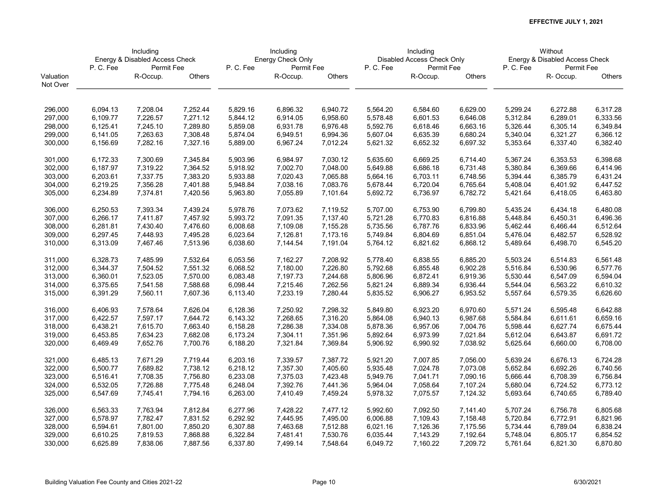|                    | Including<br>Energy & Disabled Access Check |            |          |          | Including         |          |          | Including                  |                      |          | Without                        |               |
|--------------------|---------------------------------------------|------------|----------|----------|-------------------|----------|----------|----------------------------|----------------------|----------|--------------------------------|---------------|
|                    |                                             |            |          |          | Energy Check Only |          |          | Disabled Access Check Only |                      |          | Energy & Disabled Access Check |               |
|                    | P.C.Fee                                     | Permit Fee |          | P.C.Fee  | Permit Fee        |          | P.C.Fee  | Permit Fee                 |                      | P.C.Fee  | Permit Fee                     |               |
| Valuation          |                                             | R-Occup.   | Others   |          | R-Occup.          | Others   |          | R-Occup.                   | Others               |          | R-Occup.                       | <b>Others</b> |
| Not Over           |                                             |            |          |          |                   |          |          |                            |                      |          |                                |               |
|                    | 6,094.13                                    | 7,208.04   | 7,252.44 | 5,829.16 | 6,896.32          | 6,940.72 | 5,564.20 | 6,584.60                   | 6,629.00             | 5,299.24 | 6,272.88                       | 6,317.28      |
| 296,000            |                                             |            |          |          |                   |          |          |                            |                      |          |                                |               |
| 297,000            | 6,109.77                                    | 7,226.57   | 7,271.12 | 5,844.12 | 6,914.05          | 6,958.60 | 5,578.48 | 6,601.53                   | 6,646.08             | 5,312.84 | 6,289.01                       | 6,333.56      |
| 298,000            | 6,125.41                                    | 7,245.10   | 7,289.80 | 5,859.08 | 6,931.78          | 6,976.48 | 5,592.76 | 6,618.46                   | 6,663.16             | 5,326.44 | 6,305.14                       | 6,349.84      |
| 299,000            | 6,141.05                                    | 7,263.63   | 7,308.48 | 5,874.04 | 6,949.51          | 6,994.36 | 5,607.04 | 6,635.39                   | 6,680.24             | 5,340.04 | 6,321.27                       | 6,366.12      |
| 300,000            | 6,156.69                                    | 7,282.16   | 7,327.16 | 5,889.00 | 6,967.24          | 7,012.24 | 5,621.32 | 6,652.32                   | 6,697.32             | 5,353.64 | 6,337.40                       | 6,382.40      |
| 301,000            | 6,172.33                                    | 7,300.69   | 7,345.84 | 5,903.96 | 6,984.97          | 7,030.12 | 5,635.60 | 6,669.25                   | 6,714.40             | 5,367.24 | 6,353.53                       | 6,398.68      |
| 302,000            | 6,187.97                                    | 7,319.22   | 7,364.52 | 5,918.92 | 7,002.70          | 7,048.00 | 5,649.88 | 6,686.18                   | 6,731.48             | 5,380.84 | 6,369.66                       | 6,414.96      |
| 303,000            | 6,203.61                                    | 7,337.75   | 7,383.20 | 5,933.88 | 7,020.43          | 7,065.88 | 5,664.16 | 6,703.11                   | 6,748.56             | 5,394.44 | 6,385.79                       | 6,431.24      |
| 304,000            | 6,219.25                                    | 7,356.28   | 7,401.88 | 5,948.84 | 7,038.16          | 7,083.76 | 5,678.44 | 6,720.04                   | 6,765.64             | 5,408.04 | 6,401.92                       | 6,447.52      |
| 305,000            | 6,234.89                                    | 7,374.81   | 7,420.56 | 5,963.80 | 7,055.89          | 7,101.64 | 5,692.72 | 6,736.97                   | 6,782.72             | 5,421.64 | 6,418.05                       | 6,463.80      |
| 306,000            | 6,250.53                                    | 7,393.34   | 7,439.24 | 5,978.76 | 7,073.62          | 7,119.52 | 5,707.00 | 6,753.90                   | 6,799.80             | 5,435.24 | 6,434.18                       | 6,480.08      |
| 307,000            | 6,266.17                                    | 7,411.87   | 7,457.92 | 5,993.72 | 7,091.35          | 7,137.40 | 5,721.28 | 6,770.83                   | 6,816.88             | 5,448.84 | 6,450.31                       | 6,496.36      |
| 308,000            | 6,281.81                                    | 7,430.40   | 7,476.60 | 6,008.68 | 7,109.08          | 7,155.28 | 5,735.56 | 6,787.76                   | 6,833.96             | 5,462.44 | 6,466.44                       | 6,512.64      |
| 309,000            | 6,297.45                                    | 7,448.93   | 7,495.28 | 6,023.64 | 7,126.81          | 7,173.16 | 5,749.84 | 6,804.69                   | 6,851.04             | 5,476.04 | 6,482.57                       | 6,528.92      |
| 310,000            | 6,313.09                                    | 7,467.46   | 7,513.96 | 6,038.60 | 7,144.54          | 7,191.04 | 5,764.12 | 6,821.62                   | 6,868.12             | 5,489.64 | 6,498.70                       | 6,545.20      |
| 311,000            | 6,328.73                                    | 7,485.99   | 7,532.64 | 6,053.56 | 7,162.27          | 7,208.92 | 5,778.40 | 6,838.55                   | 6,885.20             | 5,503.24 | 6,514.83                       | 6,561.48      |
| 312,000            | 6,344.37                                    | 7,504.52   | 7,551.32 | 6,068.52 | 7,180.00          | 7,226.80 | 5,792.68 | 6,855.48                   | 6,902.28             | 5,516.84 | 6,530.96                       | 6,577.76      |
| 313,000            | 6,360.01                                    | 7,523.05   | 7,570.00 | 6,083.48 | 7,197.73          | 7,244.68 | 5,806.96 | 6,872.41                   | 6,919.36             | 5,530.44 | 6,547.09                       | 6,594.04      |
| 314,000            | 6,375.65                                    | 7,541.58   | 7,588.68 | 6,098.44 | 7,215.46          | 7,262.56 | 5,821.24 | 6,889.34                   | 6,936.44             | 5,544.04 | 6,563.22                       | 6,610.32      |
| 315,000            | 6,391.29                                    | 7,560.11   | 7,607.36 | 6,113.40 | 7,233.19          | 7,280.44 | 5,835.52 | 6,906.27                   | 6,953.52             | 5,557.64 | 6,579.35                       | 6,626.60      |
| 316,000            | 6,406.93                                    | 7,578.64   | 7,626.04 | 6,128.36 | 7,250.92          | 7,298.32 | 5,849.80 | 6,923.20                   | 6,970.60             | 5,571.24 | 6,595.48                       | 6,642.88      |
| 317,000            | 6,422.57                                    | 7,597.17   | 7,644.72 | 6,143.32 | 7,268.65          | 7,316.20 | 5,864.08 | 6,940.13                   | 6,987.68             | 5,584.84 | 6,611.61                       | 6,659.16      |
| 318,000            | 6,438.21                                    | 7,615.70   | 7,663.40 | 6,158.28 | 7,286.38          | 7,334.08 | 5,878.36 | 6,957.06                   | 7,004.76             | 5,598.44 | 6,627.74                       | 6,675.44      |
| 319,000            | 6,453.85                                    | 7,634.23   | 7,682.08 | 6,173.24 | 7,304.11          | 7,351.96 | 5,892.64 | 6,973.99                   | 7,021.84             | 5,612.04 | 6,643.87                       | 6,691.72      |
| 320,000            | 6,469.49                                    | 7,652.76   | 7,700.76 | 6,188.20 | 7,321.84          | 7,369.84 | 5,906.92 | 6,990.92                   | 7,038.92             | 5,625.64 | 6,660.00                       | 6,708.00      |
| 321,000            | 6,485.13                                    | 7,671.29   | 7,719.44 | 6,203.16 | 7,339.57          | 7,387.72 | 5,921.20 | 7,007.85                   | 7,056.00             | 5,639.24 | 6,676.13                       | 6,724.28      |
| 322,000            | 6,500.77                                    | 7,689.82   | 7,738.12 | 6,218.12 | 7,357.30          | 7,405.60 | 5,935.48 | 7,024.78                   | 7,073.08             | 5,652.84 | 6,692.26                       | 6,740.56      |
| 323,000            | 6,516.41                                    | 7,708.35   | 7,756.80 | 6,233.08 | 7,375.03          | 7,423.48 | 5,949.76 | 7,041.71                   | 7,090.16             | 5,666.44 | 6,708.39                       | 6,756.84      |
| 324,000            | 6,532.05                                    | 7,726.88   | 7,775.48 | 6,248.04 | 7,392.76          | 7,441.36 | 5,964.04 | 7,058.64                   | 7,107.24             | 5,680.04 | 6,724.52                       | 6,773.12      |
| 325,000            | 6,547.69                                    | 7,745.41   | 7,794.16 | 6,263.00 | 7,410.49          | 7,459.24 | 5,978.32 | 7,075.57                   | 7,124.32             | 5,693.64 | 6,740.65                       | 6,789.40      |
| 326,000            | 6,563.33                                    | 7,763.94   | 7,812.84 | 6,277.96 | 7,428.22          | 7,477.12 | 5,992.60 | 7,092.50                   | 7,141.40             | 5,707.24 | 6,756.78                       | 6,805.68      |
| 327,000            | 6,578.97                                    | 7,782.47   | 7,831.52 | 6,292.92 | 7,445.95          | 7,495.00 | 6,006.88 | 7,109.43                   | 7,158.48             | 5,720.84 | 6,772.91                       | 6,821.96      |
|                    |                                             | 7,801.00   | 7,850.20 |          |                   | 7,512.88 |          |                            |                      | 5,734.44 | 6,789.04                       | 6,838.24      |
| 328,000<br>329,000 | 6,594.61                                    | 7,819.53   | 7,868.88 | 6,307.88 | 7,463.68          | 7,530.76 | 6,021.16 | 7,126.36<br>7,143.29       | 7,175.56<br>7,192.64 | 5,748.04 | 6,805.17                       | 6,854.52      |
|                    | 6,610.25                                    |            |          | 6,322.84 | 7,481.41          |          | 6,035.44 |                            |                      |          |                                |               |
| 330,000            | 6,625.89                                    | 7,838.06   | 7,887.56 | 6,337.80 | 7,499.14          | 7,548.64 | 6,049.72 | 7,160.22                   | 7,209.72             | 5,761.64 | 6,821.30                       | 6,870.80      |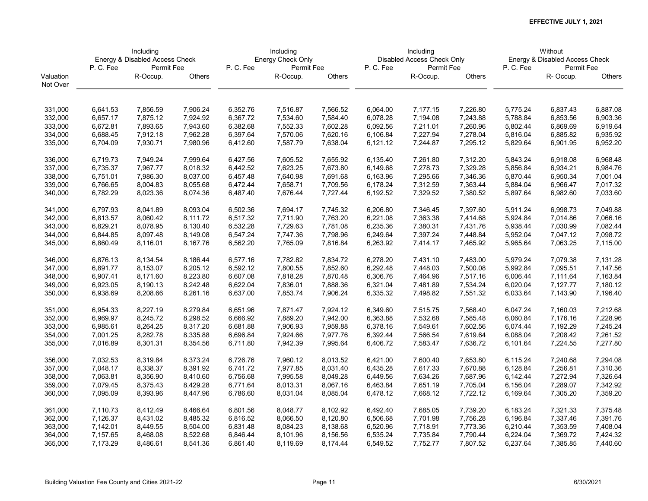|           | Including<br>Energy & Disabled Access Check |            |          |          | Including         |          |          | Including                  |          |          | Without                        |               |
|-----------|---------------------------------------------|------------|----------|----------|-------------------|----------|----------|----------------------------|----------|----------|--------------------------------|---------------|
|           |                                             |            |          |          | Energy Check Only |          |          | Disabled Access Check Only |          |          | Energy & Disabled Access Check |               |
|           | P.C.Fee                                     | Permit Fee |          | P.C.Fee  | Permit Fee        |          | P.C.Fee  | Permit Fee                 |          | P.C.Fee  | Permit Fee                     |               |
| Valuation |                                             | R-Occup.   | Others   |          | R-Occup.          | Others   |          | R-Occup.                   | Others   |          | R-Occup.                       | <b>Others</b> |
| Not Over  |                                             |            |          |          |                   |          |          |                            |          |          |                                |               |
| 331,000   | 6,641.53                                    | 7,856.59   | 7,906.24 | 6,352.76 | 7,516.87          | 7,566.52 | 6,064.00 | 7,177.15                   | 7,226.80 | 5,775.24 | 6,837.43                       | 6,887.08      |
| 332,000   | 6,657.17                                    | 7,875.12   | 7,924.92 | 6,367.72 | 7,534.60          | 7,584.40 | 6,078.28 | 7,194.08                   | 7,243.88 | 5,788.84 | 6,853.56                       | 6,903.36      |
| 333,000   | 6,672.81                                    | 7,893.65   | 7,943.60 | 6,382.68 | 7,552.33          | 7,602.28 | 6,092.56 | 7,211.01                   | 7,260.96 | 5,802.44 | 6,869.69                       | 6,919.64      |
| 334,000   | 6,688.45                                    | 7,912.18   | 7,962.28 | 6,397.64 | 7,570.06          | 7,620.16 | 6,106.84 | 7,227.94                   | 7,278.04 | 5,816.04 | 6,885.82                       | 6,935.92      |
| 335,000   | 6,704.09                                    | 7,930.71   | 7,980.96 | 6,412.60 | 7,587.79          | 7,638.04 | 6,121.12 | 7,244.87                   | 7,295.12 | 5,829.64 | 6,901.95                       | 6,952.20      |
|           |                                             |            |          |          |                   |          |          |                            |          |          |                                |               |
| 336,000   | 6,719.73                                    | 7,949.24   | 7,999.64 | 6,427.56 | 7,605.52          | 7,655.92 | 6,135.40 | 7,261.80                   | 7,312.20 | 5,843.24 | 6,918.08                       | 6,968.48      |
| 337,000   | 6,735.37                                    | 7,967.77   | 8,018.32 | 6,442.52 | 7,623.25          | 7,673.80 | 6,149.68 | 7,278.73                   | 7,329.28 | 5,856.84 | 6,934.21                       | 6,984.76      |
| 338,000   | 6,751.01                                    | 7,986.30   | 8,037.00 | 6,457.48 | 7,640.98          | 7,691.68 | 6,163.96 | 7,295.66                   | 7,346.36 | 5,870.44 | 6,950.34                       | 7,001.04      |
| 339,000   | 6,766.65                                    | 8,004.83   | 8,055.68 | 6,472.44 | 7,658.71          | 7,709.56 | 6,178.24 | 7,312.59                   | 7,363.44 | 5,884.04 | 6,966.47                       | 7,017.32      |
| 340,000   | 6,782.29                                    | 8,023.36   | 8,074.36 | 6,487.40 | 7,676.44          | 7,727.44 | 6,192.52 | 7,329.52                   | 7,380.52 | 5,897.64 | 6,982.60                       | 7,033.60      |
| 341,000   | 6,797.93                                    | 8,041.89   | 8,093.04 | 6,502.36 | 7,694.17          | 7,745.32 | 6,206.80 | 7,346.45                   | 7,397.60 | 5,911.24 | 6,998.73                       | 7,049.88      |
| 342,000   | 6,813.57                                    | 8,060.42   | 8,111.72 | 6,517.32 | 7,711.90          | 7,763.20 | 6,221.08 | 7,363.38                   | 7,414.68 | 5,924.84 | 7,014.86                       | 7,066.16      |
| 343,000   | 6,829.21                                    | 8,078.95   | 8,130.40 | 6,532.28 | 7,729.63          | 7,781.08 | 6,235.36 | 7,380.31                   | 7,431.76 | 5,938.44 | 7,030.99                       | 7,082.44      |
| 344,000   | 6,844.85                                    | 8,097.48   | 8,149.08 | 6,547.24 | 7,747.36          | 7,798.96 | 6,249.64 | 7,397.24                   | 7,448.84 | 5,952.04 | 7,047.12                       | 7,098.72      |
| 345,000   | 6,860.49                                    | 8,116.01   | 8,167.76 | 6,562.20 | 7,765.09          | 7,816.84 | 6,263.92 | 7,414.17                   | 7,465.92 | 5,965.64 | 7,063.25                       | 7,115.00      |
| 346,000   | 6,876.13                                    | 8,134.54   | 8,186.44 | 6,577.16 | 7,782.82          | 7,834.72 | 6,278.20 | 7,431.10                   | 7,483.00 | 5,979.24 | 7,079.38                       | 7,131.28      |
| 347,000   | 6,891.77                                    | 8,153.07   | 8,205.12 | 6,592.12 | 7,800.55          | 7,852.60 | 6,292.48 | 7,448.03                   | 7,500.08 | 5,992.84 | 7,095.51                       | 7,147.56      |
| 348,000   | 6,907.41                                    | 8,171.60   | 8,223.80 | 6,607.08 | 7,818.28          | 7,870.48 | 6,306.76 | 7,464.96                   | 7,517.16 | 6,006.44 | 7,111.64                       | 7,163.84      |
| 349,000   | 6,923.05                                    | 8,190.13   | 8,242.48 | 6,622.04 | 7,836.01          | 7,888.36 | 6,321.04 | 7,481.89                   | 7,534.24 | 6,020.04 | 7,127.77                       | 7,180.12      |
| 350,000   | 6,938.69                                    | 8,208.66   | 8,261.16 | 6,637.00 | 7,853.74          | 7,906.24 | 6,335.32 | 7,498.82                   | 7,551.32 | 6,033.64 | 7,143.90                       | 7,196.40      |
| 351,000   | 6,954.33                                    | 8,227.19   | 8,279.84 | 6,651.96 | 7,871.47          | 7,924.12 | 6,349.60 | 7,515.75                   | 7,568.40 | 6,047.24 | 7,160.03                       | 7,212.68      |
| 352,000   | 6,969.97                                    | 8,245.72   | 8,298.52 | 6,666.92 | 7,889.20          | 7,942.00 | 6,363.88 | 7,532.68                   | 7,585.48 | 6,060.84 | 7,176.16                       | 7,228.96      |
| 353,000   | 6,985.61                                    | 8,264.25   | 8,317.20 | 6,681.88 | 7,906.93          | 7,959.88 | 6,378.16 | 7,549.61                   | 7,602.56 | 6,074.44 | 7,192.29                       | 7,245.24      |
| 354,000   | 7,001.25                                    | 8,282.78   | 8,335.88 | 6,696.84 | 7,924.66          | 7,977.76 | 6,392.44 | 7,566.54                   | 7,619.64 | 6,088.04 | 7,208.42                       | 7,261.52      |
| 355,000   | 7,016.89                                    | 8,301.31   | 8,354.56 | 6,711.80 | 7,942.39          | 7,995.64 | 6,406.72 | 7,583.47                   | 7,636.72 | 6,101.64 | 7,224.55                       | 7,277.80      |
| 356,000   | 7,032.53                                    | 8,319.84   | 8,373.24 | 6,726.76 | 7,960.12          | 8,013.52 | 6,421.00 | 7,600.40                   | 7,653.80 | 6,115.24 | 7,240.68                       | 7,294.08      |
| 357,000   | 7,048.17                                    | 8,338.37   | 8,391.92 | 6,741.72 | 7,977.85          | 8,031.40 | 6,435.28 | 7,617.33                   | 7,670.88 | 6,128.84 | 7,256.81                       | 7,310.36      |
| 358,000   | 7,063.81                                    | 8,356.90   | 8,410.60 | 6,756.68 | 7,995.58          | 8,049.28 | 6,449.56 | 7,634.26                   | 7,687.96 | 6,142.44 | 7,272.94                       | 7,326.64      |
| 359,000   | 7,079.45                                    | 8,375.43   | 8,429.28 | 6,771.64 | 8,013.31          | 8,067.16 | 6,463.84 | 7,651.19                   | 7,705.04 | 6,156.04 | 7,289.07                       | 7,342.92      |
| 360,000   | 7,095.09                                    | 8,393.96   | 8,447.96 | 6,786.60 | 8,031.04          | 8,085.04 | 6,478.12 | 7,668.12                   | 7,722.12 | 6,169.64 | 7,305.20                       | 7,359.20      |
| 361,000   | 7,110.73                                    | 8,412.49   | 8,466.64 | 6,801.56 | 8,048.77          | 8,102.92 | 6,492.40 | 7,685.05                   | 7,739.20 | 6,183.24 | 7,321.33                       | 7,375.48      |
| 362,000   | 7,126.37                                    | 8,431.02   | 8,485.32 | 6,816.52 | 8,066.50          | 8,120.80 | 6,506.68 | 7,701.98                   | 7,756.28 | 6,196.84 | 7,337.46                       | 7,391.76      |
| 363,000   | 7,142.01                                    | 8,449.55   | 8,504.00 | 6,831.48 | 8,084.23          | 8,138.68 | 6,520.96 | 7,718.91                   | 7,773.36 | 6,210.44 | 7,353.59                       | 7,408.04      |
| 364,000   | 7,157.65                                    | 8,468.08   | 8,522.68 | 6,846.44 | 8,101.96          | 8,156.56 | 6,535.24 | 7,735.84                   | 7,790.44 | 6,224.04 | 7,369.72                       | 7,424.32      |
| 365,000   | 7,173.29                                    | 8,486.61   | 8,541.36 | 6,861.40 | 8,119.69          | 8,174.44 | 6,549.52 | 7,752.77                   | 7,807.52 | 6,237.64 | 7,385.85                       | 7,440.60      |
|           |                                             |            |          |          |                   |          |          |                            |          |          |                                |               |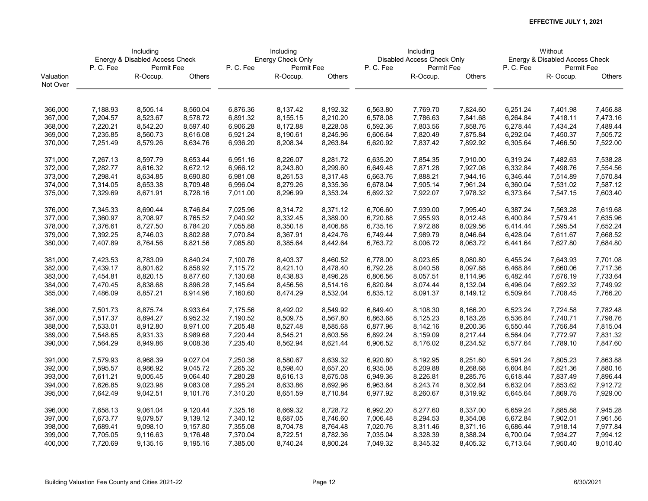|           | Including<br>Energy & Disabled Access Check |            |          |          | Including         |          |          | Including                  |          |          | Without                        |          |
|-----------|---------------------------------------------|------------|----------|----------|-------------------|----------|----------|----------------------------|----------|----------|--------------------------------|----------|
|           |                                             |            |          |          | Energy Check Only |          |          | Disabled Access Check Only |          |          | Energy & Disabled Access Check |          |
|           | P.C.Fee                                     | Permit Fee |          | P.C.Fee  | Permit Fee        |          | P.C.Fee  | Permit Fee                 |          | P.C.Fee  | Permit Fee                     |          |
| Valuation |                                             | R-Occup.   | Others   |          | R-Occup.          | Others   |          | R-Occup.                   | Others   |          | R-Occup.                       | Others   |
| Not Over  |                                             |            |          |          |                   |          |          |                            |          |          |                                |          |
| 366,000   | 7,188.93                                    | 8,505.14   | 8,560.04 | 6,876.36 | 8,137.42          | 8,192.32 | 6,563.80 | 7,769.70                   | 7,824.60 | 6,251.24 | 7,401.98                       | 7,456.88 |
| 367,000   | 7,204.57                                    | 8,523.67   | 8,578.72 | 6,891.32 | 8,155.15          | 8,210.20 | 6,578.08 | 7,786.63                   | 7,841.68 | 6,264.84 | 7,418.11                       | 7,473.16 |
|           |                                             |            |          |          |                   |          |          |                            |          |          |                                |          |
| 368,000   | 7,220.21                                    | 8,542.20   | 8,597.40 | 6,906.28 | 8,172.88          | 8,228.08 | 6,592.36 | 7,803.56                   | 7,858.76 | 6,278.44 | 7,434.24                       | 7,489.44 |
| 369,000   | 7,235.85                                    | 8,560.73   | 8,616.08 | 6,921.24 | 8,190.61          | 8,245.96 | 6,606.64 | 7,820.49                   | 7,875.84 | 6,292.04 | 7,450.37                       | 7,505.72 |
| 370,000   | 7,251.49                                    | 8,579.26   | 8,634.76 | 6,936.20 | 8,208.34          | 8,263.84 | 6,620.92 | 7,837.42                   | 7,892.92 | 6,305.64 | 7,466.50                       | 7,522.00 |
| 371,000   | 7,267.13                                    | 8,597.79   | 8,653.44 | 6,951.16 | 8,226.07          | 8,281.72 | 6,635.20 | 7,854.35                   | 7,910.00 | 6,319.24 | 7,482.63                       | 7,538.28 |
| 372,000   | 7,282.77                                    | 8,616.32   | 8,672.12 | 6,966.12 | 8,243.80          | 8,299.60 | 6,649.48 | 7,871.28                   | 7,927.08 | 6,332.84 | 7,498.76                       | 7,554.56 |
| 373,000   | 7,298.41                                    | 8,634.85   | 8,690.80 | 6,981.08 | 8,261.53          | 8,317.48 | 6,663.76 | 7,888.21                   | 7,944.16 | 6,346.44 | 7,514.89                       | 7,570.84 |
| 374,000   | 7,314.05                                    | 8,653.38   | 8,709.48 | 6,996.04 | 8,279.26          | 8,335.36 | 6,678.04 | 7,905.14                   | 7,961.24 | 6,360.04 | 7,531.02                       | 7,587.12 |
| 375,000   | 7,329.69                                    | 8,671.91   | 8,728.16 | 7,011.00 | 8,296.99          | 8,353.24 | 6,692.32 | 7,922.07                   | 7,978.32 | 6,373.64 | 7,547.15                       | 7,603.40 |
| 376,000   | 7,345.33                                    | 8,690.44   | 8,746.84 | 7,025.96 | 8,314.72          | 8,371.12 | 6,706.60 | 7,939.00                   | 7,995.40 | 6,387.24 | 7,563.28                       | 7,619.68 |
| 377,000   | 7,360.97                                    | 8,708.97   | 8,765.52 | 7,040.92 | 8,332.45          | 8,389.00 | 6,720.88 | 7,955.93                   | 8,012.48 | 6,400.84 | 7,579.41                       | 7,635.96 |
| 378,000   | 7,376.61                                    | 8,727.50   | 8,784.20 | 7,055.88 | 8,350.18          | 8,406.88 | 6,735.16 | 7,972.86                   | 8,029.56 | 6,414.44 | 7,595.54                       | 7,652.24 |
| 379,000   | 7,392.25                                    | 8,746.03   | 8,802.88 | 7,070.84 | 8,367.91          | 8,424.76 | 6,749.44 | 7,989.79                   | 8,046.64 | 6,428.04 | 7,611.67                       | 7,668.52 |
| 380,000   | 7,407.89                                    | 8,764.56   | 8,821.56 | 7,085.80 | 8,385.64          | 8,442.64 | 6,763.72 | 8,006.72                   | 8,063.72 | 6,441.64 | 7,627.80                       | 7,684.80 |
| 381,000   | 7,423.53                                    | 8,783.09   | 8,840.24 | 7,100.76 | 8,403.37          | 8,460.52 | 6,778.00 | 8,023.65                   | 8,080.80 | 6,455.24 | 7,643.93                       | 7,701.08 |
| 382,000   | 7,439.17                                    | 8,801.62   | 8,858.92 | 7,115.72 | 8,421.10          | 8,478.40 | 6,792.28 | 8,040.58                   | 8,097.88 | 6,468.84 | 7,660.06                       | 7,717.36 |
| 383,000   | 7,454.81                                    | 8,820.15   | 8,877.60 | 7,130.68 | 8,438.83          | 8,496.28 | 6,806.56 | 8,057.51                   | 8,114.96 | 6,482.44 | 7,676.19                       | 7,733.64 |
| 384,000   | 7,470.45                                    | 8,838.68   | 8,896.28 | 7,145.64 | 8,456.56          | 8,514.16 | 6,820.84 | 8,074.44                   | 8,132.04 | 6,496.04 | 7,692.32                       | 7,749.92 |
| 385,000   | 7,486.09                                    | 8,857.21   | 8,914.96 | 7,160.60 | 8,474.29          | 8,532.04 | 6,835.12 | 8,091.37                   | 8,149.12 | 6,509.64 | 7,708.45                       | 7,766.20 |
| 386,000   | 7,501.73                                    | 8,875.74   | 8,933.64 | 7,175.56 | 8,492.02          | 8,549.92 | 6,849.40 | 8,108.30                   | 8,166.20 | 6,523.24 | 7,724.58                       | 7,782.48 |
| 387,000   | 7,517.37                                    | 8,894.27   | 8,952.32 | 7,190.52 | 8,509.75          | 8,567.80 | 6,863.68 | 8,125.23                   | 8,183.28 | 6,536.84 | 7,740.71                       | 7,798.76 |
| 388,000   | 7,533.01                                    | 8,912.80   | 8,971.00 | 7,205.48 | 8,527.48          | 8,585.68 | 6,877.96 | 8,142.16                   | 8,200.36 | 6,550.44 | 7,756.84                       | 7,815.04 |
| 389,000   | 7,548.65                                    | 8,931.33   | 8,989.68 | 7,220.44 | 8,545.21          | 8,603.56 | 6,892.24 | 8,159.09                   | 8,217.44 | 6,564.04 | 7,772.97                       | 7,831.32 |
| 390,000   | 7,564.29                                    | 8,949.86   | 9,008.36 | 7,235.40 | 8,562.94          | 8,621.44 | 6,906.52 | 8,176.02                   | 8,234.52 | 6,577.64 | 7,789.10                       | 7,847.60 |
| 391,000   | 7,579.93                                    | 8,968.39   | 9,027.04 | 7,250.36 | 8,580.67          | 8,639.32 | 6,920.80 | 8,192.95                   | 8,251.60 | 6,591.24 | 7,805.23                       | 7,863.88 |
| 392,000   | 7,595.57                                    | 8,986.92   | 9,045.72 | 7,265.32 | 8,598.40          | 8,657.20 | 6,935.08 | 8,209.88                   | 8,268.68 | 6,604.84 | 7,821.36                       | 7,880.16 |
| 393,000   | 7,611.21                                    | 9,005.45   | 9,064.40 | 7,280.28 | 8,616.13          | 8,675.08 | 6,949.36 | 8,226.81                   | 8,285.76 | 6,618.44 | 7,837.49                       | 7,896.44 |
| 394,000   | 7,626.85                                    | 9,023.98   | 9,083.08 | 7,295.24 | 8,633.86          | 8,692.96 | 6,963.64 | 8,243.74                   | 8,302.84 | 6,632.04 | 7,853.62                       | 7,912.72 |
| 395,000   | 7,642.49                                    | 9,042.51   | 9,101.76 | 7,310.20 | 8,651.59          | 8,710.84 | 6,977.92 | 8,260.67                   | 8,319.92 | 6,645.64 | 7,869.75                       | 7,929.00 |
|           |                                             |            |          |          |                   |          |          |                            |          |          |                                |          |
| 396,000   | 7,658.13                                    | 9,061.04   | 9,120.44 | 7,325.16 | 8,669.32          | 8,728.72 | 6,992.20 | 8,277.60                   | 8,337.00 | 6,659.24 | 7,885.88                       | 7,945.28 |
| 397,000   | 7,673.77                                    | 9,079.57   | 9,139.12 | 7,340.12 | 8,687.05          | 8,746.60 | 7,006.48 | 8,294.53                   | 8,354.08 | 6,672.84 | 7,902.01                       | 7,961.56 |
| 398,000   | 7,689.41                                    | 9,098.10   | 9,157.80 | 7,355.08 | 8,704.78          | 8,764.48 | 7,020.76 | 8,311.46                   | 8,371.16 | 6,686.44 | 7,918.14                       | 7,977.84 |
| 399,000   | 7,705.05                                    | 9,116.63   | 9,176.48 | 7,370.04 | 8,722.51          | 8,782.36 | 7,035.04 | 8,328.39                   | 8,388.24 | 6,700.04 | 7,934.27                       | 7,994.12 |
| 400,000   | 7,720.69                                    | 9,135.16   | 9,195.16 | 7,385.00 | 8,740.24          | 8,800.24 | 7,049.32 | 8,345.32                   | 8,405.32 | 6,713.64 | 7,950.40                       | 8,010.40 |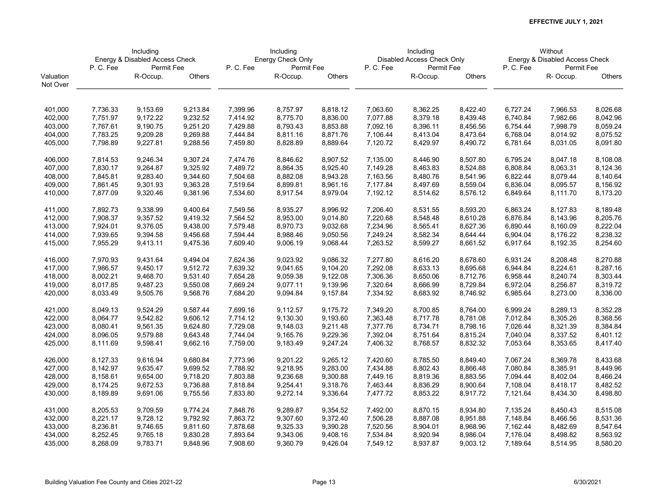|           | Including<br>Energy & Disabled Access Check |            |          |          | Including         |          |          | Including                  |          |          | Without                        |          |
|-----------|---------------------------------------------|------------|----------|----------|-------------------|----------|----------|----------------------------|----------|----------|--------------------------------|----------|
|           |                                             |            |          |          | Energy Check Only |          |          | Disabled Access Check Only |          |          | Energy & Disabled Access Check |          |
|           | P.C.Fee                                     | Permit Fee |          | P.C.Fee  | Permit Fee        |          | P.C.Fee  | Permit Fee                 |          | P.C.Fee  | Permit Fee                     |          |
| Valuation |                                             | R-Occup.   | Others   |          | R-Occup.          | Others   |          | R-Occup.                   | Others   |          | R-Occup.                       | Others   |
| Not Over  |                                             |            |          |          |                   |          |          |                            |          |          |                                |          |
| 401,000   | 7,736.33                                    | 9,153.69   | 9,213.84 | 7,399.96 | 8,757.97          | 8,818.12 | 7,063.60 | 8,362.25                   | 8,422.40 | 6,727.24 | 7,966.53                       | 8,026.68 |
| 402,000   | 7,751.97                                    | 9,172.22   | 9,232.52 | 7,414.92 | 8,775.70          | 8,836.00 | 7,077.88 | 8,379.18                   | 8,439.48 | 6,740.84 | 7,982.66                       | 8,042.96 |
| 403,000   | 7,767.61                                    | 9,190.75   | 9,251.20 | 7,429.88 | 8,793.43          | 8,853.88 | 7,092.16 | 8,396.11                   | 8,456.56 | 6,754.44 | 7,998.79                       | 8,059.24 |
| 404,000   | 7,783.25                                    | 9,209.28   | 9,269.88 | 7,444.84 | 8,811.16          | 8,871.76 | 7,106.44 | 8,413.04                   | 8,473.64 | 6,768.04 | 8,014.92                       | 8,075.52 |
| 405,000   | 7,798.89                                    | 9,227.81   | 9,288.56 | 7,459.80 | 8,828.89          | 8,889.64 | 7,120.72 | 8,429.97                   | 8,490.72 | 6,781.64 | 8,031.05                       | 8,091.80 |
| 406,000   | 7,814.53                                    | 9,246.34   | 9,307.24 | 7,474.76 | 8,846.62          | 8,907.52 | 7,135.00 | 8,446.90                   | 8,507.80 | 6,795.24 | 8,047.18                       | 8,108.08 |
| 407,000   | 7,830.17                                    | 9,264.87   | 9,325.92 | 7,489.72 | 8,864.35          | 8,925.40 | 7,149.28 | 8,463.83                   | 8,524.88 | 6,808.84 | 8,063.31                       | 8,124.36 |
| 408,000   | 7,845.81                                    | 9,283.40   | 9,344.60 | 7,504.68 | 8,882.08          | 8,943.28 | 7,163.56 | 8,480.76                   | 8,541.96 | 6,822.44 | 8,079.44                       | 8,140.64 |
| 409,000   | 7,861.45                                    | 9,301.93   | 9,363.28 | 7,519.64 | 8,899.81          | 8,961.16 | 7,177.84 | 8,497.69                   | 8,559.04 | 6,836.04 | 8,095.57                       | 8,156.92 |
| 410,000   | 7,877.09                                    | 9,320.46   | 9,381.96 | 7,534.60 | 8,917.54          | 8,979.04 | 7,192.12 | 8,514.62                   | 8,576.12 | 6,849.64 | 8,111.70                       | 8,173.20 |
| 411,000   | 7,892.73                                    | 9,338.99   | 9,400.64 | 7,549.56 | 8,935.27          | 8,996.92 | 7,206.40 | 8,531.55                   | 8,593.20 | 6,863.24 | 8,127.83                       | 8,189.48 |
| 412,000   | 7,908.37                                    | 9,357.52   | 9,419.32 | 7,564.52 | 8,953.00          | 9,014.80 | 7,220.68 | 8,548.48                   | 8,610.28 | 6,876.84 | 8,143.96                       | 8,205.76 |
| 413,000   | 7,924.01                                    | 9,376.05   | 9,438.00 | 7,579.48 | 8,970.73          | 9,032.68 | 7,234.96 | 8,565.41                   | 8,627.36 | 6,890.44 | 8,160.09                       | 8,222.04 |
| 414,000   | 7,939.65                                    | 9,394.58   | 9,456.68 | 7,594.44 | 8,988.46          | 9,050.56 | 7,249.24 | 8,582.34                   | 8,644.44 | 6,904.04 | 8,176.22                       | 8,238.32 |
| 415,000   | 7,955.29                                    | 9,413.11   | 9,475.36 | 7,609.40 | 9,006.19          | 9,068.44 | 7,263.52 | 8,599.27                   | 8,661.52 | 6,917.64 | 8,192.35                       | 8,254.60 |
| 416,000   | 7,970.93                                    | 9,431.64   | 9,494.04 | 7,624.36 | 9,023.92          | 9,086.32 | 7,277.80 | 8,616.20                   | 8,678.60 | 6,931.24 | 8,208.48                       | 8,270.88 |
| 417,000   | 7,986.57                                    | 9,450.17   | 9,512.72 | 7,639.32 | 9,041.65          | 9,104.20 | 7,292.08 | 8,633.13                   | 8,695.68 | 6,944.84 | 8,224.61                       | 8,287.16 |
| 418,000   | 8,002.21                                    | 9,468.70   | 9,531.40 | 7,654.28 | 9,059.38          | 9,122.08 | 7,306.36 | 8,650.06                   | 8,712.76 | 6,958.44 | 8,240.74                       | 8,303.44 |
| 419,000   | 8,017.85                                    | 9,487.23   | 9,550.08 | 7,669.24 | 9,077.11          | 9,139.96 | 7,320.64 | 8,666.99                   | 8,729.84 | 6,972.04 | 8,256.87                       | 8,319.72 |
| 420,000   | 8,033.49                                    | 9,505.76   | 9,568.76 | 7,684.20 | 9,094.84          | 9,157.84 | 7,334.92 | 8,683.92                   | 8,746.92 | 6,985.64 | 8,273.00                       | 8,336.00 |
| 421,000   | 8,049.13                                    | 9,524.29   | 9,587.44 | 7,699.16 | 9,112.57          | 9,175.72 | 7,349.20 | 8,700.85                   | 8,764.00 | 6,999.24 | 8,289.13                       | 8,352.28 |
| 422,000   | 8,064.77                                    | 9,542.82   | 9,606.12 | 7,714.12 | 9,130.30          | 9,193.60 | 7,363.48 | 8,717.78                   | 8,781.08 | 7,012.84 | 8,305.26                       | 8,368.56 |
| 423,000   | 8,080.41                                    | 9,561.35   | 9,624.80 | 7,729.08 | 9,148.03          | 9,211.48 | 7,377.76 | 8,734.71                   | 8,798.16 | 7,026.44 | 8,321.39                       | 8,384.84 |
| 424,000   | 8,096.05                                    | 9,579.88   | 9,643.48 | 7,744.04 | 9,165.76          | 9,229.36 | 7,392.04 | 8,751.64                   | 8,815.24 | 7,040.04 | 8,337.52                       | 8,401.12 |
| 425,000   | 8,111.69                                    | 9,598.41   | 9,662.16 | 7,759.00 | 9,183.49          | 9,247.24 | 7,406.32 | 8,768.57                   | 8,832.32 | 7,053.64 | 8,353.65                       | 8,417.40 |
| 426,000   | 8,127.33                                    | 9,616.94   | 9,680.84 | 7,773.96 | 9,201.22          | 9,265.12 | 7,420.60 | 8,785.50                   | 8,849.40 | 7,067.24 | 8,369.78                       | 8,433.68 |
| 427,000   | 8,142.97                                    | 9,635.47   | 9,699.52 | 7,788.92 | 9,218.95          | 9,283.00 | 7,434.88 | 8,802.43                   | 8,866.48 | 7,080.84 | 8,385.91                       | 8,449.96 |
| 428,000   | 8,158.61                                    | 9,654.00   | 9,718.20 | 7,803.88 | 9,236.68          | 9,300.88 | 7,449.16 | 8,819.36                   | 8,883.56 | 7,094.44 | 8,402.04                       | 8,466.24 |
| 429,000   | 8,174.25                                    | 9,672.53   | 9,736.88 | 7,818.84 | 9,254.41          | 9,318.76 | 7,463.44 | 8,836.29                   | 8,900.64 | 7,108.04 | 8,418.17                       | 8,482.52 |
| 430,000   | 8,189.89                                    | 9,691.06   | 9,755.56 | 7,833.80 | 9,272.14          | 9,336.64 | 7,477.72 | 8,853.22                   | 8,917.72 | 7,121.64 | 8,434.30                       | 8,498.80 |
| 431,000   | 8,205.53                                    | 9,709.59   | 9,774.24 | 7,848.76 | 9,289.87          | 9,354.52 | 7,492.00 | 8,870.15                   | 8,934.80 | 7,135.24 | 8,450.43                       | 8,515.08 |
| 432,000   | 8,221.17                                    | 9,728.12   | 9,792.92 | 7,863.72 | 9,307.60          | 9,372.40 | 7,506.28 | 8,887.08                   | 8,951.88 | 7,148.84 | 8,466.56                       | 8,531.36 |
| 433,000   | 8,236.81                                    | 9,746.65   | 9,811.60 | 7,878.68 | 9,325.33          | 9,390.28 | 7,520.56 | 8,904.01                   | 8,968.96 | 7,162.44 | 8,482.69                       | 8,547.64 |
| 434,000   | 8,252.45                                    | 9,765.18   | 9,830.28 | 7,893.64 | 9,343.06          | 9,408.16 | 7,534.84 | 8,920.94                   | 8,986.04 | 7,176.04 | 8,498.82                       | 8,563.92 |
| 435,000   | 8,268.09                                    | 9,783.71   | 9,848.96 | 7,908.60 | 9,360.79          | 9,426.04 | 7,549.12 | 8,937.87                   | 9,003.12 | 7,189.64 | 8,514.95                       | 8,580.20 |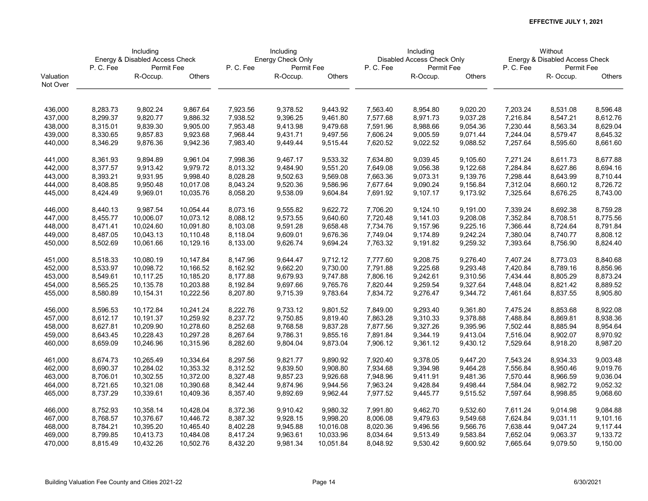|           | Including<br>Energy & Disabled Access Check |            |           |          | Including         |           |          | Including                  |          |          | Without                        |               |
|-----------|---------------------------------------------|------------|-----------|----------|-------------------|-----------|----------|----------------------------|----------|----------|--------------------------------|---------------|
|           |                                             |            |           |          | Energy Check Only |           |          | Disabled Access Check Only |          |          | Energy & Disabled Access Check |               |
|           | P.C.Fee                                     | Permit Fee |           | P.C.Fee  | Permit Fee        |           | P.C.Fee  | Permit Fee                 |          | P.C.Fee  | Permit Fee                     |               |
| Valuation |                                             | R-Occup.   | Others    |          | R-Occup.          | Others    |          | R-Occup.                   | Others   |          | R-Occup.                       | <b>Others</b> |
| Not Over  |                                             |            |           |          |                   |           |          |                            |          |          |                                |               |
| 436,000   | 8,283.73                                    | 9,802.24   | 9,867.64  | 7,923.56 | 9,378.52          | 9,443.92  | 7,563.40 | 8,954.80                   | 9,020.20 | 7,203.24 | 8,531.08                       | 8,596.48      |
| 437,000   | 8,299.37                                    | 9,820.77   | 9,886.32  | 7,938.52 | 9,396.25          | 9,461.80  | 7,577.68 | 8,971.73                   | 9,037.28 | 7,216.84 | 8,547.21                       | 8,612.76      |
|           |                                             |            |           |          |                   |           |          |                            |          |          |                                |               |
| 438,000   | 8,315.01                                    | 9,839.30   | 9,905.00  | 7,953.48 | 9,413.98          | 9,479.68  | 7,591.96 | 8,988.66                   | 9,054.36 | 7,230.44 | 8,563.34                       | 8,629.04      |
| 439,000   | 8,330.65                                    | 9,857.83   | 9,923.68  | 7,968.44 | 9,431.71          | 9,497.56  | 7,606.24 | 9,005.59                   | 9,071.44 | 7,244.04 | 8,579.47                       | 8,645.32      |
| 440,000   | 8,346.29                                    | 9,876.36   | 9,942.36  | 7,983.40 | 9,449.44          | 9,515.44  | 7,620.52 | 9,022.52                   | 9,088.52 | 7,257.64 | 8,595.60                       | 8,661.60      |
| 441,000   | 8,361.93                                    | 9,894.89   | 9,961.04  | 7,998.36 | 9,467.17          | 9,533.32  | 7,634.80 | 9,039.45                   | 9,105.60 | 7,271.24 | 8,611.73                       | 8,677.88      |
| 442,000   | 8,377.57                                    | 9,913.42   | 9,979.72  | 8,013.32 | 9,484.90          | 9,551.20  | 7,649.08 | 9,056.38                   | 9,122.68 | 7,284.84 | 8,627.86                       | 8,694.16      |
| 443,000   | 8,393.21                                    | 9,931.95   | 9,998.40  | 8,028.28 | 9,502.63          | 9,569.08  | 7,663.36 | 9,073.31                   | 9,139.76 | 7,298.44 | 8,643.99                       | 8,710.44      |
| 444,000   | 8,408.85                                    | 9,950.48   | 10,017.08 | 8,043.24 | 9,520.36          | 9,586.96  | 7,677.64 | 9,090.24                   | 9,156.84 | 7,312.04 | 8,660.12                       | 8,726.72      |
| 445,000   | 8,424.49                                    | 9,969.01   | 10,035.76 | 8,058.20 | 9,538.09          | 9,604.84  | 7,691.92 | 9,107.17                   | 9,173.92 | 7,325.64 | 8,676.25                       | 8,743.00      |
| 446,000   | 8,440.13                                    | 9,987.54   | 10,054.44 | 8,073.16 | 9,555.82          | 9,622.72  | 7,706.20 | 9,124.10                   | 9,191.00 | 7,339.24 | 8,692.38                       | 8,759.28      |
| 447,000   | 8,455.77                                    | 10,006.07  | 10,073.12 | 8,088.12 | 9,573.55          | 9,640.60  | 7,720.48 | 9,141.03                   | 9,208.08 | 7,352.84 | 8,708.51                       | 8,775.56      |
| 448,000   | 8,471.41                                    | 10,024.60  | 10,091.80 | 8,103.08 | 9,591.28          | 9,658.48  | 7,734.76 | 9,157.96                   | 9,225.16 | 7,366.44 | 8,724.64                       | 8,791.84      |
| 449,000   | 8,487.05                                    | 10,043.13  | 10,110.48 | 8,118.04 | 9,609.01          | 9,676.36  | 7,749.04 | 9,174.89                   | 9,242.24 | 7,380.04 | 8,740.77                       | 8,808.12      |
| 450,000   | 8,502.69                                    | 10,061.66  | 10,129.16 | 8,133.00 | 9,626.74          | 9,694.24  | 7,763.32 | 9,191.82                   | 9,259.32 | 7,393.64 | 8,756.90                       | 8,824.40      |
| 451,000   | 8,518.33                                    | 10,080.19  | 10,147.84 | 8,147.96 | 9,644.47          | 9,712.12  | 7,777.60 | 9,208.75                   | 9,276.40 | 7,407.24 | 8,773.03                       | 8,840.68      |
| 452,000   | 8,533.97                                    | 10,098.72  | 10,166.52 | 8,162.92 | 9,662.20          | 9,730.00  | 7,791.88 | 9,225.68                   | 9,293.48 | 7,420.84 | 8,789.16                       | 8,856.96      |
| 453,000   | 8,549.61                                    | 10,117.25  | 10,185.20 | 8,177.88 | 9,679.93          | 9,747.88  | 7,806.16 | 9,242.61                   | 9,310.56 | 7,434.44 | 8,805.29                       | 8,873.24      |
| 454,000   | 8,565.25                                    | 10,135.78  | 10,203.88 | 8,192.84 | 9,697.66          | 9,765.76  | 7,820.44 | 9,259.54                   | 9,327.64 | 7,448.04 | 8,821.42                       | 8,889.52      |
| 455,000   | 8,580.89                                    | 10,154.31  | 10,222.56 | 8,207.80 | 9,715.39          | 9,783.64  | 7,834.72 | 9,276.47                   | 9,344.72 | 7,461.64 | 8,837.55                       | 8,905.80      |
| 456,000   | 8,596.53                                    | 10,172.84  | 10,241.24 | 8,222.76 | 9,733.12          | 9,801.52  | 7,849.00 | 9,293.40                   | 9,361.80 | 7,475.24 | 8,853.68                       | 8,922.08      |
| 457,000   | 8,612.17                                    | 10,191.37  | 10,259.92 | 8,237.72 | 9,750.85          | 9,819.40  | 7,863.28 | 9,310.33                   | 9,378.88 | 7,488.84 | 8,869.81                       | 8,938.36      |
| 458,000   | 8,627.81                                    | 10,209.90  | 10,278.60 | 8,252.68 | 9,768.58          | 9,837.28  | 7,877.56 | 9,327.26                   | 9,395.96 | 7,502.44 | 8,885.94                       | 8,954.64      |
| 459,000   | 8,643.45                                    | 10,228.43  | 10,297.28 | 8,267.64 | 9,786.31          | 9,855.16  | 7,891.84 | 9,344.19                   | 9,413.04 | 7,516.04 | 8,902.07                       | 8,970.92      |
| 460,000   | 8,659.09                                    | 10,246.96  | 10,315.96 | 8,282.60 | 9,804.04          | 9,873.04  | 7,906.12 | 9,361.12                   | 9,430.12 | 7,529.64 | 8,918.20                       | 8,987.20      |
| 461,000   | 8,674.73                                    | 10,265.49  | 10,334.64 | 8,297.56 | 9,821.77          | 9,890.92  | 7,920.40 | 9,378.05                   | 9,447.20 | 7,543.24 | 8,934.33                       | 9,003.48      |
| 462,000   | 8,690.37                                    | 10,284.02  | 10,353.32 | 8,312.52 | 9,839.50          | 9,908.80  | 7,934.68 | 9,394.98                   | 9,464.28 | 7,556.84 | 8,950.46                       | 9,019.76      |
| 463,000   | 8,706.01                                    | 10,302.55  | 10,372.00 | 8,327.48 | 9,857.23          | 9,926.68  | 7,948.96 | 9,411.91                   | 9,481.36 | 7,570.44 | 8,966.59                       | 9,036.04      |
| 464,000   | 8,721.65                                    | 10,321.08  | 10,390.68 | 8,342.44 | 9,874.96          | 9,944.56  | 7,963.24 | 9,428.84                   | 9,498.44 | 7,584.04 | 8,982.72                       | 9,052.32      |
| 465,000   | 8,737.29                                    | 10,339.61  | 10,409.36 | 8,357.40 | 9,892.69          | 9,962.44  | 7,977.52 | 9,445.77                   | 9,515.52 | 7,597.64 | 8,998.85                       | 9,068.60      |
| 466,000   | 8,752.93                                    | 10,358.14  | 10,428.04 | 8,372.36 | 9,910.42          | 9,980.32  | 7,991.80 | 9,462.70                   | 9,532.60 | 7,611.24 | 9,014.98                       | 9,084.88      |
| 467,000   | 8,768.57                                    | 10,376.67  | 10,446.72 | 8,387.32 | 9,928.15          | 9,998.20  | 8,006.08 | 9,479.63                   | 9,549.68 | 7,624.84 | 9,031.11                       | 9,101.16      |
| 468,000   | 8,784.21                                    | 10,395.20  | 10,465.40 | 8,402.28 | 9,945.88          | 10,016.08 | 8,020.36 | 9,496.56                   | 9,566.76 | 7,638.44 | 9,047.24                       | 9,117.44      |
| 469,000   | 8,799.85                                    | 10,413.73  | 10,484.08 | 8,417.24 | 9,963.61          | 10,033.96 | 8,034.64 | 9,513.49                   | 9,583.84 | 7,652.04 | 9,063.37                       | 9,133.72      |
| 470,000   | 8,815.49                                    | 10,432.26  | 10,502.76 | 8,432.20 | 9,981.34          | 10,051.84 | 8,048.92 | 9,530.42                   | 9,600.92 | 7,665.64 | 9,079.50                       | 9,150.00      |
|           |                                             |            |           |          |                   |           |          |                            |          |          |                                |               |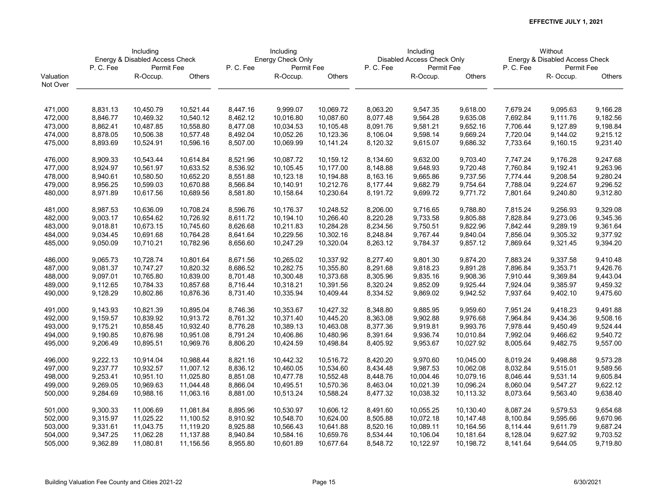|           | Including<br>Energy & Disabled Access Check |            |           |          | Including         |           |          | Including                  |           |          | Without                        |               |
|-----------|---------------------------------------------|------------|-----------|----------|-------------------|-----------|----------|----------------------------|-----------|----------|--------------------------------|---------------|
|           |                                             |            |           |          | Energy Check Only |           |          | Disabled Access Check Only |           |          | Energy & Disabled Access Check |               |
|           | P.C.Fee                                     | Permit Fee |           | P.C.Fee  | Permit Fee        |           | P.C.Fee  | Permit Fee                 |           | P.C.Fee  | Permit Fee                     |               |
| Valuation |                                             | R-Occup.   | Others    |          | R-Occup.          | Others    |          | R-Occup.                   | Others    |          | R-Occup.                       | <b>Others</b> |
| Not Over  |                                             |            |           |          |                   |           |          |                            |           |          |                                |               |
|           |                                             |            |           |          |                   |           |          |                            |           |          |                                |               |
| 471,000   | 8,831.13                                    | 10,450.79  | 10,521.44 | 8,447.16 | 9,999.07          | 10,069.72 | 8,063.20 | 9,547.35                   | 9,618.00  | 7,679.24 | 9,095.63                       | 9,166.28      |
| 472,000   | 8,846.77                                    | 10,469.32  | 10,540.12 | 8,462.12 | 10,016.80         | 10,087.60 | 8,077.48 | 9,564.28                   | 9,635.08  | 7,692.84 | 9,111.76                       | 9,182.56      |
| 473,000   | 8,862.41                                    | 10,487.85  | 10,558.80 | 8,477.08 | 10,034.53         | 10,105.48 | 8,091.76 | 9,581.21                   | 9,652.16  | 7,706.44 | 9,127.89                       | 9,198.84      |
| 474,000   | 8,878.05                                    | 10,506.38  | 10,577.48 | 8,492.04 | 10,052.26         | 10,123.36 | 8,106.04 | 9,598.14                   | 9,669.24  | 7,720.04 | 9,144.02                       | 9,215.12      |
| 475,000   | 8,893.69                                    | 10,524.91  | 10,596.16 | 8,507.00 | 10,069.99         | 10,141.24 | 8,120.32 | 9,615.07                   | 9,686.32  | 7,733.64 | 9,160.15                       | 9,231.40      |
|           |                                             |            |           |          |                   |           |          |                            |           |          |                                |               |
| 476,000   | 8,909.33                                    | 10,543.44  | 10,614.84 | 8,521.96 | 10,087.72         | 10,159.12 | 8,134.60 | 9,632.00                   | 9,703.40  | 7,747.24 | 9,176.28                       | 9,247.68      |
| 477,000   | 8,924.97                                    | 10,561.97  | 10,633.52 | 8,536.92 | 10,105.45         | 10,177.00 | 8,148.88 | 9,648.93                   | 9,720.48  | 7,760.84 | 9,192.41                       | 9,263.96      |
| 478,000   | 8,940.61                                    | 10,580.50  | 10,652.20 | 8,551.88 | 10,123.18         | 10,194.88 | 8,163.16 | 9,665.86                   | 9,737.56  | 7,774.44 | 9,208.54                       | 9,280.24      |
| 479,000   | 8,956.25                                    | 10,599.03  | 10,670.88 | 8,566.84 | 10,140.91         | 10,212.76 | 8,177.44 | 9,682.79                   | 9,754.64  | 7,788.04 | 9,224.67                       | 9,296.52      |
| 480,000   | 8,971.89                                    | 10,617.56  | 10,689.56 | 8,581.80 | 10,158.64         | 10,230.64 | 8,191.72 | 9,699.72                   | 9,771.72  | 7,801.64 | 9,240.80                       | 9,312.80      |
| 481,000   | 8,987.53                                    | 10,636.09  | 10,708.24 | 8,596.76 | 10,176.37         | 10,248.52 | 8,206.00 | 9,716.65                   | 9,788.80  | 7,815.24 | 9,256.93                       | 9,329.08      |
| 482,000   | 9,003.17                                    | 10,654.62  | 10,726.92 | 8,611.72 | 10,194.10         | 10,266.40 | 8,220.28 | 9,733.58                   | 9,805.88  | 7,828.84 | 9,273.06                       | 9,345.36      |
| 483,000   | 9,018.81                                    | 10,673.15  | 10,745.60 | 8,626.68 | 10,211.83         | 10,284.28 | 8,234.56 | 9,750.51                   | 9,822.96  | 7,842.44 | 9,289.19                       | 9,361.64      |
| 484,000   | 9,034.45                                    | 10,691.68  | 10,764.28 | 8,641.64 | 10,229.56         | 10,302.16 | 8,248.84 | 9,767.44                   | 9,840.04  | 7,856.04 | 9,305.32                       | 9,377.92      |
| 485,000   | 9,050.09                                    | 10,710.21  | 10,782.96 | 8,656.60 | 10,247.29         | 10,320.04 | 8,263.12 | 9,784.37                   | 9,857.12  | 7,869.64 | 9,321.45                       | 9,394.20      |
|           |                                             |            |           |          |                   |           |          |                            |           |          |                                |               |
| 486,000   | 9,065.73                                    | 10,728.74  | 10,801.64 | 8,671.56 | 10,265.02         | 10,337.92 | 8,277.40 | 9,801.30                   | 9,874.20  | 7,883.24 | 9,337.58                       | 9,410.48      |
| 487,000   | 9,081.37                                    | 10,747.27  | 10,820.32 | 8,686.52 | 10,282.75         | 10,355.80 | 8,291.68 | 9,818.23                   | 9,891.28  | 7,896.84 | 9,353.71                       | 9,426.76      |
| 488,000   | 9,097.01                                    | 10,765.80  | 10,839.00 | 8,701.48 | 10,300.48         | 10,373.68 | 8,305.96 | 9,835.16                   | 9,908.36  | 7,910.44 | 9,369.84                       | 9,443.04      |
| 489,000   | 9,112.65                                    | 10,784.33  | 10,857.68 | 8,716.44 | 10,318.21         | 10,391.56 | 8,320.24 | 9,852.09                   | 9,925.44  | 7,924.04 | 9,385.97                       | 9,459.32      |
| 490,000   | 9,128.29                                    | 10,802.86  | 10,876.36 | 8,731.40 | 10,335.94         | 10,409.44 | 8,334.52 | 9,869.02                   | 9,942.52  | 7,937.64 | 9,402.10                       | 9,475.60      |
| 491,000   | 9,143.93                                    | 10,821.39  | 10,895.04 | 8,746.36 | 10,353.67         | 10,427.32 | 8,348.80 | 9,885.95                   | 9,959.60  | 7,951.24 | 9,418.23                       | 9,491.88      |
| 492,000   | 9,159.57                                    | 10,839.92  | 10,913.72 | 8,761.32 | 10,371.40         | 10,445.20 | 8,363.08 | 9,902.88                   | 9,976.68  | 7,964.84 | 9,434.36                       | 9,508.16      |
| 493,000   | 9,175.21                                    | 10,858.45  | 10,932.40 | 8,776.28 | 10,389.13         | 10,463.08 | 8,377.36 | 9,919.81                   | 9,993.76  | 7,978.44 | 9,450.49                       | 9,524.44      |
| 494,000   | 9,190.85                                    | 10,876.98  | 10,951.08 | 8,791.24 | 10,406.86         | 10,480.96 | 8,391.64 | 9,936.74                   | 10,010.84 | 7,992.04 | 9,466.62                       | 9,540.72      |
| 495,000   | 9,206.49                                    | 10,895.51  | 10,969.76 | 8,806.20 | 10,424.59         | 10,498.84 | 8,405.92 | 9,953.67                   | 10,027.92 | 8,005.64 | 9,482.75                       | 9,557.00      |
|           |                                             |            |           |          |                   |           |          |                            |           |          |                                |               |
| 496,000   | 9,222.13                                    | 10,914.04  | 10,988.44 | 8,821.16 | 10,442.32         | 10,516.72 | 8,420.20 | 9,970.60                   | 10,045.00 | 8,019.24 | 9,498.88                       | 9,573.28      |
| 497,000   | 9,237.77                                    | 10,932.57  | 11,007.12 | 8,836.12 | 10,460.05         | 10,534.60 | 8,434.48 | 9,987.53                   | 10,062.08 | 8,032.84 | 9,515.01                       | 9,589.56      |
| 498,000   | 9,253.41                                    | 10,951.10  | 11,025.80 | 8,851.08 | 10,477.78         | 10,552.48 | 8,448.76 | 10,004.46                  | 10,079.16 | 8,046.44 | 9,531.14                       | 9,605.84      |
| 499,000   | 9,269.05                                    | 10,969.63  | 11,044.48 | 8,866.04 | 10,495.51         | 10,570.36 | 8,463.04 | 10,021.39                  | 10,096.24 | 8,060.04 | 9,547.27                       | 9,622.12      |
| 500,000   | 9,284.69                                    | 10,988.16  | 11,063.16 | 8,881.00 | 10,513.24         | 10,588.24 | 8,477.32 | 10,038.32                  | 10,113.32 | 8,073.64 | 9,563.40                       | 9,638.40      |
| 501,000   | 9,300.33                                    | 11,006.69  | 11,081.84 | 8,895.96 | 10,530.97         | 10,606.12 | 8,491.60 | 10,055.25                  | 10,130.40 | 8,087.24 | 9,579.53                       | 9,654.68      |
| 502,000   | 9,315.97                                    | 11,025.22  | 11,100.52 | 8,910.92 | 10,548.70         | 10,624.00 | 8,505.88 | 10,072.18                  | 10,147.48 | 8,100.84 | 9,595.66                       | 9,670.96      |
| 503,000   | 9,331.61                                    | 11,043.75  | 11,119.20 | 8,925.88 | 10,566.43         | 10,641.88 | 8,520.16 | 10,089.11                  | 10,164.56 | 8,114.44 | 9,611.79                       | 9,687.24      |
| 504,000   | 9,347.25                                    | 11,062.28  | 11,137.88 | 8,940.84 | 10,584.16         | 10,659.76 | 8,534.44 | 10,106.04                  | 10,181.64 | 8,128.04 | 9,627.92                       | 9,703.52      |
| 505,000   | 9,362.89                                    | 11,080.81  | 11,156.56 | 8,955.80 | 10,601.89         | 10,677.64 | 8,548.72 | 10,122.97                  | 10,198.72 | 8,141.64 | 9,644.05                       | 9,719.80      |
|           |                                             |            |           |          |                   |           |          |                            |           |          |                                |               |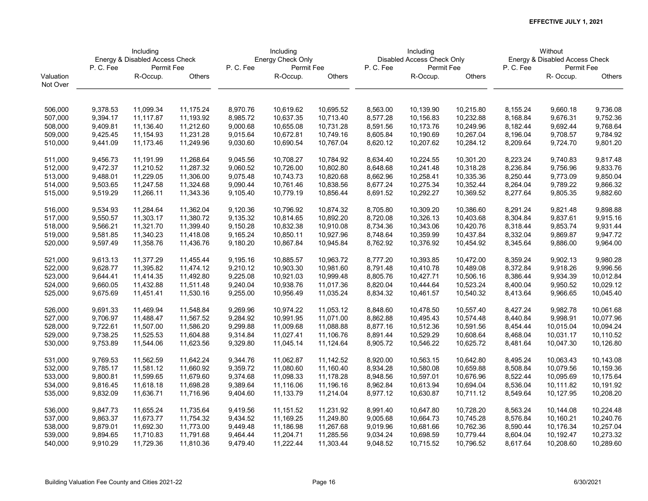|           | Including<br>Energy & Disabled Access Check |            |           |          | Including         |           |          | Including                  |           |          | Without                        |           |
|-----------|---------------------------------------------|------------|-----------|----------|-------------------|-----------|----------|----------------------------|-----------|----------|--------------------------------|-----------|
|           |                                             |            |           |          | Energy Check Only |           |          | Disabled Access Check Only |           |          | Energy & Disabled Access Check |           |
|           | P.C.Fee                                     | Permit Fee |           | P.C.Fee  | Permit Fee        |           | P.C.Fee  | Permit Fee                 |           | P.C.Fee  | Permit Fee                     |           |
| Valuation |                                             | R-Occup.   | Others    |          | R-Occup.          | Others    |          | R-Occup.                   | Others    |          | R-Occup.                       | Others    |
| Not Over  |                                             |            |           |          |                   |           |          |                            |           |          |                                |           |
|           |                                             |            |           |          |                   |           |          |                            |           |          |                                |           |
| 506,000   | 9,378.53                                    | 11,099.34  | 11,175.24 | 8,970.76 | 10,619.62         | 10,695.52 | 8,563.00 | 10,139.90                  | 10,215.80 | 8,155.24 | 9,660.18                       | 9,736.08  |
| 507,000   | 9,394.17                                    | 11,117.87  | 11,193.92 | 8,985.72 | 10,637.35         | 10,713.40 | 8,577.28 | 10,156.83                  | 10,232.88 | 8,168.84 | 9,676.31                       | 9,752.36  |
| 508,000   | 9,409.81                                    | 11,136.40  | 11,212.60 | 9,000.68 | 10,655.08         | 10,731.28 | 8,591.56 | 10,173.76                  | 10,249.96 | 8,182.44 | 9,692.44                       | 9,768.64  |
| 509,000   | 9,425.45                                    | 11,154.93  | 11,231.28 | 9,015.64 | 10,672.81         | 10,749.16 | 8,605.84 | 10,190.69                  | 10,267.04 | 8,196.04 | 9,708.57                       | 9,784.92  |
| 510,000   | 9,441.09                                    | 11,173.46  | 11,249.96 | 9,030.60 | 10,690.54         | 10,767.04 | 8,620.12 | 10,207.62                  | 10,284.12 | 8,209.64 | 9,724.70                       | 9,801.20  |
| 511,000   | 9,456.73                                    | 11,191.99  | 11,268.64 | 9,045.56 | 10,708.27         | 10,784.92 | 8,634.40 | 10,224.55                  | 10,301.20 | 8,223.24 | 9,740.83                       | 9,817.48  |
| 512,000   | 9,472.37                                    | 11,210.52  | 11,287.32 | 9,060.52 | 10,726.00         | 10,802.80 | 8,648.68 | 10,241.48                  | 10,318.28 | 8,236.84 | 9,756.96                       | 9,833.76  |
| 513,000   | 9,488.01                                    | 11,229.05  | 11,306.00 | 9,075.48 | 10,743.73         | 10,820.68 | 8,662.96 | 10,258.41                  | 10,335.36 | 8,250.44 | 9,773.09                       | 9,850.04  |
| 514,000   | 9,503.65                                    | 11,247.58  | 11,324.68 | 9,090.44 | 10,761.46         | 10,838.56 | 8,677.24 | 10,275.34                  | 10,352.44 | 8,264.04 | 9,789.22                       | 9,866.32  |
| 515,000   | 9,519.29                                    | 11,266.11  | 11,343.36 | 9,105.40 | 10,779.19         | 10,856.44 | 8,691.52 | 10,292.27                  | 10,369.52 | 8,277.64 | 9,805.35                       | 9,882.60  |
| 516,000   | 9,534.93                                    | 11,284.64  | 11,362.04 | 9,120.36 | 10,796.92         | 10,874.32 | 8,705.80 | 10,309.20                  | 10,386.60 | 8,291.24 | 9,821.48                       | 9,898.88  |
| 517,000   | 9,550.57                                    | 11,303.17  | 11,380.72 | 9,135.32 | 10,814.65         | 10,892.20 | 8,720.08 | 10,326.13                  | 10,403.68 | 8,304.84 | 9,837.61                       | 9,915.16  |
| 518,000   | 9,566.21                                    | 11,321.70  | 11,399.40 | 9,150.28 | 10,832.38         | 10,910.08 | 8,734.36 | 10,343.06                  | 10,420.76 | 8,318.44 | 9,853.74                       | 9,931.44  |
| 519,000   | 9,581.85                                    | 11,340.23  | 11,418.08 | 9,165.24 | 10,850.11         | 10,927.96 | 8,748.64 | 10,359.99                  | 10,437.84 | 8,332.04 | 9,869.87                       | 9,947.72  |
| 520,000   | 9,597.49                                    | 11,358.76  | 11,436.76 | 9,180.20 | 10,867.84         | 10,945.84 | 8,762.92 | 10,376.92                  | 10,454.92 | 8,345.64 | 9,886.00                       | 9,964.00  |
| 521,000   | 9,613.13                                    | 11,377.29  | 11,455.44 | 9,195.16 | 10,885.57         | 10,963.72 | 8,777.20 | 10,393.85                  | 10,472.00 | 8,359.24 | 9,902.13                       | 9,980.28  |
| 522,000   | 9,628.77                                    | 11,395.82  | 11,474.12 | 9,210.12 | 10,903.30         | 10,981.60 | 8,791.48 | 10,410.78                  | 10,489.08 | 8,372.84 | 9,918.26                       | 9,996.56  |
| 523,000   | 9,644.41                                    | 11,414.35  | 11,492.80 | 9,225.08 | 10,921.03         | 10,999.48 | 8,805.76 | 10,427.71                  | 10,506.16 | 8,386.44 | 9,934.39                       | 10,012.84 |
| 524,000   | 9,660.05                                    | 11,432.88  | 11,511.48 | 9,240.04 | 10,938.76         | 11,017.36 | 8,820.04 | 10,444.64                  | 10,523.24 | 8,400.04 | 9,950.52                       | 10,029.12 |
| 525,000   | 9,675.69                                    | 11,451.41  | 11,530.16 | 9,255.00 | 10,956.49         | 11,035.24 | 8,834.32 | 10,461.57                  | 10,540.32 | 8,413.64 | 9,966.65                       | 10,045.40 |
| 526,000   | 9,691.33                                    | 11,469.94  | 11,548.84 | 9,269.96 | 10,974.22         | 11,053.12 | 8,848.60 | 10,478.50                  | 10,557.40 | 8,427.24 | 9,982.78                       | 10,061.68 |
| 527,000   | 9,706.97                                    | 11,488.47  | 11,567.52 | 9,284.92 | 10,991.95         | 11,071.00 | 8,862.88 | 10,495.43                  | 10,574.48 | 8,440.84 | 9,998.91                       | 10,077.96 |
| 528,000   | 9,722.61                                    | 11,507.00  | 11,586.20 | 9,299.88 | 11,009.68         | 11,088.88 | 8,877.16 | 10,512.36                  | 10,591.56 | 8,454.44 | 10,015.04                      | 10,094.24 |
| 529,000   | 9,738.25                                    | 11,525.53  | 11,604.88 | 9,314.84 | 11,027.41         | 11,106.76 | 8,891.44 | 10,529.29                  | 10,608.64 | 8,468.04 | 10,031.17                      | 10,110.52 |
| 530,000   | 9,753.89                                    | 11,544.06  | 11,623.56 | 9,329.80 | 11,045.14         | 11,124.64 | 8,905.72 | 10,546.22                  | 10,625.72 | 8,481.64 | 10,047.30                      | 10,126.80 |
| 531,000   | 9,769.53                                    | 11,562.59  | 11,642.24 | 9,344.76 | 11,062.87         | 11,142.52 | 8,920.00 | 10,563.15                  | 10,642.80 | 8,495.24 | 10,063.43                      | 10,143.08 |
| 532,000   | 9,785.17                                    | 11,581.12  | 11,660.92 | 9,359.72 | 11,080.60         | 11,160.40 | 8,934.28 | 10,580.08                  | 10,659.88 | 8,508.84 | 10,079.56                      | 10,159.36 |
| 533,000   | 9,800.81                                    | 11,599.65  | 11,679.60 | 9,374.68 | 11,098.33         | 11,178.28 | 8,948.56 | 10,597.01                  | 10,676.96 | 8,522.44 | 10,095.69                      | 10,175.64 |
| 534,000   | 9,816.45                                    | 11,618.18  | 11,698.28 | 9,389.64 | 11,116.06         | 11,196.16 | 8,962.84 | 10,613.94                  | 10,694.04 | 8,536.04 | 10,111.82                      | 10,191.92 |
| 535,000   | 9,832.09                                    | 11,636.71  | 11,716.96 | 9,404.60 | 11,133.79         | 11,214.04 | 8,977.12 | 10,630.87                  | 10,711.12 | 8,549.64 | 10,127.95                      | 10,208.20 |
|           |                                             |            |           |          |                   |           |          |                            |           |          |                                |           |
| 536,000   | 9,847.73                                    | 11,655.24  | 11,735.64 | 9,419.56 | 11,151.52         | 11,231.92 | 8,991.40 | 10,647.80                  | 10,728.20 | 8,563.24 | 10,144.08                      | 10,224.48 |
| 537,000   | 9,863.37                                    | 11,673.77  | 11,754.32 | 9,434.52 | 11,169.25         | 11,249.80 | 9,005.68 | 10,664.73                  | 10,745.28 | 8,576.84 | 10,160.21                      | 10,240.76 |
| 538,000   | 9,879.01                                    | 11,692.30  | 11,773.00 | 9,449.48 | 11,186.98         | 11,267.68 | 9,019.96 | 10,681.66                  | 10,762.36 | 8,590.44 | 10,176.34                      | 10,257.04 |
| 539,000   | 9,894.65                                    | 11,710.83  | 11,791.68 | 9,464.44 | 11,204.71         | 11,285.56 | 9,034.24 | 10,698.59                  | 10,779.44 | 8,604.04 | 10,192.47                      | 10,273.32 |
| 540,000   | 9,910.29                                    | 11,729.36  | 11,810.36 | 9,479.40 | 11,222.44         | 11,303.44 | 9,048.52 | 10,715.52                  | 10,796.52 | 8,617.64 | 10,208.60                      | 10,289.60 |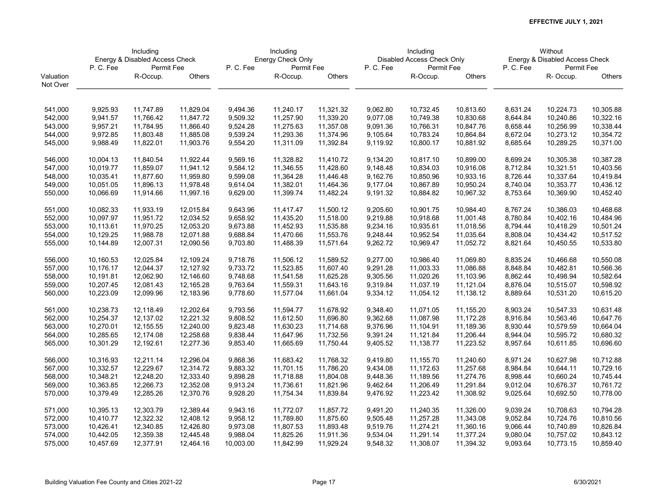|           | Including<br>Energy & Disabled Access Check |            |           |           | Including         |           |          | Including                  |           |          | Without                        |           |
|-----------|---------------------------------------------|------------|-----------|-----------|-------------------|-----------|----------|----------------------------|-----------|----------|--------------------------------|-----------|
|           |                                             |            |           |           | Energy Check Only |           |          | Disabled Access Check Only |           |          | Energy & Disabled Access Check |           |
|           | P.C.Fee                                     | Permit Fee |           | P.C.Fee   | Permit Fee        |           | P.C.Fee  | Permit Fee                 |           | P.C.Fee  | Permit Fee                     |           |
| Valuation |                                             | R-Occup.   | Others    |           | R-Occup.          | Others    |          | R-Occup.                   | Others    |          | R-Occup.                       | Others    |
| Not Over  |                                             |            |           |           |                   |           |          |                            |           |          |                                |           |
|           |                                             |            |           |           |                   |           |          |                            |           |          |                                |           |
| 541,000   | 9,925.93                                    | 11,747.89  | 11,829.04 | 9,494.36  | 11,240.17         | 11,321.32 | 9,062.80 | 10,732.45                  | 10,813.60 | 8,631.24 | 10,224.73                      | 10,305.88 |
| 542,000   | 9,941.57                                    | 11,766.42  | 11,847.72 | 9,509.32  | 11,257.90         | 11,339.20 | 9,077.08 | 10,749.38                  | 10,830.68 | 8,644.84 | 10,240.86                      | 10,322.16 |
| 543,000   | 9,957.21                                    | 11,784.95  | 11,866.40 | 9,524.28  | 11,275.63         | 11,357.08 | 9,091.36 | 10,766.31                  | 10,847.76 | 8,658.44 | 10,256.99                      | 10,338.44 |
| 544,000   | 9,972.85                                    | 11,803.48  | 11,885.08 | 9,539.24  | 11,293.36         | 11,374.96 | 9,105.64 | 10,783.24                  | 10,864.84 | 8,672.04 | 10,273.12                      | 10,354.72 |
| 545,000   | 9,988.49                                    | 11,822.01  | 11,903.76 | 9,554.20  | 11,311.09         | 11,392.84 | 9,119.92 | 10,800.17                  | 10,881.92 | 8,685.64 | 10,289.25                      | 10,371.00 |
|           |                                             |            |           |           |                   |           |          |                            |           |          |                                |           |
| 546,000   | 10,004.13                                   | 11,840.54  | 11,922.44 | 9,569.16  | 11,328.82         | 11,410.72 | 9,134.20 | 10,817.10                  | 10,899.00 | 8,699.24 | 10,305.38                      | 10,387.28 |
| 547,000   | 10,019.77                                   | 11,859.07  | 11,941.12 | 9,584.12  | 11,346.55         | 11,428.60 | 9,148.48 | 10,834.03                  | 10,916.08 | 8,712.84 | 10,321.51                      | 10,403.56 |
| 548,000   | 10,035.41                                   | 11,877.60  | 11,959.80 | 9,599.08  | 11,364.28         | 11,446.48 | 9,162.76 | 10,850.96                  | 10,933.16 | 8,726.44 | 10,337.64                      | 10,419.84 |
| 549,000   | 10,051.05                                   | 11,896.13  | 11,978.48 | 9,614.04  | 11,382.01         | 11,464.36 | 9,177.04 | 10,867.89                  | 10,950.24 | 8,740.04 | 10,353.77                      | 10,436.12 |
| 550,000   | 10,066.69                                   | 11,914.66  | 11,997.16 | 9,629.00  | 11,399.74         | 11,482.24 | 9,191.32 | 10,884.82                  | 10,967.32 | 8,753.64 | 10,369.90                      | 10,452.40 |
| 551,000   | 10,082.33                                   | 11,933.19  | 12,015.84 | 9,643.96  | 11,417.47         | 11,500.12 | 9,205.60 | 10,901.75                  | 10,984.40 | 8,767.24 | 10,386.03                      | 10,468.68 |
| 552,000   | 10,097.97                                   | 11,951.72  | 12,034.52 | 9,658.92  | 11,435.20         | 11,518.00 | 9,219.88 | 10,918.68                  | 11,001.48 | 8,780.84 | 10,402.16                      | 10,484.96 |
| 553,000   | 10,113.61                                   | 11,970.25  | 12,053.20 | 9,673.88  | 11,452.93         | 11,535.88 | 9,234.16 | 10,935.61                  | 11,018.56 | 8,794.44 | 10,418.29                      | 10,501.24 |
| 554,000   | 10,129.25                                   | 11,988.78  | 12,071.88 | 9,688.84  | 11,470.66         | 11,553.76 | 9,248.44 | 10,952.54                  | 11,035.64 | 8,808.04 | 10,434.42                      | 10,517.52 |
| 555,000   | 10,144.89                                   | 12,007.31  | 12,090.56 | 9,703.80  | 11,488.39         | 11,571.64 | 9,262.72 | 10,969.47                  | 11,052.72 | 8,821.64 | 10,450.55                      | 10,533.80 |
|           |                                             |            |           |           |                   |           |          |                            |           |          |                                |           |
| 556,000   | 10,160.53                                   | 12,025.84  | 12,109.24 | 9,718.76  | 11,506.12         | 11,589.52 | 9,277.00 | 10,986.40                  | 11,069.80 | 8,835.24 | 10,466.68                      | 10,550.08 |
| 557,000   | 10,176.17                                   | 12,044.37  | 12,127.92 | 9,733.72  | 11,523.85         | 11,607.40 | 9,291.28 | 11,003.33                  | 11,086.88 | 8,848.84 | 10,482.81                      | 10,566.36 |
| 558,000   | 10,191.81                                   | 12,062.90  | 12,146.60 | 9,748.68  | 11,541.58         | 11,625.28 | 9,305.56 | 11,020.26                  | 11,103.96 | 8,862.44 | 10,498.94                      | 10,582.64 |
| 559,000   | 10,207.45                                   | 12,081.43  | 12,165.28 | 9,763.64  | 11,559.31         | 11,643.16 | 9,319.84 | 11,037.19                  | 11,121.04 | 8,876.04 | 10,515.07                      | 10,598.92 |
| 560,000   | 10,223.09                                   | 12,099.96  | 12,183.96 | 9,778.60  | 11,577.04         | 11,661.04 | 9,334.12 | 11,054.12                  | 11,138.12 | 8,889.64 | 10,531.20                      | 10,615.20 |
| 561,000   | 10,238.73                                   | 12,118.49  | 12,202.64 | 9,793.56  | 11,594.77         | 11,678.92 | 9,348.40 | 11,071.05                  | 11,155.20 | 8,903.24 | 10,547.33                      | 10,631.48 |
| 562,000   | 10,254.37                                   | 12,137.02  | 12,221.32 | 9,808.52  | 11,612.50         | 11,696.80 | 9,362.68 | 11,087.98                  | 11,172.28 | 8,916.84 | 10,563.46                      | 10,647.76 |
| 563,000   | 10,270.01                                   | 12,155.55  | 12,240.00 | 9,823.48  | 11,630.23         | 11,714.68 | 9,376.96 | 11,104.91                  | 11,189.36 | 8,930.44 | 10,579.59                      | 10,664.04 |
| 564,000   | 10,285.65                                   | 12,174.08  | 12,258.68 | 9,838.44  | 11,647.96         | 11,732.56 | 9,391.24 | 11,121.84                  | 11,206.44 | 8,944.04 | 10,595.72                      | 10,680.32 |
| 565,000   | 10,301.29                                   | 12,192.61  | 12,277.36 | 9,853.40  | 11,665.69         | 11,750.44 | 9,405.52 | 11,138.77                  | 11,223.52 | 8,957.64 | 10,611.85                      | 10,696.60 |
|           |                                             |            |           |           |                   |           |          |                            |           |          |                                |           |
| 566,000   | 10,316.93                                   | 12,211.14  | 12,296.04 | 9,868.36  | 11,683.42         | 11,768.32 | 9,419.80 | 11,155.70                  | 11,240.60 | 8,971.24 | 10,627.98                      | 10,712.88 |
| 567,000   | 10,332.57                                   | 12,229.67  | 12,314.72 | 9,883.32  | 11,701.15         | 11,786.20 | 9,434.08 | 11,172.63                  | 11,257.68 | 8,984.84 | 10,644.11                      | 10,729.16 |
| 568,000   | 10,348.21                                   | 12,248.20  | 12,333.40 | 9,898.28  | 11,718.88         | 11,804.08 | 9,448.36 | 11,189.56                  | 11,274.76 | 8,998.44 | 10,660.24                      | 10,745.44 |
| 569,000   | 10,363.85                                   | 12,266.73  | 12,352.08 | 9,913.24  | 11,736.61         | 11,821.96 | 9,462.64 | 11,206.49                  | 11,291.84 | 9,012.04 | 10,676.37                      | 10,761.72 |
| 570,000   | 10,379.49                                   | 12,285.26  | 12,370.76 | 9,928.20  | 11,754.34         | 11,839.84 | 9,476.92 | 11,223.42                  | 11,308.92 | 9,025.64 | 10,692.50                      | 10,778.00 |
| 571,000   | 10,395.13                                   | 12,303.79  | 12,389.44 | 9,943.16  | 11,772.07         | 11,857.72 | 9,491.20 | 11,240.35                  | 11,326.00 | 9,039.24 | 10,708.63                      | 10,794.28 |
| 572,000   | 10,410.77                                   | 12,322.32  | 12,408.12 | 9,958.12  | 11,789.80         | 11,875.60 | 9,505.48 | 11,257.28                  | 11,343.08 | 9,052.84 | 10,724.76                      | 10,810.56 |
| 573,000   | 10,426.41                                   | 12,340.85  | 12,426.80 | 9,973.08  | 11,807.53         | 11,893.48 | 9,519.76 | 11,274.21                  | 11,360.16 | 9,066.44 | 10,740.89                      | 10,826.84 |
| 574,000   | 10,442.05                                   | 12,359.38  | 12,445.48 | 9,988.04  | 11,825.26         | 11,911.36 | 9,534.04 | 11,291.14                  | 11,377.24 | 9,080.04 | 10,757.02                      | 10,843.12 |
| 575,000   | 10,457.69                                   | 12,377.91  | 12,464.16 | 10,003.00 | 11,842.99         | 11,929.24 | 9,548.32 | 11,308.07                  | 11,394.32 | 9,093.64 | 10,773.15                      | 10,859.40 |
|           |                                             |            |           |           |                   |           |          |                            |           |          |                                |           |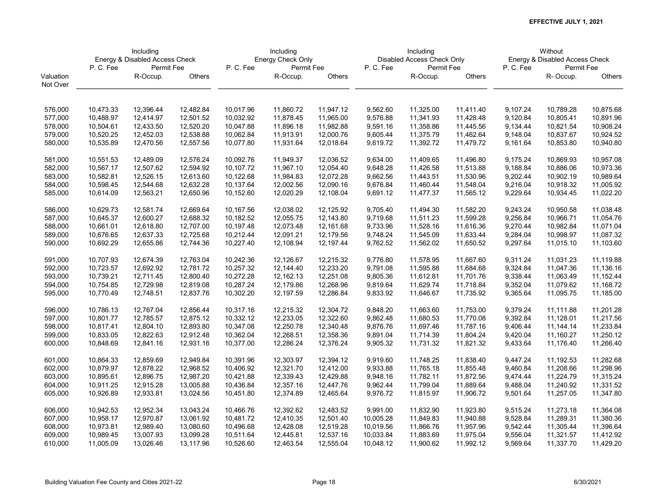|           | Including<br>Energy & Disabled Access Check |            |           |           | Including         |           |           | Including                  |           |          | Without                        |               |
|-----------|---------------------------------------------|------------|-----------|-----------|-------------------|-----------|-----------|----------------------------|-----------|----------|--------------------------------|---------------|
|           |                                             |            |           |           | Energy Check Only |           |           | Disabled Access Check Only |           |          | Energy & Disabled Access Check |               |
|           | P.C.Fee                                     | Permit Fee |           | P.C.Fee   | Permit Fee        |           | P.C.Fee   | Permit Fee                 |           | P.C.Fee  | Permit Fee                     |               |
| Valuation |                                             | R-Occup.   | Others    |           | R-Occup.          | Others    |           | R-Occup.                   | Others    |          | R-Occup.                       | <b>Others</b> |
| Not Over  |                                             |            |           |           |                   |           |           |                            |           |          |                                |               |
|           |                                             |            |           |           |                   |           |           |                            |           |          |                                |               |
| 576,000   | 10,473.33                                   | 12,396.44  | 12,482.84 | 10,017.96 | 11,860.72         | 11,947.12 | 9,562.60  | 11,325.00                  | 11,411.40 | 9,107.24 | 10,789.28                      | 10,875.68     |
| 577,000   | 10,488.97                                   | 12,414.97  | 12,501.52 | 10,032.92 | 11,878.45         | 11,965.00 | 9,576.88  | 11,341.93                  | 11,428.48 | 9,120.84 | 10,805.41                      | 10,891.96     |
| 578,000   | 10,504.61                                   | 12,433.50  | 12,520.20 | 10,047.88 | 11,896.18         | 11,982.88 | 9,591.16  | 11,358.86                  | 11,445.56 | 9,134.44 | 10,821.54                      | 10,908.24     |
| 579,000   | 10,520.25                                   | 12,452.03  | 12,538.88 | 10,062.84 | 11,913.91         | 12,000.76 | 9,605.44  | 11,375.79                  | 11,462.64 | 9,148.04 | 10,837.67                      | 10,924.52     |
| 580,000   | 10,535.89                                   | 12,470.56  | 12,557.56 | 10,077.80 | 11,931.64         | 12,018.64 | 9,619.72  | 11,392.72                  | 11,479.72 | 9,161.64 | 10,853.80                      | 10,940.80     |
| 581,000   | 10,551.53                                   | 12,489.09  | 12,576.24 | 10,092.76 | 11,949.37         | 12,036.52 | 9,634.00  | 11,409.65                  | 11,496.80 | 9,175.24 | 10,869.93                      | 10,957.08     |
| 582,000   | 10,567.17                                   | 12,507.62  | 12,594.92 | 10,107.72 | 11,967.10         | 12,054.40 | 9,648.28  | 11,426.58                  | 11,513.88 | 9,188.84 | 10,886.06                      | 10,973.36     |
| 583,000   | 10,582.81                                   | 12,526.15  | 12,613.60 | 10,122.68 | 11,984.83         | 12,072.28 | 9,662.56  | 11,443.51                  | 11,530.96 | 9,202.44 | 10,902.19                      | 10,989.64     |
| 584,000   | 10,598.45                                   | 12,544.68  | 12,632.28 | 10,137.64 | 12,002.56         | 12,090.16 | 9,676.84  | 11,460.44                  | 11,548.04 | 9,216.04 | 10,918.32                      | 11,005.92     |
| 585,000   | 10,614.09                                   | 12,563.21  | 12,650.96 | 10,152.60 | 12,020.29         | 12,108.04 | 9,691.12  | 11,477.37                  | 11,565.12 | 9,229.64 | 10,934.45                      | 11,022.20     |
| 586,000   | 10,629.73                                   | 12,581.74  | 12,669.64 | 10,167.56 | 12,038.02         | 12,125.92 | 9,705.40  | 11,494.30                  | 11,582.20 | 9,243.24 | 10,950.58                      | 11,038.48     |
| 587,000   | 10,645.37                                   | 12,600.27  | 12,688.32 | 10,182.52 | 12,055.75         | 12,143.80 | 9,719.68  | 11,511.23                  | 11,599.28 | 9,256.84 | 10,966.71                      | 11,054.76     |
| 588,000   | 10,661.01                                   | 12,618.80  | 12,707.00 | 10,197.48 | 12,073.48         | 12,161.68 | 9,733.96  | 11,528.16                  | 11,616.36 | 9,270.44 | 10,982.84                      | 11,071.04     |
| 589,000   | 10,676.65                                   | 12,637.33  | 12,725.68 | 10,212.44 | 12,091.21         | 12,179.56 | 9,748.24  | 11,545.09                  | 11,633.44 | 9,284.04 | 10,998.97                      | 11,087.32     |
| 590,000   | 10,692.29                                   | 12,655.86  | 12,744.36 | 10,227.40 | 12,108.94         | 12,197.44 | 9,762.52  | 11,562.02                  | 11,650.52 | 9,297.64 | 11,015.10                      | 11,103.60     |
|           |                                             |            |           |           |                   |           |           |                            |           |          |                                |               |
| 591,000   | 10,707.93                                   | 12,674.39  | 12,763.04 | 10,242.36 | 12,126.67         | 12,215.32 | 9,776.80  | 11,578.95                  | 11,667.60 | 9,311.24 | 11,031.23                      | 11,119.88     |
| 592,000   | 10,723.57                                   | 12,692.92  | 12,781.72 | 10,257.32 | 12,144.40         | 12,233.20 | 9,791.08  | 11,595.88                  | 11,684.68 | 9,324.84 | 11,047.36                      | 11,136.16     |
| 593,000   | 10,739.21                                   | 12,711.45  | 12,800.40 | 10,272.28 | 12,162.13         | 12,251.08 | 9,805.36  | 11,612.81                  | 11,701.76 | 9,338.44 | 11,063.49                      | 11,152.44     |
| 594,000   | 10,754.85                                   | 12,729.98  | 12,819.08 | 10,287.24 | 12,179.86         | 12,268.96 | 9,819.64  | 11,629.74                  | 11,718.84 | 9,352.04 | 11,079.62                      | 11,168.72     |
| 595,000   | 10,770.49                                   | 12,748.51  | 12,837.76 | 10,302.20 | 12,197.59         | 12,286.84 | 9,833.92  | 11,646.67                  | 11,735.92 | 9,365.64 | 11,095.75                      | 11,185.00     |
| 596,000   | 10,786.13                                   | 12,767.04  | 12,856.44 | 10,317.16 | 12,215.32         | 12,304.72 | 9,848.20  | 11,663.60                  | 11,753.00 | 9,379.24 | 11,111.88                      | 11,201.28     |
| 597,000   | 10,801.77                                   | 12,785.57  | 12,875.12 | 10,332.12 | 12,233.05         | 12,322.60 | 9,862.48  | 11,680.53                  | 11,770.08 | 9,392.84 | 11,128.01                      | 11,217.56     |
| 598,000   | 10,817.41                                   | 12,804.10  | 12,893.80 | 10,347.08 | 12,250.78         | 12,340.48 | 9,876.76  | 11,697.46                  | 11,787.16 | 9,406.44 | 11,144.14                      | 11,233.84     |
| 599,000   | 10,833.05                                   | 12,822.63  | 12,912.48 | 10,362.04 | 12,268.51         | 12,358.36 | 9,891.04  | 11,714.39                  | 11,804.24 | 9,420.04 | 11,160.27                      | 11,250.12     |
| 600,000   | 10,848.69                                   | 12,841.16  | 12,931.16 | 10,377.00 | 12,286.24         | 12,376.24 | 9,905.32  | 11,731.32                  | 11,821.32 | 9,433.64 | 11,176.40                      | 11,266.40     |
| 601,000   | 10,864.33                                   | 12,859.69  | 12,949.84 | 10,391.96 | 12,303.97         | 12,394.12 | 9,919.60  | 11,748.25                  | 11,838.40 | 9,447.24 | 11,192.53                      | 11,282.68     |
| 602,000   | 10,879.97                                   | 12,878.22  | 12,968.52 | 10,406.92 | 12,321.70         | 12,412.00 | 9,933.88  | 11,765.18                  | 11,855.48 | 9,460.84 | 11,208.66                      | 11,298.96     |
| 603,000   | 10,895.61                                   | 12,896.75  | 12,987.20 | 10,421.88 | 12,339.43         | 12,429.88 | 9,948.16  | 11,782.11                  | 11,872.56 | 9,474.44 | 11,224.79                      | 11,315.24     |
| 604,000   | 10,911.25                                   | 12,915.28  | 13,005.88 | 10,436.84 | 12,357.16         | 12,447.76 | 9,962.44  | 11,799.04                  | 11,889.64 | 9,488.04 | 11,240.92                      | 11,331.52     |
| 605,000   | 10,926.89                                   | 12,933.81  | 13,024.56 | 10,451.80 | 12,374.89         | 12,465.64 | 9,976.72  | 11,815.97                  | 11,906.72 | 9,501.64 | 11,257.05                      | 11,347.80     |
| 606,000   | 10,942.53                                   | 12,952.34  | 13,043.24 | 10,466.76 | 12,392.62         | 12,483.52 | 9,991.00  | 11,832.90                  | 11,923.80 | 9,515.24 | 11,273.18                      | 11,364.08     |
| 607,000   | 10,958.17                                   | 12,970.87  | 13,061.92 | 10,481.72 | 12,410.35         | 12,501.40 | 10,005.28 | 11,849.83                  | 11,940.88 | 9,528.84 | 11,289.31                      | 11,380.36     |
| 608,000   | 10,973.81                                   | 12,989.40  | 13,080.60 | 10,496.68 | 12,428.08         | 12,519.28 | 10,019.56 | 11,866.76                  | 11,957.96 | 9,542.44 | 11,305.44                      | 11,396.64     |
| 609,000   | 10,989.45                                   | 13,007.93  | 13,099.28 | 10,511.64 | 12,445.81         | 12,537.16 | 10,033.84 | 11,883.69                  | 11,975.04 | 9,556.04 | 11,321.57                      | 11,412.92     |
| 610,000   | 11,005.09                                   | 13,026.46  | 13,117.96 | 10,526.60 | 12,463.54         | 12,555.04 | 10,048.12 | 11,900.62                  | 11,992.12 | 9,569.64 | 11,337.70                      | 11,429.20     |
|           |                                             |            |           |           |                   |           |           |                            |           |          |                                |               |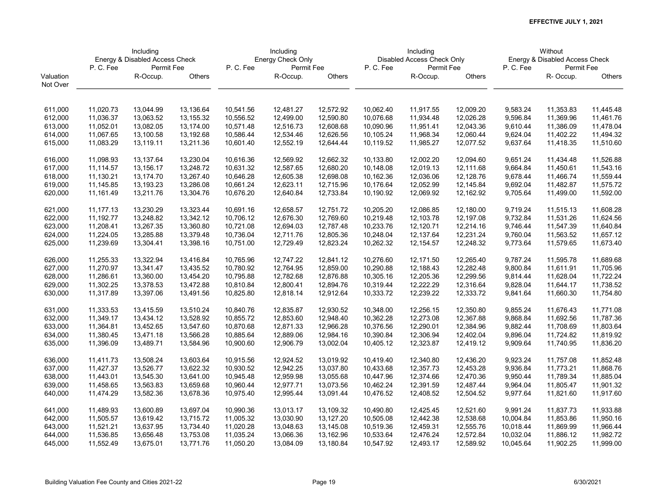|           | Including<br>Energy & Disabled Access Check |            |            |           | Including         |           |           | Including                  |           |           | Without                        |               |
|-----------|---------------------------------------------|------------|------------|-----------|-------------------|-----------|-----------|----------------------------|-----------|-----------|--------------------------------|---------------|
|           |                                             |            |            |           | Energy Check Only |           |           | Disabled Access Check Only |           |           | Energy & Disabled Access Check |               |
|           | P.C.Fee                                     | Permit Fee |            | P.C.Fee   | Permit Fee        |           | P.C.Fee   | Permit Fee                 |           | P.C.Fee   | Permit Fee                     |               |
| Valuation |                                             | R-Occup.   | Others     |           | R-Occup.          | Others    |           | R-Occup.                   | Others    |           | R-Occup.                       | <b>Others</b> |
| Not Over  |                                             |            |            |           |                   |           |           |                            |           |           |                                |               |
|           |                                             |            |            |           |                   |           |           |                            |           |           |                                |               |
| 611,000   | 11,020.73                                   | 13,044.99  | 13,136.64  | 10,541.56 | 12,481.27         | 12,572.92 | 10,062.40 | 11,917.55                  | 12,009.20 | 9,583.24  | 11,353.83                      | 11,445.48     |
| 612,000   | 11,036.37                                   | 13,063.52  | 13, 155.32 | 10,556.52 | 12,499.00         | 12,590.80 | 10,076.68 | 11,934.48                  | 12,026.28 | 9,596.84  | 11,369.96                      | 11,461.76     |
| 613,000   | 11,052.01                                   | 13,082.05  | 13,174.00  | 10,571.48 | 12,516.73         | 12,608.68 | 10,090.96 | 11,951.41                  | 12,043.36 | 9,610.44  | 11,386.09                      | 11,478.04     |
| 614,000   | 11,067.65                                   | 13,100.58  | 13,192.68  | 10,586.44 | 12,534.46         | 12,626.56 | 10,105.24 | 11,968.34                  | 12,060.44 | 9,624.04  | 11,402.22                      | 11,494.32     |
| 615,000   | 11,083.29                                   | 13,119.11  | 13,211.36  | 10,601.40 | 12,552.19         | 12,644.44 | 10,119.52 | 11,985.27                  | 12,077.52 | 9,637.64  | 11,418.35                      | 11,510.60     |
| 616,000   | 11,098.93                                   | 13,137.64  | 13,230.04  | 10,616.36 | 12,569.92         | 12,662.32 | 10,133.80 | 12,002.20                  | 12,094.60 | 9,651.24  | 11,434.48                      | 11,526.88     |
| 617,000   | 11,114.57                                   | 13,156.17  | 13,248.72  | 10,631.32 | 12,587.65         | 12,680.20 | 10,148.08 | 12,019.13                  | 12,111.68 | 9,664.84  | 11,450.61                      | 11,543.16     |
| 618,000   | 11,130.21                                   | 13,174.70  | 13,267.40  | 10,646.28 | 12,605.38         | 12,698.08 | 10,162.36 | 12,036.06                  | 12,128.76 | 9,678.44  | 11,466.74                      | 11,559.44     |
| 619,000   | 11,145.85                                   | 13,193.23  | 13,286.08  | 10,661.24 | 12,623.11         | 12,715.96 | 10,176.64 | 12,052.99                  | 12,145.84 | 9,692.04  | 11,482.87                      | 11,575.72     |
| 620,000   | 11,161.49                                   | 13,211.76  | 13,304.76  | 10,676.20 | 12,640.84         | 12,733.84 | 10,190.92 | 12,069.92                  | 12,162.92 | 9,705.64  | 11,499.00                      | 11,592.00     |
| 621,000   | 11,177.13                                   | 13,230.29  | 13,323.44  | 10,691.16 | 12,658.57         | 12,751.72 | 10,205.20 | 12,086.85                  | 12,180.00 | 9,719.24  | 11,515.13                      | 11,608.28     |
| 622,000   | 11,192.77                                   | 13,248.82  | 13,342.12  | 10,706.12 | 12,676.30         | 12,769.60 | 10,219.48 | 12,103.78                  | 12,197.08 | 9,732.84  | 11,531.26                      | 11,624.56     |
| 623,000   | 11,208.41                                   | 13,267.35  | 13,360.80  | 10,721.08 | 12,694.03         | 12,787.48 | 10,233.76 | 12,120.71                  | 12,214.16 | 9,746.44  | 11,547.39                      | 11,640.84     |
| 624,000   | 11,224.05                                   | 13,285.88  | 13,379.48  | 10,736.04 | 12,711.76         | 12,805.36 | 10,248.04 | 12,137.64                  | 12,231.24 | 9,760.04  | 11,563.52                      | 11,657.12     |
| 625,000   | 11,239.69                                   | 13,304.41  | 13,398.16  | 10,751.00 | 12,729.49         | 12,823.24 | 10,262.32 | 12,154.57                  | 12,248.32 | 9,773.64  | 11,579.65                      | 11,673.40     |
| 626,000   | 11,255.33                                   | 13,322.94  | 13,416.84  | 10,765.96 | 12,747.22         | 12,841.12 | 10,276.60 | 12,171.50                  | 12,265.40 | 9,787.24  | 11,595.78                      | 11,689.68     |
| 627,000   | 11,270.97                                   | 13,341.47  | 13,435.52  | 10,780.92 | 12,764.95         | 12,859.00 | 10,290.88 | 12,188.43                  | 12,282.48 | 9,800.84  | 11,611.91                      | 11,705.96     |
| 628,000   | 11,286.61                                   | 13,360.00  | 13,454.20  | 10,795.88 | 12,782.68         | 12,876.88 | 10,305.16 | 12,205.36                  | 12,299.56 | 9,814.44  | 11,628.04                      | 11,722.24     |
| 629,000   | 11,302.25                                   | 13,378.53  | 13,472.88  | 10,810.84 | 12,800.41         | 12,894.76 | 10,319.44 | 12,222.29                  | 12,316.64 | 9,828.04  | 11,644.17                      | 11,738.52     |
| 630,000   | 11,317.89                                   | 13,397.06  | 13,491.56  | 10,825.80 | 12,818.14         | 12,912.64 | 10,333.72 | 12,239.22                  | 12,333.72 | 9,841.64  | 11,660.30                      | 11,754.80     |
| 631,000   | 11,333.53                                   | 13,415.59  | 13,510.24  | 10,840.76 | 12,835.87         | 12,930.52 | 10,348.00 | 12,256.15                  | 12,350.80 | 9,855.24  | 11,676.43                      | 11,771.08     |
| 632,000   | 11,349.17                                   | 13,434.12  | 13,528.92  | 10,855.72 | 12,853.60         | 12,948.40 | 10,362.28 | 12,273.08                  | 12,367.88 | 9,868.84  | 11,692.56                      | 11,787.36     |
| 633,000   | 11,364.81                                   | 13,452.65  | 13,547.60  | 10,870.68 | 12,871.33         | 12,966.28 | 10,376.56 | 12,290.01                  | 12,384.96 | 9,882.44  | 11,708.69                      | 11,803.64     |
| 634,000   | 11,380.45                                   | 13,471.18  | 13,566.28  | 10,885.64 | 12,889.06         | 12,984.16 | 10,390.84 | 12,306.94                  | 12,402.04 | 9,896.04  | 11,724.82                      | 11,819.92     |
| 635,000   | 11,396.09                                   | 13,489.71  | 13,584.96  | 10,900.60 | 12,906.79         | 13,002.04 | 10,405.12 | 12,323.87                  | 12,419.12 | 9,909.64  | 11,740.95                      | 11,836.20     |
| 636,000   | 11,411.73                                   | 13,508.24  | 13,603.64  | 10,915.56 | 12,924.52         | 13,019.92 | 10,419.40 | 12,340.80                  | 12,436.20 | 9,923.24  | 11,757.08                      | 11,852.48     |
| 637,000   | 11,427.37                                   | 13,526.77  | 13,622.32  | 10,930.52 | 12,942.25         | 13,037.80 | 10,433.68 | 12,357.73                  | 12,453.28 | 9,936.84  | 11,773.21                      | 11,868.76     |
| 638,000   | 11,443.01                                   | 13,545.30  | 13,641.00  | 10,945.48 | 12,959.98         | 13,055.68 | 10,447.96 | 12,374.66                  | 12,470.36 | 9,950.44  | 11,789.34                      | 11,885.04     |
| 639,000   | 11,458.65                                   | 13,563.83  | 13,659.68  | 10,960.44 | 12,977.71         | 13,073.56 | 10,462.24 | 12,391.59                  | 12,487.44 | 9,964.04  | 11,805.47                      | 11,901.32     |
| 640,000   | 11,474.29                                   | 13,582.36  | 13,678.36  | 10,975.40 | 12,995.44         | 13,091.44 | 10,476.52 | 12,408.52                  | 12,504.52 | 9,977.64  | 11,821.60                      | 11,917.60     |
|           |                                             |            |            |           |                   |           |           |                            |           |           |                                |               |
| 641,000   | 11,489.93                                   | 13,600.89  | 13,697.04  | 10,990.36 | 13,013.17         | 13,109.32 | 10,490.80 | 12,425.45                  | 12,521.60 | 9,991.24  | 11,837.73                      | 11,933.88     |
| 642,000   | 11,505.57                                   | 13,619.42  | 13,715.72  | 11,005.32 | 13,030.90         | 13,127.20 | 10,505.08 | 12,442.38                  | 12,538.68 | 10,004.84 | 11,853.86                      | 11,950.16     |
| 643,000   | 11,521.21                                   | 13,637.95  | 13,734.40  | 11,020.28 | 13,048.63         | 13,145.08 | 10,519.36 | 12,459.31                  | 12,555.76 | 10,018.44 | 11,869.99                      | 11,966.44     |
| 644,000   | 11,536.85                                   | 13,656.48  | 13,753.08  | 11,035.24 | 13,066.36         | 13,162.96 | 10,533.64 | 12,476.24                  | 12,572.84 | 10,032.04 | 11,886.12                      | 11,982.72     |
| 645,000   | 11,552.49                                   | 13,675.01  | 13,771.76  | 11,050.20 | 13,084.09         | 13,180.84 | 10,547.92 | 12,493.17                  | 12,589.92 | 10,045.64 | 11,902.25                      | 11,999.00     |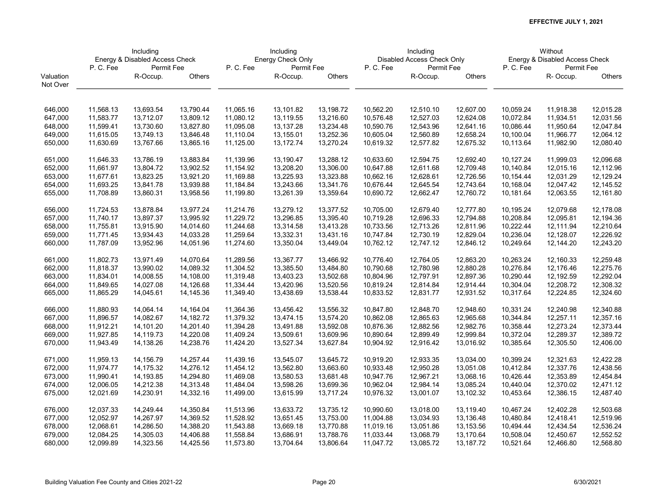|           | Including<br>Energy & Disabled Access Check |            |           |           | Including         |           |           | Including                  |           |           | Without                        |           |
|-----------|---------------------------------------------|------------|-----------|-----------|-------------------|-----------|-----------|----------------------------|-----------|-----------|--------------------------------|-----------|
|           |                                             |            |           |           | Energy Check Only |           |           | Disabled Access Check Only |           |           | Energy & Disabled Access Check |           |
|           | P.C.Fee                                     | Permit Fee |           | P.C.Fee   | Permit Fee        |           | P.C.Fee   | Permit Fee                 |           | P.C.Fee   | Permit Fee                     |           |
| Valuation |                                             | R-Occup.   | Others    |           | R-Occup.          | Others    |           | R-Occup.                   | Others    |           | R-Occup.                       | Others    |
| Not Over  |                                             |            |           |           |                   |           |           |                            |           |           |                                |           |
|           |                                             |            |           |           |                   |           |           |                            |           |           |                                |           |
| 646,000   | 11,568.13                                   | 13,693.54  | 13,790.44 | 11,065.16 | 13,101.82         | 13,198.72 | 10,562.20 | 12,510.10                  | 12,607.00 | 10,059.24 | 11,918.38                      | 12,015.28 |
| 647,000   | 11,583.77                                   | 13,712.07  | 13,809.12 | 11,080.12 | 13,119.55         | 13,216.60 | 10,576.48 | 12,527.03                  | 12,624.08 | 10,072.84 | 11,934.51                      | 12,031.56 |
| 648,000   | 11,599.41                                   | 13,730.60  | 13,827.80 | 11,095.08 | 13,137.28         | 13,234.48 | 10,590.76 | 12,543.96                  | 12,641.16 | 10,086.44 | 11,950.64                      | 12,047.84 |
| 649,000   | 11,615.05                                   | 13,749.13  | 13,846.48 | 11,110.04 | 13,155.01         | 13,252.36 | 10,605.04 | 12,560.89                  | 12,658.24 | 10,100.04 | 11,966.77                      | 12,064.12 |
| 650,000   | 11,630.69                                   | 13,767.66  | 13,865.16 | 11,125.00 | 13,172.74         | 13,270.24 | 10,619.32 | 12,577.82                  | 12,675.32 | 10,113.64 | 11,982.90                      | 12,080.40 |
|           |                                             |            |           |           |                   |           |           |                            |           |           |                                |           |
| 651,000   | 11,646.33                                   | 13,786.19  | 13,883.84 | 11,139.96 | 13,190.47         | 13,288.12 | 10.633.60 | 12,594.75                  | 12,692.40 | 10,127.24 | 11,999.03                      | 12,096.68 |
| 652,000   | 11,661.97                                   | 13,804.72  | 13,902.52 | 11,154.92 | 13,208.20         | 13,306.00 | 10,647.88 | 12,611.68                  | 12,709.48 | 10,140.84 | 12,015.16                      | 12,112.96 |
| 653,000   | 11,677.61                                   | 13,823.25  | 13,921.20 | 11,169.88 | 13,225.93         | 13,323.88 | 10,662.16 | 12,628.61                  | 12,726.56 | 10,154.44 | 12,031.29                      | 12,129.24 |
| 654,000   | 11,693.25                                   | 13,841.78  | 13,939.88 | 11,184.84 | 13,243.66         | 13,341.76 | 10,676.44 | 12,645.54                  | 12,743.64 | 10,168.04 | 12,047.42                      | 12,145.52 |
| 655,000   | 11,708.89                                   | 13,860.31  | 13,958.56 | 11,199.80 | 13,261.39         | 13,359.64 | 10,690.72 | 12,662.47                  | 12,760.72 | 10,181.64 | 12,063.55                      | 12,161.80 |
|           |                                             |            |           |           |                   |           |           |                            |           |           |                                |           |
| 656,000   | 11,724.53                                   | 13,878.84  | 13,977.24 | 11,214.76 | 13,279.12         | 13,377.52 | 10,705.00 | 12,679.40                  | 12,777.80 | 10,195.24 | 12,079.68                      | 12,178.08 |
| 657,000   | 11,740.17                                   | 13,897.37  | 13,995.92 | 11,229.72 | 13,296.85         | 13,395.40 | 10,719.28 | 12,696.33                  | 12,794.88 | 10,208.84 | 12,095.81                      | 12,194.36 |
| 658,000   | 11,755.81                                   | 13,915.90  | 14,014.60 | 11,244.68 | 13,314.58         | 13,413.28 | 10,733.56 | 12,713.26                  | 12,811.96 | 10,222.44 | 12,111.94                      | 12,210.64 |
| 659,000   | 11,771.45                                   | 13,934.43  | 14,033.28 | 11,259.64 | 13,332.31         | 13,431.16 | 10,747.84 | 12,730.19                  | 12,829.04 | 10,236.04 | 12,128.07                      | 12,226.92 |
| 660,000   | 11,787.09                                   | 13,952.96  | 14,051.96 | 11,274.60 | 13,350.04         | 13,449.04 | 10,762.12 | 12,747.12                  | 12,846.12 | 10,249.64 | 12,144.20                      | 12,243.20 |
|           |                                             |            |           |           |                   |           |           |                            |           |           |                                |           |
| 661,000   | 11,802.73                                   | 13,971.49  | 14,070.64 | 11,289.56 | 13,367.77         | 13,466.92 | 10,776.40 | 12,764.05                  | 12,863.20 | 10,263.24 | 12,160.33                      | 12,259.48 |
| 662,000   | 11,818.37                                   | 13,990.02  | 14,089.32 | 11,304.52 | 13,385.50         | 13,484.80 | 10,790.68 | 12,780.98                  | 12,880.28 | 10,276.84 | 12,176.46                      | 12,275.76 |
| 663,000   | 11,834.01                                   | 14,008.55  | 14,108.00 | 11,319.48 | 13,403.23         | 13,502.68 | 10,804.96 | 12,797.91                  | 12,897.36 | 10,290.44 | 12,192.59                      | 12,292.04 |
| 664,000   | 11,849.65                                   | 14,027.08  | 14,126.68 | 11,334.44 | 13,420.96         | 13,520.56 | 10,819.24 | 12,814.84                  | 12,914.44 | 10,304.04 | 12,208.72                      | 12,308.32 |
| 665,000   | 11,865.29                                   | 14,045.61  | 14,145.36 | 11,349.40 | 13,438.69         | 13,538.44 | 10,833.52 | 12,831.77                  | 12,931.52 | 10,317.64 | 12,224.85                      | 12,324.60 |
|           |                                             |            |           |           |                   |           |           |                            |           |           |                                |           |
| 666,000   | 11,880.93                                   | 14,064.14  | 14,164.04 | 11,364.36 | 13,456.42         | 13,556.32 | 10,847.80 | 12,848.70                  | 12,948.60 | 10,331.24 | 12,240.98                      | 12,340.88 |
| 667,000   | 11,896.57                                   | 14,082.67  | 14,182.72 | 11,379.32 | 13,474.15         | 13,574.20 | 10,862.08 | 12,865.63                  | 12,965.68 | 10,344.84 | 12,257.11                      | 12,357.16 |
| 668,000   | 11,912.21                                   | 14,101.20  | 14,201.40 | 11,394.28 | 13,491.88         | 13,592.08 | 10,876.36 | 12,882.56                  | 12,982.76 | 10,358.44 | 12,273.24                      | 12,373.44 |
| 669,000   | 11,927.85                                   | 14,119.73  | 14,220.08 | 11,409.24 | 13,509.61         | 13,609.96 | 10,890.64 | 12,899.49                  | 12,999.84 | 10,372.04 | 12,289.37                      | 12,389.72 |
| 670,000   | 11,943.49                                   | 14,138.26  | 14,238.76 | 11,424.20 | 13,527.34         | 13,627.84 | 10,904.92 | 12,916.42                  | 13,016.92 | 10,385.64 | 12,305.50                      | 12,406.00 |
| 671,000   | 11,959.13                                   | 14,156.79  | 14,257.44 | 11,439.16 | 13,545.07         | 13,645.72 | 10,919.20 | 12,933.35                  | 13,034.00 | 10,399.24 | 12,321.63                      | 12,422.28 |
| 672,000   | 11,974.77                                   | 14,175.32  | 14,276.12 | 11,454.12 | 13,562.80         | 13,663.60 | 10.933.48 | 12,950.28                  | 13,051.08 | 10,412.84 | 12,337.76                      | 12,438.56 |
| 673,000   | 11,990.41                                   | 14,193.85  | 14,294.80 | 11,469.08 | 13,580.53         | 13,681.48 | 10,947.76 | 12,967.21                  | 13,068.16 | 10,426.44 | 12,353.89                      | 12,454.84 |
|           |                                             | 14,212.38  |           | 11,484.04 | 13,598.26         | 13,699.36 | 10,962.04 |                            |           |           | 12,370.02                      | 12,471.12 |
| 674,000   | 12,006.05                                   |            | 14,313.48 |           |                   |           |           | 12,984.14                  | 13,085.24 | 10,440.04 |                                |           |
| 675,000   | 12,021.69                                   | 14,230.91  | 14,332.16 | 11,499.00 | 13,615.99         | 13,717.24 | 10,976.32 | 13,001.07                  | 13,102.32 | 10,453.64 | 12,386.15                      | 12,487.40 |
| 676,000   | 12,037.33                                   | 14,249.44  | 14,350.84 | 11,513.96 | 13,633.72         | 13,735.12 | 10,990.60 | 13,018.00                  | 13,119.40 | 10,467.24 | 12,402.28                      | 12,503.68 |
| 677,000   | 12,052.97                                   | 14,267.97  | 14,369.52 | 11,528.92 | 13,651.45         | 13,753.00 | 11,004.88 | 13,034.93                  | 13,136.48 | 10,480.84 | 12,418.41                      | 12,519.96 |
| 678,000   | 12,068.61                                   | 14,286.50  | 14,388.20 | 11,543.88 | 13,669.18         | 13,770.88 | 11,019.16 | 13,051.86                  | 13,153.56 | 10,494.44 | 12,434.54                      | 12,536.24 |
| 679,000   | 12,084.25                                   | 14,305.03  | 14,406.88 | 11,558.84 | 13,686.91         | 13,788.76 | 11,033.44 | 13,068.79                  | 13,170.64 | 10,508.04 | 12,450.67                      | 12,552.52 |
| 680,000   | 12,099.89                                   | 14,323.56  | 14,425.56 | 11,573.80 | 13,704.64         | 13,806.64 | 11,047.72 | 13,085.72                  | 13,187.72 | 10,521.64 | 12,466.80                      | 12,568.80 |
|           |                                             |            |           |           |                   |           |           |                            |           |           |                                |           |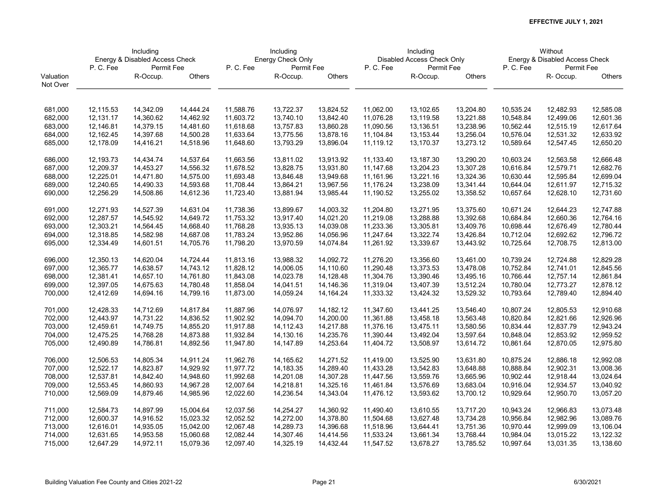|           | Including<br>Energy & Disabled Access Check |            |           |           | Including         |           |           | Including                  |           |           | Without                        |               |
|-----------|---------------------------------------------|------------|-----------|-----------|-------------------|-----------|-----------|----------------------------|-----------|-----------|--------------------------------|---------------|
|           |                                             |            |           |           | Energy Check Only |           |           | Disabled Access Check Only |           |           | Energy & Disabled Access Check |               |
|           | P.C.Fee                                     | Permit Fee |           | P.C.Fee   | Permit Fee        |           | P.C.Fee   | Permit Fee                 |           | P.C.Fee   | Permit Fee                     |               |
| Valuation |                                             | R-Occup.   | Others    |           | R-Occup.          | Others    |           | R-Occup.                   | Others    |           | R-Occup.                       | <b>Others</b> |
| Not Over  |                                             |            |           |           |                   |           |           |                            |           |           |                                |               |
|           |                                             |            |           |           |                   |           |           |                            |           |           |                                |               |
| 681,000   | 12,115.53                                   | 14,342.09  | 14,444.24 | 11,588.76 | 13,722.37         | 13,824.52 | 11,062.00 | 13,102.65                  | 13,204.80 | 10,535.24 | 12,482.93                      | 12,585.08     |
| 682,000   | 12,131.17                                   | 14,360.62  | 14,462.92 | 11,603.72 | 13,740.10         | 13,842.40 | 11,076.28 | 13,119.58                  | 13,221.88 | 10,548.84 | 12,499.06                      | 12,601.36     |
| 683,000   | 12,146.81                                   | 14,379.15  | 14,481.60 | 11,618.68 | 13,757.83         | 13,860.28 | 11,090.56 | 13,136.51                  | 13,238.96 | 10,562.44 | 12,515.19                      | 12,617.64     |
| 684,000   | 12,162.45                                   | 14,397.68  | 14,500.28 | 11,633.64 | 13,775.56         | 13,878.16 | 11,104.84 | 13,153.44                  | 13,256.04 | 10,576.04 | 12,531.32                      | 12,633.92     |
| 685,000   | 12,178.09                                   | 14,416.21  | 14,518.96 | 11,648.60 | 13,793.29         | 13,896.04 | 11,119.12 | 13,170.37                  | 13,273.12 | 10,589.64 | 12,547.45                      | 12,650.20     |
|           |                                             |            |           |           |                   |           |           |                            |           |           |                                |               |
| 686,000   | 12,193.73                                   | 14,434.74  | 14,537.64 | 11,663.56 | 13,811.02         | 13,913.92 | 11,133.40 | 13,187.30                  | 13,290.20 | 10,603.24 | 12,563.58                      | 12,666.48     |
| 687,000   | 12,209.37                                   | 14,453.27  | 14,556.32 | 11,678.52 | 13,828.75         | 13,931.80 | 11,147.68 | 13,204.23                  | 13,307.28 | 10,616.84 | 12,579.71                      | 12,682.76     |
| 688,000   | 12,225.01                                   | 14,471.80  | 14,575.00 | 11,693.48 | 13,846.48         | 13,949.68 | 11,161.96 | 13,221.16                  | 13,324.36 | 10,630.44 | 12,595.84                      | 12,699.04     |
| 689,000   | 12,240.65                                   | 14,490.33  | 14,593.68 | 11,708.44 | 13,864.21         | 13,967.56 | 11,176.24 | 13,238.09                  | 13,341.44 | 10,644.04 | 12,611.97                      | 12,715.32     |
| 690,000   | 12,256.29                                   | 14,508.86  | 14,612.36 | 11,723.40 | 13,881.94         | 13,985.44 | 11,190.52 | 13,255.02                  | 13,358.52 | 10,657.64 | 12,628.10                      | 12,731.60     |
|           |                                             |            |           |           |                   |           |           |                            |           |           |                                |               |
| 691,000   | 12,271.93                                   | 14,527.39  | 14,631.04 | 11,738.36 | 13,899.67         | 14,003.32 | 11,204.80 | 13,271.95                  | 13,375.60 | 10,671.24 | 12,644.23                      | 12,747.88     |
| 692,000   | 12,287.57                                   | 14,545.92  | 14,649.72 | 11,753.32 | 13,917.40         | 14,021.20 | 11,219.08 | 13,288.88                  | 13,392.68 | 10,684.84 | 12,660.36                      | 12,764.16     |
| 693,000   | 12,303.21                                   | 14,564.45  | 14,668.40 | 11,768.28 | 13,935.13         | 14,039.08 | 11,233.36 | 13,305.81                  | 13,409.76 | 10,698.44 | 12,676.49                      | 12,780.44     |
| 694,000   | 12,318.85                                   | 14,582.98  | 14,687.08 | 11,783.24 | 13,952.86         | 14,056.96 | 11,247.64 | 13,322.74                  | 13,426.84 | 10,712.04 | 12,692.62                      | 12,796.72     |
| 695,000   | 12,334.49                                   | 14,601.51  | 14,705.76 | 11,798.20 | 13,970.59         | 14,074.84 | 11,261.92 | 13,339.67                  | 13,443.92 | 10,725.64 | 12,708.75                      | 12,813.00     |
| 696,000   | 12,350.13                                   | 14,620.04  | 14,724.44 | 11,813.16 | 13,988.32         | 14,092.72 | 11,276.20 | 13,356.60                  | 13,461.00 | 10,739.24 | 12,724.88                      | 12,829.28     |
| 697,000   | 12,365.77                                   | 14,638.57  | 14,743.12 | 11,828.12 | 14,006.05         | 14,110.60 | 11,290.48 | 13,373.53                  | 13,478.08 | 10,752.84 | 12,741.01                      | 12,845.56     |
| 698,000   | 12,381.41                                   | 14,657.10  | 14,761.80 | 11,843.08 | 14,023.78         | 14,128.48 | 11,304.76 | 13,390.46                  | 13,495.16 | 10,766.44 | 12,757.14                      | 12,861.84     |
| 699,000   | 12,397.05                                   | 14,675.63  | 14,780.48 | 11,858.04 | 14,041.51         | 14,146.36 | 11,319.04 | 13,407.39                  | 13,512.24 | 10,780.04 | 12,773.27                      | 12,878.12     |
| 700,000   | 12,412.69                                   | 14,694.16  | 14,799.16 | 11,873.00 | 14,059.24         | 14,164.24 | 11,333.32 | 13,424.32                  | 13,529.32 | 10,793.64 | 12,789.40                      | 12,894.40     |
| 701,000   | 12,428.33                                   | 14,712.69  | 14,817.84 | 11,887.96 | 14,076.97         | 14,182.12 | 11,347.60 | 13,441.25                  | 13,546.40 | 10,807.24 | 12,805.53                      | 12,910.68     |
| 702,000   | 12,443.97                                   | 14,731.22  | 14,836.52 | 11,902.92 | 14,094.70         | 14,200.00 | 11,361.88 | 13,458.18                  | 13,563.48 | 10,820.84 | 12,821.66                      | 12,926.96     |
| 703,000   | 12,459.61                                   | 14,749.75  | 14,855.20 | 11,917.88 | 14,112.43         | 14,217.88 | 11,376.16 | 13,475.11                  | 13,580.56 | 10,834.44 | 12,837.79                      | 12,943.24     |
| 704,000   | 12,475.25                                   | 14,768.28  | 14,873.88 | 11,932.84 | 14,130.16         | 14,235.76 | 11,390.44 | 13,492.04                  | 13,597.64 | 10,848.04 | 12,853.92                      | 12,959.52     |
| 705,000   | 12,490.89                                   | 14,786.81  | 14,892.56 | 11,947.80 | 14,147.89         | 14,253.64 | 11,404.72 | 13,508.97                  | 13,614.72 | 10,861.64 | 12,870.05                      | 12,975.80     |
|           |                                             |            |           |           |                   |           |           |                            |           |           |                                |               |
| 706,000   | 12,506.53                                   | 14,805.34  | 14,911.24 | 11,962.76 | 14,165.62         | 14,271.52 | 11,419.00 | 13,525.90                  | 13,631.80 | 10,875.24 | 12,886.18                      | 12,992.08     |
| 707,000   | 12,522.17                                   | 14,823.87  | 14,929.92 | 11,977.72 | 14,183.35         | 14,289.40 | 11,433.28 | 13,542.83                  | 13,648.88 | 10,888.84 | 12,902.31                      | 13,008.36     |
| 708,000   | 12,537.81                                   | 14,842.40  | 14,948.60 | 11,992.68 | 14,201.08         | 14,307.28 | 11,447.56 | 13,559.76                  | 13,665.96 | 10,902.44 | 12,918.44                      | 13,024.64     |
| 709,000   | 12,553.45                                   | 14,860.93  | 14,967.28 | 12,007.64 | 14,218.81         | 14,325.16 | 11,461.84 | 13,576.69                  | 13,683.04 | 10,916.04 | 12,934.57                      | 13,040.92     |
| 710,000   | 12,569.09                                   | 14,879.46  | 14,985.96 | 12,022.60 | 14,236.54         | 14,343.04 | 11,476.12 | 13,593.62                  | 13,700.12 | 10,929.64 | 12,950.70                      | 13,057.20     |
| 711,000   | 12,584.73                                   | 14,897.99  | 15,004.64 | 12,037.56 | 14,254.27         | 14,360.92 | 11,490.40 | 13,610.55                  | 13,717.20 | 10,943.24 | 12,966.83                      | 13,073.48     |
| 712,000   | 12,600.37                                   | 14,916.52  | 15,023.32 | 12,052.52 | 14,272.00         | 14,378.80 | 11,504.68 | 13,627.48                  | 13,734.28 | 10,956.84 | 12,982.96                      | 13,089.76     |
| 713,000   | 12,616.01                                   | 14,935.05  | 15,042.00 | 12,067.48 | 14,289.73         | 14,396.68 | 11,518.96 | 13,644.41                  | 13,751.36 | 10,970.44 | 12,999.09                      | 13,106.04     |
| 714,000   | 12,631.65                                   | 14,953.58  | 15,060.68 | 12,082.44 | 14,307.46         | 14,414.56 | 11,533.24 | 13,661.34                  | 13,768.44 | 10,984.04 | 13,015.22                      | 13,122.32     |
| 715,000   | 12,647.29                                   | 14,972.11  | 15,079.36 | 12,097.40 | 14,325.19         | 14,432.44 | 11,547.52 | 13,678.27                  | 13,785.52 | 10,997.64 | 13,031.35                      | 13,138.60     |
|           |                                             |            |           |           |                   |           |           |                            |           |           |                                |               |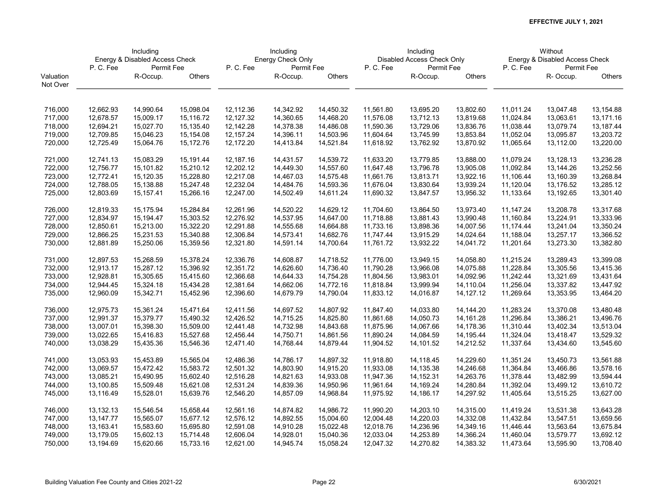|           | Including<br>Energy & Disabled Access Check |            |           |           | Including         |           |           | Including                  |           |           | Without                        |               |
|-----------|---------------------------------------------|------------|-----------|-----------|-------------------|-----------|-----------|----------------------------|-----------|-----------|--------------------------------|---------------|
|           |                                             |            |           |           | Energy Check Only |           |           | Disabled Access Check Only |           |           | Energy & Disabled Access Check |               |
|           | P.C.Fee                                     | Permit Fee |           | P.C.Fee   | Permit Fee        |           | P.C.Fee   | Permit Fee                 |           | P.C.Fee   | Permit Fee                     |               |
| Valuation |                                             | R-Occup.   | Others    |           | R-Occup.          | Others    |           | R-Occup.                   | Others    |           | R-Occup.                       | <b>Others</b> |
| Not Over  |                                             |            |           |           |                   |           |           |                            |           |           |                                |               |
|           |                                             |            |           |           |                   |           |           |                            |           |           |                                |               |
| 716,000   | 12,662.93                                   | 14,990.64  | 15,098.04 | 12,112.36 | 14,342.92         | 14,450.32 | 11,561.80 | 13,695.20                  | 13,802.60 | 11,011.24 | 13,047.48                      | 13,154.88     |
| 717,000   | 12,678.57                                   | 15,009.17  | 15,116.72 | 12,127.32 | 14,360.65         | 14,468.20 | 11,576.08 | 13,712.13                  | 13,819.68 | 11,024.84 | 13,063.61                      | 13,171.16     |
| 718,000   | 12,694.21                                   | 15,027.70  | 15,135.40 | 12,142.28 | 14,378.38         | 14,486.08 | 11,590.36 | 13,729.06                  | 13,836.76 | 11,038.44 | 13,079.74                      | 13,187.44     |
| 719,000   | 12,709.85                                   | 15,046.23  | 15,154.08 | 12,157.24 | 14,396.11         | 14,503.96 | 11,604.64 | 13,745.99                  | 13,853.84 | 11,052.04 | 13,095.87                      | 13,203.72     |
| 720,000   | 12,725.49                                   | 15,064.76  | 15,172.76 | 12,172.20 | 14,413.84         | 14,521.84 | 11,618.92 | 13,762.92                  | 13,870.92 | 11,065.64 | 13,112.00                      | 13,220.00     |
|           |                                             |            |           |           |                   |           |           |                            |           |           |                                |               |
| 721,000   | 12,741.13                                   | 15,083.29  | 15,191.44 | 12,187.16 | 14,431.57         | 14,539.72 | 11,633.20 | 13,779.85                  | 13,888.00 | 11,079.24 | 13,128.13                      | 13,236.28     |
| 722,000   | 12,756.77                                   | 15,101.82  | 15,210.12 | 12,202.12 | 14,449.30         | 14,557.60 | 11,647.48 | 13,796.78                  | 13,905.08 | 11,092.84 | 13,144.26                      | 13,252.56     |
| 723,000   | 12,772.41                                   | 15,120.35  | 15,228.80 | 12,217.08 | 14,467.03         | 14,575.48 | 11,661.76 | 13,813.71                  | 13,922.16 | 11,106.44 | 13,160.39                      | 13,268.84     |
| 724,000   | 12,788.05                                   | 15,138.88  | 15,247.48 | 12,232.04 | 14,484.76         | 14,593.36 | 11,676.04 | 13,830.64                  | 13,939.24 | 11,120.04 | 13,176.52                      | 13,285.12     |
| 725,000   | 12,803.69                                   | 15,157.41  | 15,266.16 | 12,247.00 | 14,502.49         | 14,611.24 | 11,690.32 | 13,847.57                  | 13,956.32 | 11,133.64 | 13,192.65                      | 13,301.40     |
|           |                                             |            |           |           |                   |           |           |                            |           |           |                                |               |
| 726,000   | 12,819.33                                   | 15,175.94  | 15,284.84 | 12,261.96 | 14,520.22         | 14,629.12 | 11,704.60 | 13,864.50                  | 13,973.40 | 11,147.24 | 13,208.78                      | 13,317.68     |
| 727,000   | 12,834.97                                   | 15,194.47  | 15,303.52 | 12,276.92 | 14,537.95         | 14,647.00 | 11,718.88 | 13,881.43                  | 13,990.48 | 11,160.84 | 13,224.91                      | 13,333.96     |
| 728,000   | 12,850.61                                   | 15,213.00  | 15,322.20 | 12,291.88 | 14,555.68         | 14,664.88 | 11,733.16 | 13,898.36                  | 14,007.56 | 11,174.44 | 13,241.04                      | 13,350.24     |
| 729,000   | 12,866.25                                   | 15,231.53  | 15,340.88 | 12,306.84 | 14,573.41         | 14,682.76 | 11,747.44 | 13,915.29                  | 14,024.64 | 11,188.04 | 13,257.17                      | 13,366.52     |
| 730,000   | 12,881.89                                   | 15,250.06  | 15,359.56 | 12,321.80 | 14,591.14         | 14,700.64 | 11,761.72 | 13,932.22                  | 14,041.72 | 11,201.64 | 13,273.30                      | 13,382.80     |
|           |                                             |            |           |           |                   |           |           |                            |           |           |                                |               |
| 731,000   | 12,897.53                                   | 15,268.59  | 15,378.24 | 12,336.76 | 14,608.87         | 14,718.52 | 11,776.00 | 13,949.15                  | 14,058.80 | 11,215.24 | 13,289.43                      | 13,399.08     |
| 732,000   | 12,913.17                                   | 15,287.12  | 15,396.92 | 12,351.72 | 14,626.60         | 14,736.40 | 11,790.28 | 13,966.08                  | 14,075.88 | 11,228.84 | 13,305.56                      | 13,415.36     |
| 733,000   | 12,928.81                                   | 15,305.65  | 15,415.60 | 12,366.68 | 14,644.33         | 14,754.28 | 11,804.56 | 13,983.01                  | 14,092.96 | 11,242.44 | 13,321.69                      | 13,431.64     |
| 734,000   | 12,944.45                                   | 15,324.18  | 15,434.28 | 12,381.64 | 14,662.06         | 14,772.16 | 11,818.84 | 13,999.94                  | 14,110.04 | 11,256.04 | 13,337.82                      | 13,447.92     |
| 735,000   | 12,960.09                                   | 15,342.71  | 15,452.96 | 12,396.60 | 14,679.79         | 14,790.04 | 11,833.12 | 14,016.87                  | 14,127.12 | 11,269.64 | 13,353.95                      | 13,464.20     |
|           |                                             |            |           |           |                   |           |           |                            |           |           |                                |               |
| 736,000   | 12,975.73                                   | 15,361.24  | 15,471.64 | 12,411.56 | 14,697.52         | 14,807.92 | 11,847.40 | 14,033.80                  | 14,144.20 | 11,283.24 | 13,370.08                      | 13,480.48     |
| 737,000   | 12,991.37                                   | 15,379.77  | 15,490.32 | 12,426.52 | 14,715.25         | 14,825.80 | 11,861.68 | 14,050.73                  | 14,161.28 | 11,296.84 | 13,386.21                      | 13,496.76     |
| 738,000   | 13,007.01                                   | 15,398.30  | 15,509.00 | 12,441.48 | 14,732.98         | 14,843.68 | 11,875.96 | 14,067.66                  | 14,178.36 | 11,310.44 | 13,402.34                      | 13,513.04     |
| 739,000   | 13,022.65                                   | 15,416.83  | 15,527.68 | 12,456.44 | 14,750.71         | 14,861.56 | 11,890.24 | 14,084.59                  | 14,195.44 | 11,324.04 | 13,418.47                      | 13,529.32     |
| 740,000   | 13,038.29                                   | 15,435.36  | 15,546.36 | 12,471.40 | 14,768.44         | 14,879.44 | 11,904.52 | 14,101.52                  | 14,212.52 | 11,337.64 | 13,434.60                      | 13,545.60     |
| 741,000   | 13,053.93                                   | 15,453.89  | 15,565.04 | 12,486.36 | 14,786.17         | 14,897.32 | 11,918.80 | 14,118.45                  | 14,229.60 | 11,351.24 | 13,450.73                      | 13,561.88     |
| 742,000   | 13,069.57                                   | 15,472.42  | 15,583.72 | 12,501.32 | 14,803.90         | 14,915.20 | 11,933.08 | 14,135.38                  | 14,246.68 | 11,364.84 | 13,466.86                      | 13,578.16     |
| 743,000   | 13,085.21                                   | 15,490.95  | 15,602.40 | 12,516.28 | 14,821.63         | 14,933.08 | 11,947.36 | 14,152.31                  | 14,263.76 | 11,378.44 | 13,482.99                      | 13,594.44     |
| 744,000   | 13,100.85                                   | 15,509.48  | 15,621.08 | 12,531.24 | 14,839.36         | 14,950.96 | 11,961.64 | 14,169.24                  | 14,280.84 | 11,392.04 | 13,499.12                      | 13,610.72     |
| 745,000   | 13,116.49                                   | 15,528.01  | 15,639.76 | 12,546.20 | 14,857.09         | 14,968.84 | 11,975.92 | 14,186.17                  | 14,297.92 | 11,405.64 | 13,515.25                      | 13,627.00     |
|           |                                             |            |           |           |                   |           |           |                            |           |           |                                |               |
| 746,000   | 13,132.13                                   | 15,546.54  | 15,658.44 | 12,561.16 | 14,874.82         | 14,986.72 | 11,990.20 | 14,203.10                  | 14,315.00 | 11,419.24 | 13,531.38                      | 13,643.28     |
| 747,000   | 13,147.77                                   | 15,565.07  | 15,677.12 | 12,576.12 | 14,892.55         | 15,004.60 | 12,004.48 | 14,220.03                  | 14,332.08 | 11,432.84 | 13,547.51                      | 13,659.56     |
| 748,000   | 13,163.41                                   | 15,583.60  | 15,695.80 | 12,591.08 | 14,910.28         | 15,022.48 | 12,018.76 | 14,236.96                  | 14,349.16 | 11,446.44 | 13,563.64                      | 13,675.84     |
| 749,000   | 13,179.05                                   | 15,602.13  | 15,714.48 | 12,606.04 | 14,928.01         | 15,040.36 | 12,033.04 | 14,253.89                  | 14,366.24 | 11,460.04 | 13,579.77                      | 13,692.12     |
| 750,000   | 13,194.69                                   | 15,620.66  | 15,733.16 | 12,621.00 | 14,945.74         | 15,058.24 | 12,047.32 | 14,270.82                  | 14,383.32 | 11,473.64 | 13,595.90                      | 13,708.40     |
|           |                                             |            |           |           |                   |           |           |                            |           |           |                                |               |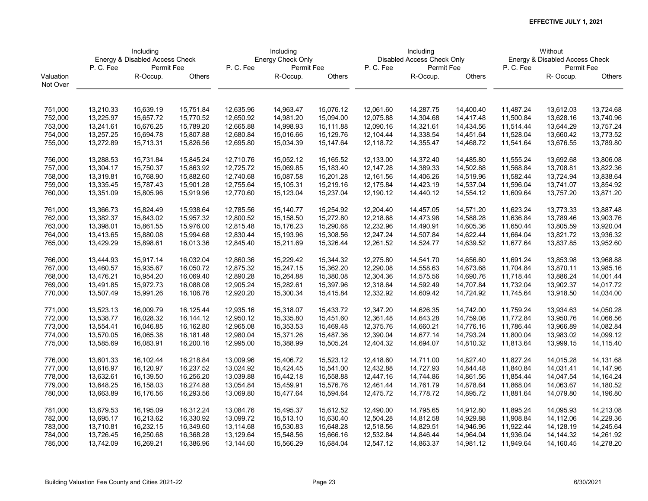|           | Including<br>Energy & Disabled Access Check |            |           |           | Including         |           |           | Including                  |           |           | Without                        |               |
|-----------|---------------------------------------------|------------|-----------|-----------|-------------------|-----------|-----------|----------------------------|-----------|-----------|--------------------------------|---------------|
|           |                                             |            |           |           | Energy Check Only |           |           | Disabled Access Check Only |           |           | Energy & Disabled Access Check |               |
|           | P.C.Fee                                     | Permit Fee |           | P.C.Fee   | Permit Fee        |           | P.C.Fee   | Permit Fee                 |           | P.C.Fee   | Permit Fee                     |               |
| Valuation |                                             | R-Occup.   | Others    |           | R-Occup.          | Others    |           | R-Occup.                   | Others    |           | R-Occup.                       | <b>Others</b> |
| Not Over  |                                             |            |           |           |                   |           |           |                            |           |           |                                |               |
|           |                                             |            |           |           |                   |           |           |                            |           |           |                                |               |
| 751,000   | 13,210.33                                   | 15,639.19  | 15,751.84 | 12,635.96 | 14,963.47         | 15,076.12 | 12,061.60 | 14,287.75                  | 14,400.40 | 11,487.24 | 13,612.03                      | 13,724.68     |
| 752,000   | 13,225.97                                   | 15,657.72  | 15,770.52 | 12,650.92 | 14,981.20         | 15,094.00 | 12,075.88 | 14,304.68                  | 14,417.48 | 11,500.84 | 13,628.16                      | 13,740.96     |
| 753,000   | 13,241.61                                   | 15,676.25  | 15,789.20 | 12,665.88 | 14,998.93         | 15,111.88 | 12,090.16 | 14,321.61                  | 14,434.56 | 11,514.44 | 13,644.29                      | 13,757.24     |
| 754,000   | 13,257.25                                   | 15,694.78  | 15,807.88 | 12,680.84 | 15,016.66         | 15,129.76 | 12,104.44 | 14,338.54                  | 14,451.64 | 11,528.04 | 13,660.42                      | 13,773.52     |
| 755,000   | 13,272.89                                   | 15,713.31  | 15,826.56 | 12,695.80 | 15,034.39         | 15,147.64 | 12,118.72 | 14,355.47                  | 14,468.72 | 11,541.64 | 13,676.55                      | 13,789.80     |
|           |                                             |            |           |           |                   |           |           |                            |           |           |                                |               |
| 756,000   | 13,288.53                                   | 15,731.84  | 15,845.24 | 12,710.76 | 15,052.12         | 15,165.52 | 12,133.00 | 14,372.40                  | 14,485.80 | 11,555.24 | 13,692.68                      | 13,806.08     |
| 757,000   | 13,304.17                                   | 15,750.37  | 15,863.92 | 12,725.72 | 15,069.85         | 15,183.40 | 12,147.28 | 14,389.33                  | 14,502.88 | 11,568.84 | 13,708.81                      | 13,822.36     |
| 758,000   | 13,319.81                                   | 15,768.90  | 15,882.60 | 12,740.68 | 15,087.58         | 15,201.28 | 12,161.56 | 14,406.26                  | 14,519.96 | 11,582.44 | 13,724.94                      | 13,838.64     |
| 759,000   | 13,335.45                                   | 15,787.43  | 15,901.28 | 12,755.64 | 15,105.31         | 15,219.16 | 12,175.84 | 14,423.19                  | 14,537.04 | 11,596.04 | 13,741.07                      | 13,854.92     |
| 760,000   | 13,351.09                                   | 15,805.96  | 15,919.96 | 12,770.60 | 15,123.04         | 15,237.04 | 12,190.12 | 14,440.12                  | 14,554.12 | 11,609.64 | 13,757.20                      | 13,871.20     |
|           |                                             |            |           |           |                   |           |           |                            |           |           |                                |               |
| 761,000   | 13,366.73                                   | 15,824.49  | 15,938.64 | 12,785.56 | 15,140.77         | 15,254.92 | 12,204.40 | 14,457.05                  | 14,571.20 | 11,623.24 | 13,773.33                      | 13,887.48     |
| 762,000   | 13,382.37                                   | 15,843.02  | 15,957.32 | 12,800.52 | 15,158.50         | 15,272.80 | 12,218.68 | 14,473.98                  | 14,588.28 | 11,636.84 | 13,789.46                      | 13,903.76     |
| 763,000   | 13,398.01                                   | 15,861.55  | 15,976.00 | 12,815.48 | 15,176.23         | 15,290.68 | 12,232.96 | 14,490.91                  | 14,605.36 | 11,650.44 | 13,805.59                      | 13,920.04     |
| 764,000   | 13,413.65                                   | 15,880.08  | 15,994.68 | 12,830.44 | 15,193.96         | 15,308.56 | 12,247.24 | 14,507.84                  | 14,622.44 | 11,664.04 | 13,821.72                      | 13,936.32     |
| 765,000   | 13,429.29                                   | 15,898.61  | 16,013.36 | 12,845.40 | 15,211.69         | 15,326.44 | 12,261.52 | 14,524.77                  | 14,639.52 | 11,677.64 | 13,837.85                      | 13,952.60     |
| 766,000   | 13,444.93                                   | 15,917.14  | 16,032.04 | 12,860.36 | 15,229.42         | 15,344.32 | 12,275.80 | 14,541.70                  | 14,656.60 | 11,691.24 | 13,853.98                      | 13,968.88     |
| 767,000   | 13,460.57                                   | 15,935.67  | 16,050.72 | 12,875.32 | 15,247.15         | 15,362.20 | 12,290.08 | 14,558.63                  | 14,673.68 | 11,704.84 | 13,870.11                      | 13,985.16     |
| 768,000   | 13,476.21                                   | 15,954.20  | 16,069.40 | 12,890.28 | 15,264.88         | 15,380.08 | 12,304.36 | 14,575.56                  | 14,690.76 | 11,718.44 | 13,886.24                      | 14,001.44     |
| 769,000   | 13,491.85                                   | 15,972.73  | 16,088.08 | 12,905.24 | 15,282.61         | 15,397.96 | 12,318.64 | 14,592.49                  | 14,707.84 | 11,732.04 | 13,902.37                      | 14,017.72     |
| 770,000   | 13,507.49                                   | 15,991.26  | 16,106.76 | 12,920.20 | 15,300.34         | 15,415.84 | 12,332.92 | 14,609.42                  | 14,724.92 | 11,745.64 | 13,918.50                      | 14,034.00     |
|           |                                             |            |           |           |                   |           |           |                            |           |           |                                |               |
| 771,000   | 13,523.13                                   | 16,009.79  | 16,125.44 | 12,935.16 | 15,318.07         | 15,433.72 | 12,347.20 | 14,626.35                  | 14,742.00 | 11,759.24 | 13,934.63                      | 14,050.28     |
| 772,000   | 13,538.77                                   | 16,028.32  | 16,144.12 | 12,950.12 | 15,335.80         | 15,451.60 | 12,361.48 | 14,643.28                  | 14,759.08 | 11,772.84 | 13,950.76                      | 14,066.56     |
| 773,000   | 13,554.41                                   | 16,046.85  | 16,162.80 | 12,965.08 | 15,353.53         | 15,469.48 | 12,375.76 | 14,660.21                  | 14,776.16 | 11,786.44 | 13,966.89                      | 14,082.84     |
| 774,000   | 13,570.05                                   | 16,065.38  | 16,181.48 | 12,980.04 | 15,371.26         | 15,487.36 | 12,390.04 | 14,677.14                  | 14,793.24 | 11,800.04 | 13,983.02                      | 14,099.12     |
| 775,000   | 13,585.69                                   | 16,083.91  | 16,200.16 | 12,995.00 | 15,388.99         | 15,505.24 | 12,404.32 | 14,694.07                  | 14,810.32 | 11,813.64 | 13,999.15                      | 14,115.40     |
| 776,000   | 13,601.33                                   | 16,102.44  | 16,218.84 | 13,009.96 | 15,406.72         | 15,523.12 | 12,418.60 | 14,711.00                  | 14,827.40 | 11,827.24 | 14,015.28                      | 14,131.68     |
| 777,000   | 13,616.97                                   | 16,120.97  | 16,237.52 | 13,024.92 | 15,424.45         | 15,541.00 | 12,432.88 | 14,727.93                  | 14,844.48 | 11,840.84 | 14,031.41                      | 14,147.96     |
| 778,000   | 13,632.61                                   | 16,139.50  | 16,256.20 | 13,039.88 | 15,442.18         | 15,558.88 | 12,447.16 | 14,744.86                  | 14,861.56 | 11,854.44 | 14,047.54                      | 14, 164. 24   |
| 779,000   | 13,648.25                                   | 16,158.03  | 16,274.88 | 13,054.84 | 15,459.91         | 15,576.76 | 12,461.44 | 14,761.79                  | 14,878.64 | 11,868.04 | 14,063.67                      | 14,180.52     |
| 780,000   | 13,663.89                                   | 16,176.56  | 16,293.56 | 13,069.80 | 15,477.64         | 15,594.64 | 12,475.72 | 14,778.72                  | 14,895.72 | 11,881.64 | 14,079.80                      | 14,196.80     |
|           |                                             |            |           |           |                   |           |           |                            |           |           |                                |               |
| 781,000   | 13,679.53                                   | 16,195.09  | 16,312.24 | 13,084.76 | 15,495.37         | 15,612.52 | 12,490.00 | 14,795.65                  | 14,912.80 | 11,895.24 | 14,095.93                      | 14,213.08     |
| 782,000   | 13,695.17                                   | 16,213.62  | 16,330.92 | 13,099.72 | 15,513.10         | 15,630.40 | 12,504.28 | 14,812.58                  | 14,929.88 | 11,908.84 | 14,112.06                      | 14,229.36     |
| 783,000   | 13,710.81                                   | 16,232.15  | 16,349.60 | 13,114.68 | 15,530.83         | 15,648.28 | 12,518.56 | 14,829.51                  | 14,946.96 | 11,922.44 | 14,128.19                      | 14,245.64     |
| 784,000   | 13,726.45                                   | 16,250.68  | 16,368.28 | 13,129.64 | 15,548.56         | 15,666.16 | 12,532.84 | 14,846.44                  | 14,964.04 | 11,936.04 | 14,144.32                      | 14,261.92     |
| 785,000   | 13,742.09                                   | 16,269.21  | 16,386.96 | 13,144.60 | 15,566.29         | 15,684.04 | 12,547.12 | 14,863.37                  | 14,981.12 | 11,949.64 | 14,160.45                      | 14,278.20     |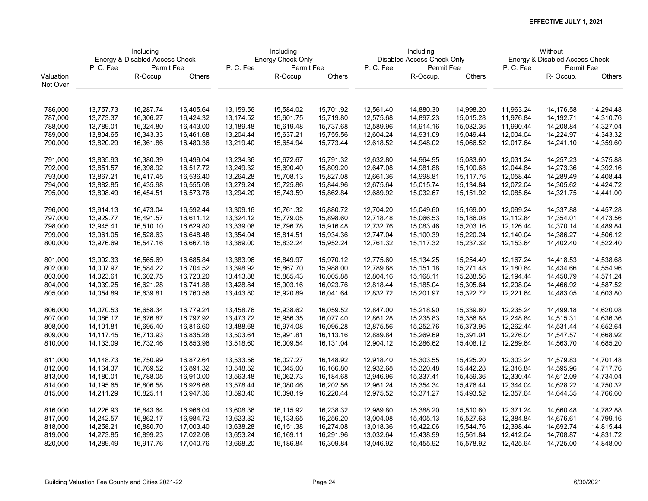|           | Including<br>Energy & Disabled Access Check |            |           |           | Including         |           |           | Including                  |           |           | Without                        |               |
|-----------|---------------------------------------------|------------|-----------|-----------|-------------------|-----------|-----------|----------------------------|-----------|-----------|--------------------------------|---------------|
|           |                                             |            |           |           | Energy Check Only |           |           | Disabled Access Check Only |           |           | Energy & Disabled Access Check |               |
|           | P.C.Fee                                     | Permit Fee |           | P.C.Fee   | Permit Fee        |           | P.C.Fee   | Permit Fee                 |           | P.C.Fee   | Permit Fee                     |               |
| Valuation |                                             | R-Occup.   | Others    |           | R-Occup.          | Others    |           | R-Occup.                   | Others    |           | R-Occup.                       | <b>Others</b> |
| Not Over  |                                             |            |           |           |                   |           |           |                            |           |           |                                |               |
|           |                                             |            |           |           |                   |           |           |                            |           |           |                                |               |
| 786,000   | 13,757.73                                   | 16,287.74  | 16,405.64 | 13,159.56 | 15,584.02         | 15,701.92 | 12,561.40 | 14,880.30                  | 14,998.20 | 11,963.24 | 14,176.58                      | 14,294.48     |
| 787,000   | 13,773.37                                   | 16,306.27  | 16,424.32 | 13,174.52 | 15,601.75         | 15,719.80 | 12,575.68 | 14,897.23                  | 15,015.28 | 11,976.84 | 14,192.71                      | 14,310.76     |
| 788,000   | 13,789.01                                   | 16,324.80  | 16,443.00 | 13,189.48 | 15,619.48         | 15,737.68 | 12,589.96 | 14,914.16                  | 15,032.36 | 11,990.44 | 14,208.84                      | 14,327.04     |
| 789,000   | 13,804.65                                   | 16,343.33  | 16,461.68 | 13,204.44 | 15,637.21         | 15,755.56 | 12,604.24 | 14,931.09                  | 15,049.44 | 12,004.04 | 14,224.97                      | 14,343.32     |
| 790,000   | 13,820.29                                   | 16,361.86  | 16,480.36 | 13,219.40 | 15,654.94         | 15,773.44 | 12,618.52 | 14,948.02                  | 15,066.52 | 12,017.64 | 14,241.10                      | 14,359.60     |
| 791,000   | 13,835.93                                   | 16,380.39  | 16,499.04 | 13,234.36 | 15,672.67         | 15,791.32 | 12,632.80 | 14,964.95                  | 15,083.60 | 12,031.24 | 14,257.23                      | 14,375.88     |
| 792,000   | 13,851.57                                   | 16,398.92  | 16,517.72 | 13,249.32 | 15,690.40         | 15,809.20 | 12,647.08 | 14,981.88                  | 15,100.68 | 12,044.84 | 14,273.36                      | 14,392.16     |
| 793,000   | 13,867.21                                   | 16,417.45  | 16,536.40 | 13,264.28 | 15,708.13         | 15,827.08 | 12,661.36 | 14,998.81                  | 15,117.76 | 12,058.44 | 14,289.49                      | 14,408.44     |
| 794,000   | 13,882.85                                   | 16,435.98  | 16,555.08 | 13,279.24 | 15,725.86         | 15,844.96 | 12,675.64 | 15,015.74                  | 15,134.84 | 12,072.04 | 14,305.62                      | 14,424.72     |
| 795,000   | 13,898.49                                   | 16,454.51  | 16,573.76 | 13,294.20 | 15,743.59         | 15,862.84 | 12,689.92 | 15,032.67                  | 15,151.92 | 12,085.64 | 14,321.75                      | 14,441.00     |
| 796,000   | 13,914.13                                   | 16,473.04  | 16,592.44 | 13,309.16 | 15,761.32         | 15,880.72 | 12,704.20 | 15,049.60                  | 15,169.00 | 12,099.24 | 14,337.88                      | 14,457.28     |
| 797,000   | 13,929.77                                   | 16,491.57  | 16,611.12 | 13,324.12 | 15,779.05         | 15,898.60 | 12,718.48 | 15,066.53                  | 15,186.08 | 12,112.84 | 14,354.01                      | 14,473.56     |
| 798,000   | 13,945.41                                   | 16,510.10  | 16,629.80 | 13,339.08 | 15,796.78         | 15,916.48 | 12,732.76 | 15,083.46                  | 15,203.16 | 12,126.44 | 14,370.14                      | 14,489.84     |
| 799,000   | 13,961.05                                   | 16,528.63  | 16,648.48 | 13,354.04 | 15,814.51         | 15,934.36 | 12,747.04 | 15,100.39                  | 15,220.24 | 12,140.04 | 14,386.27                      | 14,506.12     |
| 800,000   | 13,976.69                                   | 16,547.16  | 16,667.16 | 13,369.00 | 15,832.24         | 15,952.24 | 12,761.32 | 15,117.32                  | 15,237.32 | 12,153.64 | 14,402.40                      | 14,522.40     |
| 801,000   | 13,992.33                                   | 16,565.69  | 16,685.84 | 13,383.96 | 15,849.97         | 15,970.12 | 12,775.60 | 15,134.25                  | 15,254.40 | 12,167.24 | 14,418.53                      | 14,538.68     |
| 802,000   | 14,007.97                                   | 16,584.22  | 16,704.52 | 13,398.92 | 15,867.70         | 15,988.00 | 12,789.88 | 15,151.18                  | 15,271.48 | 12,180.84 | 14,434.66                      | 14,554.96     |
| 803,000   | 14,023.61                                   | 16,602.75  | 16,723.20 | 13,413.88 | 15,885.43         | 16,005.88 | 12,804.16 | 15,168.11                  | 15,288.56 | 12,194.44 | 14,450.79                      | 14,571.24     |
| 804,000   | 14,039.25                                   | 16,621.28  | 16,741.88 | 13,428.84 | 15,903.16         | 16,023.76 | 12,818.44 | 15,185.04                  | 15,305.64 | 12,208.04 | 14,466.92                      | 14,587.52     |
| 805,000   | 14,054.89                                   | 16,639.81  | 16,760.56 | 13,443.80 | 15,920.89         | 16,041.64 | 12,832.72 | 15,201.97                  | 15,322.72 | 12,221.64 | 14,483.05                      | 14,603.80     |
| 806,000   | 14,070.53                                   | 16,658.34  | 16,779.24 | 13,458.76 | 15,938.62         | 16,059.52 | 12,847.00 | 15,218.90                  | 15,339.80 | 12,235.24 | 14,499.18                      | 14,620.08     |
| 807,000   | 14,086.17                                   | 16,676.87  | 16,797.92 | 13,473.72 | 15,956.35         | 16,077.40 | 12,861.28 | 15,235.83                  | 15,356.88 | 12,248.84 | 14,515.31                      | 14,636.36     |
| 808,000   | 14,101.81                                   | 16,695.40  | 16,816.60 | 13,488.68 | 15,974.08         | 16,095.28 | 12,875.56 | 15,252.76                  | 15,373.96 | 12,262.44 | 14,531.44                      | 14,652.64     |
| 809,000   | 14,117.45                                   | 16,713.93  | 16,835.28 | 13,503.64 | 15,991.81         | 16,113.16 | 12,889.84 | 15,269.69                  | 15,391.04 | 12,276.04 | 14,547.57                      | 14,668.92     |
| 810,000   | 14,133.09                                   | 16,732.46  | 16,853.96 | 13,518.60 | 16,009.54         | 16,131.04 | 12,904.12 | 15,286.62                  | 15,408.12 | 12,289.64 | 14,563.70                      | 14,685.20     |
| 811,000   | 14, 148. 73                                 | 16,750.99  | 16,872.64 | 13,533.56 | 16,027.27         | 16,148.92 | 12,918.40 | 15,303.55                  | 15,425.20 | 12,303.24 | 14,579.83                      | 14,701.48     |
| 812,000   | 14, 164. 37                                 | 16,769.52  | 16,891.32 | 13,548.52 | 16,045.00         | 16,166.80 | 12,932.68 | 15,320.48                  | 15,442.28 | 12,316.84 | 14,595.96                      | 14,717.76     |
| 813,000   | 14,180.01                                   | 16,788.05  | 16,910.00 | 13,563.48 | 16,062.73         | 16,184.68 | 12,946.96 | 15,337.41                  | 15,459.36 | 12,330.44 | 14,612.09                      | 14,734.04     |
| 814,000   | 14,195.65                                   | 16,806.58  | 16,928.68 | 13,578.44 | 16,080.46         | 16,202.56 | 12,961.24 | 15,354.34                  | 15,476.44 | 12,344.04 | 14,628.22                      | 14,750.32     |
| 815,000   | 14,211.29                                   | 16,825.11  | 16,947.36 | 13,593.40 | 16,098.19         | 16,220.44 | 12,975.52 | 15,371.27                  | 15,493.52 | 12,357.64 | 14,644.35                      | 14,766.60     |
|           |                                             |            |           |           |                   |           |           |                            |           |           |                                |               |
| 816,000   | 14,226.93                                   | 16,843.64  | 16,966.04 | 13,608.36 | 16,115.92         | 16,238.32 | 12,989.80 | 15,388.20                  | 15,510.60 | 12,371.24 | 14,660.48                      | 14,782.88     |
| 817,000   | 14,242.57                                   | 16,862.17  | 16,984.72 | 13,623.32 | 16,133.65         | 16,256.20 | 13,004.08 | 15,405.13                  | 15,527.68 | 12,384.84 | 14,676.61                      | 14,799.16     |
| 818,000   | 14,258.21                                   | 16,880.70  | 17,003.40 | 13,638.28 | 16,151.38         | 16,274.08 | 13,018.36 | 15,422.06                  | 15,544.76 | 12,398.44 | 14,692.74                      | 14,815.44     |
| 819,000   | 14,273.85                                   | 16,899.23  | 17,022.08 | 13,653.24 | 16,169.11         | 16,291.96 | 13,032.64 | 15,438.99                  | 15,561.84 | 12,412.04 | 14,708.87                      | 14,831.72     |
| 820,000   | 14,289.49                                   | 16,917.76  | 17,040.76 | 13,668.20 | 16,186.84         | 16,309.84 | 13,046.92 | 15,455.92                  | 15,578.92 | 12,425.64 | 14,725.00                      | 14,848.00     |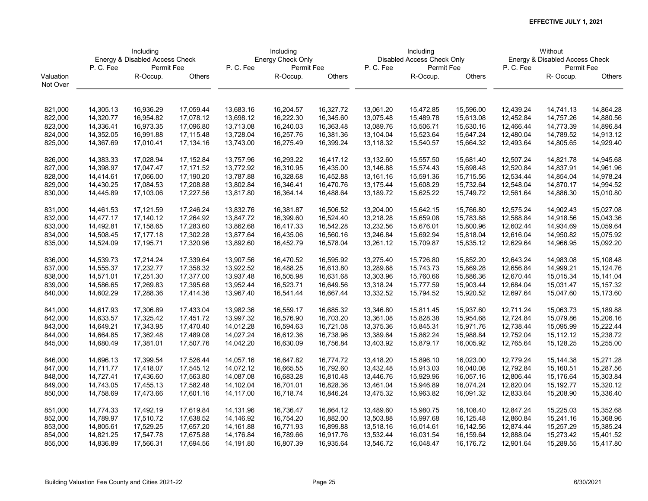|           | Including |                                |           | Including |                   |           | Including |                            |           |           | Without                        |               |
|-----------|-----------|--------------------------------|-----------|-----------|-------------------|-----------|-----------|----------------------------|-----------|-----------|--------------------------------|---------------|
|           |           | Energy & Disabled Access Check |           |           | Energy Check Only |           |           | Disabled Access Check Only |           |           | Energy & Disabled Access Check |               |
|           | P.C.Fee   | Permit Fee                     |           | P.C.Fee   | Permit Fee        |           | P.C.Fee   | Permit Fee                 |           | P.C.Fee   | Permit Fee                     |               |
| Valuation |           | R-Occup.                       | Others    |           | R-Occup.          | Others    |           | R-Occup.                   | Others    |           | R-Occup.                       | <b>Others</b> |
| Not Over  |           |                                |           |           |                   |           |           |                            |           |           |                                |               |
|           |           |                                |           |           |                   |           |           |                            |           |           |                                |               |
| 821,000   | 14,305.13 | 16,936.29                      | 17,059.44 | 13,683.16 | 16,204.57         | 16,327.72 | 13,061.20 | 15,472.85                  | 15,596.00 | 12,439.24 | 14,741.13                      | 14,864.28     |
| 822,000   | 14,320.77 | 16,954.82                      | 17,078.12 | 13,698.12 | 16,222.30         | 16,345.60 | 13,075.48 | 15,489.78                  | 15,613.08 | 12,452.84 | 14,757.26                      | 14,880.56     |
| 823,000   | 14,336.41 | 16,973.35                      | 17,096.80 | 13,713.08 | 16,240.03         | 16,363.48 | 13,089.76 | 15,506.71                  | 15,630.16 | 12,466.44 | 14,773.39                      | 14,896.84     |
| 824,000   | 14,352.05 | 16,991.88                      | 17,115.48 | 13,728.04 | 16,257.76         | 16,381.36 | 13,104.04 | 15,523.64                  | 15,647.24 | 12,480.04 | 14,789.52                      | 14,913.12     |
| 825,000   | 14,367.69 | 17,010.41                      | 17,134.16 | 13,743.00 | 16,275.49         | 16,399.24 | 13,118.32 | 15,540.57                  | 15,664.32 | 12,493.64 | 14,805.65                      | 14,929.40     |
|           |           |                                |           |           |                   |           |           |                            |           |           |                                |               |
| 826,000   | 14,383.33 | 17,028.94                      | 17,152.84 | 13,757.96 | 16,293.22         | 16,417.12 | 13,132.60 | 15,557.50                  | 15,681.40 | 12,507.24 | 14,821.78                      | 14,945.68     |
| 827,000   | 14,398.97 | 17,047.47                      | 17,171.52 | 13,772.92 | 16,310.95         | 16,435.00 | 13,146.88 | 15,574.43                  | 15,698.48 | 12,520.84 | 14,837.91                      | 14,961.96     |
| 828,000   | 14,414.61 | 17,066.00                      | 17,190.20 | 13,787.88 | 16,328.68         | 16,452.88 | 13,161.16 | 15,591.36                  | 15,715.56 | 12,534.44 | 14,854.04                      | 14,978.24     |
| 829,000   | 14,430.25 | 17,084.53                      | 17,208.88 | 13,802.84 | 16,346.41         | 16,470.76 | 13,175.44 | 15,608.29                  | 15,732.64 | 12,548.04 | 14,870.17                      | 14,994.52     |
| 830,000   | 14,445.89 | 17,103.06                      | 17,227.56 | 13,817.80 | 16,364.14         | 16,488.64 | 13,189.72 | 15,625.22                  | 15,749.72 | 12,561.64 | 14,886.30                      | 15,010.80     |
|           |           |                                |           |           |                   |           |           |                            |           |           |                                |               |
| 831,000   | 14,461.53 | 17,121.59                      | 17,246.24 | 13,832.76 | 16,381.87         | 16,506.52 | 13,204.00 | 15,642.15                  | 15,766.80 | 12,575.24 | 14,902.43                      | 15,027.08     |
| 832,000   | 14,477.17 | 17,140.12                      | 17,264.92 | 13,847.72 | 16,399.60         | 16,524.40 | 13,218.28 | 15,659.08                  | 15,783.88 | 12,588.84 | 14,918.56                      | 15,043.36     |
| 833,000   | 14,492.81 | 17,158.65                      | 17,283.60 | 13,862.68 | 16,417.33         | 16,542.28 | 13,232.56 | 15,676.01                  | 15,800.96 | 12,602.44 | 14,934.69                      | 15,059.64     |
| 834,000   | 14,508.45 | 17,177.18                      | 17,302.28 | 13,877.64 | 16,435.06         | 16,560.16 | 13,246.84 | 15,692.94                  | 15,818.04 | 12,616.04 | 14,950.82                      | 15,075.92     |
| 835,000   | 14,524.09 | 17,195.71                      | 17,320.96 | 13,892.60 | 16,452.79         | 16,578.04 | 13,261.12 | 15,709.87                  | 15,835.12 | 12,629.64 | 14,966.95                      | 15,092.20     |
|           |           |                                |           |           |                   |           |           |                            |           |           |                                |               |
| 836,000   | 14,539.73 | 17,214.24                      | 17,339.64 | 13,907.56 | 16,470.52         | 16,595.92 | 13,275.40 | 15,726.80                  | 15,852.20 | 12,643.24 | 14,983.08                      | 15,108.48     |
| 837,000   | 14,555.37 | 17,232.77                      | 17,358.32 | 13,922.52 | 16,488.25         | 16,613.80 | 13,289.68 | 15,743.73                  | 15,869.28 | 12,656.84 | 14,999.21                      | 15,124.76     |
| 838,000   | 14,571.01 | 17,251.30                      | 17,377.00 | 13,937.48 | 16,505.98         | 16,631.68 | 13,303.96 | 15,760.66                  | 15,886.36 | 12,670.44 | 15,015.34                      | 15,141.04     |
| 839,000   | 14,586.65 | 17,269.83                      | 17,395.68 | 13,952.44 | 16,523.71         | 16,649.56 | 13,318.24 | 15,777.59                  | 15,903.44 | 12,684.04 | 15,031.47                      | 15, 157.32    |
| 840,000   | 14,602.29 | 17,288.36                      | 17,414.36 | 13,967.40 | 16,541.44         | 16,667.44 | 13,332.52 | 15,794.52                  | 15,920.52 | 12,697.64 | 15,047.60                      | 15,173.60     |
| 841,000   | 14,617.93 | 17,306.89                      | 17,433.04 | 13,982.36 | 16,559.17         | 16,685.32 | 13,346.80 | 15,811.45                  | 15,937.60 | 12,711.24 | 15,063.73                      | 15,189.88     |
| 842,000   | 14,633.57 | 17,325.42                      | 17,451.72 | 13,997.32 | 16,576.90         | 16,703.20 | 13,361.08 | 15,828.38                  | 15,954.68 | 12,724.84 | 15,079.86                      | 15,206.16     |
| 843,000   | 14,649.21 | 17,343.95                      | 17,470.40 | 14,012.28 | 16,594.63         | 16,721.08 | 13,375.36 | 15,845.31                  | 15,971.76 | 12,738.44 | 15,095.99                      | 15,222.44     |
| 844,000   | 14,664.85 | 17,362.48                      | 17,489.08 | 14,027.24 | 16,612.36         | 16,738.96 | 13,389.64 | 15,862.24                  | 15,988.84 | 12,752.04 | 15,112.12                      | 15,238.72     |
| 845,000   | 14,680.49 | 17,381.01                      | 17,507.76 | 14,042.20 | 16,630.09         | 16,756.84 | 13,403.92 | 15,879.17                  | 16,005.92 | 12,765.64 | 15,128.25                      | 15,255.00     |
| 846,000   | 14,696.13 | 17,399.54                      | 17,526.44 | 14,057.16 | 16,647.82         | 16,774.72 | 13,418.20 | 15,896.10                  | 16,023.00 | 12,779.24 | 15,144.38                      | 15,271.28     |
|           |           |                                |           |           |                   |           |           |                            |           |           |                                |               |
| 847,000   | 14,711.77 | 17,418.07                      | 17,545.12 | 14,072.12 | 16,665.55         | 16,792.60 | 13,432.48 | 15,913.03                  | 16,040.08 | 12,792.84 | 15,160.51                      | 15,287.56     |
| 848,000   | 14,727.41 | 17,436.60                      | 17,563.80 | 14,087.08 | 16,683.28         | 16,810.48 | 13,446.76 | 15,929.96                  | 16,057.16 | 12,806.44 | 15,176.64                      | 15,303.84     |
| 849,000   | 14,743.05 | 17,455.13                      | 17,582.48 | 14,102.04 | 16,701.01         | 16,828.36 | 13,461.04 | 15,946.89                  | 16,074.24 | 12,820.04 | 15,192.77                      | 15,320.12     |
| 850,000   | 14,758.69 | 17,473.66                      | 17,601.16 | 14,117.00 | 16,718.74         | 16,846.24 | 13,475.32 | 15,963.82                  | 16,091.32 | 12,833.64 | 15,208.90                      | 15,336.40     |
| 851,000   | 14,774.33 | 17,492.19                      | 17,619.84 | 14,131.96 | 16,736.47         | 16,864.12 | 13,489.60 | 15,980.75                  | 16,108.40 | 12,847.24 | 15,225.03                      | 15,352.68     |
| 852,000   | 14,789.97 | 17,510.72                      | 17,638.52 | 14,146.92 | 16,754.20         | 16,882.00 | 13,503.88 | 15,997.68                  | 16,125.48 | 12,860.84 | 15,241.16                      | 15,368.96     |
| 853,000   | 14,805.61 | 17,529.25                      | 17,657.20 | 14,161.88 | 16,771.93         | 16,899.88 | 13,518.16 | 16,014.61                  | 16,142.56 | 12,874.44 | 15,257.29                      | 15,385.24     |
| 854,000   | 14,821.25 | 17,547.78                      | 17,675.88 | 14,176.84 | 16,789.66         | 16,917.76 | 13,532.44 | 16,031.54                  | 16,159.64 | 12,888.04 | 15,273.42                      | 15,401.52     |
| 855,000   | 14,836.89 | 17,566.31                      | 17,694.56 | 14,191.80 | 16,807.39         | 16,935.64 | 13,546.72 | 16,048.47                  | 16,176.72 | 12,901.64 | 15,289.55                      | 15,417.80     |
|           |           |                                |           |           |                   |           |           |                            |           |           |                                |               |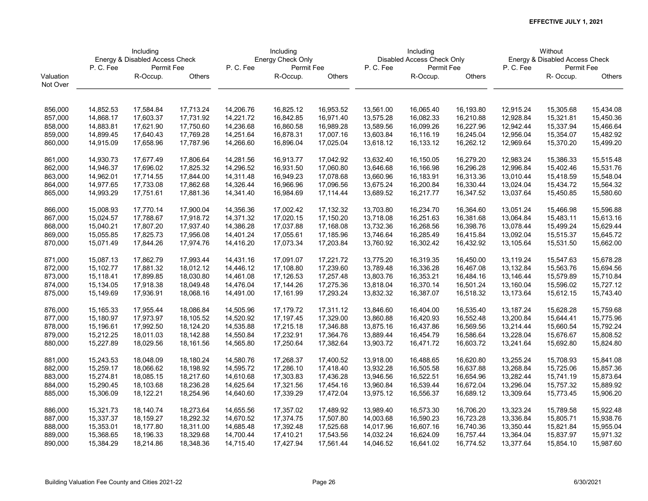|           | Including   |                                |           | Including |                   |           | Including |                            |           |           | Without                        |               |
|-----------|-------------|--------------------------------|-----------|-----------|-------------------|-----------|-----------|----------------------------|-----------|-----------|--------------------------------|---------------|
|           |             | Energy & Disabled Access Check |           |           | Energy Check Only |           |           | Disabled Access Check Only |           |           | Energy & Disabled Access Check |               |
|           | P.C.Fee     | Permit Fee                     |           | P.C.Fee   | Permit Fee        |           | P.C.Fee   | Permit Fee                 |           | P.C.Fee   | Permit Fee                     |               |
| Valuation |             | R-Occup.                       | Others    |           | R-Occup.          | Others    |           | R-Occup.                   | Others    |           | R-Occup.                       | <b>Others</b> |
| Not Over  |             |                                |           |           |                   |           |           |                            |           |           |                                |               |
|           |             |                                |           |           |                   |           |           |                            |           |           |                                |               |
| 856,000   | 14,852.53   | 17,584.84                      | 17,713.24 | 14,206.76 | 16,825.12         | 16,953.52 | 13,561.00 | 16,065.40                  | 16,193.80 | 12,915.24 | 15,305.68                      | 15,434.08     |
| 857,000   | 14,868.17   | 17,603.37                      | 17,731.92 | 14,221.72 | 16,842.85         | 16,971.40 | 13,575.28 | 16,082.33                  | 16,210.88 | 12,928.84 | 15,321.81                      | 15,450.36     |
| 858,000   | 14,883.81   | 17,621.90                      | 17,750.60 | 14,236.68 | 16,860.58         | 16,989.28 | 13,589.56 | 16,099.26                  | 16,227.96 | 12,942.44 | 15,337.94                      | 15,466.64     |
| 859,000   | 14,899.45   | 17,640.43                      | 17,769.28 | 14,251.64 | 16,878.31         | 17,007.16 | 13,603.84 | 16,116.19                  | 16,245.04 | 12,956.04 | 15,354.07                      | 15,482.92     |
| 860,000   | 14,915.09   | 17,658.96                      | 17,787.96 | 14,266.60 | 16,896.04         | 17,025.04 | 13,618.12 | 16,133.12                  | 16,262.12 | 12,969.64 | 15,370.20                      | 15,499.20     |
|           |             |                                |           |           |                   |           |           |                            |           |           |                                |               |
| 861,000   | 14,930.73   | 17,677.49                      | 17,806.64 | 14,281.56 | 16,913.77         | 17,042.92 | 13,632.40 | 16,150.05                  | 16,279.20 | 12,983.24 | 15,386.33                      | 15,515.48     |
| 862,000   | 14,946.37   | 17,696.02                      | 17,825.32 | 14,296.52 | 16,931.50         | 17,060.80 | 13,646.68 | 16,166.98                  | 16,296.28 | 12,996.84 | 15,402.46                      | 15,531.76     |
| 863,000   | 14,962.01   | 17,714.55                      | 17,844.00 | 14,311.48 | 16,949.23         | 17,078.68 | 13,660.96 | 16,183.91                  | 16,313.36 | 13,010.44 | 15,418.59                      | 15,548.04     |
| 864,000   | 14,977.65   | 17,733.08                      | 17,862.68 | 14,326.44 | 16,966.96         | 17,096.56 | 13,675.24 | 16,200.84                  | 16,330.44 | 13,024.04 | 15,434.72                      | 15,564.32     |
| 865,000   | 14,993.29   | 17,751.61                      | 17,881.36 | 14,341.40 | 16,984.69         | 17,114.44 | 13,689.52 | 16,217.77                  | 16,347.52 | 13,037.64 | 15,450.85                      | 15,580.60     |
|           |             |                                |           |           |                   |           |           |                            |           |           |                                |               |
| 866,000   | 15,008.93   | 17,770.14                      | 17,900.04 | 14,356.36 | 17,002.42         | 17,132.32 | 13,703.80 | 16,234.70                  | 16,364.60 | 13,051.24 | 15,466.98                      | 15,596.88     |
| 867,000   | 15,024.57   | 17,788.67                      | 17,918.72 | 14,371.32 | 17,020.15         | 17,150.20 | 13,718.08 | 16,251.63                  | 16,381.68 | 13,064.84 | 15,483.11                      | 15,613.16     |
| 868,000   | 15,040.21   | 17,807.20                      | 17,937.40 | 14,386.28 | 17,037.88         | 17,168.08 | 13,732.36 | 16,268.56                  | 16,398.76 | 13,078.44 | 15,499.24                      | 15,629.44     |
| 869,000   | 15,055.85   | 17,825.73                      | 17,956.08 | 14,401.24 | 17,055.61         | 17,185.96 | 13,746.64 | 16,285.49                  | 16,415.84 | 13,092.04 | 15,515.37                      | 15,645.72     |
| 870,000   | 15,071.49   | 17,844.26                      | 17,974.76 | 14,416.20 | 17,073.34         | 17,203.84 | 13,760.92 | 16,302.42                  | 16,432.92 | 13,105.64 | 15,531.50                      | 15,662.00     |
| 871,000   | 15,087.13   | 17,862.79                      | 17,993.44 | 14,431.16 | 17,091.07         | 17,221.72 | 13,775.20 | 16,319.35                  | 16,450.00 | 13,119.24 | 15,547.63                      | 15,678.28     |
| 872,000   | 15,102.77   | 17,881.32                      | 18,012.12 | 14,446.12 | 17,108.80         | 17,239.60 | 13,789.48 | 16,336.28                  | 16,467.08 | 13,132.84 | 15,563.76                      | 15,694.56     |
| 873,000   | 15,118.41   | 17,899.85                      | 18,030.80 | 14,461.08 | 17,126.53         | 17,257.48 | 13,803.76 | 16,353.21                  | 16,484.16 | 13,146.44 | 15,579.89                      | 15,710.84     |
| 874,000   | 15,134.05   | 17,918.38                      | 18,049.48 | 14,476.04 | 17,144.26         | 17,275.36 | 13,818.04 | 16,370.14                  | 16,501.24 | 13,160.04 | 15,596.02                      | 15,727.12     |
| 875,000   | 15,149.69   | 17,936.91                      | 18,068.16 | 14,491.00 | 17,161.99         | 17,293.24 | 13,832.32 | 16,387.07                  | 16,518.32 | 13,173.64 | 15,612.15                      | 15,743.40     |
| 876,000   | 15, 165. 33 | 17,955.44                      | 18,086.84 | 14,505.96 | 17,179.72         | 17,311.12 | 13,846.60 | 16,404.00                  | 16,535.40 | 13,187.24 | 15,628.28                      | 15,759.68     |
| 877,000   | 15,180.97   | 17,973.97                      | 18,105.52 | 14,520.92 | 17,197.45         | 17,329.00 | 13,860.88 | 16,420.93                  | 16,552.48 | 13,200.84 | 15,644.41                      | 15,775.96     |
| 878,000   | 15,196.61   | 17,992.50                      | 18,124.20 | 14,535.88 | 17,215.18         | 17,346.88 | 13,875.16 | 16,437.86                  | 16,569.56 | 13,214.44 | 15,660.54                      | 15,792.24     |
| 879,000   | 15,212.25   | 18,011.03                      | 18,142.88 | 14,550.84 | 17,232.91         | 17,364.76 | 13,889.44 | 16,454.79                  | 16,586.64 | 13,228.04 | 15,676.67                      | 15,808.52     |
| 880,000   | 15,227.89   | 18,029.56                      | 18,161.56 | 14,565.80 | 17,250.64         | 17,382.64 | 13,903.72 | 16,471.72                  | 16,603.72 | 13,241.64 | 15,692.80                      | 15,824.80     |
|           |             |                                |           |           |                   |           |           |                            |           |           |                                |               |
| 881,000   | 15,243.53   | 18,048.09                      | 18,180.24 | 14,580.76 | 17,268.37         | 17,400.52 | 13,918.00 | 16,488.65                  | 16,620.80 | 13,255.24 | 15,708.93                      | 15,841.08     |
| 882,000   | 15,259.17   | 18,066.62                      | 18,198.92 | 14,595.72 | 17,286.10         | 17,418.40 | 13,932.28 | 16,505.58                  | 16,637.88 | 13,268.84 | 15,725.06                      | 15,857.36     |
| 883,000   | 15,274.81   | 18,085.15                      | 18,217.60 | 14,610.68 | 17,303.83         | 17,436.28 | 13,946.56 | 16,522.51                  | 16,654.96 | 13,282.44 | 15,741.19                      | 15,873.64     |
| 884,000   | 15,290.45   | 18,103.68                      | 18,236.28 | 14,625.64 | 17,321.56         | 17,454.16 | 13,960.84 | 16,539.44                  | 16,672.04 | 13,296.04 | 15,757.32                      | 15,889.92     |
| 885,000   | 15,306.09   | 18,122.21                      | 18,254.96 | 14,640.60 | 17,339.29         | 17,472.04 | 13,975.12 | 16,556.37                  | 16,689.12 | 13,309.64 | 15,773.45                      | 15,906.20     |
| 886,000   | 15,321.73   | 18,140.74                      | 18,273.64 | 14,655.56 | 17,357.02         | 17,489.92 | 13,989.40 | 16,573.30                  | 16,706.20 | 13,323.24 | 15,789.58                      | 15,922.48     |
| 887,000   | 15,337.37   | 18,159.27                      | 18,292.32 | 14,670.52 | 17,374.75         | 17,507.80 | 14,003.68 | 16,590.23                  | 16,723.28 | 13,336.84 | 15,805.71                      | 15,938.76     |
| 888,000   | 15,353.01   | 18,177.80                      | 18,311.00 | 14,685.48 | 17,392.48         | 17,525.68 | 14,017.96 | 16,607.16                  | 16,740.36 | 13,350.44 | 15,821.84                      | 15,955.04     |
| 889,000   | 15,368.65   | 18,196.33                      | 18,329.68 | 14,700.44 | 17,410.21         | 17,543.56 | 14,032.24 | 16,624.09                  | 16,757.44 | 13,364.04 | 15,837.97                      | 15,971.32     |
| 890,000   | 15,384.29   | 18,214.86                      | 18,348.36 | 14,715.40 | 17,427.94         | 17,561.44 | 14,046.52 | 16,641.02                  | 16,774.52 | 13,377.64 | 15,854.10                      | 15,987.60     |
|           |             |                                |           |           |                   |           |           |                            |           |           |                                |               |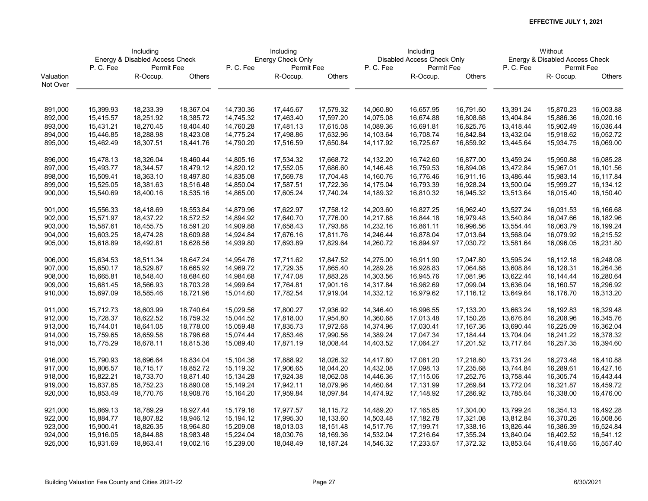|           | Including |                                |           | Including |                   |           | Including |                            |            |           | Without                        |               |
|-----------|-----------|--------------------------------|-----------|-----------|-------------------|-----------|-----------|----------------------------|------------|-----------|--------------------------------|---------------|
|           |           | Energy & Disabled Access Check |           |           | Energy Check Only |           |           | Disabled Access Check Only |            |           | Energy & Disabled Access Check |               |
|           | P.C.Fee   | Permit Fee                     |           | P.C.Fee   | Permit Fee        |           | P.C.Fee   | Permit Fee                 |            | P.C.Fee   | Permit Fee                     |               |
| Valuation |           | R-Occup.                       | Others    |           | R-Occup.          | Others    |           | R-Occup.                   | Others     |           | R-Occup.                       | <b>Others</b> |
| Not Over  |           |                                |           |           |                   |           |           |                            |            |           |                                |               |
|           |           |                                |           |           |                   |           |           |                            |            |           |                                |               |
| 891,000   | 15,399.93 | 18,233.39                      | 18,367.04 | 14,730.36 | 17,445.67         | 17,579.32 | 14,060.80 | 16,657.95                  | 16,791.60  | 13,391.24 | 15,870.23                      | 16,003.88     |
| 892,000   | 15,415.57 | 18,251.92                      | 18,385.72 | 14,745.32 | 17,463.40         | 17,597.20 | 14,075.08 | 16,674.88                  | 16,808.68  | 13,404.84 | 15,886.36                      | 16,020.16     |
| 893,000   | 15,431.21 | 18,270.45                      | 18,404.40 | 14,760.28 | 17,481.13         | 17,615.08 | 14,089.36 | 16,691.81                  | 16,825.76  | 13,418.44 | 15,902.49                      | 16,036.44     |
| 894,000   | 15,446.85 | 18,288.98                      | 18,423.08 | 14,775.24 | 17,498.86         | 17,632.96 | 14,103.64 | 16,708.74                  | 16,842.84  | 13,432.04 | 15,918.62                      | 16,052.72     |
| 895,000   | 15,462.49 | 18,307.51                      | 18,441.76 | 14,790.20 | 17,516.59         | 17,650.84 | 14,117.92 | 16,725.67                  | 16,859.92  | 13,445.64 | 15,934.75                      | 16,069.00     |
|           |           |                                |           |           |                   |           |           |                            |            |           |                                |               |
| 896,000   | 15,478.13 | 18,326.04                      | 18,460.44 | 14,805.16 | 17,534.32         | 17,668.72 | 14,132.20 | 16,742.60                  | 16,877.00  | 13,459.24 | 15,950.88                      | 16,085.28     |
| 897,000   | 15,493.77 | 18,344.57                      | 18,479.12 | 14,820.12 | 17,552.05         | 17,686.60 | 14,146.48 | 16,759.53                  | 16,894.08  | 13,472.84 | 15,967.01                      | 16,101.56     |
| 898,000   | 15,509.41 | 18,363.10                      | 18,497.80 | 14,835.08 | 17,569.78         | 17,704.48 | 14,160.76 | 16,776.46                  | 16,911.16  | 13,486.44 | 15,983.14                      | 16,117.84     |
| 899,000   | 15,525.05 | 18,381.63                      | 18,516.48 | 14,850.04 | 17,587.51         | 17,722.36 | 14,175.04 | 16,793.39                  | 16,928.24  | 13,500.04 | 15,999.27                      | 16,134.12     |
| 900,000   | 15,540.69 | 18,400.16                      | 18,535.16 | 14,865.00 | 17,605.24         | 17,740.24 | 14,189.32 | 16,810.32                  | 16,945.32  | 13,513.64 | 16,015.40                      | 16,150.40     |
|           |           |                                |           |           |                   |           |           |                            |            |           |                                |               |
| 901,000   | 15,556.33 | 18,418.69                      | 18,553.84 | 14,879.96 | 17,622.97         | 17,758.12 | 14,203.60 | 16,827.25                  | 16,962.40  | 13,527.24 | 16,031.53                      | 16,166.68     |
| 902,000   | 15,571.97 | 18,437.22                      | 18,572.52 | 14,894.92 | 17,640.70         | 17,776.00 | 14,217.88 | 16,844.18                  | 16,979.48  | 13,540.84 | 16,047.66                      | 16,182.96     |
| 903,000   | 15,587.61 | 18,455.75                      | 18,591.20 | 14,909.88 | 17,658.43         | 17,793.88 | 14,232.16 | 16,861.11                  | 16,996.56  | 13,554.44 | 16,063.79                      | 16,199.24     |
| 904,000   | 15,603.25 | 18,474.28                      | 18,609.88 | 14,924.84 | 17,676.16         | 17,811.76 | 14,246.44 | 16,878.04                  | 17,013.64  | 13,568.04 | 16,079.92                      | 16,215.52     |
| 905,000   | 15,618.89 | 18,492.81                      | 18,628.56 | 14,939.80 | 17,693.89         | 17,829.64 | 14,260.72 | 16,894.97                  | 17,030.72  | 13,581.64 | 16,096.05                      | 16,231.80     |
| 906,000   | 15,634.53 | 18,511.34                      | 18,647.24 | 14,954.76 | 17,711.62         | 17,847.52 | 14,275.00 | 16,911.90                  | 17,047.80  | 13,595.24 | 16,112.18                      | 16,248.08     |
| 907,000   | 15,650.17 | 18,529.87                      | 18,665.92 | 14,969.72 | 17,729.35         | 17,865.40 | 14,289.28 | 16,928.83                  | 17,064.88  | 13,608.84 | 16,128.31                      | 16,264.36     |
| 908,000   | 15,665.81 | 18,548.40                      | 18,684.60 | 14,984.68 | 17,747.08         | 17,883.28 | 14,303.56 | 16,945.76                  | 17,081.96  | 13,622.44 | 16,144.44                      | 16,280.64     |
| 909,000   | 15,681.45 | 18,566.93                      | 18,703.28 | 14,999.64 | 17,764.81         | 17,901.16 | 14,317.84 | 16,962.69                  | 17,099.04  | 13,636.04 | 16,160.57                      | 16,296.92     |
| 910,000   | 15,697.09 | 18,585.46                      | 18,721.96 | 15,014.60 | 17,782.54         | 17,919.04 | 14,332.12 | 16,979.62                  | 17,116.12  | 13,649.64 | 16,176.70                      | 16,313.20     |
| 911,000   | 15,712.73 | 18,603.99                      | 18,740.64 | 15,029.56 | 17,800.27         | 17,936.92 | 14,346.40 | 16,996.55                  | 17,133.20  | 13,663.24 | 16,192.83                      | 16,329.48     |
| 912,000   | 15,728.37 | 18,622.52                      | 18,759.32 | 15,044.52 | 17,818.00         | 17,954.80 | 14,360.68 | 17,013.48                  | 17,150.28  | 13,676.84 | 16,208.96                      | 16,345.76     |
| 913,000   | 15,744.01 | 18,641.05                      | 18,778.00 | 15,059.48 | 17,835.73         | 17,972.68 | 14,374.96 | 17,030.41                  | 17, 167.36 | 13,690.44 | 16,225.09                      | 16,362.04     |
| 914,000   | 15,759.65 | 18,659.58                      | 18,796.68 | 15,074.44 | 17,853.46         | 17,990.56 | 14,389.24 | 17,047.34                  | 17,184.44  | 13,704.04 | 16,241.22                      | 16,378.32     |
| 915,000   | 15,775.29 | 18,678.11                      | 18,815.36 | 15,089.40 | 17,871.19         | 18,008.44 | 14,403.52 | 17,064.27                  | 17,201.52  | 13,717.64 | 16,257.35                      | 16,394.60     |
|           |           |                                |           |           |                   |           |           |                            |            |           |                                |               |
| 916,000   | 15,790.93 | 18,696.64                      | 18,834.04 | 15,104.36 | 17,888.92         | 18,026.32 | 14,417.80 | 17,081.20                  | 17,218.60  | 13,731.24 | 16,273.48                      | 16,410.88     |
| 917,000   | 15,806.57 | 18,715.17                      | 18,852.72 | 15,119.32 | 17,906.65         | 18,044.20 | 14,432.08 | 17,098.13                  | 17,235.68  | 13,744.84 | 16,289.61                      | 16,427.16     |
| 918,000   | 15,822.21 | 18,733.70                      | 18,871.40 | 15,134.28 | 17,924.38         | 18,062.08 | 14,446.36 | 17,115.06                  | 17,252.76  | 13,758.44 | 16,305.74                      | 16,443.44     |
| 919,000   | 15,837.85 | 18,752.23                      | 18,890.08 | 15,149.24 | 17,942.11         | 18,079.96 | 14,460.64 | 17,131.99                  | 17,269.84  | 13,772.04 | 16,321.87                      | 16,459.72     |
| 920,000   | 15,853.49 | 18,770.76                      | 18,908.76 | 15,164.20 | 17,959.84         | 18,097.84 | 14,474.92 | 17,148.92                  | 17,286.92  | 13,785.64 | 16,338.00                      | 16,476.00     |
| 921,000   | 15,869.13 | 18,789.29                      | 18,927.44 | 15,179.16 | 17,977.57         | 18,115.72 | 14,489.20 | 17,165.85                  | 17,304.00  | 13,799.24 | 16,354.13                      | 16,492.28     |
| 922,000   | 15,884.77 | 18,807.82                      | 18,946.12 | 15,194.12 | 17,995.30         | 18,133.60 | 14,503.48 | 17,182.78                  | 17,321.08  | 13,812.84 | 16,370.26                      | 16,508.56     |
| 923,000   | 15,900.41 | 18,826.35                      | 18,964.80 | 15,209.08 | 18,013.03         | 18,151.48 | 14,517.76 | 17,199.71                  | 17,338.16  | 13,826.44 | 16,386.39                      | 16,524.84     |
| 924,000   | 15,916.05 | 18,844.88                      | 18,983.48 | 15,224.04 | 18,030.76         | 18,169.36 | 14,532.04 | 17,216.64                  | 17,355.24  | 13,840.04 | 16,402.52                      | 16,541.12     |
| 925,000   | 15,931.69 | 18,863.41                      | 19,002.16 | 15,239.00 | 18,048.49         | 18,187.24 | 14,546.32 | 17,233.57                  | 17,372.32  | 13,853.64 | 16,418.65                      | 16,557.40     |
|           |           |                                |           |           |                   |           |           |                            |            |           |                                |               |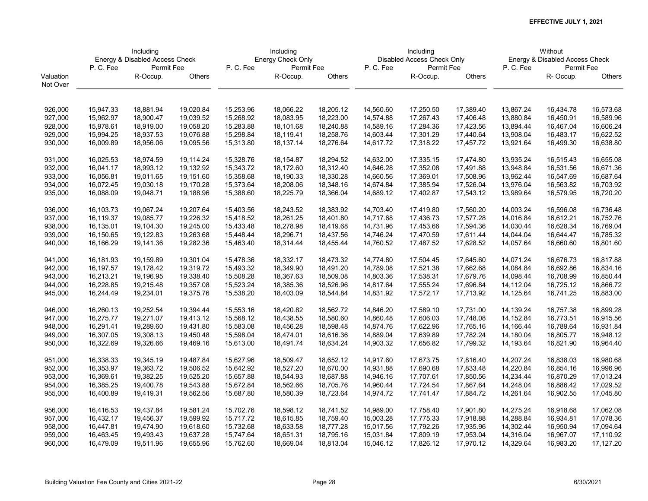|           | Including |                                |           | Including |                   |           | Including |                            |           |           | Without                        |               |
|-----------|-----------|--------------------------------|-----------|-----------|-------------------|-----------|-----------|----------------------------|-----------|-----------|--------------------------------|---------------|
|           |           | Energy & Disabled Access Check |           |           | Energy Check Only |           |           | Disabled Access Check Only |           |           | Energy & Disabled Access Check |               |
|           | P.C.Fee   | Permit Fee                     |           | P.C.Fee   | Permit Fee        |           | P.C.Fee   | Permit Fee                 |           | P.C.Fee   | Permit Fee                     |               |
| Valuation |           | R-Occup.                       | Others    |           | R-Occup.          | Others    |           | R-Occup.                   | Others    |           | R-Occup.                       | <b>Others</b> |
| Not Over  |           |                                |           |           |                   |           |           |                            |           |           |                                |               |
|           |           |                                |           |           |                   |           |           |                            |           |           |                                |               |
| 926,000   | 15,947.33 | 18,881.94                      | 19,020.84 | 15,253.96 | 18,066.22         | 18,205.12 | 14,560.60 | 17,250.50                  | 17,389.40 | 13,867.24 | 16,434.78                      | 16,573.68     |
| 927,000   | 15,962.97 | 18,900.47                      | 19,039.52 | 15,268.92 | 18,083.95         | 18,223.00 | 14,574.88 | 17,267.43                  | 17,406.48 | 13,880.84 | 16,450.91                      | 16,589.96     |
| 928,000   | 15,978.61 | 18,919.00                      | 19,058.20 | 15,283.88 | 18,101.68         | 18,240.88 | 14,589.16 | 17,284.36                  | 17,423.56 | 13,894.44 | 16,467.04                      | 16,606.24     |
| 929,000   | 15,994.25 | 18,937.53                      | 19,076.88 | 15,298.84 | 18,119.41         | 18,258.76 | 14,603.44 | 17,301.29                  | 17,440.64 | 13,908.04 | 16,483.17                      | 16,622.52     |
| 930,000   | 16,009.89 | 18,956.06                      | 19,095.56 | 15,313.80 | 18,137.14         | 18,276.64 | 14,617.72 | 17,318.22                  | 17,457.72 | 13,921.64 | 16,499.30                      | 16,638.80     |
|           |           |                                |           |           |                   |           |           |                            |           |           |                                |               |
| 931,000   | 16,025.53 | 18,974.59                      | 19,114.24 | 15,328.76 | 18,154.87         | 18,294.52 | 14,632.00 | 17,335.15                  | 17,474.80 | 13,935.24 | 16,515.43                      | 16,655.08     |
| 932,000   | 16,041.17 | 18,993.12                      | 19,132.92 | 15,343.72 | 18,172.60         | 18,312.40 | 14,646.28 | 17,352.08                  | 17,491.88 | 13,948.84 | 16,531.56                      | 16,671.36     |
| 933,000   | 16,056.81 | 19,011.65                      | 19,151.60 | 15,358.68 | 18,190.33         | 18,330.28 | 14,660.56 | 17,369.01                  | 17,508.96 | 13,962.44 | 16,547.69                      | 16,687.64     |
| 934,000   | 16,072.45 | 19,030.18                      | 19,170.28 | 15,373.64 | 18,208.06         | 18,348.16 | 14,674.84 | 17,385.94                  | 17,526.04 | 13,976.04 | 16,563.82                      | 16,703.92     |
| 935,000   | 16,088.09 | 19,048.71                      | 19,188.96 | 15,388.60 | 18,225.79         | 18,366.04 | 14,689.12 | 17,402.87                  | 17,543.12 | 13,989.64 | 16,579.95                      | 16,720.20     |
|           |           |                                |           |           |                   |           |           |                            |           |           |                                |               |
| 936,000   | 16,103.73 | 19,067.24                      | 19,207.64 | 15,403.56 | 18,243.52         | 18,383.92 | 14,703.40 | 17,419.80                  | 17,560.20 | 14,003.24 | 16,596.08                      | 16,736.48     |
| 937,000   | 16,119.37 | 19,085.77                      | 19,226.32 | 15,418.52 | 18,261.25         | 18,401.80 | 14,717.68 | 17,436.73                  | 17,577.28 | 14,016.84 | 16,612.21                      | 16,752.76     |
| 938,000   | 16,135.01 | 19,104.30                      | 19,245.00 | 15,433.48 | 18,278.98         | 18,419.68 | 14,731.96 | 17,453.66                  | 17,594.36 | 14,030.44 | 16,628.34                      | 16,769.04     |
| 939,000   | 16,150.65 | 19,122.83                      | 19,263.68 | 15,448.44 | 18,296.71         | 18,437.56 | 14,746.24 | 17,470.59                  | 17,611.44 | 14,044.04 | 16,644.47                      | 16,785.32     |
| 940,000   | 16,166.29 | 19,141.36                      | 19,282.36 | 15,463.40 | 18,314.44         | 18,455.44 | 14,760.52 | 17,487.52                  | 17,628.52 | 14,057.64 | 16,660.60                      | 16,801.60     |
| 941,000   | 16,181.93 | 19,159.89                      | 19,301.04 | 15,478.36 | 18,332.17         | 18,473.32 | 14,774.80 | 17,504.45                  | 17,645.60 | 14,071.24 | 16,676.73                      | 16,817.88     |
| 942,000   | 16,197.57 | 19,178.42                      | 19,319.72 | 15,493.32 | 18,349.90         | 18,491.20 | 14,789.08 | 17,521.38                  | 17,662.68 | 14,084.84 | 16,692.86                      | 16,834.16     |
| 943,000   | 16,213.21 | 19,196.95                      | 19,338.40 | 15,508.28 | 18,367.63         | 18,509.08 | 14,803.36 | 17,538.31                  | 17,679.76 | 14,098.44 | 16,708.99                      | 16,850.44     |
| 944,000   | 16,228.85 | 19,215.48                      | 19,357.08 | 15,523.24 | 18,385.36         | 18,526.96 | 14,817.64 | 17,555.24                  | 17,696.84 | 14,112.04 | 16,725.12                      | 16,866.72     |
| 945,000   | 16,244.49 | 19,234.01                      | 19,375.76 | 15,538.20 | 18,403.09         | 18,544.84 | 14,831.92 | 17,572.17                  | 17,713.92 | 14,125.64 | 16,741.25                      | 16,883.00     |
|           |           |                                |           |           |                   |           |           |                            |           |           |                                |               |
| 946,000   | 16,260.13 | 19,252.54                      | 19,394.44 | 15,553.16 | 18,420.82         | 18,562.72 | 14,846.20 | 17,589.10                  | 17,731.00 | 14,139.24 | 16,757.38                      | 16,899.28     |
| 947,000   | 16,275.77 | 19,271.07                      | 19,413.12 | 15,568.12 | 18,438.55         | 18,580.60 | 14,860.48 | 17,606.03                  | 17,748.08 | 14,152.84 | 16,773.51                      | 16,915.56     |
| 948,000   | 16,291.41 | 19,289.60                      | 19,431.80 | 15,583.08 | 18,456.28         | 18,598.48 | 14,874.76 | 17,622.96                  | 17,765.16 | 14,166.44 | 16,789.64                      | 16,931.84     |
| 949,000   | 16,307.05 | 19,308.13                      | 19,450.48 | 15,598.04 | 18,474.01         | 18,616.36 | 14,889.04 | 17,639.89                  | 17,782.24 | 14,180.04 | 16,805.77                      | 16,948.12     |
| 950,000   | 16,322.69 | 19,326.66                      | 19,469.16 | 15,613.00 | 18,491.74         | 18,634.24 | 14,903.32 | 17,656.82                  | 17,799.32 | 14,193.64 | 16,821.90                      | 16,964.40     |
| 951,000   | 16,338.33 | 19,345.19                      | 19,487.84 | 15,627.96 | 18,509.47         | 18,652.12 | 14,917.60 | 17,673.75                  | 17,816.40 | 14,207.24 | 16,838.03                      | 16,980.68     |
| 952,000   | 16,353.97 | 19,363.72                      | 19,506.52 | 15,642.92 | 18,527.20         | 18,670.00 | 14,931.88 | 17,690.68                  | 17,833.48 | 14,220.84 | 16,854.16                      | 16,996.96     |
| 953,000   | 16,369.61 | 19,382.25                      | 19,525.20 | 15,657.88 | 18,544.93         | 18,687.88 | 14,946.16 | 17,707.61                  | 17,850.56 | 14,234.44 | 16,870.29                      | 17,013.24     |
| 954,000   | 16,385.25 | 19,400.78                      | 19,543.88 | 15,672.84 | 18,562.66         | 18,705.76 | 14,960.44 | 17,724.54                  | 17,867.64 | 14,248.04 | 16,886.42                      | 17,029.52     |
| 955,000   | 16,400.89 | 19,419.31                      | 19,562.56 | 15,687.80 | 18,580.39         | 18,723.64 | 14,974.72 | 17,741.47                  | 17,884.72 | 14,261.64 | 16,902.55                      | 17,045.80     |
|           |           |                                |           |           |                   |           |           |                            |           |           |                                |               |
| 956,000   | 16,416.53 | 19,437.84                      | 19,581.24 | 15,702.76 | 18,598.12         | 18,741.52 | 14,989.00 | 17,758.40                  | 17,901.80 | 14,275.24 | 16,918.68                      | 17,062.08     |
| 957,000   | 16,432.17 | 19,456.37                      | 19,599.92 | 15,717.72 | 18,615.85         | 18,759.40 | 15,003.28 | 17,775.33                  | 17,918.88 | 14,288.84 | 16,934.81                      | 17,078.36     |
| 958,000   | 16,447.81 | 19,474.90                      | 19,618.60 | 15,732.68 | 18,633.58         | 18,777.28 | 15,017.56 | 17,792.26                  | 17,935.96 | 14,302.44 | 16,950.94                      | 17,094.64     |
| 959,000   | 16,463.45 | 19,493.43                      | 19,637.28 | 15,747.64 | 18,651.31         | 18,795.16 | 15,031.84 | 17,809.19                  | 17,953.04 | 14,316.04 | 16,967.07                      | 17,110.92     |
| 960,000   | 16,479.09 | 19,511.96                      | 19,655.96 | 15,762.60 | 18,669.04         | 18,813.04 | 15,046.12 | 17,826.12                  | 17,970.12 | 14,329.64 | 16,983.20                      | 17,127.20     |
|           |           |                                |           |           |                   |           |           |                            |           |           |                                |               |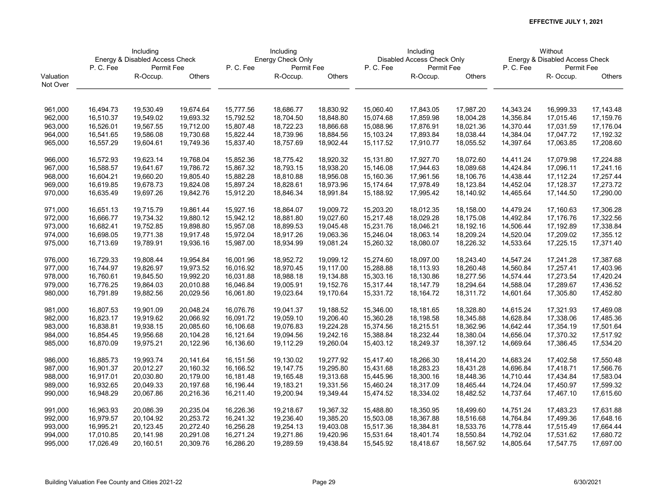|           | Including              |                                |           | Including              |                   |           | Including |                            |           |           | Without                        |               |
|-----------|------------------------|--------------------------------|-----------|------------------------|-------------------|-----------|-----------|----------------------------|-----------|-----------|--------------------------------|---------------|
|           |                        | Energy & Disabled Access Check |           |                        | Energy Check Only |           |           | Disabled Access Check Only |           |           | Energy & Disabled Access Check |               |
|           | P.C.Fee                | Permit Fee                     |           | P.C.Fee                | Permit Fee        |           | P.C.Fee   | Permit Fee                 |           | P.C.Fee   | Permit Fee                     |               |
| Valuation |                        | R-Occup.                       | Others    |                        | R-Occup.          | Others    |           | R-Occup.                   | Others    |           | R-Occup.                       | <b>Others</b> |
| Not Over  |                        |                                |           |                        |                   |           |           |                            |           |           |                                |               |
|           |                        |                                |           |                        |                   |           |           |                            |           |           |                                |               |
| 961,000   | 16,494.73              | 19,530.49                      | 19,674.64 | 15,777.56              | 18,686.77         | 18,830.92 | 15,060.40 | 17,843.05                  | 17,987.20 | 14,343.24 | 16,999.33                      | 17,143.48     |
| 962,000   | 16,510.37              | 19,549.02                      | 19,693.32 | 15,792.52              | 18,704.50         | 18,848.80 | 15,074.68 | 17,859.98                  | 18,004.28 | 14,356.84 | 17,015.46                      | 17,159.76     |
| 963,000   | 16,526.01              | 19,567.55                      | 19,712.00 | 15,807.48              | 18,722.23         | 18,866.68 | 15,088.96 | 17,876.91                  | 18,021.36 | 14,370.44 | 17,031.59                      | 17,176.04     |
| 964,000   | 16,541.65              | 19,586.08                      | 19,730.68 | 15,822.44              | 18,739.96         | 18,884.56 | 15,103.24 | 17,893.84                  | 18,038.44 | 14,384.04 | 17,047.72                      | 17,192.32     |
| 965,000   | 16,557.29              | 19,604.61                      | 19,749.36 | 15,837.40              | 18,757.69         | 18,902.44 | 15,117.52 | 17,910.77                  | 18,055.52 | 14,397.64 | 17,063.85                      | 17,208.60     |
|           |                        |                                |           |                        |                   |           |           |                            |           |           |                                |               |
| 966,000   | 16,572.93              | 19,623.14                      | 19,768.04 | 15,852.36              | 18,775.42         | 18,920.32 | 15,131.80 | 17,927.70                  | 18,072.60 | 14,411.24 | 17,079.98                      | 17,224.88     |
| 967,000   | 16,588.57              | 19,641.67                      | 19,786.72 | 15,867.32              | 18,793.15         | 18,938.20 | 15,146.08 | 17,944.63                  | 18,089.68 | 14,424.84 | 17,096.11                      | 17,241.16     |
| 968,000   | 16,604.21              | 19,660.20                      | 19,805.40 | 15,882.28              | 18,810.88         | 18,956.08 | 15,160.36 | 17,961.56                  | 18,106.76 | 14,438.44 | 17,112.24                      | 17,257.44     |
| 969,000   | 16,619.85              | 19,678.73                      | 19,824.08 | 15,897.24              | 18,828.61         | 18,973.96 | 15,174.64 | 17,978.49                  | 18,123.84 | 14,452.04 | 17,128.37                      | 17,273.72     |
| 970,000   | 16,635.49              | 19,697.26                      | 19,842.76 | 15,912.20              | 18,846.34         | 18,991.84 | 15,188.92 | 17,995.42                  | 18,140.92 | 14,465.64 | 17,144.50                      | 17,290.00     |
|           |                        |                                |           |                        |                   |           |           |                            |           |           |                                |               |
| 971,000   | 16,651.13              | 19,715.79                      | 19,861.44 | 15,927.16              | 18,864.07         | 19,009.72 | 15,203.20 | 18,012.35                  | 18,158.00 | 14,479.24 | 17,160.63                      | 17,306.28     |
| 972,000   | 16,666.77              | 19,734.32                      | 19,880.12 | 15,942.12              | 18,881.80         | 19,027.60 | 15,217.48 | 18,029.28                  | 18,175.08 | 14,492.84 | 17,176.76                      | 17,322.56     |
| 973,000   | 16,682.41              | 19,752.85                      | 19,898.80 | 15,957.08              | 18,899.53         | 19,045.48 | 15,231.76 | 18,046.21                  | 18,192.16 | 14,506.44 | 17,192.89                      | 17,338.84     |
| 974,000   | 16,698.05              | 19,771.38                      | 19,917.48 | 15,972.04              | 18,917.26         | 19,063.36 | 15,246.04 | 18,063.14                  | 18,209.24 | 14,520.04 | 17,209.02                      | 17,355.12     |
| 975,000   | 16,713.69              | 19,789.91                      | 19,936.16 | 15,987.00              | 18,934.99         | 19,081.24 | 15,260.32 | 18,080.07                  | 18,226.32 | 14,533.64 | 17,225.15                      | 17,371.40     |
| 976,000   | 16,729.33              | 19,808.44                      | 19,954.84 | 16,001.96              | 18,952.72         | 19,099.12 | 15,274.60 | 18,097.00                  | 18,243.40 | 14,547.24 | 17,241.28                      | 17,387.68     |
| 977,000   | 16,744.97              | 19,826.97                      | 19,973.52 | 16,016.92              | 18,970.45         | 19,117.00 | 15,288.88 | 18,113.93                  | 18,260.48 | 14,560.84 | 17,257.41                      | 17,403.96     |
| 978,000   | 16,760.61              | 19,845.50                      | 19,992.20 | 16,031.88              | 18,988.18         | 19,134.88 | 15,303.16 | 18,130.86                  | 18,277.56 | 14,574.44 | 17,273.54                      | 17,420.24     |
| 979,000   | 16,776.25              | 19,864.03                      | 20,010.88 | 16,046.84              | 19,005.91         | 19,152.76 | 15,317.44 | 18,147.79                  | 18,294.64 | 14,588.04 | 17,289.67                      | 17,436.52     |
| 980,000   | 16,791.89              | 19,882.56                      | 20,029.56 | 16,061.80              | 19,023.64         | 19,170.64 | 15,331.72 | 18,164.72                  | 18,311.72 | 14,601.64 | 17,305.80                      | 17,452.80     |
| 981,000   | 16,807.53              | 19,901.09                      | 20,048.24 | 16,076.76              | 19,041.37         | 19,188.52 | 15,346.00 | 18,181.65                  | 18,328.80 | 14,615.24 | 17,321.93                      | 17,469.08     |
| 982,000   | 16,823.17              | 19,919.62                      | 20,066.92 | 16,091.72              | 19,059.10         | 19,206.40 | 15,360.28 | 18,198.58                  | 18,345.88 | 14,628.84 | 17,338.06                      | 17,485.36     |
| 983,000   | 16,838.81              | 19,938.15                      | 20,085.60 | 16,106.68              | 19,076.83         | 19,224.28 | 15,374.56 | 18,215.51                  | 18,362.96 | 14,642.44 | 17,354.19                      | 17,501.64     |
|           |                        |                                |           |                        | 19,094.56         | 19,242.16 |           | 18,232.44                  | 18,380.04 |           | 17,370.32                      | 17,517.92     |
| 984,000   | 16,854.45<br>16,870.09 | 19,956.68                      | 20,104.28 | 16,121.64<br>16,136.60 |                   | 19,260.04 | 15,388.84 |                            |           | 14,656.04 | 17,386.45                      |               |
| 985,000   |                        | 19,975.21                      | 20,122.96 |                        | 19,112.29         |           | 15,403.12 | 18,249.37                  | 18,397.12 | 14,669.64 |                                | 17,534.20     |
| 986,000   | 16,885.73              | 19,993.74                      | 20,141.64 | 16,151.56              | 19,130.02         | 19,277.92 | 15,417.40 | 18,266.30                  | 18,414.20 | 14,683.24 | 17,402.58                      | 17,550.48     |
| 987,000   | 16,901.37              | 20,012.27                      | 20,160.32 | 16,166.52              | 19,147.75         | 19,295.80 | 15,431.68 | 18,283.23                  | 18,431.28 | 14,696.84 | 17,418.71                      | 17,566.76     |
| 988,000   | 16,917.01              | 20,030.80                      | 20,179.00 | 16,181.48              | 19,165.48         | 19,313.68 | 15,445.96 | 18,300.16                  | 18,448.36 | 14,710.44 | 17,434.84                      | 17,583.04     |
| 989,000   | 16,932.65              | 20,049.33                      | 20,197.68 | 16,196.44              | 19,183.21         | 19,331.56 | 15,460.24 | 18,317.09                  | 18,465.44 | 14,724.04 | 17,450.97                      | 17,599.32     |
| 990,000   | 16,948.29              | 20,067.86                      | 20,216.36 | 16,211.40              | 19,200.94         | 19,349.44 | 15,474.52 | 18,334.02                  | 18,482.52 | 14,737.64 | 17,467.10                      | 17,615.60     |
| 991,000   | 16,963.93              | 20,086.39                      | 20,235.04 | 16,226.36              | 19,218.67         | 19,367.32 | 15,488.80 | 18,350.95                  | 18,499.60 | 14,751.24 | 17,483.23                      | 17,631.88     |
| 992,000   | 16,979.57              | 20,104.92                      | 20,253.72 | 16,241.32              | 19,236.40         | 19,385.20 | 15,503.08 | 18,367.88                  | 18,516.68 | 14,764.84 | 17,499.36                      | 17,648.16     |
| 993,000   | 16,995.21              | 20,123.45                      | 20,272.40 | 16,256.28              | 19,254.13         | 19,403.08 | 15,517.36 | 18,384.81                  | 18,533.76 | 14,778.44 | 17,515.49                      | 17,664.44     |
|           |                        |                                |           |                        |                   | 19,420.96 |           |                            |           |           |                                |               |
| 994,000   | 17,010.85              | 20,141.98                      | 20,291.08 | 16,271.24              | 19,271.86         |           | 15,531.64 | 18,401.74                  | 18,550.84 | 14,792.04 | 17,531.62                      | 17,680.72     |
| 995,000   | 17,026.49              | 20,160.51                      | 20,309.76 | 16,286.20              | 19,289.59         | 19,438.84 | 15,545.92 | 18,418.67                  | 18,567.92 | 14,805.64 | 17,547.75                      | 17,697.00     |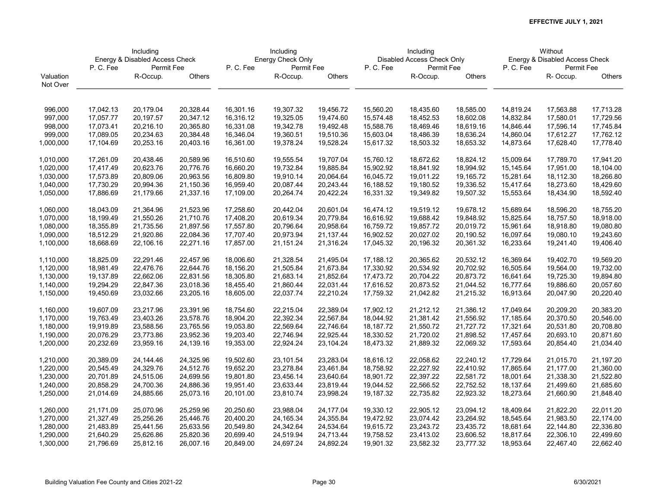|           | Including |                                |           | Including |                   |           | Including |                            |           |           | Without                        |               |
|-----------|-----------|--------------------------------|-----------|-----------|-------------------|-----------|-----------|----------------------------|-----------|-----------|--------------------------------|---------------|
|           |           | Energy & Disabled Access Check |           |           | Energy Check Only |           |           | Disabled Access Check Only |           |           | Energy & Disabled Access Check |               |
|           | P.C.Fee   | Permit Fee                     |           | P. C. Fee | Permit Fee        |           | P.C.Fee   | Permit Fee                 |           | P.C.Fee   | Permit Fee                     |               |
| Valuation |           | R-Occup.                       | Others    |           | R-Occup.          | Others    |           | R-Occup.                   | Others    |           | R- Occup.                      | <b>Others</b> |
| Not Over  |           |                                |           |           |                   |           |           |                            |           |           |                                |               |
|           |           |                                |           |           |                   |           |           |                            |           |           |                                |               |
| 996,000   | 17,042.13 | 20,179.04                      | 20,328.44 | 16,301.16 | 19,307.32         | 19,456.72 | 15,560.20 | 18,435.60                  | 18,585.00 | 14,819.24 | 17,563.88                      | 17,713.28     |
| 997,000   | 17,057.77 | 20,197.57                      | 20,347.12 | 16,316.12 | 19,325.05         | 19,474.60 | 15,574.48 | 18,452.53                  | 18,602.08 | 14,832.84 | 17,580.01                      | 17,729.56     |
| 998,000   | 17,073.41 | 20,216.10                      | 20,365.80 | 16,331.08 | 19,342.78         | 19,492.48 | 15,588.76 | 18,469.46                  | 18,619.16 | 14,846.44 | 17,596.14                      | 17,745.84     |
| 999,000   | 17,089.05 | 20,234.63                      | 20,384.48 | 16,346.04 | 19,360.51         | 19,510.36 | 15,603.04 | 18,486.39                  | 18,636.24 | 14,860.04 | 17,612.27                      | 17,762.12     |
| 1,000,000 | 17,104.69 | 20,253.16                      | 20,403.16 | 16,361.00 | 19,378.24         | 19,528.24 | 15,617.32 | 18,503.32                  | 18,653.32 | 14,873.64 | 17,628.40                      | 17,778.40     |
| 1,010,000 | 17,261.09 | 20,438.46                      | 20,589.96 | 16,510.60 | 19,555.54         | 19,707.04 | 15,760.12 | 18,672.62                  | 18,824.12 | 15,009.64 | 17,789.70                      | 17,941.20     |
| 1,020,000 | 17,417.49 | 20,623.76                      | 20,776.76 | 16,660.20 | 19,732.84         | 19,885.84 | 15,902.92 | 18,841.92                  | 18,994.92 | 15,145.64 | 17,951.00                      | 18,104.00     |
| 1,030,000 | 17,573.89 | 20,809.06                      | 20,963.56 | 16,809.80 | 19,910.14         | 20,064.64 | 16,045.72 | 19,011.22                  | 19,165.72 | 15,281.64 | 18,112.30                      | 18,266.80     |
| 1,040,000 | 17,730.29 | 20,994.36                      | 21,150.36 | 16,959.40 | 20,087.44         | 20,243.44 | 16,188.52 | 19,180.52                  | 19,336.52 | 15,417.64 | 18,273.60                      | 18,429.60     |
| 1,050,000 | 17,886.69 | 21,179.66                      | 21,337.16 | 17,109.00 | 20,264.74         | 20,422.24 | 16,331.32 | 19,349.82                  | 19,507.32 | 15,553.64 | 18,434.90                      | 18,592.40     |
|           |           |                                |           |           |                   |           |           |                            |           |           |                                |               |
| 1,060,000 | 18,043.09 | 21,364.96                      | 21,523.96 | 17,258.60 | 20,442.04         | 20,601.04 | 16,474.12 | 19,519.12                  | 19,678.12 | 15,689.64 | 18,596.20                      | 18,755.20     |
| 1,070,000 | 18,199.49 | 21,550.26                      | 21,710.76 | 17,408.20 | 20,619.34         | 20,779.84 | 16,616.92 | 19,688.42                  | 19,848.92 | 15,825.64 | 18,757.50                      | 18,918.00     |
| 1,080,000 | 18,355.89 | 21,735.56                      | 21,897.56 | 17,557.80 | 20,796.64         | 20,958.64 | 16,759.72 | 19,857.72                  | 20,019.72 | 15,961.64 | 18,918.80                      | 19,080.80     |
| 1,090,000 | 18,512.29 | 21,920.86                      | 22,084.36 | 17,707.40 | 20,973.94         | 21,137.44 | 16,902.52 | 20,027.02                  | 20,190.52 | 16,097.64 | 19,080.10                      | 19,243.60     |
| 1,100,000 | 18,668.69 | 22,106.16                      | 22,271.16 | 17,857.00 | 21,151.24         | 21,316.24 | 17,045.32 | 20,196.32                  | 20,361.32 | 16,233.64 | 19,241.40                      | 19,406.40     |
|           |           |                                |           |           |                   |           |           |                            |           |           |                                |               |
| 1,110,000 | 18,825.09 | 22,291.46                      | 22,457.96 | 18,006.60 | 21,328.54         | 21,495.04 | 17,188.12 | 20,365.62                  | 20,532.12 | 16,369.64 | 19,402.70                      | 19,569.20     |
| 1,120,000 | 18,981.49 | 22,476.76                      | 22,644.76 | 18,156.20 | 21,505.84         | 21,673.84 | 17,330.92 | 20,534.92                  | 20,702.92 | 16,505.64 | 19,564.00                      | 19,732.00     |
| 1,130,000 | 19,137.89 | 22,662.06                      | 22,831.56 | 18,305.80 | 21,683.14         | 21,852.64 | 17,473.72 | 20,704.22                  | 20,873.72 | 16,641.64 | 19,725.30                      | 19,894.80     |
| 1,140,000 | 19,294.29 | 22,847.36                      | 23,018.36 | 18,455.40 | 21,860.44         | 22,031.44 | 17,616.52 | 20,873.52                  | 21,044.52 | 16,777.64 | 19,886.60                      | 20,057.60     |
| 1,150,000 | 19,450.69 | 23,032.66                      | 23,205.16 | 18,605.00 | 22,037.74         | 22,210.24 | 17,759.32 | 21,042.82                  | 21,215.32 | 16,913.64 | 20,047.90                      | 20,220.40     |
| 1,160,000 | 19,607.09 | 23,217.96                      | 23,391.96 | 18,754.60 | 22,215.04         | 22,389.04 | 17,902.12 | 21,212.12                  | 21,386.12 | 17,049.64 | 20,209.20                      | 20,383.20     |
| 1,170,000 | 19,763.49 | 23,403.26                      | 23,578.76 | 18,904.20 | 22,392.34         | 22,567.84 | 18,044.92 | 21,381.42                  | 21,556.92 | 17,185.64 | 20,370.50                      | 20,546.00     |
| 1,180,000 | 19,919.89 | 23,588.56                      | 23,765.56 | 19,053.80 | 22,569.64         | 22,746.64 | 18,187.72 | 21,550.72                  | 21,727.72 | 17,321.64 | 20,531.80                      | 20,708.80     |
| 1,190,000 | 20,076.29 | 23,773.86                      | 23,952.36 | 19,203.40 | 22,746.94         | 22,925.44 | 18,330.52 | 21,720.02                  | 21,898.52 | 17,457.64 | 20,693.10                      | 20,871.60     |
| 1,200,000 | 20,232.69 | 23,959.16                      | 24,139.16 | 19,353.00 | 22,924.24         | 23,104.24 | 18,473.32 | 21,889.32                  | 22,069.32 | 17,593.64 | 20,854.40                      | 21,034.40     |
|           |           |                                |           |           |                   |           |           |                            |           |           |                                |               |
| 1,210,000 | 20,389.09 | 24,144.46                      | 24,325.96 | 19,502.60 | 23,101.54         | 23,283.04 | 18,616.12 | 22,058.62                  | 22,240.12 | 17,729.64 | 21,015.70                      | 21,197.20     |
| 1,220,000 | 20,545.49 | 24,329.76                      | 24,512.76 | 19,652.20 | 23,278.84         | 23,461.84 | 18,758.92 | 22,227.92                  | 22,410.92 | 17,865.64 | 21,177.00                      | 21,360.00     |
| 1,230,000 | 20,701.89 | 24,515.06                      | 24,699.56 | 19,801.80 | 23,456.14         | 23,640.64 | 18,901.72 | 22,397.22                  | 22,581.72 | 18,001.64 | 21,338.30                      | 21,522.80     |
| 1,240,000 | 20,858.29 | 24,700.36                      | 24,886.36 | 19,951.40 | 23,633.44         | 23,819.44 | 19,044.52 | 22,566.52                  | 22,752.52 | 18,137.64 | 21,499.60                      | 21,685.60     |
| 1,250,000 | 21,014.69 | 24,885.66                      | 25,073.16 | 20,101.00 | 23,810.74         | 23,998.24 | 19,187.32 | 22,735.82                  | 22,923.32 | 18,273.64 | 21,660.90                      | 21,848.40     |
| 1,260,000 | 21,171.09 | 25,070.96                      | 25,259.96 | 20,250.60 | 23,988.04         | 24,177.04 | 19,330.12 | 22,905.12                  | 23,094.12 | 18,409.64 | 21,822.20                      | 22,011.20     |
| 1,270,000 | 21,327.49 | 25,256.26                      | 25,446.76 | 20,400.20 | 24,165.34         | 24,355.84 | 19,472.92 | 23,074.42                  | 23,264.92 | 18,545.64 | 21,983.50                      | 22,174.00     |
| 1,280,000 | 21,483.89 | 25,441.56                      | 25,633.56 | 20,549.80 | 24,342.64         | 24,534.64 | 19,615.72 | 23,243.72                  | 23,435.72 | 18,681.64 | 22,144.80                      | 22,336.80     |
| 1,290,000 | 21,640.29 | 25,626.86                      | 25,820.36 | 20,699.40 | 24,519.94         | 24,713.44 | 19,758.52 | 23,413.02                  | 23,606.52 | 18,817.64 | 22,306.10                      | 22,499.60     |
| 1,300,000 | 21,796.69 | 25,812.16                      | 26,007.16 | 20,849.00 | 24,697.24         | 24,892.24 | 19,901.32 | 23,582.32                  | 23,777.32 | 18,953.64 | 22,467.40                      | 22,662.40     |
|           |           |                                |           |           |                   |           |           |                            |           |           |                                |               |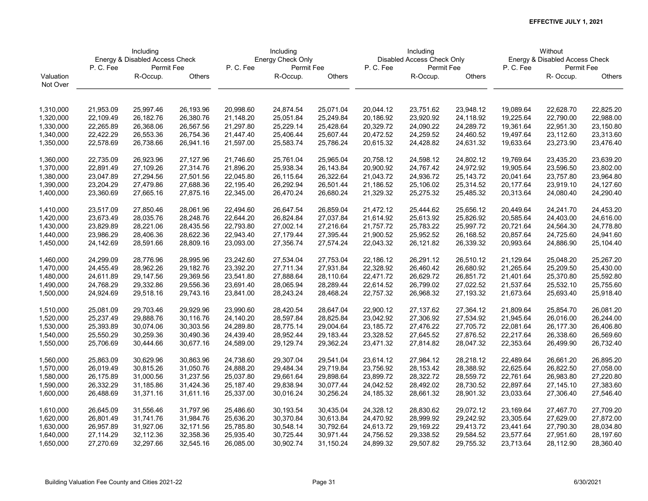|           | Including |                                |           | Including |                   |           | Including |                            |             |           | Without                        |               |
|-----------|-----------|--------------------------------|-----------|-----------|-------------------|-----------|-----------|----------------------------|-------------|-----------|--------------------------------|---------------|
|           |           | Energy & Disabled Access Check |           |           | Energy Check Only |           |           | Disabled Access Check Only |             |           | Energy & Disabled Access Check |               |
|           | P. C. Fee | Permit Fee                     |           | P. C. Fee | Permit Fee        |           | P.C.Fee   | Permit Fee                 |             | P.C.Fee   | Permit Fee                     |               |
| Valuation |           | R-Occup.                       | Others    |           | R-Occup.          | Others    |           | R-Occup.                   | Others      |           | R- Occup.                      | <b>Others</b> |
| Not Over  |           |                                |           |           |                   |           |           |                            |             |           |                                |               |
|           |           |                                |           |           |                   |           |           |                            |             |           |                                |               |
| 1,310,000 | 21,953.09 | 25,997.46                      | 26,193.96 | 20,998.60 | 24,874.54         | 25,071.04 | 20,044.12 | 23,751.62                  | 23,948.12   | 19,089.64 | 22,628.70                      | 22,825.20     |
| 1,320,000 | 22,109.49 | 26,182.76                      | 26,380.76 | 21,148.20 | 25,051.84         | 25,249.84 | 20,186.92 | 23,920.92                  | 24,118.92   | 19,225.64 | 22,790.00                      | 22,988.00     |
| 1,330,000 | 22,265.89 | 26,368.06                      | 26,567.56 | 21,297.80 | 25,229.14         | 25,428.64 | 20,329.72 | 24,090.22                  | 24,289.72   | 19,361.64 | 22,951.30                      | 23,150.80     |
| 1,340,000 | 22,422.29 | 26,553.36                      | 26,754.36 | 21,447.40 | 25,406.44         | 25,607.44 | 20,472.52 | 24,259.52                  | 24,460.52   | 19,497.64 | 23,112.60                      | 23,313.60     |
| 1,350,000 | 22,578.69 | 26,738.66                      | 26,941.16 | 21,597.00 | 25,583.74         | 25,786.24 | 20,615.32 | 24,428.82                  | 24,631.32   | 19,633.64 | 23,273.90                      | 23,476.40     |
|           |           |                                |           |           |                   |           |           |                            |             |           |                                |               |
| 1,360,000 | 22,735.09 | 26,923.96                      | 27,127.96 | 21,746.60 | 25,761.04         | 25,965.04 | 20,758.12 | 24,598.12                  | 24,802.12   | 19,769.64 | 23,435.20                      | 23,639.20     |
| 1,370,000 | 22,891.49 | 27,109.26                      | 27,314.76 | 21,896.20 | 25,938.34         | 26,143.84 | 20,900.92 | 24,767.42                  | 24,972.92   | 19,905.64 | 23,596.50                      | 23,802.00     |
| 1,380,000 | 23,047.89 | 27,294.56                      | 27,501.56 | 22,045.80 | 26,115.64         | 26,322.64 | 21,043.72 | 24,936.72                  | 25, 143. 72 | 20,041.64 | 23,757.80                      | 23,964.80     |
| 1,390,000 | 23,204.29 | 27,479.86                      | 27,688.36 | 22,195.40 | 26,292.94         | 26,501.44 | 21,186.52 | 25,106.02                  | 25,314.52   | 20,177.64 | 23,919.10                      | 24,127.60     |
| 1,400,000 | 23,360.69 | 27,665.16                      | 27,875.16 | 22,345.00 | 26,470.24         | 26,680.24 | 21,329.32 | 25,275.32                  | 25,485.32   | 20,313.64 | 24,080.40                      | 24,290.40     |
|           |           |                                |           |           |                   |           |           |                            |             |           |                                |               |
| 1,410,000 | 23,517.09 | 27,850.46                      | 28,061.96 | 22,494.60 | 26,647.54         | 26,859.04 | 21,472.12 | 25,444.62                  | 25,656.12   | 20,449.64 | 24,241.70                      | 24,453.20     |
| 1,420,000 | 23,673.49 | 28,035.76                      | 28,248.76 | 22,644.20 | 26,824.84         | 27,037.84 | 21,614.92 | 25,613.92                  | 25,826.92   | 20,585.64 | 24,403.00                      | 24,616.00     |
| 1,430,000 | 23,829.89 | 28,221.06                      | 28,435.56 | 22,793.80 | 27,002.14         | 27,216.64 | 21,757.72 | 25,783.22                  | 25,997.72   | 20,721.64 | 24,564.30                      | 24,778.80     |
| 1,440,000 | 23,986.29 | 28,406.36                      | 28,622.36 | 22,943.40 | 27,179.44         | 27,395.44 | 21,900.52 | 25,952.52                  | 26,168.52   | 20,857.64 | 24,725.60                      | 24,941.60     |
| 1,450,000 | 24,142.69 | 28,591.66                      | 28,809.16 | 23,093.00 | 27,356.74         | 27,574.24 | 22,043.32 | 26,121.82                  | 26,339.32   | 20,993.64 | 24,886.90                      | 25,104.40     |
| 1,460,000 | 24,299.09 | 28,776.96                      | 28,995.96 | 23,242.60 | 27,534.04         | 27,753.04 | 22,186.12 | 26,291.12                  | 26,510.12   | 21,129.64 | 25,048.20                      | 25,267.20     |
| 1,470,000 | 24,455.49 | 28,962.26                      | 29,182.76 | 23,392.20 | 27,711.34         | 27,931.84 | 22,328.92 | 26,460.42                  | 26,680.92   | 21,265.64 | 25,209.50                      | 25,430.00     |
| 1,480,000 | 24,611.89 | 29,147.56                      | 29,369.56 | 23,541.80 | 27,888.64         | 28,110.64 | 22,471.72 | 26,629.72                  | 26,851.72   | 21,401.64 | 25,370.80                      | 25,592.80     |
| 1,490,000 | 24,768.29 | 29,332.86                      | 29,556.36 | 23,691.40 | 28,065.94         | 28,289.44 | 22,614.52 | 26,799.02                  | 27,022.52   | 21,537.64 | 25,532.10                      | 25,755.60     |
| 1,500,000 | 24,924.69 | 29,518.16                      | 29,743.16 | 23,841.00 | 28,243.24         | 28,468.24 | 22,757.32 | 26,968.32                  | 27,193.32   | 21,673.64 | 25,693.40                      | 25,918.40     |
|           |           |                                |           |           |                   |           |           |                            |             |           |                                |               |
| 1,510,000 | 25,081.09 | 29,703.46                      | 29,929.96 | 23,990.60 | 28,420.54         | 28,647.04 | 22,900.12 | 27,137.62                  | 27,364.12   | 21,809.64 | 25,854.70                      | 26,081.20     |
| 1,520,000 | 25,237.49 | 29,888.76                      | 30,116.76 | 24,140.20 | 28,597.84         | 28,825.84 | 23,042.92 | 27,306.92                  | 27,534.92   | 21,945.64 | 26,016.00                      | 26,244.00     |
| 1,530,000 | 25,393.89 | 30,074.06                      | 30,303.56 | 24,289.80 | 28,775.14         | 29,004.64 | 23,185.72 | 27,476.22                  | 27,705.72   | 22,081.64 | 26,177.30                      | 26,406.80     |
| 1,540,000 | 25,550.29 | 30,259.36                      | 30,490.36 | 24,439.40 | 28,952.44         | 29,183.44 | 23,328.52 | 27,645.52                  | 27,876.52   | 22,217.64 | 26,338.60                      | 26,569.60     |
| 1,550,000 | 25,706.69 | 30,444.66                      | 30,677.16 | 24,589.00 | 29,129.74         | 29,362.24 | 23,471.32 | 27,814.82                  | 28,047.32   | 22,353.64 | 26,499.90                      | 26,732.40     |
| 1,560,000 | 25,863.09 | 30,629.96                      | 30,863.96 | 24,738.60 | 29,307.04         | 29,541.04 | 23,614.12 | 27,984.12                  | 28,218.12   | 22,489.64 | 26,661.20                      | 26,895.20     |
| 1,570,000 | 26,019.49 | 30,815.26                      | 31,050.76 | 24,888.20 | 29,484.34         | 29,719.84 | 23,756.92 | 28,153.42                  | 28,388.92   | 22,625.64 | 26,822.50                      | 27,058.00     |
| 1,580,000 | 26,175.89 | 31,000.56                      | 31,237.56 | 25,037.80 | 29,661.64         | 29,898.64 | 23,899.72 | 28,322.72                  | 28,559.72   | 22,761.64 | 26,983.80                      | 27,220.80     |
| 1,590,000 | 26,332.29 | 31,185.86                      | 31,424.36 | 25,187.40 | 29,838.94         | 30,077.44 | 24,042.52 | 28,492.02                  | 28,730.52   | 22,897.64 | 27,145.10                      | 27,383.60     |
| 1,600,000 | 26,488.69 | 31,371.16                      | 31,611.16 | 25,337.00 | 30,016.24         | 30,256.24 | 24,185.32 | 28,661.32                  | 28,901.32   | 23,033.64 | 27,306.40                      | 27,546.40     |
|           |           |                                |           |           |                   |           |           |                            |             |           |                                |               |
| 1,610,000 | 26,645.09 | 31,556.46                      | 31,797.96 | 25,486.60 | 30,193.54         | 30,435.04 | 24,328.12 | 28,830.62                  | 29,072.12   | 23,169.64 | 27,467.70                      | 27,709.20     |
| 1,620,000 | 26,801.49 | 31,741.76                      | 31,984.76 | 25,636.20 | 30,370.84         | 30,613.84 | 24,470.92 | 28,999.92                  | 29,242.92   | 23,305.64 | 27,629.00                      | 27,872.00     |
| 1,630,000 | 26,957.89 | 31,927.06                      | 32,171.56 | 25,785.80 | 30,548.14         | 30,792.64 | 24,613.72 | 29,169.22                  | 29,413.72   | 23,441.64 | 27,790.30                      | 28,034.80     |
| 1,640,000 | 27,114.29 | 32,112.36                      | 32,358.36 | 25,935.40 | 30,725.44         | 30,971.44 | 24,756.52 | 29,338.52                  | 29,584.52   | 23,577.64 | 27,951.60                      | 28,197.60     |
| 1,650,000 | 27,270.69 | 32,297.66                      | 32,545.16 | 26,085.00 | 30,902.74         | 31,150.24 | 24,899.32 | 29,507.82                  | 29,755.32   | 23,713.64 | 28,112.90                      | 28,360.40     |
|           |           |                                |           |           |                   |           |           |                            |             |           |                                |               |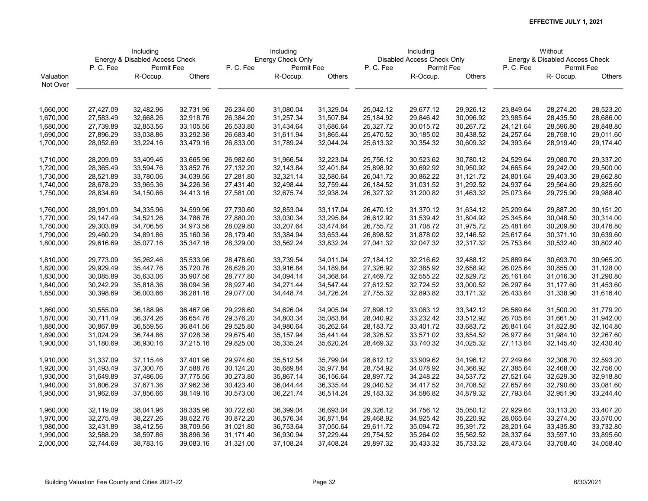|           | Including |                                |           | Including |                   |           | Including |                            |           |           | Without                        |               |
|-----------|-----------|--------------------------------|-----------|-----------|-------------------|-----------|-----------|----------------------------|-----------|-----------|--------------------------------|---------------|
|           |           | Energy & Disabled Access Check |           |           | Energy Check Only |           |           | Disabled Access Check Only |           |           | Energy & Disabled Access Check |               |
|           | P.C.Fee   | Permit Fee                     |           | P.C.Fee   | Permit Fee        |           | P.C.Fee   | Permit Fee                 |           | P.C.Fee   | Permit Fee                     |               |
| Valuation |           | R-Occup.                       | Others    |           | R-Occup.          | Others    |           | R-Occup.                   | Others    |           | R- Occup.                      | <b>Others</b> |
| Not Over  |           |                                |           |           |                   |           |           |                            |           |           |                                |               |
|           |           |                                |           |           |                   |           |           |                            |           |           |                                |               |
| 1,660,000 | 27,427.09 | 32,482.96                      | 32,731.96 | 26,234.60 | 31,080.04         | 31,329.04 | 25,042.12 | 29,677.12                  | 29,926.12 | 23,849.64 | 28,274.20                      | 28,523.20     |
| 1,670,000 | 27,583.49 | 32,668.26                      | 32,918.76 | 26,384.20 | 31,257.34         | 31,507.84 | 25,184.92 | 29,846.42                  | 30,096.92 | 23,985.64 | 28,435.50                      | 28,686.00     |
| 1,680,000 | 27,739.89 | 32,853.56                      | 33,105.56 | 26,533.80 | 31,434.64         | 31,686.64 | 25,327.72 | 30,015.72                  | 30,267.72 | 24,121.64 | 28,596.80                      | 28,848.80     |
| 1,690,000 | 27,896.29 | 33,038.86                      | 33,292.36 | 26,683.40 | 31,611.94         | 31,865.44 | 25,470.52 | 30,185.02                  | 30,438.52 | 24,257.64 | 28,758.10                      | 29,011.60     |
| 1,700,000 | 28,052.69 | 33,224.16                      | 33,479.16 | 26,833.00 | 31,789.24         | 32,044.24 | 25,613.32 | 30,354.32                  | 30,609.32 | 24,393.64 | 28,919.40                      | 29,174.40     |
|           |           |                                |           |           |                   |           |           |                            |           |           |                                |               |
| 1,710,000 | 28,209.09 | 33,409.46                      | 33,665.96 | 26,982.60 | 31,966.54         | 32,223.04 | 25,756.12 | 30,523.62                  | 30,780.12 | 24,529.64 | 29,080.70                      | 29,337.20     |
| 1,720,000 | 28,365.49 | 33,594.76                      | 33,852.76 | 27,132.20 | 32,143.84         | 32,401.84 | 25,898.92 | 30,692.92                  | 30,950.92 | 24,665.64 | 29,242.00                      | 29,500.00     |
| 1,730,000 | 28,521.89 | 33,780.06                      | 34,039.56 | 27,281.80 | 32,321.14         | 32,580.64 | 26,041.72 | 30,862.22                  | 31,121.72 | 24,801.64 | 29,403.30                      | 29,662.80     |
| 1,740,000 | 28,678.29 | 33,965.36                      | 34,226.36 | 27,431.40 | 32,498.44         | 32,759.44 | 26,184.52 | 31,031.52                  | 31,292.52 | 24,937.64 | 29,564.60                      | 29,825.60     |
| 1,750,000 | 28,834.69 | 34,150.66                      | 34,413.16 | 27,581.00 | 32,675.74         | 32,938.24 | 26,327.32 | 31,200.82                  | 31,463.32 | 25,073.64 | 29,725.90                      | 29,988.40     |
|           |           |                                |           |           |                   |           |           |                            |           |           |                                |               |
| 1,760,000 | 28,991.09 | 34,335.96                      | 34,599.96 | 27,730.60 | 32,853.04         | 33,117.04 | 26,470.12 | 31,370.12                  | 31,634.12 | 25,209.64 | 29,887.20                      | 30,151.20     |
| 1,770,000 | 29,147.49 | 34,521.26                      | 34,786.76 | 27,880.20 | 33,030.34         | 33,295.84 | 26,612.92 | 31,539.42                  | 31,804.92 | 25,345.64 | 30,048.50                      | 30,314.00     |
| 1,780,000 | 29,303.89 | 34,706.56                      | 34,973.56 | 28,029.80 | 33,207.64         | 33,474.64 | 26,755.72 | 31,708.72                  | 31,975.72 | 25,481.64 | 30,209.80                      | 30,476.80     |
| 1,790,000 | 29,460.29 | 34,891.86                      | 35,160.36 | 28,179.40 | 33,384.94         | 33,653.44 | 26,898.52 | 31,878.02                  | 32,146.52 | 25,617.64 | 30,371.10                      | 30,639.60     |
| 1,800,000 | 29,616.69 | 35,077.16                      | 35,347.16 | 28,329.00 | 33,562.24         | 33,832.24 | 27,041.32 | 32,047.32                  | 32,317.32 | 25,753.64 | 30,532.40                      | 30,802.40     |
| 1,810,000 | 29,773.09 | 35,262.46                      | 35,533.96 | 28,478.60 | 33,739.54         | 34,011.04 | 27,184.12 | 32,216.62                  | 32,488.12 | 25,889.64 | 30,693.70                      | 30,965.20     |
| 1,820,000 | 29,929.49 | 35,447.76                      | 35,720.76 | 28,628.20 | 33,916.84         | 34,189.84 | 27,326.92 | 32,385.92                  | 32,658.92 | 26,025.64 | 30,855.00                      | 31,128.00     |
| 1,830,000 | 30,085.89 | 35,633.06                      | 35,907.56 | 28,777.80 | 34,094.14         | 34,368.64 | 27,469.72 | 32,555.22                  | 32,829.72 | 26,161.64 | 31,016.30                      | 31,290.80     |
| 1,840,000 | 30,242.29 | 35,818.36                      | 36,094.36 | 28,927.40 | 34,271.44         | 34,547.44 | 27,612.52 | 32,724.52                  | 33,000.52 | 26,297.64 | 31,177.60                      | 31,453.60     |
| 1,850,000 | 30,398.69 | 36,003.66                      | 36,281.16 | 29,077.00 | 34,448.74         | 34,726.24 | 27,755.32 | 32,893.82                  | 33,171.32 | 26,433.64 | 31,338.90                      | 31,616.40     |
|           |           |                                |           |           |                   |           |           |                            |           |           |                                |               |
| 1,860,000 | 30,555.09 | 36,188.96                      | 36,467.96 | 29,226.60 | 34,626.04         | 34,905.04 | 27,898.12 | 33,063.12                  | 33,342.12 | 26,569.64 | 31,500.20                      | 31,779.20     |
| 1,870,000 | 30,711.49 | 36,374.26                      | 36,654.76 | 29,376.20 | 34,803.34         | 35,083.84 | 28,040.92 | 33,232.42                  | 33,512.92 | 26,705.64 | 31,661.50                      | 31,942.00     |
| 1,880,000 | 30,867.89 | 36,559.56                      | 36,841.56 | 29,525.80 | 34,980.64         | 35,262.64 | 28,183.72 | 33,401.72                  | 33,683.72 | 26,841.64 | 31,822.80                      | 32,104.80     |
| 1,890,000 | 31,024.29 | 36,744.86                      | 37,028.36 | 29,675.40 | 35, 157.94        | 35,441.44 | 28,326.52 | 33,571.02                  | 33,854.52 | 26,977.64 | 31,984.10                      | 32,267.60     |
| 1,900,000 | 31,180.69 | 36,930.16                      | 37,215.16 | 29,825.00 | 35,335.24         | 35,620.24 | 28,469.32 | 33,740.32                  | 34,025.32 | 27,113.64 | 32,145.40                      | 32,430.40     |
| 1,910,000 | 31,337.09 | 37,115.46                      | 37,401.96 | 29,974.60 | 35,512.54         | 35,799.04 | 28,612.12 | 33,909.62                  | 34,196.12 | 27,249.64 | 32,306.70                      | 32,593.20     |
| 1,920,000 | 31,493.49 | 37,300.76                      | 37,588.76 | 30,124.20 | 35,689.84         | 35,977.84 | 28,754.92 | 34,078.92                  | 34,366.92 | 27,385.64 | 32,468.00                      | 32,756.00     |
| 1,930,000 | 31,649.89 | 37,486.06                      | 37,775.56 | 30,273.80 | 35,867.14         | 36,156.64 | 28,897.72 | 34,248.22                  | 34,537.72 | 27,521.64 | 32,629.30                      | 32,918.80     |
| 1,940,000 | 31,806.29 | 37,671.36                      | 37,962.36 | 30,423.40 | 36,044.44         | 36,335.44 | 29,040.52 | 34,417.52                  | 34,708.52 | 27,657.64 | 32,790.60                      | 33,081.60     |
| 1,950,000 | 31,962.69 | 37,856.66                      | 38,149.16 | 30,573.00 | 36,221.74         | 36,514.24 | 29,183.32 | 34,586.82                  | 34,879.32 | 27,793.64 | 32,951.90                      | 33,244.40     |
|           |           |                                |           |           |                   |           |           |                            |           |           |                                |               |
| 1,960,000 | 32,119.09 | 38,041.96                      | 38,335.96 | 30,722.60 | 36,399.04         | 36,693.04 | 29,326.12 | 34,756.12                  | 35,050.12 | 27,929.64 | 33,113.20                      | 33,407.20     |
| 1,970,000 | 32,275.49 | 38,227.26                      | 38,522.76 | 30,872.20 | 36,576.34         | 36,871.84 | 29,468.92 | 34,925.42                  | 35,220.92 | 28,065.64 | 33,274.50                      | 33,570.00     |
| 1,980,000 | 32,431.89 | 38,412.56                      | 38,709.56 | 31,021.80 | 36,753.64         | 37,050.64 | 29,611.72 | 35,094.72                  | 35,391.72 | 28,201.64 | 33,435.80                      | 33,732.80     |
| 1,990,000 | 32,588.29 | 38,597.86                      | 38,896.36 | 31,171.40 | 36,930.94         | 37,229.44 | 29,754.52 | 35,264.02                  | 35,562.52 | 28,337.64 | 33,597.10                      | 33,895.60     |
| 2,000,000 | 32,744.69 | 38,783.16                      | 39,083.16 | 31,321.00 | 37,108.24         | 37,408.24 | 29,897.32 | 35,433.32                  | 35,733.32 | 28,473.64 | 33,758.40                      | 34,058.40     |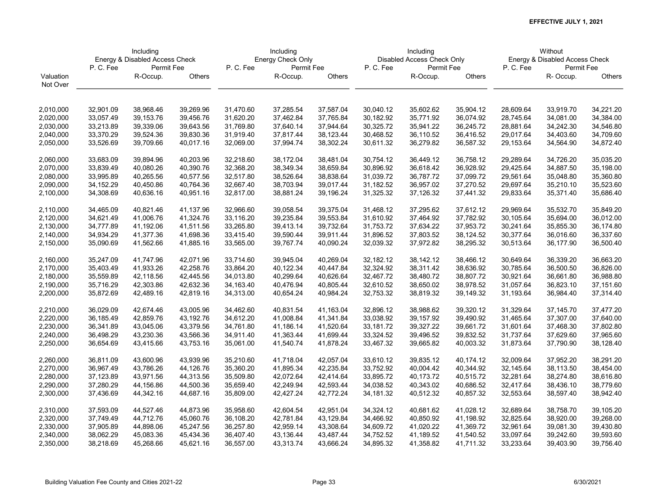|           | Including   |                                |           | Including |                   |           | Including |                            |           |           | Without                        |               |
|-----------|-------------|--------------------------------|-----------|-----------|-------------------|-----------|-----------|----------------------------|-----------|-----------|--------------------------------|---------------|
|           |             | Energy & Disabled Access Check |           |           | Energy Check Only |           |           | Disabled Access Check Only |           |           | Energy & Disabled Access Check |               |
|           | P. C. Fee   | Permit Fee                     |           | P.C.Fee   | Permit Fee        |           | P.C.Fee   | Permit Fee                 |           | P.C.Fee   | Permit Fee                     |               |
| Valuation |             | R-Occup.                       | Others    |           | R-Occup.          | Others    |           | R-Occup.                   | Others    |           | R- Occup.                      | <b>Others</b> |
| Not Over  |             |                                |           |           |                   |           |           |                            |           |           |                                |               |
|           |             |                                |           |           |                   |           |           |                            |           |           |                                |               |
| 2,010,000 | 32,901.09   | 38,968.46                      | 39,269.96 | 31,470.60 | 37,285.54         | 37,587.04 | 30,040.12 | 35,602.62                  | 35,904.12 | 28,609.64 | 33,919.70                      | 34,221.20     |
| 2,020,000 | 33,057.49   | 39,153.76                      | 39,456.76 | 31,620.20 | 37,462.84         | 37,765.84 | 30,182.92 | 35,771.92                  | 36,074.92 | 28,745.64 | 34,081.00                      | 34,384.00     |
| 2,030,000 | 33,213.89   | 39,339.06                      | 39,643.56 | 31,769.80 | 37,640.14         | 37,944.64 | 30,325.72 | 35,941.22                  | 36,245.72 | 28,881.64 | 34,242.30                      | 34,546.80     |
| 2,040,000 | 33,370.29   | 39,524.36                      | 39,830.36 | 31,919.40 | 37,817.44         | 38,123.44 | 30,468.52 | 36,110.52                  | 36,416.52 | 29,017.64 | 34,403.60                      | 34,709.60     |
| 2,050,000 | 33,526.69   | 39,709.66                      | 40,017.16 | 32,069.00 | 37,994.74         | 38,302.24 | 30,611.32 | 36,279.82                  | 36,587.32 | 29,153.64 | 34,564.90                      | 34,872.40     |
|           |             |                                |           |           |                   |           |           |                            |           |           |                                |               |
| 2,060,000 | 33,683.09   | 39,894.96                      | 40,203.96 | 32,218.60 | 38,172.04         | 38,481.04 | 30,754.12 | 36,449.12                  | 36,758.12 | 29,289.64 | 34,726.20                      | 35,035.20     |
| 2,070,000 | 33,839.49   | 40,080.26                      | 40,390.76 | 32,368.20 | 38,349.34         | 38,659.84 | 30,896.92 | 36,618.42                  | 36,928.92 | 29,425.64 | 34,887.50                      | 35,198.00     |
| 2,080,000 | 33,995.89   | 40,265.56                      | 40,577.56 | 32,517.80 | 38,526.64         | 38,838.64 | 31,039.72 | 36,787.72                  | 37,099.72 | 29,561.64 | 35,048.80                      | 35,360.80     |
| 2,090,000 | 34, 152. 29 | 40,450.86                      | 40,764.36 | 32,667.40 | 38,703.94         | 39,017.44 | 31,182.52 | 36,957.02                  | 37,270.52 | 29,697.64 | 35,210.10                      | 35,523.60     |
| 2,100,000 | 34,308.69   | 40,636.16                      | 40,951.16 | 32,817.00 | 38,881.24         | 39,196.24 | 31,325.32 | 37,126.32                  | 37,441.32 | 29,833.64 | 35,371.40                      | 35,686.40     |
|           |             |                                |           |           |                   |           |           |                            |           |           |                                |               |
| 2,110,000 | 34,465.09   | 40,821.46                      | 41,137.96 | 32,966.60 | 39,058.54         | 39,375.04 | 31,468.12 | 37,295.62                  | 37,612.12 | 29,969.64 | 35,532.70                      | 35,849.20     |
| 2,120,000 | 34,621.49   | 41,006.76                      | 41,324.76 | 33,116.20 | 39,235.84         | 39,553.84 | 31,610.92 | 37,464.92                  | 37,782.92 | 30,105.64 | 35,694.00                      | 36,012.00     |
| 2,130,000 | 34,777.89   | 41,192.06                      | 41,511.56 | 33,265.80 | 39,413.14         | 39,732.64 | 31,753.72 | 37,634.22                  | 37,953.72 | 30,241.64 | 35,855.30                      | 36,174.80     |
| 2,140,000 | 34,934.29   | 41,377.36                      | 41,698.36 | 33,415.40 | 39,590.44         | 39,911.44 | 31,896.52 | 37,803.52                  | 38,124.52 | 30,377.64 | 36,016.60                      | 36,337.60     |
| 2,150,000 | 35,090.69   | 41,562.66                      | 41,885.16 | 33,565.00 | 39,767.74         | 40,090.24 | 32,039.32 | 37,972.82                  | 38,295.32 | 30,513.64 | 36,177.90                      | 36,500.40     |
| 2,160,000 | 35,247.09   | 41,747.96                      | 42,071.96 | 33,714.60 | 39,945.04         | 40,269.04 | 32,182.12 | 38,142.12                  | 38,466.12 | 30,649.64 | 36,339.20                      | 36,663.20     |
| 2,170,000 | 35,403.49   | 41,933.26                      | 42,258.76 | 33,864.20 | 40,122.34         | 40,447.84 | 32,324.92 | 38,311.42                  | 38,636.92 | 30,785.64 | 36,500.50                      | 36,826.00     |
| 2,180,000 | 35,559.89   | 42,118.56                      | 42,445.56 | 34,013.80 | 40,299.64         | 40,626.64 | 32,467.72 | 38,480.72                  | 38,807.72 | 30,921.64 | 36,661.80                      | 36,988.80     |
| 2,190,000 | 35,716.29   | 42,303.86                      | 42,632.36 | 34,163.40 | 40,476.94         | 40,805.44 | 32,610.52 | 38,650.02                  | 38,978.52 | 31,057.64 | 36,823.10                      | 37,151.60     |
| 2,200,000 | 35,872.69   | 42,489.16                      | 42,819.16 | 34,313.00 | 40,654.24         | 40,984.24 | 32,753.32 | 38,819.32                  | 39,149.32 | 31,193.64 | 36,984.40                      | 37,314.40     |
|           |             |                                |           |           |                   |           |           |                            |           |           |                                |               |
| 2,210,000 | 36,029.09   | 42,674.46                      | 43,005.96 | 34,462.60 | 40,831.54         | 41,163.04 | 32,896.12 | 38,988.62                  | 39,320.12 | 31,329.64 | 37,145.70                      | 37,477.20     |
| 2,220,000 | 36,185.49   | 42,859.76                      | 43,192.76 | 34,612.20 | 41,008.84         | 41,341.84 | 33,038.92 | 39,157.92                  | 39,490.92 | 31,465.64 | 37,307.00                      | 37,640.00     |
| 2,230,000 | 36,341.89   | 43,045.06                      | 43,379.56 | 34,761.80 | 41,186.14         | 41,520.64 | 33,181.72 | 39,327.22                  | 39,661.72 | 31,601.64 | 37,468.30                      | 37,802.80     |
| 2,240,000 | 36,498.29   | 43,230.36                      | 43,566.36 | 34,911.40 | 41,363.44         | 41,699.44 | 33,324.52 | 39,496.52                  | 39,832.52 | 31,737.64 | 37,629.60                      | 37,965.60     |
| 2,250,000 | 36,654.69   | 43,415.66                      | 43,753.16 | 35,061.00 | 41,540.74         | 41,878.24 | 33,467.32 | 39,665.82                  | 40,003.32 | 31,873.64 | 37,790.90                      | 38,128.40     |
| 2,260,000 | 36,811.09   | 43,600.96                      | 43,939.96 | 35,210.60 | 41,718.04         | 42,057.04 | 33,610.12 | 39,835.12                  | 40,174.12 | 32,009.64 | 37,952.20                      | 38,291.20     |
| 2,270,000 | 36,967.49   | 43,786.26                      | 44,126.76 | 35,360.20 | 41,895.34         | 42,235.84 | 33,752.92 | 40,004.42                  | 40,344.92 | 32,145.64 | 38,113.50                      | 38,454.00     |
| 2,280,000 | 37,123.89   | 43,971.56                      | 44,313.56 | 35,509.80 | 42,072.64         | 42,414.64 | 33,895.72 | 40,173.72                  | 40,515.72 | 32,281.64 | 38,274.80                      | 38,616.80     |
| 2,290,000 | 37,280.29   | 44,156.86                      | 44,500.36 | 35,659.40 | 42,249.94         | 42,593.44 | 34,038.52 | 40,343.02                  | 40,686.52 | 32,417.64 | 38,436.10                      | 38,779.60     |
| 2,300,000 | 37,436.69   | 44,342.16                      | 44,687.16 | 35,809.00 | 42,427.24         | 42,772.24 | 34,181.32 | 40,512.32                  | 40,857.32 | 32,553.64 | 38,597.40                      | 38,942.40     |
|           |             |                                |           |           |                   |           |           |                            |           |           |                                |               |
| 2,310,000 | 37,593.09   | 44,527.46                      | 44,873.96 | 35,958.60 | 42,604.54         | 42,951.04 | 34,324.12 | 40,681.62                  | 41,028.12 | 32,689.64 | 38,758.70                      | 39,105.20     |
| 2,320,000 | 37,749.49   | 44,712.76                      | 45,060.76 | 36,108.20 | 42,781.84         | 43,129.84 | 34,466.92 | 40,850.92                  | 41,198.92 | 32,825.64 | 38,920.00                      | 39,268.00     |
| 2,330,000 | 37,905.89   | 44,898.06                      | 45,247.56 | 36,257.80 | 42,959.14         | 43,308.64 | 34,609.72 | 41,020.22                  | 41,369.72 | 32,961.64 | 39,081.30                      | 39,430.80     |
| 2,340,000 | 38,062.29   | 45,083.36                      | 45,434.36 | 36,407.40 | 43,136.44         | 43,487.44 | 34,752.52 | 41,189.52                  | 41,540.52 | 33,097.64 | 39,242.60                      | 39,593.60     |
| 2,350,000 | 38,218.69   | 45,268.66                      | 45,621.16 | 36,557.00 | 43,313.74         | 43,666.24 | 34,895.32 | 41,358.82                  | 41,711.32 | 33,233.64 | 39,403.90                      | 39,756.40     |
|           |             |                                |           |           |                   |           |           |                            |           |           |                                |               |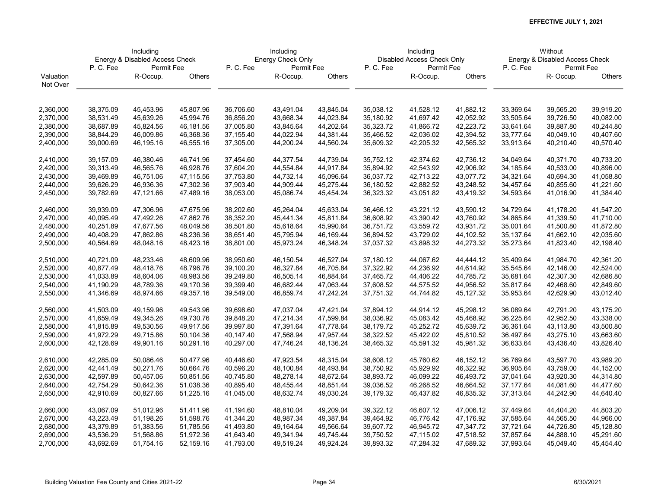|           | Including |                                |           | Including |                   |           | Including |                            |           |           | Without                        |               |
|-----------|-----------|--------------------------------|-----------|-----------|-------------------|-----------|-----------|----------------------------|-----------|-----------|--------------------------------|---------------|
|           |           | Energy & Disabled Access Check |           |           | Energy Check Only |           |           | Disabled Access Check Only |           |           | Energy & Disabled Access Check |               |
|           | P.C.Fee   | Permit Fee                     |           | P.C.Fee   | Permit Fee        |           | P.C.Fee   | Permit Fee                 |           | P.C.Fee   | Permit Fee                     |               |
| Valuation |           | R-Occup.                       | Others    |           | R-Occup.          | Others    |           | R-Occup.                   | Others    |           | R-Occup.                       | <b>Others</b> |
| Not Over  |           |                                |           |           |                   |           |           |                            |           |           |                                |               |
|           |           |                                |           |           |                   |           |           |                            |           |           |                                |               |
| 2,360,000 | 38,375.09 | 45,453.96                      | 45,807.96 | 36,706.60 | 43,491.04         | 43,845.04 | 35,038.12 | 41,528.12                  | 41,882.12 | 33,369.64 | 39,565.20                      | 39,919.20     |
| 2,370,000 | 38,531.49 | 45,639.26                      | 45,994.76 | 36,856.20 | 43,668.34         | 44,023.84 | 35,180.92 | 41,697.42                  | 42,052.92 | 33,505.64 | 39,726.50                      | 40,082.00     |
| 2,380,000 | 38,687.89 | 45,824.56                      | 46,181.56 | 37,005.80 | 43,845.64         | 44,202.64 | 35,323.72 | 41,866.72                  | 42,223.72 | 33,641.64 | 39,887.80                      | 40,244.80     |
| 2,390,000 | 38,844.29 | 46,009.86                      | 46,368.36 | 37,155.40 | 44,022.94         | 44,381.44 | 35,466.52 | 42,036.02                  | 42,394.52 | 33,777.64 | 40,049.10                      | 40,407.60     |
| 2,400,000 | 39,000.69 | 46,195.16                      | 46,555.16 | 37,305.00 | 44,200.24         | 44,560.24 | 35,609.32 | 42,205.32                  | 42,565.32 | 33,913.64 | 40,210.40                      | 40,570.40     |
|           |           |                                |           |           |                   |           |           |                            |           |           |                                |               |
| 2,410,000 | 39,157.09 | 46,380.46                      | 46,741.96 | 37,454.60 | 44,377.54         | 44,739.04 | 35,752.12 | 42,374.62                  | 42,736.12 | 34,049.64 | 40,371.70                      | 40,733.20     |
| 2,420,000 | 39,313.49 | 46,565.76                      | 46,928.76 | 37,604.20 | 44,554.84         | 44,917.84 | 35,894.92 | 42,543.92                  | 42,906.92 | 34,185.64 | 40,533.00                      | 40,896.00     |
| 2,430,000 | 39,469.89 | 46,751.06                      | 47,115.56 | 37,753.80 | 44,732.14         | 45,096.64 | 36,037.72 | 42,713.22                  | 43,077.72 | 34,321.64 | 40,694.30                      | 41,058.80     |
| 2,440,000 | 39,626.29 | 46,936.36                      | 47,302.36 | 37,903.40 | 44,909.44         | 45,275.44 | 36,180.52 | 42,882.52                  | 43,248.52 | 34,457.64 | 40,855.60                      | 41,221.60     |
| 2,450,000 | 39,782.69 | 47,121.66                      | 47,489.16 | 38,053.00 | 45,086.74         | 45,454.24 | 36,323.32 | 43,051.82                  | 43,419.32 | 34,593.64 | 41,016.90                      | 41,384.40     |
| 2,460,000 | 39,939.09 | 47,306.96                      | 47,675.96 | 38,202.60 | 45,264.04         | 45,633.04 | 36,466.12 | 43,221.12                  | 43,590.12 | 34,729.64 | 41,178.20                      | 41,547.20     |
| 2,470,000 | 40,095.49 | 47,492.26                      | 47,862.76 | 38,352.20 | 45,441.34         | 45,811.84 | 36,608.92 | 43,390.42                  | 43,760.92 | 34,865.64 | 41,339.50                      | 41,710.00     |
| 2,480,000 | 40,251.89 | 47,677.56                      | 48,049.56 | 38,501.80 | 45,618.64         | 45,990.64 | 36,751.72 | 43,559.72                  | 43,931.72 | 35,001.64 | 41,500.80                      | 41,872.80     |
| 2,490,000 | 40,408.29 | 47,862.86                      | 48,236.36 | 38,651.40 | 45,795.94         | 46,169.44 | 36,894.52 | 43,729.02                  | 44,102.52 | 35,137.64 | 41,662.10                      | 42,035.60     |
| 2,500,000 |           |                                |           |           | 45,973.24         |           | 37,037.32 | 43,898.32                  | 44,273.32 |           |                                |               |
|           | 40,564.69 | 48,048.16                      | 48,423.16 | 38,801.00 |                   | 46,348.24 |           |                            |           | 35,273.64 | 41,823.40                      | 42,198.40     |
| 2,510,000 | 40,721.09 | 48,233.46                      | 48,609.96 | 38,950.60 | 46,150.54         | 46,527.04 | 37,180.12 | 44,067.62                  | 44,444.12 | 35,409.64 | 41,984.70                      | 42,361.20     |
| 2,520,000 | 40,877.49 | 48,418.76                      | 48,796.76 | 39,100.20 | 46,327.84         | 46,705.84 | 37,322.92 | 44,236.92                  | 44,614.92 | 35,545.64 | 42,146.00                      | 42,524.00     |
| 2,530,000 | 41,033.89 | 48,604.06                      | 48,983.56 | 39,249.80 | 46,505.14         | 46,884.64 | 37,465.72 | 44,406.22                  | 44,785.72 | 35,681.64 | 42,307.30                      | 42,686.80     |
| 2,540,000 | 41,190.29 | 48,789.36                      | 49,170.36 | 39,399.40 | 46,682.44         | 47,063.44 | 37,608.52 | 44,575.52                  | 44,956.52 | 35,817.64 | 42,468.60                      | 42,849.60     |
| 2,550,000 | 41,346.69 | 48,974.66                      | 49,357.16 | 39,549.00 | 46,859.74         | 47,242.24 | 37,751.32 | 44,744.82                  | 45,127.32 | 35,953.64 | 42,629.90                      | 43,012.40     |
| 2,560,000 | 41,503.09 | 49,159.96                      | 49,543.96 | 39,698.60 | 47,037.04         | 47,421.04 | 37,894.12 | 44,914.12                  | 45,298.12 | 36,089.64 | 42,791.20                      | 43,175.20     |
| 2,570,000 | 41,659.49 | 49,345.26                      | 49,730.76 | 39,848.20 | 47,214.34         | 47,599.84 | 38,036.92 | 45,083.42                  | 45,468.92 | 36,225.64 | 42,952.50                      | 43,338.00     |
| 2,580,000 | 41,815.89 | 49,530.56                      | 49,917.56 | 39,997.80 | 47,391.64         | 47,778.64 | 38,179.72 | 45,252.72                  | 45,639.72 | 36,361.64 | 43,113.80                      | 43,500.80     |
| 2,590,000 | 41,972.29 | 49,715.86                      | 50,104.36 | 40,147.40 | 47,568.94         | 47,957.44 | 38,322.52 | 45,422.02                  | 45,810.52 | 36,497.64 | 43,275.10                      | 43,663.60     |
| 2,600,000 | 42,128.69 | 49,901.16                      | 50,291.16 | 40,297.00 | 47,746.24         | 48,136.24 | 38,465.32 | 45,591.32                  | 45,981.32 | 36,633.64 | 43,436.40                      | 43,826.40     |
|           |           |                                |           |           |                   |           |           |                            |           |           |                                |               |
| 2,610,000 | 42,285.09 | 50,086.46                      | 50,477.96 | 40,446.60 | 47,923.54         | 48,315.04 | 38,608.12 | 45,760.62                  | 46,152.12 | 36,769.64 | 43,597.70                      | 43,989.20     |
| 2,620,000 | 42,441.49 | 50,271.76                      | 50,664.76 | 40,596.20 | 48,100.84         | 48,493.84 | 38,750.92 | 45,929.92                  | 46,322.92 | 36,905.64 | 43,759.00                      | 44,152.00     |
| 2,630,000 | 42,597.89 | 50,457.06                      | 50,851.56 | 40,745.80 | 48,278.14         | 48,672.64 | 38,893.72 | 46,099.22                  | 46,493.72 | 37,041.64 | 43,920.30                      | 44,314.80     |
| 2,640,000 | 42,754.29 | 50,642.36                      | 51,038.36 | 40,895.40 | 48,455.44         | 48,851.44 | 39,036.52 | 46,268.52                  | 46,664.52 | 37,177.64 | 44,081.60                      | 44,477.60     |
| 2,650,000 | 42,910.69 | 50,827.66                      | 51,225.16 | 41,045.00 | 48,632.74         | 49,030.24 | 39,179.32 | 46,437.82                  | 46,835.32 | 37,313.64 | 44,242.90                      | 44,640.40     |
| 2,660,000 | 43,067.09 | 51,012.96                      | 51,411.96 | 41,194.60 | 48,810.04         | 49,209.04 | 39,322.12 | 46,607.12                  | 47,006.12 | 37,449.64 | 44,404.20                      | 44,803.20     |
| 2,670,000 | 43,223.49 | 51,198.26                      | 51,598.76 | 41,344.20 | 48,987.34         | 49,387.84 | 39,464.92 | 46,776.42                  | 47,176.92 | 37,585.64 | 44,565.50                      | 44,966.00     |
| 2,680,000 | 43,379.89 | 51,383.56                      | 51,785.56 | 41,493.80 | 49,164.64         | 49,566.64 | 39,607.72 | 46,945.72                  | 47,347.72 | 37,721.64 | 44,726.80                      | 45,128.80     |
| 2,690,000 | 43,536.29 | 51,568.86                      | 51,972.36 | 41,643.40 | 49,341.94         | 49,745.44 | 39,750.52 | 47,115.02                  | 47,518.52 | 37,857.64 | 44,888.10                      | 45,291.60     |
| 2,700,000 | 43,692.69 | 51,754.16                      | 52,159.16 | 41,793.00 | 49,519.24         | 49,924.24 | 39,893.32 | 47,284.32                  | 47,689.32 | 37,993.64 | 45,049.40                      | 45,454.40     |
|           |           |                                |           |           |                   |           |           |                            |           |           |                                |               |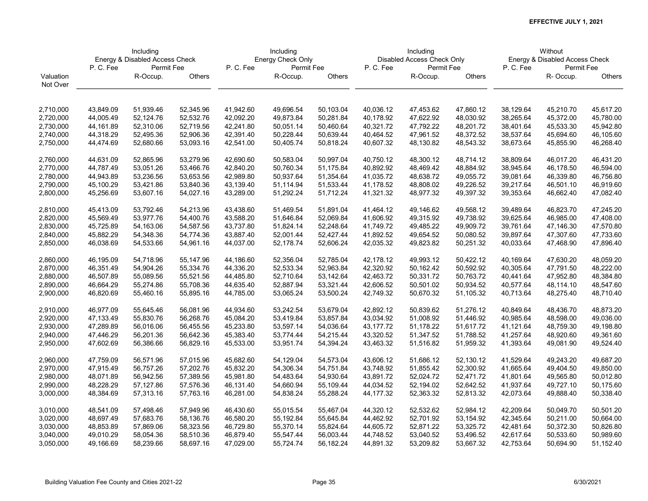| Energy Check Only<br>Energy & Disabled Access Check<br>Disabled Access Check Only<br>P.C.Fee<br>P.C.Fee<br>Permit Fee<br>P.C.Fee<br>Permit Fee<br>P.C.Fee<br>Permit Fee | Energy & Disabled Access Check |
|-------------------------------------------------------------------------------------------------------------------------------------------------------------------------|--------------------------------|
|                                                                                                                                                                         |                                |
|                                                                                                                                                                         | Permit Fee                     |
| Others<br>Others<br>Others<br>Valuation<br>R-Occup.<br>R-Occup.<br>R-Occup.                                                                                             | R-Occup.<br><b>Others</b>      |
| Not Over                                                                                                                                                                |                                |
|                                                                                                                                                                         |                                |
| 43,849.09<br>51,939.46<br>52,345.96<br>41,942.60<br>49,696.54<br>50,103.04<br>40,036.12<br>2,710,000<br>47,453.62<br>47,860.12<br>38,129.64                             | 45,210.70<br>45,617.20         |
| 44,005.49<br>52,124.76<br>52,532.76<br>42,092.20<br>49,873.84<br>50,281.84<br>40,178.92<br>47,622.92<br>48,030.92<br>38,265.64<br>2,720,000                             | 45,372.00<br>45,780.00         |
| 50,051.14<br>50,460.64<br>40,321.72<br>47,792.22<br>48,201.72<br>38,401.64<br>2,730,000<br>44,161.89<br>52,310.06<br>52,719.56<br>42,241.80                             | 45,533.30<br>45,942.80         |
| 44,318.29<br>52,495.36<br>52,906.36<br>42,391.40<br>50,228.44<br>50,639.44<br>40,464.52<br>47,961.52<br>48,372.52<br>38,537.64<br>2,740,000                             | 45,694.60<br>46,105.60         |
| 2,750,000<br>44,474.69<br>52,680.66<br>53,093.16<br>42,541.00<br>50,405.74<br>50,818.24<br>40,607.32<br>48,130.82<br>48,543.32<br>38,673.64                             | 45,855.90<br>46,268.40         |
|                                                                                                                                                                         |                                |
| 2,760,000<br>44,631.09<br>52,865.96<br>53,279.96<br>42,690.60<br>50,583.04<br>50,997.04<br>40,750.12<br>48,300.12<br>48,714.12<br>38,809.64                             | 46,431.20<br>46,017.20         |
| 44,787.49<br>53,466.76<br>42,840.20<br>50,760.34<br>51,175.84<br>40,892.92<br>48,469.42<br>48,884.92<br>38,945.64<br>2,770,000<br>53,051.26                             | 46,178.50<br>46,594.00         |
| 51,354.64<br>2,780,000<br>44,943.89<br>53,236.56<br>53,653.56<br>42,989.80<br>50,937.64<br>41,035.72<br>48,638.72<br>49,055.72<br>39,081.64                             | 46,339.80<br>46,756.80         |
| 45,100.29<br>53,421.86<br>53,840.36<br>51,114.94<br>51,533.44<br>41,178.52<br>48,808.02<br>49,226.52<br>39,217.64<br>2,790,000<br>43,139.40                             | 46,919.60<br>46,501.10         |
| 45,256.69<br>53,607.16<br>54,027.16<br>43,289.00<br>51,292.24<br>51,712.24<br>41,321.32<br>48,977.32<br>49,397.32<br>39,353.64<br>2,800,000                             | 46,662.40<br>47,082.40         |
| 45,413.09<br>53,792.46<br>54,213.96<br>43,438.60<br>51,891.04<br>49,146.62<br>2,810,000<br>51,469.54<br>41,464.12<br>49,568.12<br>39,489.64                             | 46,823.70<br>47,245.20         |
| 52,069.84<br>2,820,000<br>45,569.49<br>53,977.76<br>54,400.76<br>43,588.20<br>51,646.84<br>41,606.92<br>49,315.92<br>49,738.92<br>39,625.64                             | 46,985.00<br>47,408.00         |
| 43,737.80<br>51,824.14<br>52,248.64<br>41,749.72<br>49,485.22<br>49,909.72<br>39,761.64<br>2,830,000<br>45,725.89<br>54,163.06<br>54,587.56                             | 47,146.30<br>47,570.80         |
| 2,840,000<br>45,882.29<br>54,348.36<br>54,774.36<br>43,887.40<br>52,001.44<br>52,427.44<br>41,892.52<br>49,654.52<br>50,080.52<br>39,897.64                             | 47,307.60<br>47,733.60         |
| 46,038.69<br>44,037.00<br>52,606.24<br>42,035.32<br>49,823.82<br>2,850,000<br>54,533.66<br>54,961.16<br>52,178.74<br>50,251.32<br>40,033.64                             | 47,896.40<br>47,468.90         |
|                                                                                                                                                                         |                                |
| 52,785.04<br>2,860,000<br>46,195.09<br>54,718.96<br>55,147.96<br>44,186.60<br>52,356.04<br>42,178.12<br>49,993.12<br>50,422.12<br>40,169.64                             | 48,059.20<br>47,630.20         |
| 52,963.84<br>2,870,000<br>46,351.49<br>54,904.26<br>55,334.76<br>44,336.20<br>52,533.34<br>42,320.92<br>50,162.42<br>50,592.92<br>40,305.64                             | 47,791.50<br>48,222.00         |
| 55,089.56<br>55,521.56<br>52,710.64<br>53,142.64<br>50,331.72<br>50,763.72<br>2,880,000<br>46,507.89<br>44,485.80<br>42,463.72<br>40,441.64                             | 48,384.80<br>47,952.80         |
| 2,890,000<br>46,664.29<br>55,708.36<br>44,635.40<br>52,887.94<br>42,606.52<br>50,501.02<br>55,274.86<br>53,321.44<br>50,934.52<br>40,577.64                             | 48,547.60<br>48,114.10         |
| 2,900,000<br>46,820.69<br>55,460.16<br>55,895.16<br>44,785.00<br>53,065.24<br>53,500.24<br>42,749.32<br>50,670.32<br>51,105.32<br>40,713.64                             | 48,275.40<br>48,710.40         |
|                                                                                                                                                                         |                                |
| 2,910,000<br>46,977.09<br>55,645.46<br>56,081.96<br>44,934.60<br>53,242.54<br>53,679.04<br>42,892.12<br>50,839.62<br>51,276.12<br>40,849.64                             | 48,436.70<br>48,873.20         |
| 47,133.49<br>53,419.84<br>53,857.84<br>43,034.92<br>51,008.92<br>2,920,000<br>55,830.76<br>56,268.76<br>45,084.20<br>51,446.92<br>40,985.64                             | 49,036.00<br>48,598.00         |
| 43,177.72<br>2,930,000<br>47,289.89<br>56,016.06<br>56,455.56<br>45,233.80<br>53,597.14<br>54,036.64<br>51,178.22<br>51,617.72<br>41,121.64                             | 48,759.30<br>49,198.80         |
| 53,774.44<br>54,215.44<br>43,320.52<br>2,940,000<br>47,446.29<br>56,201.36<br>56,642.36<br>45,383.40<br>51,347.52<br>51,788.52<br>41,257.64                             | 49,361.60<br>48,920.60         |
| 47,602.69<br>53,951.74<br>54,394.24<br>43,463.32<br>41,393.64<br>2,950,000<br>56,386.66<br>56,829.16<br>45,533.00<br>51,516.82<br>51,959.32                             | 49,524.40<br>49,081.90         |
| 47,759.09<br>56,571.96<br>57,015.96<br>54,129.04<br>54,573.04<br>43,606.12<br>51,686.12<br>2,960,000<br>45,682.60<br>52,130.12<br>41,529.64                             | 49,243.20<br>49,687.20         |
| 54,751.84<br>2,970,000<br>47,915.49<br>56,757.26<br>57,202.76<br>45,832.20<br>54,306.34<br>43,748.92<br>51,855.42<br>52,300.92<br>41,665.64                             | 49,404.50<br>49,850.00         |
| 54,483.64<br>2,980,000<br>48,071.89<br>56,942.56<br>57,389.56<br>45,981.80<br>54,930.64<br>43,891.72<br>52,024.72<br>52,471.72<br>41,801.64                             | 49,565.80<br>50,012.80         |
| 48,228.29<br>57,127.86<br>54,660.94<br>55,109.44<br>52,194.02<br>52,642.52<br>2,990,000<br>57,576.36<br>46,131.40<br>44,034.52<br>41,937.64                             | 50,175.60<br>49,727.10         |
| 3,000,000<br>48,384.69<br>57,313.16<br>57,763.16<br>46,281.00<br>54,838.24<br>55,288.24<br>44,177.32<br>52,363.32<br>52,813.32<br>42,073.64                             | 49,888.40<br>50,338.40         |
|                                                                                                                                                                         |                                |
| 48,541.09<br>3,010,000<br>57,498.46<br>57,949.96<br>46,430.60<br>55,015.54<br>55,467.04<br>44,320.12<br>52,532.62<br>52,984.12<br>42,209.64                             | 50,501.20<br>50,049.70         |
| 3,020,000<br>48,697.49<br>58,136.76<br>46,580.20<br>55,192.84<br>55,645.84<br>44,462.92<br>52,701.92<br>53,154.92<br>42,345.64<br>57,683.76                             | 50,664.00<br>50,211.00         |
| 3,030,000<br>48,853.89<br>57,869.06<br>58,323.56<br>46,729.80<br>55,370.14<br>55,824.64<br>44,605.72<br>52,871.22<br>53,325.72<br>42,481.64                             | 50,372.30<br>50,826.80         |
| 56,003.44<br>53,040.52<br>3,040,000<br>49,010.29<br>58,054.36<br>58,510.36<br>46,879.40<br>55,547.44<br>44,748.52<br>53,496.52<br>42,617.64                             | 50,533.60<br>50,989.60         |
| 3,050,000<br>49,166.69<br>58,239.66<br>58,697.16<br>47,029.00<br>55,724.74<br>56,182.24<br>44,891.32<br>53,209.82<br>53,667.32<br>42,753.64                             | 50,694.90<br>51,152.40         |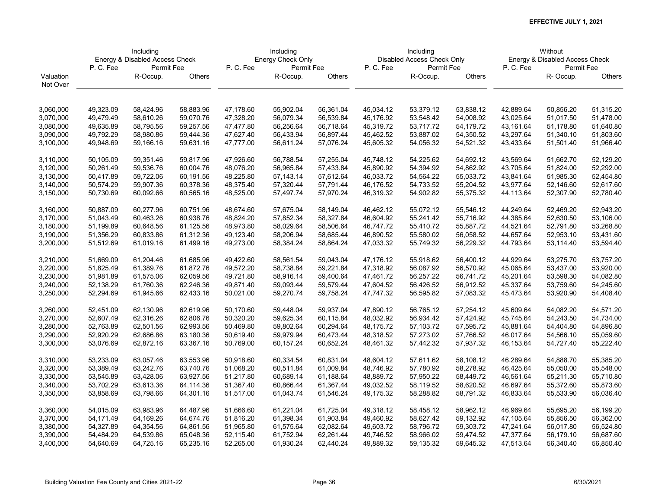|           | Including |                                |           | Including |                   |           | Including |                            |           |           | Without                        |               |
|-----------|-----------|--------------------------------|-----------|-----------|-------------------|-----------|-----------|----------------------------|-----------|-----------|--------------------------------|---------------|
|           |           | Energy & Disabled Access Check |           |           | Energy Check Only |           |           | Disabled Access Check Only |           |           | Energy & Disabled Access Check |               |
|           | P.C.Fee   | Permit Fee                     |           | P.C.Fee   | Permit Fee        |           | P.C.Fee   | Permit Fee                 |           | P.C.Fee   | Permit Fee                     |               |
| Valuation |           | R-Occup.                       | Others    |           | R-Occup.          | Others    |           | R-Occup.                   | Others    |           | R-Occup.                       | <b>Others</b> |
| Not Over  |           |                                |           |           |                   |           |           |                            |           |           |                                |               |
|           |           |                                |           |           |                   |           |           |                            |           |           |                                |               |
| 3,060,000 | 49,323.09 | 58,424.96                      | 58,883.96 | 47,178.60 | 55,902.04         | 56,361.04 | 45,034.12 | 53,379.12                  | 53,838.12 | 42,889.64 | 50,856.20                      | 51,315.20     |
| 3,070,000 | 49,479.49 | 58,610.26                      | 59,070.76 | 47,328.20 | 56,079.34         | 56,539.84 | 45,176.92 | 53,548.42                  | 54,008.92 | 43,025.64 | 51,017.50                      | 51,478.00     |
| 3,080,000 | 49,635.89 | 58,795.56                      | 59,257.56 | 47,477.80 | 56,256.64         | 56,718.64 | 45,319.72 | 53,717.72                  | 54,179.72 | 43,161.64 | 51,178.80                      | 51,640.80     |
| 3,090,000 | 49,792.29 | 58,980.86                      | 59,444.36 | 47,627.40 | 56,433.94         | 56,897.44 | 45,462.52 | 53,887.02                  | 54,350.52 | 43,297.64 | 51,340.10                      | 51,803.60     |
| 3,100,000 | 49,948.69 | 59,166.16                      | 59,631.16 | 47,777.00 | 56,611.24         | 57,076.24 | 45,605.32 | 54,056.32                  | 54,521.32 | 43,433.64 | 51,501.40                      | 51,966.40     |
|           |           |                                |           |           |                   |           |           |                            |           |           |                                |               |
| 3,110,000 | 50,105.09 | 59,351.46                      | 59,817.96 | 47,926.60 | 56,788.54         | 57,255.04 | 45,748.12 | 54,225.62                  | 54,692.12 | 43,569.64 | 51,662.70                      | 52,129.20     |
| 3,120,000 | 50,261.49 | 59,536.76                      | 60,004.76 | 48,076.20 | 56,965.84         | 57,433.84 | 45,890.92 | 54,394.92                  | 54,862.92 | 43,705.64 | 51,824.00                      | 52,292.00     |
| 3,130,000 | 50,417.89 | 59,722.06                      | 60,191.56 | 48,225.80 | 57,143.14         | 57,612.64 | 46,033.72 | 54,564.22                  | 55,033.72 | 43,841.64 | 51,985.30                      | 52,454.80     |
| 3,140,000 | 50,574.29 | 59,907.36                      | 60,378.36 | 48,375.40 | 57,320.44         | 57,791.44 | 46,176.52 | 54,733.52                  | 55,204.52 | 43,977.64 | 52,146.60                      | 52,617.60     |
| 3,150,000 | 50,730.69 | 60,092.66                      | 60,565.16 | 48,525.00 | 57,497.74         | 57,970.24 | 46,319.32 | 54,902.82                  | 55,375.32 | 44,113.64 | 52,307.90                      | 52,780.40     |
|           |           |                                |           |           |                   |           |           |                            |           |           |                                |               |
| 3,160,000 | 50,887.09 | 60,277.96                      | 60,751.96 | 48,674.60 | 57,675.04         | 58,149.04 | 46,462.12 | 55,072.12                  | 55,546.12 | 44,249.64 | 52,469.20                      | 52,943.20     |
| 3,170,000 | 51,043.49 | 60,463.26                      | 60,938.76 | 48,824.20 | 57,852.34         | 58,327.84 | 46,604.92 | 55,241.42                  | 55,716.92 | 44,385.64 | 52,630.50                      | 53,106.00     |
| 3,180,000 | 51,199.89 | 60,648.56                      | 61,125.56 | 48,973.80 | 58,029.64         | 58,506.64 | 46,747.72 | 55,410.72                  | 55,887.72 | 44,521.64 | 52,791.80                      | 53,268.80     |
| 3,190,000 | 51,356.29 | 60,833.86                      | 61,312.36 | 49,123.40 | 58,206.94         | 58,685.44 | 46,890.52 | 55,580.02                  | 56,058.52 | 44,657.64 | 52,953.10                      | 53,431.60     |
| 3,200,000 | 51,512.69 | 61,019.16                      | 61,499.16 | 49,273.00 | 58,384.24         | 58,864.24 | 47,033.32 | 55,749.32                  | 56,229.32 | 44,793.64 | 53,114.40                      | 53,594.40     |
|           |           |                                |           |           |                   |           |           |                            |           |           |                                |               |
| 3,210,000 | 51,669.09 | 61,204.46                      | 61,685.96 | 49,422.60 | 58,561.54         | 59,043.04 | 47,176.12 | 55,918.62                  | 56,400.12 | 44,929.64 | 53,275.70                      | 53,757.20     |
| 3,220,000 | 51,825.49 | 61,389.76                      | 61,872.76 | 49,572.20 | 58,738.84         | 59,221.84 | 47,318.92 | 56,087.92                  | 56,570.92 | 45,065.64 | 53,437.00                      | 53,920.00     |
| 3,230,000 | 51,981.89 | 61,575.06                      | 62,059.56 | 49,721.80 | 58,916.14         | 59,400.64 | 47,461.72 | 56,257.22                  | 56,741.72 | 45,201.64 | 53,598.30                      | 54,082.80     |
| 3,240,000 | 52,138.29 | 61,760.36                      | 62,246.36 | 49,871.40 | 59,093.44         | 59,579.44 | 47,604.52 | 56,426.52                  | 56,912.52 | 45,337.64 | 53,759.60                      | 54,245.60     |
| 3,250,000 | 52,294.69 | 61,945.66                      | 62,433.16 | 50,021.00 | 59,270.74         | 59,758.24 | 47,747.32 | 56,595.82                  | 57,083.32 | 45,473.64 | 53,920.90                      | 54,408.40     |
|           |           |                                |           |           |                   |           |           |                            |           |           |                                |               |
| 3,260,000 | 52,451.09 | 62,130.96                      | 62,619.96 | 50,170.60 | 59,448.04         | 59,937.04 | 47,890.12 | 56,765.12                  | 57,254.12 | 45,609.64 | 54,082.20                      | 54,571.20     |
| 3,270,000 | 52,607.49 | 62,316.26                      | 62,806.76 | 50,320.20 | 59,625.34         | 60,115.84 | 48,032.92 | 56,934.42                  | 57,424.92 | 45,745.64 | 54,243.50                      | 54,734.00     |
| 3,280,000 | 52,763.89 | 62,501.56                      | 62,993.56 | 50,469.80 | 59,802.64         | 60,294.64 | 48,175.72 | 57,103.72                  | 57,595.72 | 45,881.64 | 54,404.80                      | 54,896.80     |
| 3,290,000 | 52,920.29 | 62,686.86                      | 63,180.36 | 50,619.40 | 59,979.94         | 60,473.44 | 48,318.52 | 57,273.02                  | 57,766.52 | 46,017.64 | 54,566.10                      | 55,059.60     |
| 3,300,000 | 53,076.69 | 62,872.16                      | 63,367.16 | 50,769.00 | 60,157.24         | 60,652.24 | 48,461.32 | 57,442.32                  | 57,937.32 | 46,153.64 | 54,727.40                      | 55,222.40     |
| 3,310,000 | 53,233.09 | 63,057.46                      | 63,553.96 | 50,918.60 | 60,334.54         | 60,831.04 | 48,604.12 | 57,611.62                  | 58,108.12 | 46,289.64 | 54,888.70                      | 55,385.20     |
|           |           |                                |           |           |                   |           |           |                            |           |           |                                |               |
| 3,320,000 | 53,389.49 | 63,242.76                      | 63,740.76 | 51,068.20 | 60,511.84         | 61,009.84 | 48,746.92 | 57,780.92                  | 58,278.92 | 46,425.64 | 55,050.00                      | 55,548.00     |
| 3,330,000 | 53,545.89 | 63,428.06                      | 63,927.56 | 51,217.80 | 60,689.14         | 61,188.64 | 48,889.72 | 57,950.22                  | 58,449.72 | 46,561.64 | 55,211.30                      | 55,710.80     |
| 3,340,000 | 53,702.29 | 63,613.36                      | 64,114.36 | 51,367.40 | 60,866.44         | 61,367.44 | 49,032.52 | 58,119.52                  | 58,620.52 | 46,697.64 | 55,372.60                      | 55,873.60     |
| 3,350,000 | 53,858.69 | 63,798.66                      | 64,301.16 | 51,517.00 | 61,043.74         | 61,546.24 | 49,175.32 | 58,288.82                  | 58,791.32 | 46,833.64 | 55,533.90                      | 56,036.40     |
| 3,360,000 | 54,015.09 | 63,983.96                      | 64,487.96 | 51,666.60 | 61,221.04         | 61,725.04 | 49,318.12 | 58,458.12                  | 58,962.12 | 46,969.64 | 55,695.20                      | 56,199.20     |
| 3,370,000 | 54,171.49 | 64,169.26                      | 64,674.76 | 51,816.20 | 61,398.34         | 61,903.84 | 49,460.92 | 58,627.42                  | 59,132.92 | 47,105.64 | 55,856.50                      | 56,362.00     |
| 3,380,000 | 54,327.89 | 64,354.56                      | 64,861.56 | 51,965.80 | 61,575.64         | 62,082.64 | 49,603.72 | 58,796.72                  | 59,303.72 | 47,241.64 | 56,017.80                      | 56,524.80     |
| 3,390,000 | 54,484.29 | 64,539.86                      | 65,048.36 | 52,115.40 | 61,752.94         | 62,261.44 | 49,746.52 | 58,966.02                  | 59,474.52 | 47,377.64 | 56,179.10                      | 56,687.60     |
| 3,400,000 | 54,640.69 | 64,725.16                      | 65,235.16 | 52,265.00 | 61,930.24         | 62,440.24 | 49,889.32 | 59,135.32                  | 59,645.32 | 47,513.64 | 56,340.40                      | 56,850.40     |
|           |           |                                |           |           |                   |           |           |                            |           |           |                                |               |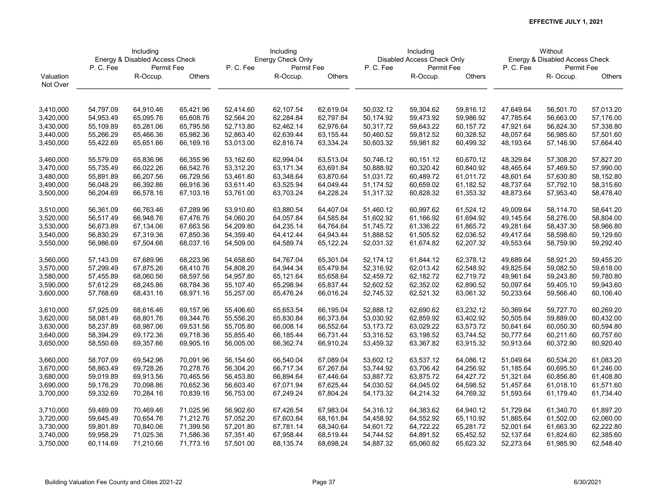|           | Including<br>Energy & Disabled Access Check |            |           |           | Including         |           |           | Including                  |           |           | Without                        |                        |
|-----------|---------------------------------------------|------------|-----------|-----------|-------------------|-----------|-----------|----------------------------|-----------|-----------|--------------------------------|------------------------|
|           |                                             |            |           |           | Energy Check Only |           |           | Disabled Access Check Only |           |           | Energy & Disabled Access Check |                        |
|           | P.C.Fee                                     | Permit Fee |           | P.C.Fee   | Permit Fee        |           | P.C.Fee   | Permit Fee                 |           | P.C.Fee   | Permit Fee                     |                        |
| Valuation |                                             | R-Occup.   | Others    |           | R-Occup.          | Others    |           | R-Occup.                   | Others    |           | R-Occup.                       | <b>Others</b>          |
| Not Over  |                                             |            |           |           |                   |           |           |                            |           |           |                                |                        |
|           |                                             |            |           |           |                   |           |           |                            |           |           |                                |                        |
| 3,410,000 | 54,797.09                                   | 64,910.46  | 65,421.96 | 52,414.60 | 62,107.54         | 62,619.04 | 50,032.12 | 59,304.62                  | 59,816.12 | 47,649.64 | 56,501.70                      | 57,013.20              |
| 3,420,000 | 54,953.49                                   | 65,095.76  | 65,608.76 | 52,564.20 | 62,284.84         | 62,797.84 | 50,174.92 | 59,473.92                  | 59,986.92 | 47,785.64 | 56,663.00                      | 57,176.00              |
| 3,430,000 | 55,109.89                                   | 65,281.06  | 65,795.56 | 52,713.80 | 62,462.14         | 62,976.64 | 50,317.72 | 59,643.22                  | 60,157.72 | 47,921.64 | 56,824.30                      | 57,338.80              |
| 3,440,000 | 55,266.29                                   | 65,466.36  | 65,982.36 | 52,863.40 | 62,639.44         | 63,155.44 | 50,460.52 | 59,812.52                  | 60,328.52 | 48,057.64 | 56,985.60                      | 57,501.60              |
| 3,450,000 | 55,422.69                                   | 65,651.66  | 66,169.16 | 53,013.00 | 62,816.74         | 63,334.24 | 50,603.32 | 59,981.82                  | 60,499.32 | 48,193.64 | 57,146.90                      | 57,664.40              |
|           |                                             |            |           |           |                   |           |           |                            |           |           |                                |                        |
| 3,460,000 | 55,579.09                                   | 65,836.96  | 66,355.96 | 53,162.60 | 62,994.04         | 63,513.04 | 50,746.12 | 60,151.12                  | 60,670.12 | 48,329.64 | 57,308.20                      | 57,827.20              |
| 3,470,000 | 55,735.49                                   | 66,022.26  | 66,542.76 | 53,312.20 | 63,171.34         | 63,691.84 | 50,888.92 | 60,320.42                  | 60,840.92 | 48,465.64 | 57,469.50                      | 57,990.00              |
| 3,480,000 | 55,891.89                                   | 66,207.56  | 66,729.56 | 53,461.80 | 63,348.64         | 63,870.64 | 51,031.72 | 60,489.72                  | 61,011.72 | 48,601.64 | 57,630.80                      | 58,152.80              |
| 3,490,000 | 56,048.29                                   | 66,392.86  | 66,916.36 | 53,611.40 | 63,525.94         | 64,049.44 | 51,174.52 | 60,659.02                  | 61,182.52 | 48,737.64 | 57,792.10                      | 58,315.60              |
| 3,500,000 | 56,204.69                                   | 66,578.16  | 67,103.16 | 53,761.00 | 63,703.24         | 64,228.24 | 51,317.32 | 60,828.32                  | 61,353.32 | 48,873.64 | 57,953.40                      | 58,478.40              |
|           |                                             |            |           |           |                   |           |           |                            |           |           |                                |                        |
| 3,510,000 | 56,361.09                                   | 66.763.46  | 67,289.96 | 53,910.60 | 63,880.54         | 64,407.04 | 51,460.12 | 60,997.62                  | 61,524.12 | 49,009.64 | 58,114.70                      | 58,641.20              |
| 3,520,000 | 56,517.49                                   | 66,948.76  | 67,476.76 | 54,060.20 | 64,057.84         | 64,585.84 | 51,602.92 | 61,166.92                  | 61,694.92 | 49,145.64 | 58,276.00                      | 58,804.00              |
| 3,530,000 | 56,673.89                                   | 67,134.06  | 67,663.56 | 54,209.80 | 64,235.14         | 64,764.64 | 51,745.72 | 61,336.22                  | 61,865.72 | 49,281.64 | 58,437.30                      | 58,966.80              |
| 3,540,000 | 56,830.29                                   | 67,319.36  | 67,850.36 | 54,359.40 | 64,412.44         | 64,943.44 | 51,888.52 | 61,505.52                  | 62,036.52 | 49,417.64 | 58,598.60                      | 59,129.60              |
| 3,550,000 | 56,986.69                                   | 67,504.66  | 68,037.16 | 54,509.00 | 64,589.74         | 65,122.24 | 52,031.32 | 61,674.82                  | 62,207.32 | 49,553.64 | 58,759.90                      | 59,292.40              |
|           |                                             |            |           |           |                   |           |           |                            |           |           |                                |                        |
| 3,560,000 | 57,143.09                                   | 67,689.96  | 68,223.96 | 54,658.60 | 64,767.04         | 65,301.04 | 52,174.12 | 61,844.12                  | 62,378.12 | 49,689.64 | 58,921.20                      | 59,455.20              |
| 3,570,000 | 57,299.49                                   | 67,875.26  | 68,410.76 | 54,808.20 | 64,944.34         | 65,479.84 | 52,316.92 | 62,013.42                  | 62,548.92 | 49,825.64 | 59,082.50                      | 59,618.00              |
| 3,580,000 | 57,455.89                                   | 68,060.56  | 68,597.56 | 54,957.80 | 65,121.64         | 65,658.64 | 52,459.72 | 62,182.72                  | 62,719.72 | 49,961.64 | 59,243.80                      | 59,780.80              |
| 3,590,000 | 57,612.29                                   | 68,245.86  | 68,784.36 | 55,107.40 | 65,298.94         | 65,837.44 | 52,602.52 | 62,352.02                  | 62,890.52 | 50,097.64 | 59,405.10                      | 59,943.60              |
| 3,600,000 | 57,768.69                                   | 68,431.16  | 68,971.16 | 55,257.00 | 65,476.24         | 66,016.24 | 52,745.32 | 62,521.32                  | 63,061.32 | 50,233.64 | 59,566.40                      | 60,106.40              |
|           |                                             |            |           |           |                   |           |           |                            |           |           |                                |                        |
| 3,610,000 | 57,925.09                                   | 68,616.46  | 69,157.96 | 55,406.60 | 65,653.54         | 66,195.04 | 52,888.12 | 62,690.62                  | 63,232.12 | 50,369.64 | 59,727.70                      | 60,269.20              |
| 3,620,000 | 58,081.49                                   | 68,801.76  | 69,344.76 | 55,556.20 | 65,830.84         | 66,373.84 | 53,030.92 | 62,859.92                  | 63,402.92 | 50,505.64 | 59,889.00                      | 60,432.00              |
| 3,630,000 | 58,237.89                                   | 68,987.06  | 69,531.56 | 55,705.80 | 66,008.14         | 66,552.64 | 53,173.72 | 63,029.22                  | 63,573.72 | 50,641.64 | 60,050.30                      | 60,594.80              |
| 3,640,000 | 58,394.29                                   | 69,172.36  | 69,718.36 | 55,855.40 | 66,185.44         | 66,731.44 | 53,316.52 | 63,198.52                  | 63,744.52 | 50,777.64 | 60,211.60                      | 60,757.60              |
| 3,650,000 | 58,550.69                                   | 69,357.66  | 69,905.16 | 56,005.00 | 66,362.74         | 66,910.24 | 53,459.32 | 63,367.82                  | 63,915.32 | 50,913.64 | 60,372.90                      | 60,920.40              |
| 3,660,000 | 58,707.09                                   | 69,542.96  | 70,091.96 | 56,154.60 | 66,540.04         | 67,089.04 | 53,602.12 | 63,537.12                  | 64,086.12 | 51,049.64 | 60,534.20                      | 61,083.20              |
| 3,670,000 | 58,863.49                                   | 69,728.26  | 70,278.76 | 56,304.20 | 66,717.34         | 67,267.84 | 53,744.92 | 63,706.42                  | 64,256.92 | 51,185.64 | 60,695.50                      | 61,246.00              |
|           |                                             |            |           |           |                   | 67,446.64 |           |                            |           |           |                                |                        |
| 3,680,000 | 59,019.89                                   | 69,913.56  | 70,465.56 | 56,453.80 | 66,894.64         |           | 53,887.72 | 63,875.72<br>64,045.02     | 64,427.72 | 51,321.64 | 60,856.80                      | 61,408.80<br>61,571.60 |
| 3,690,000 | 59,176.29                                   | 70,098.86  | 70,652.36 | 56,603.40 | 67,071.94         | 67,625.44 | 54,030.52 |                            | 64,598.52 | 51,457.64 | 61,018.10                      |                        |
| 3,700,000 | 59,332.69                                   | 70,284.16  | 70,839.16 | 56,753.00 | 67,249.24         | 67,804.24 | 54,173.32 | 64,214.32                  | 64,769.32 | 51,593.64 | 61,179.40                      | 61,734.40              |
| 3,710,000 | 59,489.09                                   | 70,469.46  | 71,025.96 | 56,902.60 | 67,426.54         | 67,983.04 | 54,316.12 | 64,383.62                  | 64,940.12 | 51,729.64 | 61,340.70                      | 61,897.20              |
| 3,720,000 | 59,645.49                                   | 70,654.76  | 71,212.76 | 57,052.20 | 67,603.84         | 68,161.84 | 54,458.92 | 64,552.92                  | 65,110.92 | 51,865.64 | 61,502.00                      | 62,060.00              |
| 3,730,000 | 59,801.89                                   | 70,840.06  | 71,399.56 | 57,201.80 | 67,781.14         | 68,340.64 | 54,601.72 | 64,722.22                  | 65,281.72 | 52,001.64 | 61,663.30                      | 62,222.80              |
| 3,740,000 | 59,958.29                                   | 71,025.36  | 71,586.36 | 57,351.40 | 67,958.44         | 68,519.44 | 54,744.52 | 64,891.52                  | 65,452.52 | 52,137.64 | 61,824.60                      | 62,385.60              |
| 3,750,000 | 60,114.69                                   | 71,210.66  | 71,773.16 | 57,501.00 | 68,135.74         | 68,698.24 | 54,887.32 | 65,060.82                  | 65,623.32 | 52,273.64 | 61,985.90                      | 62,548.40              |
|           |                                             |            |           |           |                   |           |           |                            |           |           |                                |                        |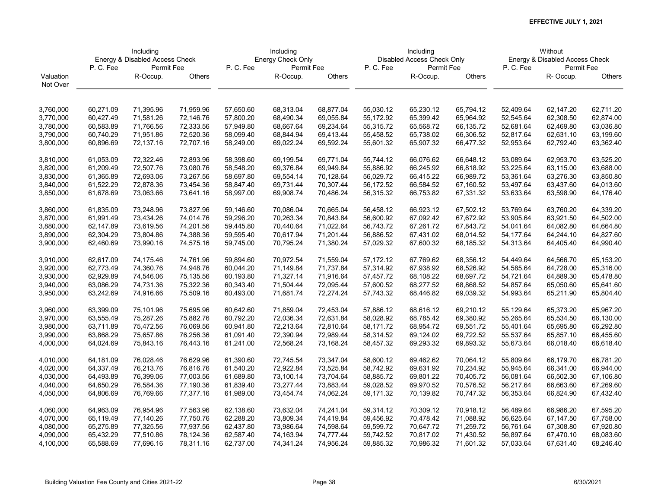|           | Including<br>Energy & Disabled Access Check |            |           |           | Including         |           |           | Including                  |           |           | Without                        |               |
|-----------|---------------------------------------------|------------|-----------|-----------|-------------------|-----------|-----------|----------------------------|-----------|-----------|--------------------------------|---------------|
|           |                                             |            |           |           | Energy Check Only |           |           | Disabled Access Check Only |           |           | Energy & Disabled Access Check |               |
|           | P.C.Fee                                     | Permit Fee |           | P.C.Fee   | Permit Fee        |           | P.C.Fee   | Permit Fee                 |           | P.C.Fee   | Permit Fee                     |               |
| Valuation |                                             | R-Occup.   | Others    |           | R-Occup.          | Others    |           | R-Occup.                   | Others    |           | R-Occup.                       | <b>Others</b> |
| Not Over  |                                             |            |           |           |                   |           |           |                            |           |           |                                |               |
|           |                                             |            |           |           |                   |           |           |                            |           |           |                                |               |
| 3,760,000 | 60,271.09                                   | 71,395.96  | 71,959.96 | 57,650.60 | 68,313.04         | 68,877.04 | 55,030.12 | 65,230.12                  | 65,794.12 | 52,409.64 | 62,147.20                      | 62,711.20     |
| 3,770,000 | 60,427.49                                   | 71,581.26  | 72,146.76 | 57,800.20 | 68,490.34         | 69,055.84 | 55,172.92 | 65,399.42                  | 65,964.92 | 52,545.64 | 62,308.50                      | 62,874.00     |
| 3,780,000 | 60,583.89                                   | 71,766.56  | 72,333.56 | 57,949.80 | 68,667.64         | 69,234.64 | 55,315.72 | 65,568.72                  | 66,135.72 | 52,681.64 | 62,469.80                      | 63,036.80     |
| 3,790,000 | 60,740.29                                   | 71,951.86  | 72,520.36 | 58,099.40 | 68,844.94         | 69,413.44 | 55,458.52 | 65,738.02                  | 66,306.52 | 52,817.64 | 62,631.10                      | 63,199.60     |
| 3,800,000 | 60,896.69                                   | 72,137.16  | 72,707.16 | 58,249.00 | 69,022.24         | 69,592.24 | 55,601.32 | 65,907.32                  | 66,477.32 | 52,953.64 | 62,792.40                      | 63,362.40     |
|           |                                             |            |           |           |                   |           |           |                            |           |           |                                |               |
| 3,810,000 | 61,053.09                                   | 72,322.46  | 72,893.96 | 58,398.60 | 69,199.54         | 69,771.04 | 55,744.12 | 66,076.62                  | 66,648.12 | 53,089.64 | 62,953.70                      | 63,525.20     |
| 3,820,000 | 61,209.49                                   | 72,507.76  | 73,080.76 | 58,548.20 | 69,376.84         | 69,949.84 | 55,886.92 | 66,245.92                  | 66,818.92 | 53,225.64 | 63,115.00                      | 63,688.00     |
| 3,830,000 | 61,365.89                                   | 72,693.06  | 73,267.56 | 58,697.80 | 69,554.14         | 70,128.64 | 56,029.72 | 66,415.22                  | 66,989.72 | 53,361.64 | 63,276.30                      | 63,850.80     |
| 3,840,000 | 61,522.29                                   | 72,878.36  | 73,454.36 | 58,847.40 | 69,731.44         | 70,307.44 | 56,172.52 | 66,584.52                  | 67,160.52 | 53,497.64 | 63,437.60                      | 64,013.60     |
| 3,850,000 | 61,678.69                                   | 73,063.66  | 73,641.16 | 58,997.00 | 69,908.74         | 70,486.24 | 56,315.32 | 66,753.82                  | 67,331.32 | 53,633.64 | 63,598.90                      | 64,176.40     |
| 3,860,000 | 61,835.09                                   | 73,248.96  | 73,827.96 | 59,146.60 | 70,086.04         | 70,665.04 | 56,458.12 | 66,923.12                  | 67,502.12 | 53,769.64 | 63,760.20                      | 64,339.20     |
| 3,870,000 | 61,991.49                                   | 73,434.26  | 74,014.76 | 59,296.20 | 70,263.34         | 70,843.84 | 56,600.92 | 67,092.42                  | 67,672.92 | 53,905.64 | 63,921.50                      | 64,502.00     |
| 3,880,000 | 62,147.89                                   | 73,619.56  | 74,201.56 | 59,445.80 | 70,440.64         | 71,022.64 | 56,743.72 | 67,261.72                  | 67,843.72 | 54,041.64 | 64,082.80                      | 64,664.80     |
| 3,890,000 | 62,304.29                                   | 73,804.86  | 74,388.36 | 59,595.40 | 70,617.94         | 71,201.44 | 56,886.52 | 67,431.02                  | 68,014.52 | 54,177.64 | 64,244.10                      | 64,827.60     |
| 3,900,000 | 62,460.69                                   | 73,990.16  | 74,575.16 | 59,745.00 | 70,795.24         | 71,380.24 | 57,029.32 | 67,600.32                  | 68,185.32 | 54,313.64 | 64,405.40                      | 64,990.40     |
|           |                                             |            |           |           |                   |           |           |                            |           |           |                                |               |
| 3,910,000 | 62,617.09                                   | 74,175.46  | 74,761.96 | 59,894.60 | 70,972.54         | 71,559.04 | 57,172.12 | 67,769.62                  | 68,356.12 | 54,449.64 | 64,566.70                      | 65,153.20     |
| 3,920,000 | 62,773.49                                   | 74,360.76  | 74,948.76 | 60,044.20 | 71,149.84         | 71,737.84 | 57,314.92 | 67,938.92                  | 68,526.92 | 54,585.64 | 64,728.00                      | 65,316.00     |
| 3,930,000 | 62,929.89                                   | 74,546.06  | 75,135.56 | 60,193.80 | 71,327.14         | 71,916.64 | 57,457.72 | 68,108.22                  | 68,697.72 | 54,721.64 | 64,889.30                      | 65,478.80     |
| 3,940,000 | 63,086.29                                   | 74,731.36  | 75,322.36 | 60,343.40 | 71,504.44         | 72,095.44 | 57,600.52 | 68,277.52                  | 68,868.52 | 54,857.64 | 65,050.60                      | 65,641.60     |
| 3,950,000 | 63,242.69                                   | 74,916.66  | 75,509.16 | 60,493.00 | 71,681.74         | 72,274.24 | 57,743.32 | 68,446.82                  | 69,039.32 | 54,993.64 | 65,211.90                      | 65,804.40     |
| 3,960,000 | 63,399.09                                   | 75,101.96  | 75,695.96 | 60,642.60 | 71,859.04         | 72,453.04 | 57,886.12 | 68,616.12                  | 69,210.12 | 55,129.64 | 65,373.20                      | 65,967.20     |
| 3,970,000 | 63,555.49                                   | 75,287.26  | 75,882.76 | 60,792.20 | 72,036.34         | 72,631.84 | 58,028.92 | 68,785.42                  | 69,380.92 | 55,265.64 | 65,534.50                      | 66,130.00     |
| 3,980,000 | 63,711.89                                   | 75,472.56  | 76,069.56 | 60,941.80 | 72,213.64         | 72,810.64 | 58,171.72 | 68,954.72                  | 69,551.72 | 55,401.64 | 65,695.80                      | 66,292.80     |
| 3,990,000 | 63,868.29                                   | 75,657.86  | 76,256.36 | 61,091.40 | 72,390.94         | 72,989.44 | 58,314.52 | 69,124.02                  | 69,722.52 | 55,537.64 | 65,857.10                      | 66,455.60     |
| 4,000,000 | 64,024.69                                   | 75,843.16  | 76,443.16 | 61,241.00 | 72,568.24         | 73,168.24 | 58,457.32 | 69,293.32                  | 69,893.32 | 55,673.64 | 66,018.40                      | 66,618.40     |
| 4,010,000 | 64,181.09                                   | 76,028.46  | 76,629.96 | 61,390.60 | 72,745.54         | 73,347.04 | 58,600.12 | 69,462.62                  | 70,064.12 | 55,809.64 | 66,179.70                      | 66,781.20     |
| 4,020,000 | 64,337.49                                   | 76,213.76  | 76,816.76 | 61,540.20 | 72,922.84         | 73,525.84 | 58,742.92 | 69,631.92                  | 70,234.92 | 55,945.64 | 66,341.00                      | 66,944.00     |
| 4,030,000 | 64,493.89                                   | 76,399.06  | 77,003.56 | 61,689.80 | 73,100.14         | 73,704.64 | 58,885.72 | 69,801.22                  | 70,405.72 | 56,081.64 | 66,502.30                      | 67,106.80     |
| 4,040,000 | 64,650.29                                   | 76,584.36  | 77,190.36 | 61,839.40 | 73,277.44         | 73,883.44 | 59,028.52 | 69,970.52                  | 70,576.52 | 56,217.64 | 66,663.60                      | 67,269.60     |
| 4,050,000 | 64,806.69                                   | 76,769.66  | 77,377.16 | 61,989.00 | 73,454.74         | 74,062.24 | 59,171.32 | 70,139.82                  | 70,747.32 | 56,353.64 | 66,824.90                      | 67,432.40     |
|           |                                             |            |           |           |                   |           |           |                            |           |           |                                |               |
| 4,060,000 | 64,963.09                                   | 76,954.96  | 77,563.96 | 62,138.60 | 73,632.04         | 74,241.04 | 59,314.12 | 70,309.12                  | 70,918.12 | 56,489.64 | 66,986.20                      | 67,595.20     |
| 4,070,000 | 65,119.49                                   | 77,140.26  | 77,750.76 | 62,288.20 | 73,809.34         | 74,419.84 | 59,456.92 | 70,478.42                  | 71,088.92 | 56,625.64 | 67,147.50                      | 67,758.00     |
| 4,080,000 | 65,275.89                                   | 77,325.56  | 77,937.56 | 62,437.80 | 73,986.64         | 74,598.64 | 59,599.72 | 70,647.72                  | 71,259.72 | 56,761.64 | 67,308.80                      | 67,920.80     |
| 4,090,000 | 65,432.29                                   | 77,510.86  | 78,124.36 | 62,587.40 | 74,163.94         | 74,777.44 | 59,742.52 | 70,817.02                  | 71,430.52 | 56,897.64 | 67,470.10                      | 68,083.60     |
| 4,100,000 | 65,588.69                                   | 77,696.16  | 78,311.16 | 62,737.00 | 74,341.24         | 74,956.24 | 59,885.32 | 70,986.32                  | 71,601.32 | 57,033.64 | 67,631.40                      | 68,246.40     |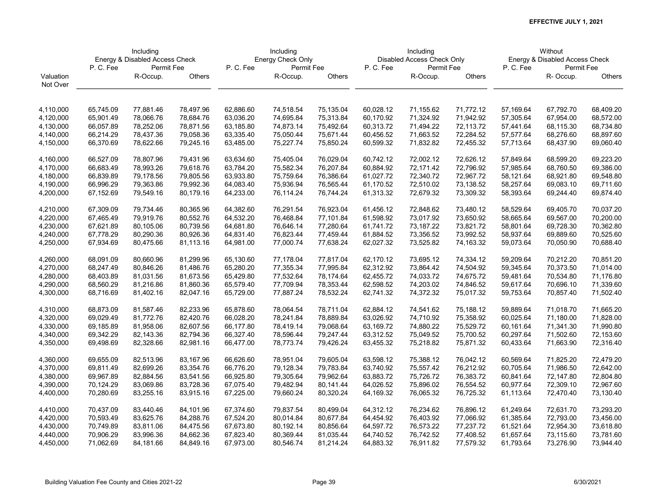|           | Including<br>Energy & Disabled Access Check |            |           |           | Including         |           |           | Including                  |           |           | Without                        |           |
|-----------|---------------------------------------------|------------|-----------|-----------|-------------------|-----------|-----------|----------------------------|-----------|-----------|--------------------------------|-----------|
|           |                                             |            |           |           | Energy Check Only |           |           | Disabled Access Check Only |           |           | Energy & Disabled Access Check |           |
|           | P.C.Fee                                     | Permit Fee |           | P.C.Fee   | Permit Fee        |           | P.C.Fee   | Permit Fee                 |           | P.C.Fee   | Permit Fee                     |           |
| Valuation |                                             | R-Occup.   | Others    |           | R-Occup.          | Others    |           | R-Occup.                   | Others    |           | R-Occup.                       | Others    |
| Not Over  |                                             |            |           |           |                   |           |           |                            |           |           |                                |           |
|           |                                             |            |           |           |                   |           |           |                            |           |           |                                |           |
| 4,110,000 | 65,745.09                                   | 77,881.46  | 78,497.96 | 62,886.60 | 74,518.54         | 75,135.04 | 60,028.12 | 71,155.62                  | 71,772.12 | 57,169.64 | 67,792.70                      | 68,409.20 |
| 4,120,000 | 65,901.49                                   | 78,066.76  | 78,684.76 | 63,036.20 | 74,695.84         | 75,313.84 | 60,170.92 | 71,324.92                  | 71,942.92 | 57,305.64 | 67,954.00                      | 68,572.00 |
| 4,130,000 | 66,057.89                                   | 78,252.06  | 78,871.56 | 63,185.80 | 74,873.14         | 75,492.64 | 60,313.72 | 71,494.22                  | 72,113.72 | 57,441.64 | 68,115.30                      | 68,734.80 |
| 4,140,000 | 66,214.29                                   | 78,437.36  | 79,058.36 | 63,335.40 | 75,050.44         | 75,671.44 | 60,456.52 | 71,663.52                  | 72,284.52 | 57,577.64 | 68,276.60                      | 68,897.60 |
| 4,150,000 | 66,370.69                                   | 78,622.66  | 79,245.16 | 63,485.00 | 75,227.74         | 75,850.24 | 60,599.32 | 71,832.82                  | 72,455.32 | 57,713.64 | 68,437.90                      | 69,060.40 |
|           |                                             |            |           |           |                   |           |           |                            |           |           |                                |           |
| 4,160,000 | 66,527.09                                   | 78,807.96  | 79,431.96 | 63,634.60 | 75,405.04         | 76,029.04 | 60,742.12 | 72,002.12                  | 72,626.12 | 57,849.64 | 68,599.20                      | 69,223.20 |
| 4,170,000 | 66,683.49                                   | 78,993.26  | 79,618.76 | 63,784.20 | 75,582.34         | 76,207.84 | 60,884.92 | 72,171.42                  | 72,796.92 | 57,985.64 | 68,760.50                      | 69,386.00 |
| 4,180,000 | 66,839.89                                   | 79,178.56  | 79,805.56 | 63,933.80 | 75,759.64         | 76,386.64 | 61,027.72 | 72,340.72                  | 72,967.72 | 58,121.64 | 68,921.80                      | 69,548.80 |
| 4,190,000 | 66,996.29                                   | 79,363.86  | 79,992.36 | 64,083.40 | 75,936.94         | 76,565.44 | 61,170.52 | 72,510.02                  | 73,138.52 | 58,257.64 | 69,083.10                      | 69,711.60 |
| 4,200,000 | 67,152.69                                   | 79,549.16  | 80,179.16 | 64,233.00 | 76,114.24         | 76,744.24 | 61,313.32 | 72,679.32                  | 73,309.32 | 58,393.64 | 69,244.40                      | 69,874.40 |
|           |                                             |            |           |           |                   |           |           |                            |           |           |                                |           |
| 4,210,000 | 67,309.09                                   | 79,734.46  | 80,365.96 | 64,382.60 | 76,291.54         | 76,923.04 | 61,456.12 | 72,848.62                  | 73,480.12 | 58,529.64 | 69,405.70                      | 70,037.20 |
| 4,220,000 | 67,465.49                                   | 79,919.76  | 80,552.76 | 64,532.20 | 76,468.84         | 77,101.84 | 61,598.92 | 73,017.92                  | 73,650.92 | 58,665.64 | 69,567.00                      | 70,200.00 |
| 4,230,000 | 67,621.89                                   | 80,105.06  | 80,739.56 | 64,681.80 | 76,646.14         | 77,280.64 | 61,741.72 | 73,187.22                  | 73,821.72 | 58,801.64 | 69,728.30                      | 70,362.80 |
| 4,240,000 | 67,778.29                                   | 80,290.36  | 80,926.36 | 64,831.40 | 76,823.44         | 77,459.44 | 61,884.52 | 73,356.52                  | 73,992.52 | 58,937.64 | 69,889.60                      | 70,525.60 |
| 4,250,000 | 67,934.69                                   | 80,475.66  | 81,113.16 | 64,981.00 | 77,000.74         | 77,638.24 | 62,027.32 | 73,525.82                  | 74,163.32 | 59,073.64 | 70,050.90                      | 70,688.40 |
|           | 68,091.09                                   | 80,660.96  | 81,299.96 | 65,130.60 | 77,178.04         | 77,817.04 | 62,170.12 | 73,695.12                  | 74,334.12 | 59,209.64 | 70,212.20                      | 70,851.20 |
| 4,260,000 |                                             |            |           |           |                   |           |           |                            |           |           |                                |           |
| 4,270,000 | 68,247.49                                   | 80,846.26  | 81,486.76 | 65,280.20 | 77,355.34         | 77,995.84 | 62,312.92 | 73,864.42                  | 74,504.92 | 59,345.64 | 70,373.50                      | 71,014.00 |
| 4,280,000 | 68,403.89                                   | 81,031.56  | 81,673.56 | 65,429.80 | 77,532.64         | 78,174.64 | 62,455.72 | 74,033.72                  | 74,675.72 | 59,481.64 | 70,534.80                      | 71,176.80 |
| 4,290,000 | 68,560.29                                   | 81,216.86  | 81,860.36 | 65,579.40 | 77,709.94         | 78,353.44 | 62,598.52 | 74,203.02                  | 74,846.52 | 59,617.64 | 70,696.10                      | 71,339.60 |
| 4,300,000 | 68,716.69                                   | 81,402.16  | 82,047.16 | 65,729.00 | 77,887.24         | 78,532.24 | 62,741.32 | 74,372.32                  | 75,017.32 | 59,753.64 | 70,857.40                      | 71,502.40 |
| 4,310,000 | 68,873.09                                   | 81,587.46  | 82,233.96 | 65,878.60 | 78,064.54         | 78,711.04 | 62,884.12 | 74,541.62                  | 75,188.12 | 59,889.64 | 71,018.70                      | 71,665.20 |
| 4,320,000 | 69,029.49                                   | 81,772.76  | 82,420.76 | 66,028.20 | 78,241.84         | 78,889.84 | 63,026.92 | 74,710.92                  | 75,358.92 | 60,025.64 | 71,180.00                      | 71,828.00 |
| 4,330,000 | 69,185.89                                   | 81,958.06  | 82,607.56 | 66,177.80 | 78,419.14         | 79,068.64 | 63,169.72 | 74,880.22                  | 75,529.72 | 60,161.64 | 71,341.30                      | 71,990.80 |
| 4,340,000 | 69,342.29                                   | 82,143.36  | 82,794.36 | 66,327.40 | 78,596.44         | 79,247.44 | 63,312.52 | 75,049.52                  | 75,700.52 | 60,297.64 | 71,502.60                      | 72,153.60 |
| 4,350,000 | 69,498.69                                   | 82,328.66  | 82,981.16 | 66,477.00 | 78,773.74         | 79,426.24 | 63,455.32 | 75,218.82                  | 75,871.32 | 60,433.64 | 71,663.90                      | 72,316.40 |
|           |                                             |            |           |           |                   |           |           |                            |           |           |                                |           |
| 4,360,000 | 69,655.09                                   | 82,513.96  | 83,167.96 | 66,626.60 | 78,951.04         | 79,605.04 | 63,598.12 | 75,388.12                  | 76,042.12 | 60,569.64 | 71,825.20                      | 72,479.20 |
| 4,370,000 | 69,811.49                                   | 82,699.26  | 83,354.76 | 66,776.20 | 79,128.34         | 79,783.84 | 63,740.92 | 75,557.42                  | 76,212.92 | 60,705.64 | 71,986.50                      | 72,642.00 |
| 4,380,000 | 69,967.89                                   | 82,884.56  | 83,541.56 | 66,925.80 | 79,305.64         | 79,962.64 | 63,883.72 | 75,726.72                  | 76,383.72 | 60,841.64 | 72,147.80                      | 72,804.80 |
| 4,390,000 | 70,124.29                                   | 83,069.86  | 83,728.36 | 67,075.40 | 79,482.94         | 80,141.44 | 64,026.52 | 75,896.02                  | 76,554.52 | 60,977.64 | 72,309.10                      | 72,967.60 |
| 4,400,000 | 70,280.69                                   | 83,255.16  | 83,915.16 | 67,225.00 | 79,660.24         | 80,320.24 | 64,169.32 | 76,065.32                  | 76,725.32 | 61,113.64 | 72,470.40                      | 73,130.40 |
| 4,410,000 | 70,437.09                                   | 83,440.46  | 84,101.96 | 67,374.60 | 79,837.54         | 80,499.04 | 64,312.12 | 76,234.62                  | 76,896.12 | 61,249.64 | 72,631.70                      | 73,293.20 |
| 4,420,000 | 70,593.49                                   | 83,625.76  | 84,288.76 | 67,524.20 | 80,014.84         | 80,677.84 | 64,454.92 | 76,403.92                  | 77,066.92 | 61,385.64 | 72,793.00                      | 73,456.00 |
| 4,430,000 | 70,749.89                                   | 83,811.06  | 84,475.56 | 67,673.80 | 80,192.14         | 80,856.64 | 64,597.72 | 76,573.22                  | 77,237.72 | 61,521.64 | 72,954.30                      | 73,618.80 |
|           |                                             |            |           |           |                   | 81,035.44 |           | 76,742.52                  |           |           |                                | 73,781.60 |
| 4,440,000 | 70,906.29                                   | 83,996.36  | 84,662.36 | 67,823.40 | 80,369.44         |           | 64,740.52 |                            | 77,408.52 | 61,657.64 | 73,115.60                      |           |
| 4,450,000 | 71,062.69                                   | 84,181.66  | 84,849.16 | 67,973.00 | 80,546.74         | 81,214.24 | 64,883.32 | 76,911.82                  | 77,579.32 | 61,793.64 | 73,276.90                      | 73,944.40 |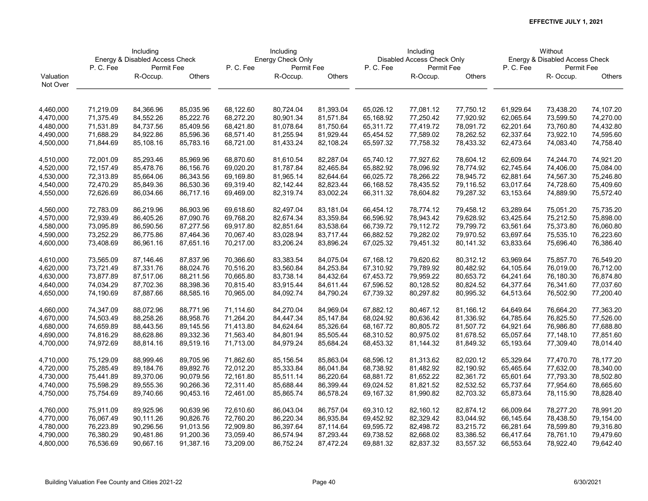|           | Including<br>Energy & Disabled Access Check |            |           |           | Including         |           |           | Including                  |           |           | Without                        |               |
|-----------|---------------------------------------------|------------|-----------|-----------|-------------------|-----------|-----------|----------------------------|-----------|-----------|--------------------------------|---------------|
|           |                                             |            |           |           | Energy Check Only |           |           | Disabled Access Check Only |           |           | Energy & Disabled Access Check |               |
|           | P.C.Fee                                     | Permit Fee |           | P.C.Fee   | Permit Fee        |           | P.C.Fee   | Permit Fee                 |           | P.C.Fee   | Permit Fee                     |               |
| Valuation |                                             | R-Occup.   | Others    |           | R-Occup.          | Others    |           | R-Occup.                   | Others    |           | R-Occup.                       | <b>Others</b> |
| Not Over  |                                             |            |           |           |                   |           |           |                            |           |           |                                |               |
|           |                                             |            |           |           |                   |           |           |                            |           |           |                                |               |
| 4,460,000 | 71,219.09                                   | 84,366.96  | 85,035.96 | 68,122.60 | 80,724.04         | 81,393.04 | 65,026.12 | 77,081.12                  | 77,750.12 | 61,929.64 | 73,438.20                      | 74,107.20     |
| 4,470,000 | 71,375.49                                   | 84,552.26  | 85,222.76 | 68,272.20 | 80,901.34         | 81,571.84 | 65,168.92 | 77,250.42                  | 77,920.92 | 62,065.64 | 73,599.50                      | 74,270.00     |
| 4,480,000 | 71,531.89                                   | 84,737.56  | 85,409.56 | 68,421.80 | 81,078.64         | 81,750.64 | 65,311.72 | 77,419.72                  | 78,091.72 | 62,201.64 | 73,760.80                      | 74,432.80     |
| 4,490,000 | 71,688.29                                   | 84,922.86  | 85,596.36 | 68,571.40 | 81,255.94         | 81,929.44 | 65,454.52 | 77,589.02                  | 78,262.52 | 62,337.64 | 73,922.10                      | 74,595.60     |
| 4,500,000 | 71,844.69                                   | 85,108.16  | 85,783.16 | 68,721.00 | 81,433.24         | 82,108.24 | 65,597.32 | 77,758.32                  | 78,433.32 | 62,473.64 | 74,083.40                      | 74,758.40     |
|           |                                             |            |           |           |                   |           |           |                            |           |           |                                |               |
| 4,510,000 | 72,001.09                                   | 85,293.46  | 85,969.96 | 68,870.60 | 81,610.54         | 82,287.04 | 65,740.12 | 77,927.62                  | 78,604.12 | 62,609.64 | 74,244.70                      | 74,921.20     |
| 4,520,000 | 72,157.49                                   | 85,478.76  | 86,156.76 | 69,020.20 | 81,787.84         | 82,465.84 | 65,882.92 | 78,096.92                  | 78,774.92 | 62,745.64 | 74,406.00                      | 75,084.00     |
| 4,530,000 | 72,313.89                                   | 85,664.06  | 86,343.56 | 69,169.80 | 81,965.14         | 82,644.64 | 66,025.72 | 78,266.22                  | 78,945.72 | 62,881.64 | 74,567.30                      | 75,246.80     |
| 4,540,000 | 72,470.29                                   | 85,849.36  | 86,530.36 | 69,319.40 | 82,142.44         | 82,823.44 | 66,168.52 | 78,435.52                  | 79,116.52 | 63,017.64 | 74,728.60                      | 75,409.60     |
| 4,550,000 | 72,626.69                                   | 86,034.66  | 86,717.16 | 69,469.00 | 82,319.74         | 83,002.24 | 66,311.32 | 78,604.82                  | 79,287.32 | 63,153.64 | 74,889.90                      | 75,572.40     |
| 4,560,000 | 72,783.09                                   | 86,219.96  | 86,903.96 | 69,618.60 | 82,497.04         | 83,181.04 | 66,454.12 | 78,774.12                  | 79,458.12 | 63,289.64 | 75,051.20                      | 75,735.20     |
| 4,570,000 | 72,939.49                                   | 86,405.26  | 87,090.76 | 69,768.20 | 82,674.34         | 83,359.84 | 66,596.92 | 78,943.42                  | 79,628.92 | 63,425.64 | 75,212.50                      | 75,898.00     |
| 4,580,000 | 73,095.89                                   | 86,590.56  | 87,277.56 | 69,917.80 | 82,851.64         | 83,538.64 | 66,739.72 | 79,112.72                  | 79,799.72 | 63,561.64 | 75,373.80                      | 76,060.80     |
| 4,590,000 | 73,252.29                                   | 86,775.86  | 87,464.36 | 70,067.40 | 83,028.94         | 83,717.44 | 66,882.52 | 79,282.02                  | 79,970.52 | 63,697.64 | 75,535.10                      | 76,223.60     |
| 4,600,000 | 73,408.69                                   | 86,961.16  | 87,651.16 | 70,217.00 | 83,206.24         | 83,896.24 | 67,025.32 | 79,451.32                  | 80,141.32 | 63,833.64 | 75,696.40                      | 76,386.40     |
|           |                                             |            |           |           |                   |           |           |                            |           |           |                                |               |
| 4,610,000 | 73,565.09                                   | 87,146.46  | 87,837.96 | 70,366.60 | 83,383.54         | 84,075.04 | 67,168.12 | 79,620.62                  | 80,312.12 | 63,969.64 | 75,857.70                      | 76,549.20     |
| 4,620,000 | 73,721.49                                   | 87,331.76  | 88,024.76 | 70,516.20 | 83,560.84         | 84,253.84 | 67,310.92 | 79,789.92                  | 80,482.92 | 64,105.64 | 76,019.00                      | 76,712.00     |
| 4,630,000 | 73,877.89                                   | 87,517.06  | 88,211.56 | 70,665.80 | 83,738.14         | 84,432.64 | 67,453.72 | 79,959.22                  | 80,653.72 | 64,241.64 | 76,180.30                      | 76,874.80     |
| 4,640,000 | 74,034.29                                   | 87,702.36  | 88,398.36 | 70,815.40 | 83,915.44         | 84,611.44 | 67,596.52 | 80,128.52                  | 80,824.52 | 64,377.64 | 76,341.60                      | 77,037.60     |
| 4,650,000 | 74,190.69                                   | 87,887.66  | 88,585.16 | 70,965.00 | 84,092.74         | 84,790.24 | 67,739.32 | 80,297.82                  | 80,995.32 | 64,513.64 | 76,502.90                      | 77,200.40     |
| 4,660,000 | 74,347.09                                   | 88,072.96  | 88,771.96 | 71,114.60 | 84,270.04         | 84,969.04 | 67,882.12 | 80,467.12                  | 81,166.12 | 64,649.64 | 76,664.20                      | 77,363.20     |
| 4,670,000 | 74,503.49                                   | 88,258.26  | 88,958.76 | 71,264.20 | 84,447.34         | 85,147.84 | 68,024.92 | 80,636.42                  | 81,336.92 | 64,785.64 | 76,825.50                      | 77,526.00     |
| 4,680,000 | 74,659.89                                   | 88,443.56  | 89,145.56 | 71,413.80 | 84,624.64         | 85,326.64 | 68,167.72 | 80,805.72                  | 81,507.72 | 64,921.64 | 76,986.80                      | 77,688.80     |
| 4,690,000 | 74,816.29                                   | 88,628.86  | 89,332.36 | 71,563.40 | 84,801.94         | 85,505.44 | 68,310.52 | 80,975.02                  | 81,678.52 | 65,057.64 | 77,148.10                      | 77,851.60     |
| 4,700,000 | 74,972.69                                   | 88,814.16  | 89,519.16 | 71,713.00 | 84,979.24         | 85,684.24 | 68,453.32 | 81,144.32                  | 81,849.32 | 65,193.64 | 77,309.40                      | 78,014.40     |
|           |                                             |            |           |           |                   |           |           |                            |           |           |                                |               |
| 4,710,000 | 75,129.09                                   | 88,999.46  | 89,705.96 | 71,862.60 | 85,156.54         | 85,863.04 | 68,596.12 | 81,313.62                  | 82,020.12 | 65,329.64 | 77,470.70                      | 78,177.20     |
| 4,720,000 | 75,285.49                                   | 89,184.76  | 89,892.76 | 72,012.20 | 85,333.84         | 86,041.84 | 68,738.92 | 81,482.92                  | 82,190.92 | 65,465.64 | 77,632.00                      | 78,340.00     |
| 4,730,000 | 75,441.89                                   | 89,370.06  | 90,079.56 | 72,161.80 | 85,511.14         | 86,220.64 | 68,881.72 | 81,652.22                  | 82,361.72 | 65,601.64 | 77,793.30                      | 78,502.80     |
| 4,740,000 | 75,598.29                                   | 89,555.36  | 90,266.36 | 72,311.40 | 85,688.44         | 86,399.44 | 69,024.52 | 81,821.52                  | 82,532.52 | 65,737.64 | 77,954.60                      | 78,665.60     |
| 4,750,000 | 75,754.69                                   | 89,740.66  | 90,453.16 | 72,461.00 | 85,865.74         | 86,578.24 | 69,167.32 | 81,990.82                  | 82,703.32 | 65,873.64 | 78,115.90                      | 78,828.40     |
| 4,760,000 | 75,911.09                                   | 89,925.96  | 90,639.96 | 72,610.60 | 86,043.04         | 86,757.04 | 69,310.12 | 82,160.12                  | 82,874.12 | 66,009.64 | 78,277.20                      | 78,991.20     |
| 4,770,000 | 76,067.49                                   | 90,111.26  | 90,826.76 | 72,760.20 | 86,220.34         | 86,935.84 | 69,452.92 | 82,329.42                  | 83,044.92 | 66,145.64 | 78,438.50                      | 79,154.00     |
| 4,780,000 | 76,223.89                                   | 90,296.56  | 91,013.56 | 72,909.80 | 86,397.64         | 87,114.64 | 69,595.72 | 82,498.72                  | 83,215.72 | 66,281.64 | 78,599.80                      | 79,316.80     |
| 4,790,000 | 76,380.29                                   | 90,481.86  | 91,200.36 | 73,059.40 | 86,574.94         | 87,293.44 | 69,738.52 | 82,668.02                  | 83,386.52 | 66,417.64 | 78,761.10                      | 79,479.60     |
| 4,800,000 | 76,536.69                                   | 90,667.16  | 91,387.16 | 73,209.00 | 86,752.24         | 87,472.24 | 69,881.32 | 82,837.32                  | 83,557.32 | 66,553.64 | 78,922.40                      | 79,642.40     |
|           |                                             |            |           |           |                   |           |           |                            |           |           |                                |               |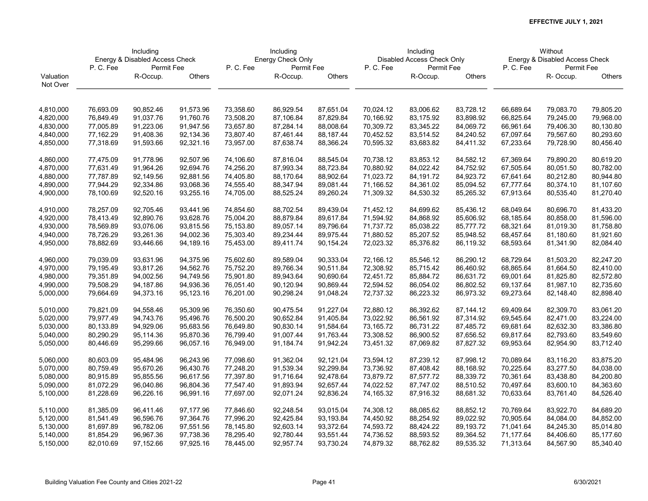|           | Including<br>Energy & Disabled Access Check |            |           |           | Including         |           |           | Including                  |           |           | Without                        |               |
|-----------|---------------------------------------------|------------|-----------|-----------|-------------------|-----------|-----------|----------------------------|-----------|-----------|--------------------------------|---------------|
|           |                                             |            |           |           | Energy Check Only |           |           | Disabled Access Check Only |           |           | Energy & Disabled Access Check |               |
|           | P.C.Fee                                     | Permit Fee |           | P.C.Fee   | Permit Fee        |           | P.C.Fee   | Permit Fee                 |           | P.C.Fee   | Permit Fee                     |               |
| Valuation |                                             | R-Occup.   | Others    |           | R-Occup.          | Others    |           | R-Occup.                   | Others    |           | R- Occup.                      | <b>Others</b> |
| Not Over  |                                             |            |           |           |                   |           |           |                            |           |           |                                |               |
|           |                                             |            |           |           |                   |           |           |                            |           |           |                                |               |
| 4,810,000 | 76,693.09                                   | 90,852.46  | 91,573.96 | 73,358.60 | 86,929.54         | 87,651.04 | 70,024.12 | 83,006.62                  | 83,728.12 | 66,689.64 | 79,083.70                      | 79,805.20     |
| 4,820,000 | 76,849.49                                   | 91,037.76  | 91,760.76 | 73,508.20 | 87,106.84         | 87,829.84 | 70,166.92 | 83,175.92                  | 83,898.92 | 66,825.64 | 79,245.00                      | 79,968.00     |
| 4,830,000 | 77,005.89                                   | 91,223.06  | 91,947.56 | 73,657.80 | 87,284.14         | 88,008.64 | 70,309.72 | 83,345.22                  | 84,069.72 | 66,961.64 | 79,406.30                      | 80,130.80     |
| 4,840,000 | 77,162.29                                   | 91,408.36  | 92,134.36 | 73,807.40 | 87,461.44         | 88,187.44 | 70,452.52 | 83,514.52                  | 84,240.52 | 67,097.64 | 79,567.60                      | 80,293.60     |
| 4,850,000 | 77,318.69                                   | 91,593.66  | 92,321.16 | 73,957.00 | 87,638.74         | 88,366.24 | 70,595.32 | 83,683.82                  | 84,411.32 | 67,233.64 | 79,728.90                      | 80,456.40     |
|           |                                             |            |           |           |                   |           |           |                            |           |           |                                |               |
| 4,860,000 | 77,475.09                                   | 91,778.96  | 92,507.96 | 74,106.60 | 87,816.04         | 88,545.04 | 70,738.12 | 83,853.12                  | 84,582.12 | 67,369.64 | 79,890.20                      | 80,619.20     |
| 4,870,000 | 77,631.49                                   | 91,964.26  | 92,694.76 | 74,256.20 | 87,993.34         | 88,723.84 | 70,880.92 | 84,022.42                  | 84,752.92 | 67,505.64 | 80,051.50                      | 80,782.00     |
| 4,880,000 | 77,787.89                                   | 92,149.56  | 92,881.56 | 74,405.80 | 88,170.64         | 88,902.64 | 71,023.72 | 84,191.72                  | 84,923.72 | 67,641.64 | 80,212.80                      | 80,944.80     |
| 4,890,000 | 77,944.29                                   | 92,334.86  | 93,068.36 | 74,555.40 | 88,347.94         | 89,081.44 | 71,166.52 | 84,361.02                  | 85,094.52 | 67,777.64 | 80,374.10                      | 81,107.60     |
| 4,900,000 | 78,100.69                                   | 92,520.16  | 93,255.16 | 74,705.00 | 88,525.24         | 89,260.24 | 71,309.32 | 84,530.32                  | 85,265.32 | 67,913.64 | 80,535.40                      | 81,270.40     |
|           |                                             |            |           |           |                   |           |           |                            |           |           |                                |               |
| 4,910,000 | 78,257.09                                   | 92,705.46  | 93,441.96 | 74,854.60 | 88,702.54         | 89,439.04 | 71,452.12 | 84,699.62                  | 85,436.12 | 68,049.64 | 80,696.70                      | 81,433.20     |
| 4,920,000 | 78,413.49                                   | 92,890.76  | 93,628.76 | 75,004.20 | 88,879.84         | 89,617.84 | 71,594.92 | 84,868.92                  | 85,606.92 | 68,185.64 | 80,858.00                      | 81,596.00     |
| 4,930,000 | 78,569.89                                   | 93,076.06  | 93,815.56 | 75,153.80 | 89,057.14         | 89,796.64 | 71,737.72 | 85,038.22                  | 85,777.72 | 68,321.64 | 81,019.30                      | 81,758.80     |
| 4,940,000 | 78,726.29                                   | 93,261.36  | 94,002.36 | 75,303.40 | 89,234.44         | 89,975.44 | 71,880.52 | 85,207.52                  | 85,948.52 | 68,457.64 | 81,180.60                      | 81,921.60     |
| 4,950,000 | 78,882.69                                   | 93,446.66  | 94,189.16 | 75,453.00 | 89,411.74         | 90,154.24 | 72,023.32 | 85,376.82                  | 86,119.32 | 68,593.64 | 81,341.90                      | 82,084.40     |
| 4,960,000 | 79,039.09                                   | 93,631.96  | 94,375.96 | 75,602.60 | 89,589.04         | 90,333.04 | 72,166.12 | 85,546.12                  | 86,290.12 | 68,729.64 | 81,503.20                      | 82,247.20     |
| 4,970,000 | 79,195.49                                   | 93,817.26  | 94,562.76 | 75,752.20 | 89,766.34         | 90,511.84 | 72,308.92 | 85,715.42                  | 86,460.92 | 68,865.64 | 81,664.50                      | 82,410.00     |
| 4,980,000 | 79,351.89                                   | 94,002.56  | 94,749.56 | 75,901.80 | 89,943.64         | 90,690.64 | 72,451.72 | 85,884.72                  | 86,631.72 | 69,001.64 | 81,825.80                      | 82,572.80     |
| 4,990,000 | 79,508.29                                   | 94,187.86  | 94,936.36 | 76,051.40 | 90,120.94         | 90,869.44 | 72,594.52 | 86,054.02                  | 86,802.52 | 69,137.64 | 81,987.10                      | 82,735.60     |
| 5,000,000 | 79,664.69                                   | 94,373.16  | 95,123.16 | 76,201.00 | 90,298.24         | 91,048.24 | 72,737.32 | 86,223.32                  | 86,973.32 | 69,273.64 | 82,148.40                      | 82,898.40     |
|           |                                             |            |           |           |                   |           |           |                            |           |           |                                |               |
| 5,010,000 | 79,821.09                                   | 94,558.46  | 95,309.96 | 76,350.60 | 90,475.54         | 91,227.04 | 72,880.12 | 86,392.62                  | 87,144.12 | 69,409.64 | 82,309.70                      | 83,061.20     |
| 5,020,000 | 79,977.49                                   | 94,743.76  | 95,496.76 | 76,500.20 | 90,652.84         | 91,405.84 | 73,022.92 | 86,561.92                  | 87,314.92 | 69,545.64 | 82,471.00                      | 83,224.00     |
| 5,030,000 | 80,133.89                                   | 94,929.06  | 95,683.56 | 76,649.80 | 90,830.14         | 91,584.64 | 73,165.72 | 86,731.22                  | 87,485.72 | 69,681.64 | 82,632.30                      | 83,386.80     |
| 5,040,000 | 80,290.29                                   | 95,114.36  | 95,870.36 | 76,799.40 | 91,007.44         | 91,763.44 | 73,308.52 | 86,900.52                  | 87,656.52 | 69,817.64 | 82,793.60                      | 83,549.60     |
| 5,050,000 | 80,446.69                                   | 95,299.66  | 96,057.16 | 76,949.00 | 91,184.74         | 91,942.24 | 73,451.32 | 87,069.82                  | 87,827.32 | 69,953.64 | 82,954.90                      | 83,712.40     |
| 5,060,000 | 80,603.09                                   | 95,484.96  | 96,243.96 | 77,098.60 | 91,362.04         | 92,121.04 | 73,594.12 | 87,239.12                  | 87,998.12 | 70,089.64 | 83,116.20                      | 83,875.20     |
| 5,070,000 | 80,759.49                                   | 95,670.26  | 96,430.76 | 77,248.20 | 91,539.34         | 92,299.84 | 73,736.92 | 87,408.42                  | 88,168.92 | 70,225.64 | 83,277.50                      | 84,038.00     |
| 5,080,000 | 80,915.89                                   | 95,855.56  | 96,617.56 | 77,397.80 | 91,716.64         | 92,478.64 | 73,879.72 | 87,577.72                  | 88,339.72 | 70,361.64 | 83,438.80                      | 84,200.80     |
| 5,090,000 | 81,072.29                                   | 96,040.86  | 96,804.36 | 77,547.40 | 91,893.94         | 92,657.44 | 74,022.52 | 87,747.02                  | 88,510.52 | 70,497.64 | 83,600.10                      | 84,363.60     |
| 5,100,000 | 81,228.69                                   | 96,226.16  | 96,991.16 | 77,697.00 | 92,071.24         | 92,836.24 | 74,165.32 | 87,916.32                  | 88,681.32 | 70,633.64 | 83,761.40                      | 84,526.40     |
|           |                                             |            |           |           |                   |           |           |                            |           |           |                                |               |
| 5,110,000 | 81,385.09                                   | 96,411.46  | 97,177.96 | 77,846.60 | 92,248.54         | 93,015.04 | 74,308.12 | 88,085.62                  | 88,852.12 | 70,769.64 | 83,922.70                      | 84,689.20     |
| 5,120,000 | 81,541.49                                   | 96,596.76  | 97,364.76 | 77,996.20 | 92,425.84         | 93,193.84 | 74,450.92 | 88,254.92                  | 89,022.92 | 70,905.64 | 84,084.00                      | 84,852.00     |
| 5,130,000 | 81,697.89                                   | 96,782.06  | 97,551.56 | 78,145.80 | 92,603.14         | 93,372.64 | 74,593.72 | 88,424.22                  | 89,193.72 | 71,041.64 | 84,245.30                      | 85,014.80     |
| 5,140,000 | 81,854.29                                   | 96,967.36  | 97,738.36 | 78,295.40 | 92,780.44         | 93,551.44 | 74,736.52 | 88,593.52                  | 89,364.52 | 71,177.64 | 84,406.60                      | 85,177.60     |
| 5,150,000 | 82,010.69                                   | 97,152.66  | 97,925.16 | 78,445.00 | 92,957.74         | 93,730.24 | 74,879.32 | 88,762.82                  | 89,535.32 | 71,313.64 | 84,567.90                      | 85,340.40     |
|           |                                             |            |           |           |                   |           |           |                            |           |           |                                |               |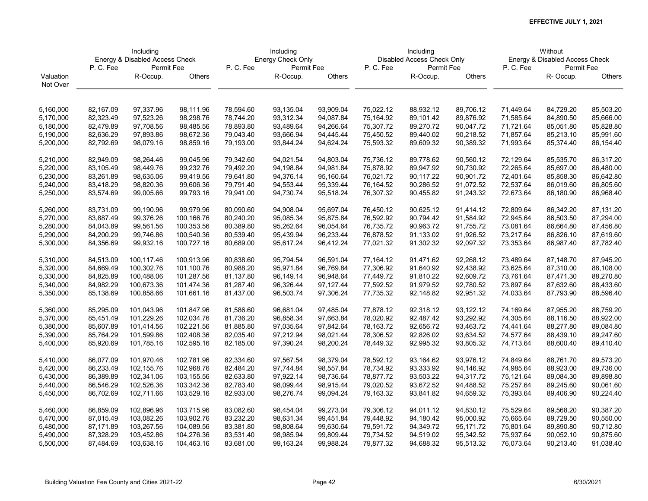|           | Including<br>Energy & Disabled Access Check |            |            |           | Including         |           |           | Including                  |           |           | Without                        |               |
|-----------|---------------------------------------------|------------|------------|-----------|-------------------|-----------|-----------|----------------------------|-----------|-----------|--------------------------------|---------------|
|           |                                             |            |            |           | Energy Check Only |           |           | Disabled Access Check Only |           |           | Energy & Disabled Access Check |               |
|           | P. C. Fee                                   | Permit Fee |            | P.C.Fee   | Permit Fee        |           | P.C.Fee   | Permit Fee                 |           | P.C.Fee   | Permit Fee                     |               |
| Valuation |                                             | R-Occup.   | Others     |           | R-Occup.          | Others    |           | R-Occup.                   | Others    |           | R- Occup.                      | <b>Others</b> |
| Not Over  |                                             |            |            |           |                   |           |           |                            |           |           |                                |               |
|           |                                             |            |            |           |                   |           |           |                            |           |           |                                |               |
| 5,160,000 | 82,167.09                                   | 97,337.96  | 98,111.96  | 78,594.60 | 93,135.04         | 93,909.04 | 75,022.12 | 88,932.12                  | 89,706.12 | 71,449.64 | 84,729.20                      | 85,503.20     |
| 5,170,000 | 82,323.49                                   | 97,523.26  | 98,298.76  | 78,744.20 | 93,312.34         | 94,087.84 | 75,164.92 | 89,101.42                  | 89,876.92 | 71,585.64 | 84,890.50                      | 85,666.00     |
| 5,180,000 | 82,479.89                                   | 97,708.56  | 98,485.56  | 78,893.80 | 93,489.64         | 94,266.64 | 75,307.72 | 89,270.72                  | 90,047.72 | 71,721.64 | 85,051.80                      | 85,828.80     |
| 5,190,000 | 82,636.29                                   | 97,893.86  | 98,672.36  | 79,043.40 | 93,666.94         | 94,445.44 | 75,450.52 | 89,440.02                  | 90,218.52 | 71,857.64 | 85,213.10                      | 85,991.60     |
| 5,200,000 | 82,792.69                                   | 98,079.16  | 98,859.16  | 79,193.00 | 93,844.24         | 94,624.24 | 75,593.32 | 89,609.32                  | 90,389.32 | 71,993.64 | 85,374.40                      | 86,154.40     |
|           |                                             |            |            |           |                   |           |           |                            |           |           |                                |               |
| 5,210,000 | 82,949.09                                   | 98,264.46  | 99,045.96  | 79,342.60 | 94,021.54         | 94,803.04 | 75,736.12 | 89,778.62                  | 90,560.12 | 72,129.64 | 85,535.70                      | 86,317.20     |
| 5,220,000 | 83,105.49                                   | 98,449.76  | 99,232.76  | 79,492.20 | 94,198.84         | 94,981.84 | 75,878.92 | 89,947.92                  | 90,730.92 | 72,265.64 | 85,697.00                      | 86,480.00     |
| 5,230,000 | 83,261.89                                   | 98,635.06  | 99,419.56  | 79,641.80 | 94,376.14         | 95,160.64 | 76,021.72 | 90,117.22                  | 90,901.72 | 72,401.64 | 85,858.30                      | 86,642.80     |
| 5,240,000 | 83,418.29                                   | 98,820.36  | 99,606.36  | 79,791.40 | 94,553.44         | 95,339.44 | 76,164.52 | 90,286.52                  | 91,072.52 | 72,537.64 | 86,019.60                      | 86,805.60     |
| 5,250,000 | 83,574.69                                   | 99,005.66  | 99,793.16  | 79,941.00 | 94,730.74         | 95,518.24 | 76,307.32 | 90,455.82                  | 91,243.32 | 72,673.64 | 86,180.90                      | 86,968.40     |
|           |                                             |            |            |           |                   |           |           |                            |           |           |                                |               |
| 5,260,000 | 83,731.09                                   | 99,190.96  | 99,979.96  | 80,090.60 | 94,908.04         | 95,697.04 | 76,450.12 | 90,625.12                  | 91,414.12 | 72,809.64 | 86,342.20                      | 87,131.20     |
| 5,270,000 | 83,887.49                                   | 99,376.26  | 100,166.76 | 80,240.20 | 95,085.34         | 95,875.84 | 76,592.92 | 90,794.42                  | 91,584.92 | 72,945.64 | 86,503.50                      | 87,294.00     |
| 5,280,000 | 84,043.89                                   | 99,561.56  | 100,353.56 | 80,389.80 | 95,262.64         | 96,054.64 | 76,735.72 | 90,963.72                  | 91,755.72 | 73,081.64 | 86,664.80                      | 87,456.80     |
| 5,290,000 | 84,200.29                                   | 99,746.86  | 100,540.36 | 80,539.40 | 95,439.94         | 96,233.44 | 76,878.52 | 91,133.02                  | 91,926.52 | 73,217.64 | 86,826.10                      | 87,619.60     |
| 5,300,000 | 84,356.69                                   | 99,932.16  | 100,727.16 | 80,689.00 | 95,617.24         | 96,412.24 | 77,021.32 | 91,302.32                  | 92,097.32 | 73,353.64 | 86,987.40                      | 87,782.40     |
| 5,310,000 | 84,513.09                                   | 100,117.46 | 100,913.96 | 80,838.60 | 95,794.54         | 96,591.04 | 77,164.12 | 91,471.62                  | 92,268.12 | 73,489.64 | 87,148.70                      | 87,945.20     |
| 5,320,000 | 84,669.49                                   | 100,302.76 | 101,100.76 | 80,988.20 | 95,971.84         | 96,769.84 | 77,306.92 | 91,640.92                  | 92,438.92 | 73,625.64 | 87,310.00                      | 88,108.00     |
| 5,330,000 | 84,825.89                                   | 100,488.06 | 101,287.56 | 81,137.80 | 96,149.14         | 96,948.64 | 77,449.72 | 91,810.22                  | 92,609.72 | 73,761.64 | 87,471.30                      | 88,270.80     |
| 5,340,000 | 84,982.29                                   | 100,673.36 | 101,474.36 | 81,287.40 | 96,326.44         | 97,127.44 | 77,592.52 | 91,979.52                  | 92,780.52 | 73,897.64 | 87,632.60                      | 88,433.60     |
| 5,350,000 | 85,138.69                                   | 100,858.66 | 101,661.16 | 81,437.00 | 96,503.74         | 97,306.24 | 77,735.32 | 92,148.82                  | 92,951.32 | 74,033.64 | 87,793.90                      | 88,596.40     |
|           |                                             |            |            |           |                   |           |           |                            |           |           |                                |               |
| 5,360,000 | 85,295.09                                   | 101,043.96 | 101,847.96 | 81,586.60 | 96,681.04         | 97,485.04 | 77,878.12 | 92,318.12                  | 93,122.12 | 74,169.64 | 87,955.20                      | 88,759.20     |
| 5,370,000 | 85,451.49                                   | 101,229.26 | 102,034.76 | 81,736.20 | 96,858.34         | 97,663.84 | 78,020.92 | 92,487.42                  | 93,292.92 | 74,305.64 | 88,116.50                      | 88,922.00     |
| 5,380,000 | 85,607.89                                   | 101,414.56 | 102,221.56 | 81,885.80 | 97,035.64         | 97,842.64 | 78,163.72 | 92,656.72                  | 93,463.72 | 74,441.64 | 88,277.80                      | 89,084.80     |
| 5,390,000 | 85,764.29                                   | 101,599.86 | 102,408.36 | 82,035.40 | 97,212.94         | 98,021.44 | 78,306.52 | 92,826.02                  | 93,634.52 | 74,577.64 | 88,439.10                      | 89,247.60     |
| 5,400,000 | 85,920.69                                   | 101,785.16 | 102,595.16 | 82,185.00 | 97,390.24         | 98,200.24 | 78,449.32 | 92,995.32                  | 93,805.32 | 74,713.64 | 88,600.40                      | 89,410.40     |
| 5,410,000 | 86,077.09                                   | 101,970.46 | 102,781.96 | 82,334.60 | 97,567.54         | 98,379.04 | 78,592.12 | 93,164.62                  | 93,976.12 | 74,849.64 | 88,761.70                      | 89,573.20     |
| 5,420,000 | 86,233.49                                   | 102,155.76 | 102,968.76 | 82,484.20 | 97,744.84         | 98,557.84 | 78,734.92 | 93,333.92                  | 94,146.92 | 74,985.64 | 88,923.00                      | 89,736.00     |
| 5,430,000 | 86,389.89                                   | 102,341.06 | 103,155.56 | 82,633.80 | 97,922.14         | 98,736.64 | 78,877.72 | 93,503.22                  | 94,317.72 | 75,121.64 | 89,084.30                      | 89,898.80     |
| 5,440,000 | 86,546.29                                   | 102,526.36 | 103,342.36 | 82,783.40 | 98,099.44         | 98,915.44 | 79,020.52 | 93,672.52                  | 94,488.52 | 75,257.64 | 89,245.60                      | 90,061.60     |
| 5,450,000 | 86,702.69                                   | 102,711.66 | 103,529.16 | 82,933.00 | 98,276.74         | 99,094.24 | 79,163.32 | 93,841.82                  | 94,659.32 | 75,393.64 | 89,406.90                      | 90,224.40     |
|           |                                             |            |            |           |                   |           |           |                            |           |           |                                |               |
| 5,460,000 | 86,859.09                                   | 102,896.96 | 103,715.96 | 83,082.60 | 98,454.04         | 99,273.04 | 79,306.12 | 94,011.12                  | 94,830.12 | 75,529.64 | 89,568.20                      | 90,387.20     |
| 5,470,000 | 87,015.49                                   | 103,082.26 | 103,902.76 | 83,232.20 | 98,631.34         | 99,451.84 | 79,448.92 | 94,180.42                  | 95,000.92 | 75,665.64 | 89,729.50                      | 90,550.00     |
| 5,480,000 | 87,171.89                                   | 103,267.56 | 104,089.56 | 83,381.80 | 98,808.64         | 99,630.64 | 79,591.72 | 94,349.72                  | 95,171.72 | 75,801.64 | 89,890.80                      | 90,712.80     |
| 5,490,000 | 87,328.29                                   | 103,452.86 | 104,276.36 | 83,531.40 | 98,985.94         | 99,809.44 | 79,734.52 | 94,519.02                  | 95,342.52 | 75,937.64 | 90,052.10                      | 90,875.60     |
| 5,500,000 | 87,484.69                                   | 103,638.16 | 104,463.16 | 83,681.00 | 99,163.24         | 99,988.24 | 79,877.32 | 94,688.32                  | 95,513.32 | 76,073.64 | 90,213.40                      | 91,038.40     |
|           |                                             |            |            |           |                   |           |           |                            |           |           |                                |               |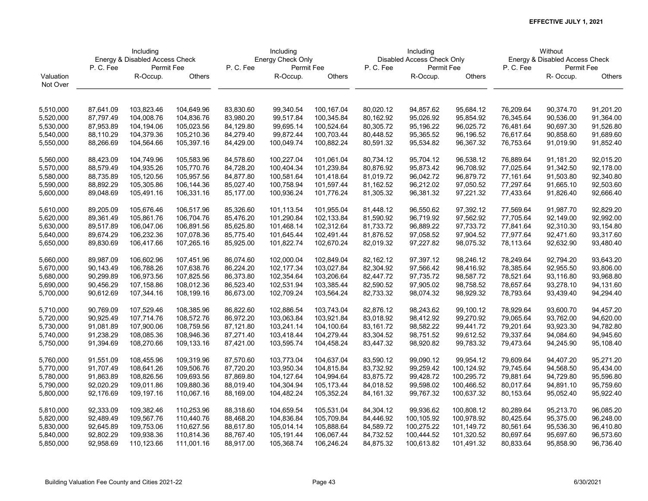|           | Including<br>Energy & Disabled Access Check |            |            |           | Including         |            |           | Including                  |            |           | Without                        |               |
|-----------|---------------------------------------------|------------|------------|-----------|-------------------|------------|-----------|----------------------------|------------|-----------|--------------------------------|---------------|
|           |                                             |            |            |           | Energy Check Only |            |           | Disabled Access Check Only |            |           | Energy & Disabled Access Check |               |
|           | P.C.Fee                                     | Permit Fee |            | P.C.Fee   | Permit Fee        |            | P.C.Fee   | Permit Fee                 |            | P.C.Fee   | Permit Fee                     |               |
| Valuation |                                             | R-Occup.   | Others     |           | R-Occup.          | Others     |           | R-Occup.                   | Others     |           | R- Occup.                      | <b>Others</b> |
| Not Over  |                                             |            |            |           |                   |            |           |                            |            |           |                                |               |
|           |                                             |            |            |           |                   |            |           |                            |            |           |                                |               |
| 5,510,000 | 87,641.09                                   | 103,823.46 | 104,649.96 | 83,830.60 | 99,340.54         | 100,167.04 | 80,020.12 | 94,857.62                  | 95,684.12  | 76,209.64 | 90,374.70                      | 91,201.20     |
| 5,520,000 | 87,797.49                                   | 104,008.76 | 104,836.76 | 83,980.20 | 99,517.84         | 100,345.84 | 80,162.92 | 95,026.92                  | 95,854.92  | 76,345.64 | 90,536.00                      | 91,364.00     |
| 5,530,000 | 87,953.89                                   | 104,194.06 | 105,023.56 | 84,129.80 | 99,695.14         | 100,524.64 | 80,305.72 | 95,196.22                  | 96,025.72  | 76,481.64 | 90,697.30                      | 91,526.80     |
| 5,540,000 | 88,110.29                                   | 104,379.36 | 105,210.36 | 84,279.40 | 99,872.44         | 100,703.44 | 80,448.52 | 95,365.52                  | 96,196.52  | 76,617.64 | 90,858.60                      | 91,689.60     |
| 5,550,000 | 88,266.69                                   | 104,564.66 | 105,397.16 | 84,429.00 | 100,049.74        | 100,882.24 | 80,591.32 | 95,534.82                  | 96,367.32  | 76,753.64 | 91,019.90                      | 91,852.40     |
| 5,560,000 | 88,423.09                                   | 104,749.96 | 105,583.96 | 84,578.60 | 100,227.04        | 101,061.04 | 80,734.12 | 95,704.12                  | 96,538.12  | 76,889.64 | 91,181.20                      | 92,015.20     |
| 5,570,000 | 88,579.49                                   | 104,935.26 | 105,770.76 | 84,728.20 | 100,404.34        | 101,239.84 | 80,876.92 | 95,873.42                  | 96,708.92  | 77,025.64 | 91,342.50                      | 92,178.00     |
| 5,580,000 | 88,735.89                                   | 105,120.56 | 105,957.56 | 84,877.80 | 100,581.64        | 101,418.64 | 81,019.72 | 96,042.72                  | 96,879.72  | 77,161.64 | 91,503.80                      | 92,340.80     |
| 5,590,000 | 88,892.29                                   | 105,305.86 | 106,144.36 | 85,027.40 | 100,758.94        | 101,597.44 | 81,162.52 | 96,212.02                  | 97,050.52  | 77,297.64 | 91,665.10                      | 92,503.60     |
| 5,600,000 | 89,048.69                                   | 105,491.16 | 106,331.16 | 85,177.00 | 100,936.24        | 101,776.24 | 81,305.32 | 96,381.32                  | 97,221.32  | 77,433.64 | 91,826.40                      | 92,666.40     |
|           |                                             |            |            |           |                   |            |           |                            |            |           |                                |               |
| 5,610,000 | 89,205.09                                   | 105,676.46 | 106,517.96 | 85,326.60 | 101,113.54        | 101,955.04 | 81,448.12 | 96,550.62                  | 97,392.12  | 77,569.64 | 91,987.70                      | 92,829.20     |
| 5,620,000 | 89,361.49                                   | 105,861.76 | 106,704.76 | 85,476.20 | 101,290.84        | 102,133.84 | 81,590.92 | 96,719.92                  | 97,562.92  | 77,705.64 | 92,149.00                      | 92,992.00     |
| 5,630,000 | 89,517.89                                   | 106,047.06 | 106,891.56 | 85,625.80 | 101,468.14        | 102,312.64 | 81,733.72 | 96,889.22                  | 97,733.72  | 77,841.64 | 92,310.30                      | 93,154.80     |
| 5,640,000 | 89,674.29                                   | 106,232.36 | 107,078.36 | 85,775.40 | 101,645.44        | 102,491.44 | 81,876.52 | 97,058.52                  | 97,904.52  | 77,977.64 | 92,471.60                      | 93,317.60     |
| 5,650,000 | 89,830.69                                   | 106,417.66 | 107,265.16 | 85,925.00 | 101,822.74        | 102,670.24 | 82,019.32 | 97,227.82                  | 98,075.32  | 78,113.64 | 92,632.90                      | 93,480.40     |
|           |                                             |            |            |           |                   |            |           |                            |            |           |                                |               |
| 5,660,000 | 89,987.09                                   | 106,602.96 | 107,451.96 | 86,074.60 | 102,000.04        | 102,849.04 | 82,162.12 | 97,397.12                  | 98,246.12  | 78,249.64 | 92,794.20                      | 93,643.20     |
| 5,670,000 | 90,143.49                                   | 106,788.26 | 107,638.76 | 86,224.20 | 102,177.34        | 103,027.84 | 82,304.92 | 97,566.42                  | 98,416.92  | 78,385.64 | 92,955.50                      | 93,806.00     |
| 5,680,000 | 90,299.89                                   | 106,973.56 | 107,825.56 | 86,373.80 | 102,354.64        | 103,206.64 | 82,447.72 | 97,735.72                  | 98,587.72  | 78,521.64 | 93,116.80                      | 93,968.80     |
| 5,690,000 | 90,456.29                                   | 107,158.86 | 108,012.36 | 86,523.40 | 102,531.94        | 103,385.44 | 82,590.52 | 97,905.02                  | 98,758.52  | 78,657.64 | 93,278.10                      | 94,131.60     |
| 5,700,000 | 90,612.69                                   | 107,344.16 | 108,199.16 | 86,673.00 | 102,709.24        | 103,564.24 | 82,733.32 | 98,074.32                  | 98,929.32  | 78,793.64 | 93,439.40                      | 94,294.40     |
|           |                                             |            |            |           |                   |            |           |                            |            |           |                                |               |
| 5,710,000 | 90,769.09                                   | 107,529.46 | 108,385.96 | 86,822.60 | 102,886.54        | 103,743.04 | 82,876.12 | 98,243.62                  | 99,100.12  | 78,929.64 | 93,600.70                      | 94,457.20     |
| 5,720,000 | 90,925.49                                   | 107,714.76 | 108,572.76 | 86,972.20 | 103,063.84        | 103,921.84 | 83,018.92 | 98,412.92                  | 99,270.92  | 79,065.64 | 93,762.00                      | 94,620.00     |
| 5,730,000 | 91,081.89                                   | 107,900.06 | 108,759.56 | 87,121.80 | 103,241.14        | 104,100.64 | 83,161.72 | 98,582.22                  | 99,441.72  | 79,201.64 | 93,923.30                      | 94,782.80     |
| 5,740,000 | 91,238.29                                   | 108,085.36 | 108,946.36 | 87,271.40 | 103,418.44        | 104,279.44 | 83,304.52 | 98,751.52                  | 99,612.52  | 79,337.64 | 94,084.60                      | 94,945.60     |
| 5,750,000 | 91,394.69                                   | 108,270.66 | 109,133.16 | 87,421.00 | 103,595.74        | 104,458.24 | 83,447.32 | 98,920.82                  | 99,783.32  | 79,473.64 | 94,245.90                      | 95,108.40     |
| 5,760,000 | 91,551.09                                   | 108,455.96 | 109,319.96 | 87,570.60 | 103,773.04        | 104,637.04 | 83,590.12 | 99,090.12                  | 99,954.12  | 79,609.64 | 94,407.20                      | 95,271.20     |
| 5,770,000 | 91,707.49                                   | 108,641.26 | 109,506.76 | 87,720.20 | 103,950.34        | 104,815.84 | 83,732.92 | 99,259.42                  | 100,124.92 | 79,745.64 | 94,568.50                      | 95,434.00     |
| 5,780,000 | 91,863.89                                   | 108,826.56 | 109,693.56 | 87,869.80 | 104,127.64        | 104,994.64 | 83,875.72 | 99,428.72                  | 100,295.72 | 79,881.64 | 94,729.80                      | 95,596.80     |
| 5,790,000 | 92,020.29                                   | 109,011.86 | 109,880.36 | 88,019.40 | 104,304.94        | 105,173.44 | 84,018.52 | 99,598.02                  | 100,466.52 | 80,017.64 | 94,891.10                      | 95,759.60     |
| 5,800,000 | 92,176.69                                   | 109,197.16 | 110,067.16 | 88,169.00 | 104,482.24        | 105,352.24 | 84,161.32 | 99,767.32                  | 100,637.32 | 80,153.64 | 95,052.40                      | 95,922.40     |
|           |                                             |            |            |           |                   |            |           |                            |            |           |                                |               |
| 5,810,000 | 92,333.09                                   | 109,382.46 | 110,253.96 | 88,318.60 | 104,659.54        | 105,531.04 | 84,304.12 | 99,936.62                  | 100,808.12 | 80,289.64 | 95,213.70                      | 96,085.20     |
| 5,820,000 | 92,489.49                                   | 109,567.76 | 110,440.76 | 88,468.20 | 104,836.84        | 105,709.84 | 84,446.92 | 100,105.92                 | 100,978.92 | 80,425.64 | 95,375.00                      | 96,248.00     |
| 5,830,000 | 92,645.89                                   | 109,753.06 | 110,627.56 | 88,617.80 | 105,014.14        | 105,888.64 | 84,589.72 | 100,275.22                 | 101,149.72 | 80,561.64 | 95,536.30                      | 96,410.80     |
| 5,840,000 | 92,802.29                                   | 109,938.36 | 110,814.36 | 88,767.40 | 105,191.44        | 106,067.44 | 84,732.52 | 100,444.52                 | 101,320.52 | 80,697.64 | 95,697.60                      | 96,573.60     |
| 5,850,000 | 92,958.69                                   | 110,123.66 | 111,001.16 | 88,917.00 | 105,368.74        | 106,246.24 | 84,875.32 | 100,613.82                 | 101,491.32 | 80,833.64 | 95,858.90                      | 96,736.40     |
|           |                                             |            |            |           |                   |            |           |                            |            |           |                                |               |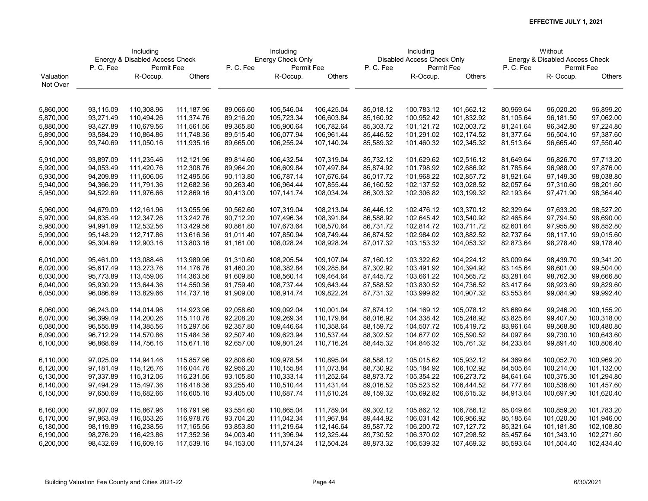|           | Including<br>Energy & Disabled Access Check |            |            |           | Including         |            |           | Including                  |            |           | Without                        |               |
|-----------|---------------------------------------------|------------|------------|-----------|-------------------|------------|-----------|----------------------------|------------|-----------|--------------------------------|---------------|
|           |                                             |            |            |           | Energy Check Only |            |           | Disabled Access Check Only |            |           | Energy & Disabled Access Check |               |
|           | P.C.Fee                                     | Permit Fee |            | P.C.Fee   | Permit Fee        |            | P. C. Fee | Permit Fee                 |            | P.C.Fee   | Permit Fee                     |               |
| Valuation |                                             | R-Occup.   | Others     |           | R-Occup.          | Others     |           | R-Occup.                   | Others     |           | R-Occup.                       | <b>Others</b> |
| Not Over  |                                             |            |            |           |                   |            |           |                            |            |           |                                |               |
|           |                                             |            |            |           |                   |            |           |                            |            |           |                                |               |
| 5,860,000 | 93,115.09                                   | 110,308.96 | 111,187.96 | 89,066.60 | 105,546.04        | 106,425.04 | 85,018.12 | 100,783.12                 | 101,662.12 | 80,969.64 | 96,020.20                      | 96,899.20     |
| 5,870,000 | 93,271.49                                   | 110,494.26 | 111,374.76 | 89,216.20 | 105,723.34        | 106,603.84 | 85,160.92 | 100,952.42                 | 101,832.92 | 81,105.64 | 96,181.50                      | 97,062.00     |
| 5,880,000 | 93,427.89                                   | 110,679.56 | 111,561.56 | 89,365.80 | 105,900.64        | 106,782.64 | 85,303.72 | 101,121.72                 | 102,003.72 | 81,241.64 | 96,342.80                      | 97,224.80     |
| 5,890,000 | 93,584.29                                   | 110,864.86 | 111,748.36 | 89,515.40 | 106,077.94        | 106,961.44 | 85,446.52 | 101,291.02                 | 102,174.52 | 81,377.64 | 96,504.10                      | 97,387.60     |
| 5,900,000 | 93,740.69                                   | 111,050.16 | 111,935.16 | 89,665.00 | 106,255.24        | 107,140.24 | 85,589.32 | 101,460.32                 | 102,345.32 | 81,513.64 | 96,665.40                      | 97,550.40     |
|           |                                             |            |            |           |                   |            |           |                            |            |           |                                |               |
| 5,910,000 | 93,897.09                                   | 111,235.46 | 112,121.96 | 89,814.60 | 106,432.54        | 107,319.04 | 85,732.12 | 101,629.62                 | 102,516.12 | 81,649.64 | 96,826.70                      | 97,713.20     |
| 5,920,000 | 94,053.49                                   | 111,420.76 | 112,308.76 | 89,964.20 | 106,609.84        | 107,497.84 | 85,874.92 | 101,798.92                 | 102,686.92 | 81,785.64 | 96,988.00                      | 97,876.00     |
| 5,930,000 | 94,209.89                                   | 111,606.06 | 112,495.56 | 90,113.80 | 106,787.14        | 107,676.64 | 86,017.72 | 101,968.22                 | 102,857.72 | 81,921.64 | 97,149.30                      | 98,038.80     |
| 5,940,000 | 94,366.29                                   | 111,791.36 | 112,682.36 | 90,263.40 | 106,964.44        | 107,855.44 | 86,160.52 | 102,137.52                 | 103,028.52 | 82,057.64 | 97,310.60                      | 98,201.60     |
| 5,950,000 | 94,522.69                                   | 111,976.66 | 112,869.16 | 90,413.00 | 107,141.74        | 108,034.24 | 86,303.32 | 102,306.82                 | 103,199.32 | 82,193.64 | 97,471.90                      | 98,364.40     |
|           |                                             |            |            |           |                   |            |           |                            |            |           |                                |               |
| 5,960,000 | 94,679.09                                   | 112,161.96 | 113,055.96 | 90,562.60 | 107,319.04        | 108,213.04 | 86,446.12 | 102,476.12                 | 103,370.12 | 82,329.64 | 97,633.20                      | 98,527.20     |
| 5,970,000 | 94,835.49                                   | 112,347.26 | 113,242.76 | 90,712.20 | 107,496.34        | 108,391.84 | 86,588.92 | 102,645.42                 | 103,540.92 | 82,465.64 | 97,794.50                      | 98,690.00     |
| 5,980,000 | 94,991.89                                   | 112,532.56 | 113,429.56 | 90,861.80 | 107,673.64        | 108,570.64 | 86,731.72 | 102,814.72                 | 103,711.72 | 82,601.64 | 97,955.80                      | 98,852.80     |
| 5,990,000 | 95,148.29                                   | 112,717.86 | 113,616.36 | 91,011.40 | 107,850.94        | 108,749.44 | 86,874.52 | 102,984.02                 | 103,882.52 | 82,737.64 | 98,117.10                      | 99,015.60     |
| 6,000,000 | 95,304.69                                   | 112,903.16 | 113,803.16 | 91,161.00 | 108,028.24        | 108,928.24 | 87,017.32 | 103,153.32                 | 104,053.32 | 82,873.64 | 98,278.40                      | 99,178.40     |
| 6,010,000 | 95,461.09                                   | 113,088.46 | 113,989.96 | 91,310.60 | 108,205.54        | 109,107.04 | 87,160.12 | 103,322.62                 | 104,224.12 | 83,009.64 | 98,439.70                      | 99,341.20     |
| 6,020,000 | 95,617.49                                   | 113,273.76 | 114,176.76 | 91,460.20 | 108,382.84        | 109,285.84 | 87,302.92 | 103,491.92                 | 104,394.92 | 83,145.64 | 98,601.00                      | 99,504.00     |
| 6,030,000 | 95,773.89                                   | 113,459.06 | 114,363.56 | 91,609.80 | 108,560.14        | 109,464.64 | 87,445.72 | 103,661.22                 | 104,565.72 | 83,281.64 | 98,762.30                      | 99,666.80     |
| 6,040,000 | 95,930.29                                   | 113,644.36 | 114,550.36 | 91,759.40 | 108,737.44        | 109,643.44 | 87,588.52 | 103,830.52                 | 104,736.52 | 83,417.64 | 98,923.60                      | 99,829.60     |
| 6,050,000 | 96,086.69                                   | 113,829.66 | 114,737.16 | 91,909.00 | 108,914.74        | 109,822.24 | 87,731.32 | 103,999.82                 | 104,907.32 | 83,553.64 | 99,084.90                      | 99,992.40     |
|           |                                             |            |            |           |                   |            |           |                            |            |           |                                |               |
| 6,060,000 | 96,243.09                                   | 114,014.96 | 114,923.96 | 92,058.60 | 109,092.04        | 110,001.04 | 87,874.12 | 104,169.12                 | 105,078.12 | 83,689.64 | 99,246.20                      | 100,155.20    |
| 6,070,000 | 96,399.49                                   | 114,200.26 | 115,110.76 | 92,208.20 | 109,269.34        | 110,179.84 | 88,016.92 | 104,338.42                 | 105,248.92 | 83,825.64 | 99,407.50                      | 100,318.00    |
| 6,080,000 | 96,555.89                                   | 114,385.56 | 115,297.56 | 92,357.80 | 109,446.64        | 110,358.64 | 88,159.72 | 104,507.72                 | 105,419.72 | 83,961.64 | 99,568.80                      | 100,480.80    |
| 6,090,000 | 96,712.29                                   | 114,570.86 | 115,484.36 | 92,507.40 | 109,623.94        | 110,537.44 | 88,302.52 | 104,677.02                 | 105,590.52 | 84,097.64 | 99,730.10                      | 100,643.60    |
| 6,100,000 | 96,868.69                                   | 114,756.16 | 115,671.16 | 92,657.00 | 109,801.24        | 110,716.24 | 88,445.32 | 104,846.32                 | 105,761.32 | 84,233.64 | 99,891.40                      | 100,806.40    |
| 6,110,000 | 97,025.09                                   | 114,941.46 | 115,857.96 | 92,806.60 | 109,978.54        | 110,895.04 | 88,588.12 | 105,015.62                 | 105,932.12 | 84,369.64 | 100,052.70                     | 100,969.20    |
| 6,120,000 | 97,181.49                                   | 115,126.76 | 116,044.76 | 92,956.20 | 110,155.84        | 111,073.84 | 88,730.92 | 105,184.92                 | 106,102.92 | 84,505.64 | 100,214.00                     | 101,132.00    |
| 6,130,000 | 97,337.89                                   | 115,312.06 | 116,231.56 | 93,105.80 | 110,333.14        | 111,252.64 | 88,873.72 | 105,354.22                 | 106,273.72 | 84,641.64 | 100,375.30                     | 101,294.80    |
| 6,140,000 | 97,494.29                                   | 115,497.36 | 116,418.36 | 93,255.40 | 110,510.44        | 111,431.44 | 89,016.52 | 105,523.52                 | 106,444.52 | 84,777.64 | 100,536.60                     | 101,457.60    |
| 6,150,000 | 97,650.69                                   | 115,682.66 | 116,605.16 | 93,405.00 | 110,687.74        | 111,610.24 | 89,159.32 | 105,692.82                 | 106,615.32 | 84,913.64 | 100,697.90                     | 101,620.40    |
|           |                                             |            |            |           |                   |            |           |                            |            |           |                                |               |
| 6,160,000 | 97,807.09                                   | 115,867.96 | 116,791.96 | 93,554.60 | 110,865.04        | 111,789.04 | 89,302.12 | 105,862.12                 | 106,786.12 | 85,049.64 | 100,859.20                     | 101,783.20    |
| 6,170,000 | 97,963.49                                   | 116,053.26 | 116,978.76 | 93,704.20 | 111,042.34        | 111,967.84 | 89,444.92 | 106,031.42                 | 106,956.92 | 85,185.64 | 101,020.50                     | 101,946.00    |
| 6,180,000 | 98,119.89                                   | 116,238.56 | 117,165.56 | 93,853.80 | 111,219.64        | 112,146.64 | 89,587.72 | 106,200.72                 | 107,127.72 | 85,321.64 | 101,181.80                     | 102,108.80    |
| 6,190,000 | 98,276.29                                   | 116,423.86 | 117,352.36 | 94,003.40 | 111,396.94        | 112,325.44 | 89,730.52 | 106,370.02                 | 107,298.52 | 85,457.64 | 101,343.10                     | 102,271.60    |
| 6,200,000 | 98,432.69                                   | 116,609.16 | 117,539.16 | 94,153.00 | 111,574.24        | 112,504.24 | 89,873.32 | 106,539.32                 | 107,469.32 | 85,593.64 | 101,504.40                     | 102,434.40    |
|           |                                             |            |            |           |                   |            |           |                            |            |           |                                |               |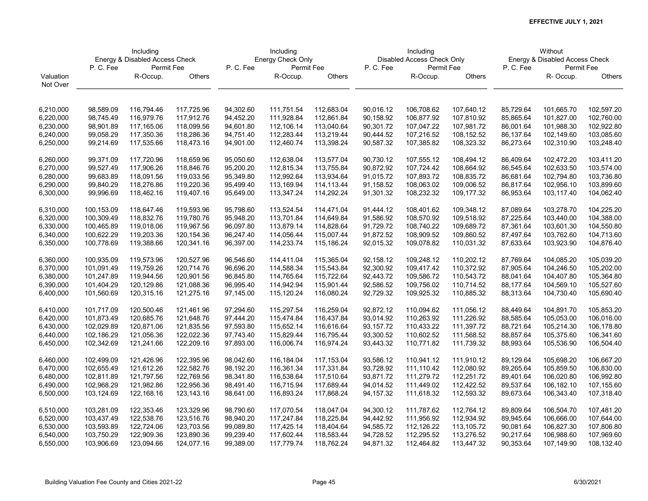|           | Including  |                                |            |           | Including         |            |           | Including                  |            |           | Without                        |               |
|-----------|------------|--------------------------------|------------|-----------|-------------------|------------|-----------|----------------------------|------------|-----------|--------------------------------|---------------|
|           |            | Energy & Disabled Access Check |            |           | Energy Check Only |            |           | Disabled Access Check Only |            |           | Energy & Disabled Access Check |               |
|           | P.C.Fee    | Permit Fee                     |            | P.C.Fee   | Permit Fee        |            | P.C.Fee   | Permit Fee                 |            | P.C.Fee   | Permit Fee                     |               |
| Valuation |            | R-Occup.                       | Others     |           | R-Occup.          | Others     |           | R-Occup.                   | Others     |           | R- Occup.                      | <b>Others</b> |
| Not Over  |            |                                |            |           |                   |            |           |                            |            |           |                                |               |
|           |            |                                |            |           |                   |            |           |                            |            |           |                                |               |
| 6,210,000 | 98,589.09  | 116,794.46                     | 117,725.96 | 94,302.60 | 111,751.54        | 112,683.04 | 90,016.12 | 106,708.62                 | 107,640.12 | 85,729.64 | 101,665.70                     | 102,597.20    |
| 6,220,000 | 98,745.49  | 116,979.76                     | 117,912.76 | 94,452.20 | 111,928.84        | 112,861.84 | 90,158.92 | 106,877.92                 | 107,810.92 | 85,865.64 | 101,827.00                     | 102,760.00    |
| 6,230,000 | 98,901.89  | 117,165.06                     | 118,099.56 | 94,601.80 | 112,106.14        | 113,040.64 | 90,301.72 | 107,047.22                 | 107,981.72 | 86,001.64 | 101,988.30                     | 102,922.80    |
| 6,240,000 | 99,058.29  | 117,350.36                     | 118,286.36 | 94,751.40 | 112,283.44        | 113,219.44 | 90,444.52 | 107,216.52                 | 108,152.52 | 86,137.64 | 102,149.60                     | 103,085.60    |
| 6,250,000 | 99,214.69  | 117,535.66                     | 118,473.16 | 94,901.00 | 112,460.74        | 113,398.24 | 90,587.32 | 107,385.82                 | 108,323.32 | 86,273.64 | 102,310.90                     | 103,248.40    |
|           |            |                                |            |           |                   |            |           |                            |            |           |                                |               |
| 6,260,000 | 99,371.09  | 117,720.96                     | 118,659.96 | 95,050.60 | 112,638.04        | 113,577.04 | 90,730.12 | 107,555.12                 | 108,494.12 | 86,409.64 | 102,472.20                     | 103,411.20    |
| 6,270,000 | 99,527.49  | 117,906.26                     | 118,846.76 | 95,200.20 | 112,815.34        | 113,755.84 | 90,872.92 | 107,724.42                 | 108,664.92 | 86,545.64 | 102,633.50                     | 103,574.00    |
| 6,280,000 | 99,683.89  | 118,091.56                     | 119,033.56 | 95,349.80 | 112,992.64        | 113,934.64 | 91,015.72 | 107,893.72                 | 108,835.72 | 86,681.64 | 102,794.80                     | 103,736.80    |
| 6,290,000 | 99,840.29  | 118,276.86                     | 119,220.36 | 95,499.40 | 113,169.94        | 114,113.44 | 91,158.52 | 108,063.02                 | 109,006.52 | 86,817.64 | 102,956.10                     | 103,899.60    |
| 6,300,000 | 99,996.69  | 118,462.16                     | 119,407.16 | 95,649.00 | 113,347.24        | 114,292.24 | 91,301.32 | 108,232.32                 | 109,177.32 | 86,953.64 | 103,117.40                     | 104,062.40    |
|           |            |                                |            |           |                   |            |           |                            |            |           |                                |               |
| 6,310,000 | 100,153.09 | 118,647.46                     | 119,593.96 | 95,798.60 | 113,524.54        | 114,471.04 | 91,444.12 | 108,401.62                 | 109,348.12 | 87,089.64 | 103,278.70                     | 104,225.20    |
| 6,320,000 | 100,309.49 | 118,832.76                     | 119,780.76 | 95,948.20 | 113,701.84        | 114,649.84 | 91,586.92 | 108,570.92                 | 109,518.92 | 87,225.64 | 103,440.00                     | 104,388.00    |
| 6,330,000 | 100,465.89 | 119,018.06                     | 119,967.56 | 96,097.80 | 113,879.14        | 114,828.64 | 91,729.72 | 108,740.22                 | 109,689.72 | 87,361.64 | 103,601.30                     | 104,550.80    |
| 6,340,000 | 100,622.29 | 119,203.36                     | 120,154.36 | 96,247.40 | 114,056.44        | 115,007.44 | 91,872.52 | 108,909.52                 | 109,860.52 | 87,497.64 | 103,762.60                     | 104,713.60    |
| 6,350,000 | 100,778.69 | 119,388.66                     | 120,341.16 | 96,397.00 | 114,233.74        | 115,186.24 | 92,015.32 | 109,078.82                 | 110,031.32 | 87,633.64 | 103,923.90                     | 104,876.40    |
|           |            |                                |            |           |                   |            |           |                            |            |           |                                |               |
| 6,360,000 | 100,935.09 | 119,573.96                     | 120,527.96 | 96,546.60 | 114,411.04        | 115,365.04 | 92,158.12 | 109,248.12                 | 110,202.12 | 87,769.64 | 104,085.20                     | 105,039.20    |
| 6,370,000 | 101,091.49 | 119,759.26                     | 120,714.76 | 96,696.20 | 114,588.34        | 115,543.84 | 92,300.92 | 109,417.42                 | 110,372.92 | 87,905.64 | 104,246.50                     | 105,202.00    |
| 6,380,000 | 101,247.89 | 119,944.56                     | 120,901.56 | 96,845.80 | 114,765.64        | 115,722.64 | 92,443.72 | 109,586.72                 | 110,543.72 | 88,041.64 | 104,407.80                     | 105,364.80    |
| 6,390,000 | 101,404.29 | 120,129.86                     | 121,088.36 | 96,995.40 | 114,942.94        | 115,901.44 | 92,586.52 | 109,756.02                 | 110,714.52 | 88,177.64 | 104,569.10                     | 105,527.60    |
| 6,400,000 | 101,560.69 | 120,315.16                     | 121,275.16 | 97,145.00 | 115,120.24        | 116,080.24 | 92,729.32 | 109,925.32                 | 110,885.32 | 88,313.64 | 104,730.40                     | 105,690.40    |
| 6,410,000 | 101,717.09 | 120,500.46                     | 121,461.96 | 97,294.60 | 115,297.54        | 116,259.04 | 92,872.12 | 110,094.62                 | 111,056.12 | 88,449.64 | 104,891.70                     | 105,853.20    |
| 6,420,000 | 101,873.49 | 120,685.76                     | 121,648.76 | 97,444.20 | 115,474.84        | 116,437.84 | 93,014.92 | 110,263.92                 | 111,226.92 | 88,585.64 | 105,053.00                     | 106,016.00    |
| 6,430,000 | 102,029.89 | 120,871.06                     | 121,835.56 | 97,593.80 | 115,652.14        | 116,616.64 | 93,157.72 | 110,433.22                 | 111,397.72 | 88,721.64 | 105,214.30                     | 106,178.80    |
| 6,440,000 | 102,186.29 | 121,056.36                     | 122,022.36 | 97,743.40 | 115,829.44        | 116,795.44 | 93,300.52 | 110,602.52                 | 111,568.52 | 88,857.64 | 105,375.60                     | 106,341.60    |
| 6,450,000 | 102,342.69 | 121,241.66                     | 122,209.16 | 97,893.00 | 116,006.74        | 116,974.24 | 93,443.32 | 110,771.82                 | 111,739.32 | 88,993.64 | 105,536.90                     | 106,504.40    |
|           |            |                                |            |           |                   |            |           |                            |            |           |                                |               |
| 6,460,000 | 102,499.09 | 121,426.96                     | 122,395.96 | 98,042.60 | 116,184.04        | 117,153.04 | 93,586.12 | 110,941.12                 | 111,910.12 | 89,129.64 | 105,698.20                     | 106,667.20    |
| 6,470,000 | 102,655.49 | 121,612.26                     | 122,582.76 | 98,192.20 | 116,361.34        | 117,331.84 | 93,728.92 | 111,110.42                 | 112,080.92 | 89,265.64 | 105,859.50                     | 106,830.00    |
| 6,480,000 | 102,811.89 | 121,797.56                     | 122,769.56 | 98,341.80 | 116,538.64        | 117,510.64 | 93,871.72 | 111,279.72                 | 112,251.72 | 89,401.64 | 106,020.80                     | 106,992.80    |
| 6,490,000 | 102,968.29 | 121,982.86                     | 122,956.36 | 98,491.40 | 116,715.94        | 117,689.44 | 94,014.52 | 111,449.02                 | 112,422.52 | 89,537.64 | 106,182.10                     | 107,155.60    |
| 6,500,000 | 103,124.69 | 122,168.16                     | 123,143.16 | 98,641.00 | 116,893.24        | 117,868.24 | 94,157.32 | 111,618.32                 | 112,593.32 | 89,673.64 | 106,343.40                     | 107,318.40    |
| 6,510,000 | 103,281.09 | 122,353.46                     | 123,329.96 | 98,790.60 | 117,070.54        | 118,047.04 | 94,300.12 | 111,787.62                 | 112,764.12 | 89,809.64 | 106,504.70                     | 107,481.20    |
| 6,520,000 | 103,437.49 | 122,538.76                     | 123,516.76 | 98,940.20 | 117,247.84        | 118,225.84 | 94,442.92 | 111,956.92                 | 112,934.92 | 89,945.64 | 106,666.00                     | 107,644.00    |
| 6,530,000 | 103,593.89 | 122,724.06                     | 123,703.56 | 99,089.80 | 117,425.14        | 118,404.64 | 94,585.72 | 112,126.22                 | 113,105.72 | 90,081.64 | 106,827.30                     | 107,806.80    |
| 6,540,000 | 103,750.29 | 122,909.36                     | 123,890.36 | 99,239.40 | 117,602.44        | 118,583.44 | 94,728.52 | 112,295.52                 | 113,276.52 | 90,217.64 | 106,988.60                     | 107,969.60    |
| 6,550,000 | 103,906.69 | 123,094.66                     | 124,077.16 | 99,389.00 | 117,779.74        | 118,762.24 | 94,871.32 | 112,464.82                 | 113,447.32 | 90,353.64 | 107,149.90                     | 108,132.40    |
|           |            |                                |            |           |                   |            |           |                            |            |           |                                |               |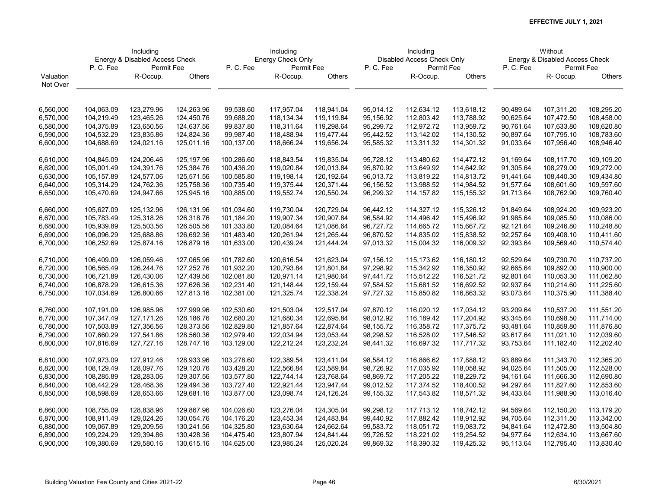|           | Including<br>Energy & Disabled Access Check |             |            |            | Including         |            |           | Including                  |            |           | Without                        |               |
|-----------|---------------------------------------------|-------------|------------|------------|-------------------|------------|-----------|----------------------------|------------|-----------|--------------------------------|---------------|
|           |                                             |             |            |            | Energy Check Only |            |           | Disabled Access Check Only |            |           | Energy & Disabled Access Check |               |
|           | P.C.Fee                                     | Permit Fee  |            | P.C.Fee    | Permit Fee        |            | P.C.Fee   | Permit Fee                 |            | P.C.Fee   | Permit Fee                     |               |
| Valuation |                                             | R-Occup.    | Others     |            | R-Occup.          | Others     |           | R-Occup.                   | Others     |           | R- Occup.                      | <b>Others</b> |
| Not Over  |                                             |             |            |            |                   |            |           |                            |            |           |                                |               |
|           |                                             |             |            |            |                   |            |           |                            |            |           |                                |               |
| 6,560,000 | 104,063.09                                  | 123,279.96  | 124,263.96 | 99,538.60  | 117,957.04        | 118,941.04 | 95,014.12 | 112,634.12                 | 113,618.12 | 90,489.64 | 107,311.20                     | 108,295.20    |
| 6,570,000 | 104,219.49                                  | 123,465.26  | 124,450.76 | 99,688.20  | 118,134.34        | 119,119.84 | 95,156.92 | 112,803.42                 | 113,788.92 | 90,625.64 | 107,472.50                     | 108,458.00    |
| 6,580,000 | 104,375.89                                  | 123,650.56  | 124,637.56 | 99,837.80  | 118,311.64        | 119,298.64 | 95,299.72 | 112,972.72                 | 113,959.72 | 90,761.64 | 107,633.80                     | 108,620.80    |
| 6,590,000 | 104,532.29                                  | 123,835.86  | 124,824.36 | 99,987.40  | 118,488.94        | 119,477.44 | 95,442.52 | 113,142.02                 | 114,130.52 | 90,897.64 | 107,795.10                     | 108,783.60    |
| 6,600,000 | 104,688.69                                  | 124,021.16  | 125,011.16 | 100,137.00 | 118,666.24        | 119,656.24 | 95,585.32 | 113,311.32                 | 114,301.32 | 91,033.64 | 107,956.40                     | 108,946.40    |
| 6,610,000 | 104,845.09                                  | 124,206.46  | 125,197.96 | 100,286.60 | 118,843.54        | 119,835.04 | 95,728.12 | 113,480.62                 | 114,472.12 | 91,169.64 | 108,117.70                     | 109,109.20    |
| 6,620,000 | 105,001.49                                  | 124,391.76  | 125,384.76 | 100,436.20 | 119,020.84        | 120,013.84 | 95,870.92 | 113,649.92                 | 114,642.92 | 91,305.64 | 108,279.00                     | 109,272.00    |
| 6,630,000 | 105,157.89                                  | 124,577.06  | 125,571.56 | 100,585.80 | 119,198.14        | 120,192.64 | 96,013.72 | 113,819.22                 | 114,813.72 | 91,441.64 | 108,440.30                     | 109,434.80    |
| 6,640,000 | 105,314.29                                  | 124,762.36  | 125,758.36 | 100,735.40 | 119,375.44        | 120,371.44 | 96,156.52 | 113,988.52                 | 114,984.52 | 91,577.64 | 108,601.60                     | 109,597.60    |
| 6,650,000 | 105,470.69                                  | 124,947.66  | 125,945.16 | 100,885.00 | 119,552.74        | 120,550.24 | 96,299.32 | 114,157.82                 | 115,155.32 | 91,713.64 | 108,762.90                     | 109,760.40    |
|           |                                             |             |            |            |                   |            |           |                            |            |           |                                |               |
| 6,660,000 | 105,627.09                                  | 125,132.96  | 126,131.96 | 101,034.60 | 119,730.04        | 120,729.04 | 96,442.12 | 114,327.12                 | 115,326.12 | 91,849.64 | 108,924.20                     | 109,923.20    |
| 6,670,000 | 105,783.49                                  | 125,318.26  | 126,318.76 | 101,184.20 | 119,907.34        | 120,907.84 | 96,584.92 | 114,496.42                 | 115,496.92 | 91,985.64 | 109,085.50                     | 110,086.00    |
| 6,680,000 | 105,939.89                                  | 125,503.56  | 126,505.56 | 101,333.80 | 120,084.64        | 121,086.64 | 96,727.72 | 114,665.72                 | 115,667.72 | 92,121.64 | 109,246.80                     | 110,248.80    |
| 6,690,000 | 106,096.29                                  | 125,688.86  | 126,692.36 | 101,483.40 | 120,261.94        | 121,265.44 | 96,870.52 | 114,835.02                 | 115,838.52 | 92,257.64 | 109,408.10                     | 110,411.60    |
| 6,700,000 | 106,252.69                                  | 125,874.16  | 126,879.16 | 101,633.00 | 120,439.24        | 121,444.24 | 97,013.32 | 115,004.32                 | 116,009.32 | 92,393.64 | 109,569.40                     | 110,574.40    |
| 6,710,000 | 106,409.09                                  | 126,059.46  | 127,065.96 | 101,782.60 | 120,616.54        | 121,623.04 | 97,156.12 | 115,173.62                 | 116,180.12 | 92,529.64 | 109,730.70                     | 110,737.20    |
| 6,720,000 | 106,565.49                                  | 126,244.76  | 127,252.76 | 101,932.20 | 120,793.84        | 121,801.84 | 97,298.92 | 115,342.92                 | 116,350.92 | 92,665.64 | 109,892.00                     | 110,900.00    |
| 6,730,000 | 106,721.89                                  | 126,430.06  | 127,439.56 | 102,081.80 | 120,971.14        | 121,980.64 | 97,441.72 | 115,512.22                 | 116,521.72 | 92,801.64 | 110,053.30                     | 111,062.80    |
| 6,740,000 | 106,878.29                                  | 126,615.36  | 127,626.36 | 102,231.40 | 121,148.44        | 122,159.44 | 97,584.52 | 115,681.52                 | 116,692.52 | 92,937.64 | 110,214.60                     | 111,225.60    |
| 6,750,000 | 107,034.69                                  | 126,800.66  | 127,813.16 | 102,381.00 | 121,325.74        | 122,338.24 | 97,727.32 | 115,850.82                 | 116,863.32 | 93,073.64 | 110,375.90                     | 111,388.40    |
|           |                                             |             |            |            |                   |            |           |                            |            |           |                                |               |
| 6,760,000 | 107,191.09                                  | 126,985.96  | 127,999.96 | 102,530.60 | 121,503.04        | 122,517.04 | 97,870.12 | 116,020.12                 | 117,034.12 | 93,209.64 | 110,537.20                     | 111,551.20    |
| 6,770,000 | 107,347.49                                  | 127, 171.26 | 128,186.76 | 102,680.20 | 121,680.34        | 122,695.84 | 98,012.92 | 116,189.42                 | 117,204.92 | 93,345.64 | 110,698.50                     | 111,714.00    |
| 6,780,000 | 107,503.89                                  | 127,356.56  | 128,373.56 | 102,829.80 | 121,857.64        | 122,874.64 | 98,155.72 | 116,358.72                 | 117,375.72 | 93,481.64 | 110,859.80                     | 111,876.80    |
| 6,790,000 | 107,660.29                                  | 127,541.86  | 128,560.36 | 102,979.40 | 122,034.94        | 123,053.44 | 98,298.52 | 116,528.02                 | 117,546.52 | 93,617.64 | 111,021.10                     | 112,039.60    |
| 6,800,000 | 107,816.69                                  | 127,727.16  | 128,747.16 | 103,129.00 | 122,212.24        | 123,232.24 | 98,441.32 | 116,697.32                 | 117,717.32 | 93,753.64 | 111,182.40                     | 112,202.40    |
| 6,810,000 | 107,973.09                                  | 127,912.46  | 128,933.96 | 103,278.60 | 122,389.54        | 123,411.04 | 98,584.12 | 116,866.62                 | 117,888.12 | 93,889.64 | 111,343.70                     | 112,365.20    |
| 6,820,000 | 108,129.49                                  | 128,097.76  | 129,120.76 | 103,428.20 | 122,566.84        | 123,589.84 | 98,726.92 | 117,035.92                 | 118,058.92 | 94,025.64 | 111,505.00                     | 112,528.00    |
| 6,830,000 | 108,285.89                                  | 128,283.06  | 129,307.56 | 103,577.80 | 122,744.14        | 123,768.64 | 98,869.72 | 117,205.22                 | 118,229.72 | 94,161.64 | 111,666.30                     | 112,690.80    |
| 6,840,000 | 108,442.29                                  | 128,468.36  | 129,494.36 | 103,727.40 | 122,921.44        | 123,947.44 | 99,012.52 | 117,374.52                 | 118,400.52 | 94,297.64 | 111,827.60                     | 112,853.60    |
| 6,850,000 | 108,598.69                                  | 128,653.66  | 129,681.16 | 103,877.00 | 123,098.74        | 124,126.24 | 99,155.32 | 117,543.82                 | 118,571.32 | 94,433.64 | 111,988.90                     | 113,016.40    |
|           |                                             |             |            |            |                   |            |           |                            |            |           |                                |               |
| 6,860,000 | 108,755.09                                  | 128,838.96  | 129,867.96 | 104,026.60 | 123,276.04        | 124,305.04 | 99,298.12 | 117,713.12                 | 118,742.12 | 94,569.64 | 112,150.20                     | 113,179.20    |
| 6,870,000 | 108,911.49                                  | 129,024.26  | 130,054.76 | 104,176.20 | 123,453.34        | 124,483.84 | 99,440.92 | 117,882.42                 | 118,912.92 | 94,705.64 | 112,311.50                     | 113,342.00    |
| 6,880,000 | 109,067.89                                  | 129,209.56  | 130,241.56 | 104,325.80 | 123,630.64        | 124,662.64 | 99,583.72 | 118,051.72                 | 119,083.72 | 94,841.64 | 112,472.80                     | 113,504.80    |
| 6,890,000 | 109,224.29                                  | 129,394.86  | 130,428.36 | 104,475.40 | 123,807.94        | 124,841.44 | 99,726.52 | 118,221.02                 | 119,254.52 | 94,977.64 | 112,634.10                     | 113,667.60    |
| 6,900,000 | 109,380.69                                  | 129,580.16  | 130,615.16 | 104,625.00 | 123,985.24        | 125,020.24 | 99,869.32 | 118,390.32                 | 119,425.32 | 95,113.64 | 112,795.40                     | 113,830.40    |
|           |                                             |             |            |            |                   |            |           |                            |            |           |                                |               |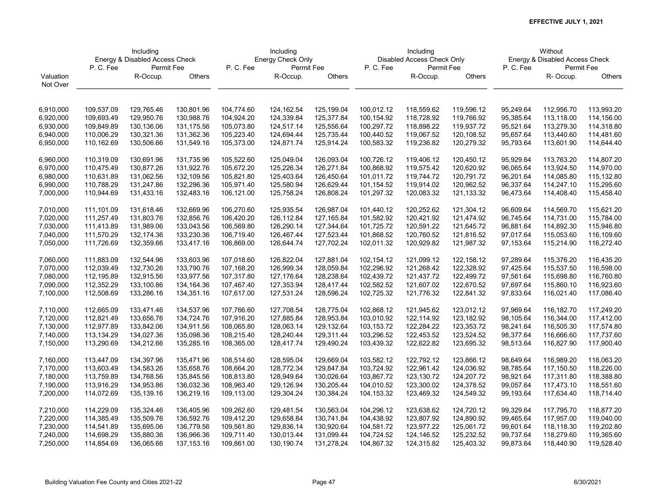|           | Including<br>Energy & Disabled Access Check |            |            |            | Including         |            |            | Including                  |            |           | Without                        |            |
|-----------|---------------------------------------------|------------|------------|------------|-------------------|------------|------------|----------------------------|------------|-----------|--------------------------------|------------|
|           |                                             |            |            |            | Energy Check Only |            |            | Disabled Access Check Only |            |           | Energy & Disabled Access Check |            |
|           | P. C. Fee                                   | Permit Fee |            | P.C.Fee    | Permit Fee        |            | P.C.Fee    | Permit Fee                 |            | P.C.Fee   | Permit Fee                     |            |
| Valuation |                                             | R-Occup.   | Others     |            | R-Occup.          | Others     |            | R-Occup.                   | Others     |           | R- Occup.                      | Others     |
| Not Over  |                                             |            |            |            |                   |            |            |                            |            |           |                                |            |
|           |                                             |            |            |            |                   |            |            |                            |            |           |                                |            |
| 6,910,000 | 109,537.09                                  | 129,765.46 | 130,801.96 | 104,774.60 | 124,162.54        | 125,199.04 | 100,012.12 | 118,559.62                 | 119,596.12 | 95,249.64 | 112,956.70                     | 113,993.20 |
| 6,920,000 | 109,693.49                                  | 129,950.76 | 130,988.76 | 104,924.20 | 124,339.84        | 125,377.84 | 100,154.92 | 118,728.92                 | 119,766.92 | 95,385.64 | 113,118.00                     | 114,156.00 |
| 6,930,000 | 109,849.89                                  | 130,136.06 | 131,175.56 | 105,073.80 | 124,517.14        | 125,556.64 | 100,297.72 | 118,898.22                 | 119,937.72 | 95,521.64 | 113,279.30                     | 114,318.80 |
| 6,940,000 | 110,006.29                                  | 130,321.36 | 131,362.36 | 105,223.40 | 124,694.44        | 125,735.44 | 100,440.52 | 119,067.52                 | 120,108.52 | 95,657.64 | 113,440.60                     | 114,481.60 |
| 6,950,000 | 110,162.69                                  | 130,506.66 | 131,549.16 | 105,373.00 | 124,871.74        | 125,914.24 | 100,583.32 | 119,236.82                 | 120,279.32 | 95,793.64 | 113,601.90                     | 114,644.40 |
| 6,960,000 | 110,319.09                                  | 130,691.96 | 131,735.96 | 105,522.60 | 125,049.04        | 126,093.04 | 100,726.12 | 119,406.12                 | 120,450.12 | 95,929.64 | 113,763.20                     | 114,807.20 |
| 6,970,000 | 110,475.49                                  | 130,877.26 | 131,922.76 | 105,672.20 | 125,226.34        | 126,271.84 | 100,868.92 | 119,575.42                 | 120,620.92 | 96,065.64 | 113,924.50                     | 114,970.00 |
| 6,980,000 | 110,631.89                                  | 131,062.56 | 132,109.56 | 105,821.80 | 125,403.64        | 126,450.64 | 101,011.72 | 119,744.72                 | 120,791.72 | 96,201.64 | 114,085.80                     | 115,132.80 |
| 6,990,000 | 110,788.29                                  | 131,247.86 | 132,296.36 | 105,971.40 | 125,580.94        | 126,629.44 | 101,154.52 | 119,914.02                 | 120,962.52 | 96,337.64 | 114,247.10                     | 115,295.60 |
| 7,000,000 | 110,944.69                                  | 131,433.16 | 132,483.16 | 106,121.00 | 125,758.24        | 126,808.24 | 101,297.32 | 120,083.32                 | 121,133.32 | 96,473.64 | 114,408.40                     | 115,458.40 |
| 7,010,000 | 111,101.09                                  | 131,618.46 | 132,669.96 | 106,270.60 | 125,935.54        | 126,987.04 | 101,440.12 | 120,252.62                 | 121,304.12 | 96,609.64 | 114,569.70                     | 115,621.20 |
| 7,020,000 | 111,257.49                                  | 131,803.76 | 132,856.76 | 106,420.20 | 126,112.84        | 127,165.84 | 101,582.92 | 120,421.92                 | 121,474.92 | 96,745.64 | 114,731.00                     | 115,784.00 |
| 7,030,000 | 111,413.89                                  | 131,989.06 | 133,043.56 | 106,569.80 | 126,290.14        | 127,344.64 | 101,725.72 | 120,591.22                 | 121,645.72 | 96,881.64 | 114,892.30                     | 115,946.80 |
| 7,040,000 | 111,570.29                                  | 132,174.36 | 133,230.36 | 106,719.40 | 126,467.44        | 127,523.44 | 101,868.52 | 120,760.52                 | 121,816.52 | 97,017.64 | 115,053.60                     | 116,109.60 |
| 7,050,000 | 111,726.69                                  | 132,359.66 | 133,417.16 | 106,869.00 | 126,644.74        | 127,702.24 | 102,011.32 | 120,929.82                 | 121,987.32 | 97,153.64 | 115,214.90                     | 116,272.40 |
| 7,060,000 | 111,883.09                                  | 132,544.96 | 133,603.96 | 107,018.60 | 126,822.04        | 127,881.04 | 102,154.12 | 121,099.12                 | 122,158.12 | 97,289.64 | 115,376.20                     | 116,435.20 |
| 7,070,000 | 112,039.49                                  | 132,730.26 | 133,790.76 | 107,168.20 | 126,999.34        | 128,059.84 | 102,296.92 | 121,268.42                 | 122,328.92 | 97,425.64 | 115,537.50                     | 116,598.00 |
| 7,080,000 | 112,195.89                                  | 132,915.56 | 133,977.56 | 107,317.80 | 127,176.64        | 128,238.64 | 102,439.72 | 121,437.72                 | 122,499.72 | 97,561.64 | 115,698.80                     | 116,760.80 |
| 7,090,000 | 112,352.29                                  | 133,100.86 | 134,164.36 | 107,467.40 | 127,353.94        | 128,417.44 | 102,582.52 | 121,607.02                 | 122,670.52 | 97,697.64 | 115,860.10                     | 116,923.60 |
| 7,100,000 | 112,508.69                                  | 133,286.16 | 134,351.16 | 107,617.00 | 127,531.24        | 128,596.24 | 102,725.32 | 121,776.32                 | 122,841.32 | 97,833.64 | 116,021.40                     | 117,086.40 |
| 7,110,000 | 112,665.09                                  | 133,471.46 | 134,537.96 | 107,766.60 | 127,708.54        | 128,775.04 | 102,868.12 | 121,945.62                 | 123,012.12 | 97,969.64 | 116,182.70                     | 117,249.20 |
| 7,120,000 | 112,821.49                                  | 133,656.76 | 134,724.76 | 107,916.20 | 127,885.84        | 128,953.84 | 103,010.92 | 122,114.92                 | 123,182.92 | 98,105.64 | 116,344.00                     | 117,412.00 |
| 7,130,000 | 112,977.89                                  | 133,842.06 | 134,911.56 | 108,065.80 | 128,063.14        | 129,132.64 | 103,153.72 | 122,284.22                 | 123,353.72 | 98,241.64 | 116,505.30                     | 117,574.80 |
| 7,140,000 | 113,134.29                                  | 134,027.36 | 135,098.36 | 108,215.40 | 128,240.44        | 129,311.44 | 103,296.52 | 122,453.52                 | 123,524.52 | 98,377.64 | 116,666.60                     | 117,737.60 |
| 7,150,000 | 113,290.69                                  | 134,212.66 | 135,285.16 | 108,365.00 | 128,417.74        | 129,490.24 | 103,439.32 | 122,622.82                 | 123,695.32 | 98,513.64 | 116,827.90                     | 117,900.40 |
| 7,160,000 | 113,447.09                                  | 134,397.96 | 135,471.96 | 108,514.60 | 128,595.04        | 129,669.04 | 103,582.12 | 122,792.12                 | 123,866.12 | 98,649.64 | 116,989.20                     | 118,063.20 |
| 7,170,000 | 113,603.49                                  | 134,583.26 | 135,658.76 | 108,664.20 | 128,772.34        | 129,847.84 | 103,724.92 | 122,961.42                 | 124,036.92 | 98,785.64 | 117,150.50                     | 118,226.00 |
| 7,180,000 | 113,759.89                                  | 134,768.56 | 135,845.56 | 108,813.80 | 128,949.64        | 130,026.64 | 103,867.72 | 123,130.72                 | 124,207.72 | 98,921.64 | 117,311.80                     | 118,388.80 |
| 7,190,000 | 113,916.29                                  | 134,953.86 | 136,032.36 | 108,963.40 | 129,126.94        | 130,205.44 | 104,010.52 | 123,300.02                 | 124,378.52 | 99,057.64 | 117,473.10                     | 118,551.60 |
| 7,200,000 | 114,072.69                                  | 135,139.16 | 136,219.16 | 109,113.00 | 129,304.24        | 130,384.24 | 104,153.32 | 123,469.32                 | 124,549.32 | 99,193.64 | 117,634.40                     | 118,714.40 |
|           |                                             |            |            |            |                   |            |            |                            |            |           |                                |            |
| 7,210,000 | 114,229.09                                  | 135,324.46 | 136,405.96 | 109,262.60 | 129,481.54        | 130,563.04 | 104,296.12 | 123,638.62                 | 124,720.12 | 99,329.64 | 117,795.70                     | 118,877.20 |
| 7,220,000 | 114,385.49                                  | 135,509.76 | 136,592.76 | 109,412.20 | 129,658.84        | 130,741.84 | 104,438.92 | 123,807.92                 | 124,890.92 | 99,465.64 | 117,957.00                     | 119,040.00 |
| 7,230,000 | 114,541.89                                  | 135,695.06 | 136,779.56 | 109,561.80 | 129,836.14        | 130,920.64 | 104,581.72 | 123,977.22                 | 125,061.72 | 99,601.64 | 118,118.30                     | 119,202.80 |
| 7,240,000 | 114,698.29                                  | 135,880.36 | 136,966.36 | 109,711.40 | 130,013.44        | 131,099.44 | 104,724.52 | 124,146.52                 | 125,232.52 | 99,737.64 | 118,279.60                     | 119,365.60 |
| 7,250,000 | 114,854.69                                  | 136,065.66 | 137,153.16 | 109,861.00 | 130,190.74        | 131,278.24 | 104,867.32 | 124,315.82                 | 125,403.32 | 99,873.64 | 118,440.90                     | 119,528.40 |
|           |                                             |            |            |            |                   |            |            |                            |            |           |                                |            |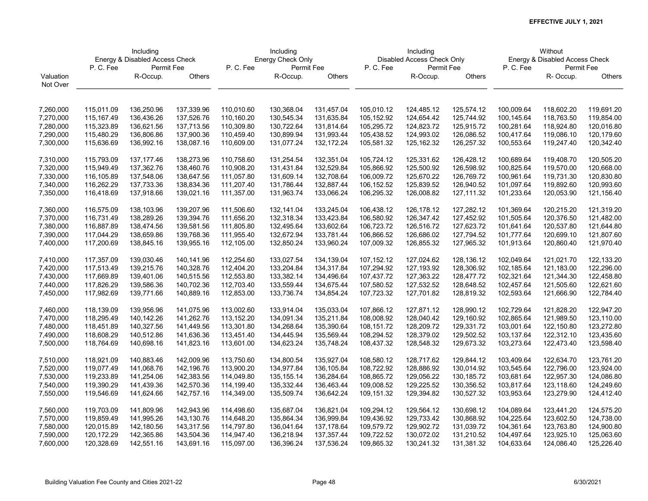|           | Including<br>Energy & Disabled Access Check |              |            |            | Including         |            |            | Including                  |            |            | Without                        |               |
|-----------|---------------------------------------------|--------------|------------|------------|-------------------|------------|------------|----------------------------|------------|------------|--------------------------------|---------------|
|           |                                             |              |            |            | Energy Check Only |            |            | Disabled Access Check Only |            |            | Energy & Disabled Access Check |               |
|           | P.C.Fee                                     | Permit Fee   |            | P.C.Fee    | Permit Fee        |            | P.C.Fee    | Permit Fee                 |            | P.C.Fee    | Permit Fee                     |               |
| Valuation |                                             | R-Occup.     | Others     |            | R-Occup.          | Others     |            | R-Occup.                   | Others     |            | R- Occup.                      | <b>Others</b> |
| Not Over  |                                             |              |            |            |                   |            |            |                            |            |            |                                |               |
|           |                                             |              |            |            |                   |            |            |                            |            |            |                                |               |
| 7,260,000 | 115,011.09                                  | 136,250.96   | 137,339.96 | 110,010.60 | 130,368.04        | 131,457.04 | 105,010.12 | 124,485.12                 | 125,574.12 | 100,009.64 | 118,602.20                     | 119,691.20    |
| 7,270,000 | 115,167.49                                  | 136,436.26   | 137,526.76 | 110,160.20 | 130,545.34        | 131,635.84 | 105,152.92 | 124,654.42                 | 125,744.92 | 100,145.64 | 118,763.50                     | 119,854.00    |
| 7,280,000 | 115,323.89                                  | 136,621.56   | 137,713.56 | 110,309.80 | 130,722.64        | 131,814.64 | 105,295.72 | 124,823.72                 | 125,915.72 | 100,281.64 | 118,924.80                     | 120,016.80    |
| 7,290,000 | 115,480.29                                  | 136,806.86   | 137,900.36 | 110,459.40 | 130,899.94        | 131,993.44 | 105,438.52 | 124,993.02                 | 126,086.52 | 100,417.64 | 119,086.10                     | 120,179.60    |
| 7,300,000 | 115,636.69                                  | 136,992.16   | 138,087.16 | 110,609.00 | 131,077.24        | 132,172.24 | 105,581.32 | 125,162.32                 | 126,257.32 | 100,553.64 | 119,247.40                     | 120,342.40    |
|           |                                             |              |            |            |                   |            |            |                            |            |            |                                |               |
| 7,310,000 | 115,793.09                                  | 137, 177. 46 | 138,273.96 | 110,758.60 | 131,254.54        | 132,351.04 | 105,724.12 | 125,331.62                 | 126,428.12 | 100,689.64 | 119,408.70                     | 120,505.20    |
| 7,320,000 | 115,949.49                                  | 137,362.76   | 138,460.76 | 110,908.20 | 131,431.84        | 132,529.84 | 105,866.92 | 125,500.92                 | 126,598.92 | 100,825.64 | 119,570.00                     | 120,668.00    |
| 7,330,000 | 116,105.89                                  | 137,548.06   | 138,647.56 | 111,057.80 | 131,609.14        | 132,708.64 | 106,009.72 | 125,670.22                 | 126,769.72 | 100,961.64 | 119,731.30                     | 120,830.80    |
| 7,340,000 | 116,262.29                                  | 137,733.36   | 138,834.36 | 111,207.40 | 131,786.44        | 132,887.44 | 106,152.52 | 125,839.52                 | 126,940.52 | 101,097.64 | 119,892.60                     | 120,993.60    |
| 7,350,000 | 116,418.69                                  | 137,918.66   | 139,021.16 | 111,357.00 | 131,963.74        | 133,066.24 | 106,295.32 | 126,008.82                 | 127,111.32 | 101,233.64 | 120,053.90                     | 121,156.40    |
|           |                                             |              |            |            |                   |            |            |                            |            |            |                                |               |
| 7,360,000 | 116,575.09                                  | 138,103.96   | 139,207.96 | 111,506.60 | 132,141.04        | 133,245.04 | 106,438.12 | 126,178.12                 | 127,282.12 | 101,369.64 | 120,215.20                     | 121,319.20    |
| 7,370,000 | 116,731.49                                  | 138,289.26   | 139,394.76 | 111,656.20 | 132,318.34        | 133,423.84 | 106,580.92 | 126,347.42                 | 127,452.92 | 101,505.64 | 120,376.50                     | 121,482.00    |
| 7,380,000 | 116,887.89                                  | 138,474.56   | 139,581.56 | 111,805.80 | 132,495.64        | 133,602.64 | 106,723.72 | 126,516.72                 | 127,623.72 | 101,641.64 | 120,537.80                     | 121,644.80    |
| 7,390,000 | 117,044.29                                  | 138,659.86   | 139,768.36 | 111,955.40 | 132,672.94        | 133,781.44 | 106,866.52 | 126,686.02                 | 127,794.52 | 101,777.64 | 120,699.10                     | 121,807.60    |
| 7,400,000 | 117,200.69                                  | 138,845.16   | 139,955.16 | 112,105.00 | 132,850.24        | 133,960.24 | 107,009.32 | 126,855.32                 | 127,965.32 | 101,913.64 | 120,860.40                     | 121,970.40    |
| 7,410,000 | 117,357.09                                  | 139,030.46   | 140,141.96 | 112,254.60 | 133,027.54        | 134,139.04 | 107,152.12 | 127,024.62                 | 128,136.12 | 102,049.64 | 121,021.70                     | 122,133.20    |
| 7,420,000 | 117,513.49                                  | 139,215.76   | 140,328.76 | 112,404.20 | 133,204.84        | 134,317.84 | 107,294.92 | 127,193.92                 | 128,306.92 | 102,185.64 | 121,183.00                     | 122,296.00    |
| 7,430,000 | 117,669.89                                  | 139,401.06   | 140,515.56 | 112,553.80 | 133,382.14        | 134,496.64 | 107,437.72 | 127,363.22                 | 128,477.72 | 102,321.64 | 121,344.30                     | 122,458.80    |
| 7,440,000 | 117,826.29                                  | 139,586.36   | 140,702.36 | 112,703.40 | 133,559.44        | 134,675.44 | 107,580.52 | 127,532.52                 | 128,648.52 | 102,457.64 | 121,505.60                     | 122,621.60    |
| 7,450,000 | 117,982.69                                  | 139,771.66   | 140,889.16 | 112,853.00 | 133,736.74        | 134,854.24 | 107,723.32 | 127,701.82                 | 128,819.32 | 102,593.64 | 121,666.90                     | 122,784.40    |
|           |                                             |              |            |            |                   |            |            |                            |            |            |                                |               |
| 7,460,000 | 118,139.09                                  | 139,956.96   | 141,075.96 | 113,002.60 | 133,914.04        | 135,033.04 | 107,866.12 | 127,871.12                 | 128,990.12 | 102,729.64 | 121,828.20                     | 122,947.20    |
| 7,470,000 | 118,295.49                                  | 140,142.26   | 141,262.76 | 113,152.20 | 134,091.34        | 135,211.84 | 108,008.92 | 128,040.42                 | 129,160.92 | 102,865.64 | 121,989.50                     | 123,110.00    |
| 7,480,000 | 118,451.89                                  | 140,327.56   | 141,449.56 | 113,301.80 | 134,268.64        | 135,390.64 | 108,151.72 | 128,209.72                 | 129,331.72 | 103,001.64 | 122,150.80                     | 123,272.80    |
| 7,490,000 | 118,608.29                                  | 140,512.86   | 141,636.36 | 113,451.40 | 134,445.94        | 135,569.44 | 108,294.52 | 128,379.02                 | 129,502.52 | 103,137.64 | 122,312.10                     | 123,435.60    |
| 7,500,000 | 118,764.69                                  | 140,698.16   | 141,823.16 | 113,601.00 | 134,623.24        | 135,748.24 | 108,437.32 | 128,548.32                 | 129,673.32 | 103,273.64 | 122,473.40                     | 123,598.40    |
| 7,510,000 | 118,921.09                                  | 140,883.46   | 142,009.96 | 113,750.60 | 134,800.54        | 135,927.04 | 108,580.12 | 128,717.62                 | 129,844.12 | 103,409.64 | 122,634.70                     | 123,761.20    |
| 7,520,000 | 119,077.49                                  | 141,068.76   | 142,196.76 | 113,900.20 | 134,977.84        | 136,105.84 | 108,722.92 | 128,886.92                 | 130,014.92 | 103,545.64 | 122,796.00                     | 123,924.00    |
| 7,530,000 | 119,233.89                                  | 141,254.06   | 142,383.56 | 114,049.80 | 135, 155. 14      | 136,284.64 | 108,865.72 | 129,056.22                 | 130,185.72 | 103,681.64 | 122,957.30                     | 124,086.80    |
| 7,540,000 | 119,390.29                                  | 141,439.36   | 142,570.36 | 114,199.40 | 135,332.44        | 136,463.44 | 109,008.52 | 129,225.52                 | 130,356.52 | 103,817.64 | 123,118.60                     | 124,249.60    |
| 7,550,000 | 119,546.69                                  | 141,624.66   | 142,757.16 | 114,349.00 | 135,509.74        | 136,642.24 | 109,151.32 | 129,394.82                 | 130,527.32 | 103,953.64 | 123,279.90                     | 124,412.40    |
|           |                                             |              |            |            |                   |            |            |                            |            |            |                                |               |
| 7,560,000 | 119,703.09                                  | 141,809.96   | 142,943.96 | 114,498.60 | 135,687.04        | 136,821.04 | 109,294.12 | 129,564.12                 | 130,698.12 | 104,089.64 | 123,441.20                     | 124,575.20    |
| 7,570,000 | 119,859.49                                  | 141,995.26   | 143,130.76 | 114,648.20 | 135,864.34        | 136,999.84 | 109,436.92 | 129,733.42                 | 130,868.92 | 104,225.64 | 123,602.50                     | 124,738.00    |
| 7,580,000 | 120,015.89                                  | 142,180.56   | 143,317.56 | 114,797.80 | 136,041.64        | 137,178.64 | 109,579.72 | 129,902.72                 | 131,039.72 | 104,361.64 | 123,763.80                     | 124,900.80    |
| 7,590,000 | 120,172.29                                  | 142,365.86   | 143,504.36 | 114,947.40 | 136,218.94        | 137,357.44 | 109,722.52 | 130,072.02                 | 131,210.52 | 104,497.64 | 123,925.10                     | 125,063.60    |
| 7,600,000 | 120,328.69                                  | 142,551.16   | 143,691.16 | 115,097.00 | 136,396.24        | 137,536.24 | 109,865.32 | 130,241.32                 | 131,381.32 | 104,633.64 | 124,086.40                     | 125,226.40    |
|           |                                             |              |            |            |                   |            |            |                            |            |            |                                |               |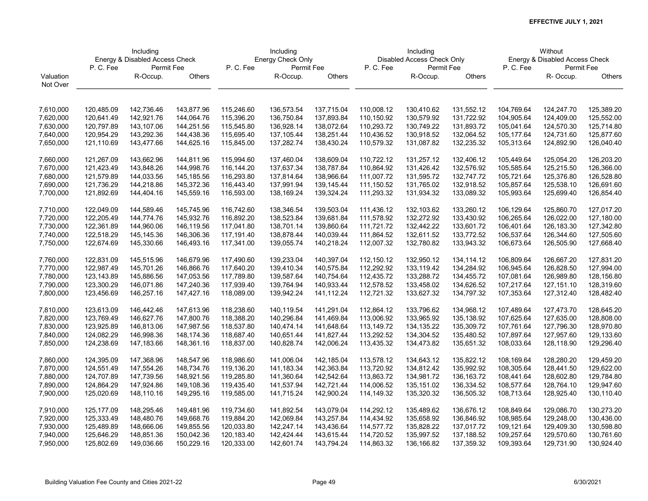|           | Including<br>Energy & Disabled Access Check |            |            |                       | Including         |            |            | Including                  |              | Without                        |            |               |  |
|-----------|---------------------------------------------|------------|------------|-----------------------|-------------------|------------|------------|----------------------------|--------------|--------------------------------|------------|---------------|--|
|           |                                             |            |            |                       | Energy Check Only |            |            | Disabled Access Check Only |              | Energy & Disabled Access Check |            |               |  |
|           | P.C.Fee                                     | Permit Fee |            | P.C.Fee<br>Permit Fee |                   |            | P.C.Fee    | Permit Fee                 |              | P.C.Fee                        | Permit Fee |               |  |
| Valuation |                                             | R-Occup.   | Others     |                       | R-Occup.          | Others     |            | R-Occup.                   | Others       |                                | R- Occup.  | <b>Others</b> |  |
| Not Over  |                                             |            |            |                       |                   |            |            |                            |              |                                |            |               |  |
|           |                                             |            |            |                       |                   |            |            |                            |              |                                |            |               |  |
| 7,610,000 | 120,485.09                                  | 142,736.46 | 143,877.96 | 115,246.60            | 136,573.54        | 137,715.04 | 110,008.12 | 130,410.62                 | 131,552.12   | 104,769.64                     | 124,247.70 | 125,389.20    |  |
| 7,620,000 | 120,641.49                                  | 142,921.76 | 144,064.76 | 115,396.20            | 136,750.84        | 137,893.84 | 110,150.92 | 130,579.92                 | 131,722.92   | 104,905.64                     | 124,409.00 | 125,552.00    |  |
| 7,630,000 | 120,797.89                                  | 143,107.06 | 144,251.56 | 115,545.80            | 136,928.14        | 138,072.64 | 110,293.72 | 130,749.22                 | 131,893.72   | 105,041.64                     | 124,570.30 | 125,714.80    |  |
| 7,640,000 | 120,954.29                                  | 143,292.36 | 144,438.36 | 115,695.40            | 137,105.44        | 138,251.44 | 110,436.52 | 130,918.52                 | 132,064.52   | 105,177.64                     | 124,731.60 | 125,877.60    |  |
| 7,650,000 | 121,110.69                                  | 143,477.66 | 144,625.16 | 115,845.00            | 137,282.74        | 138,430.24 | 110,579.32 | 131,087.82                 | 132,235.32   | 105,313.64                     | 124,892.90 | 126,040.40    |  |
|           |                                             |            |            |                       |                   |            |            |                            |              |                                |            |               |  |
| 7,660,000 | 121,267.09                                  | 143,662.96 | 144,811.96 | 115,994.60            | 137,460.04        | 138,609.04 | 110,722.12 | 131,257.12                 | 132,406.12   | 105,449.64                     | 125,054.20 | 126,203.20    |  |
| 7,670,000 | 121,423.49                                  | 143,848.26 | 144,998.76 | 116,144.20            | 137,637.34        | 138,787.84 | 110,864.92 | 131,426.42                 | 132,576.92   | 105,585.64                     | 125,215.50 | 126,366.00    |  |
| 7,680,000 | 121,579.89                                  | 144,033.56 | 145,185.56 | 116,293.80            | 137,814.64        | 138,966.64 | 111,007.72 | 131,595.72                 | 132,747.72   | 105,721.64                     | 125,376.80 | 126,528.80    |  |
| 7,690,000 | 121,736.29                                  | 144,218.86 | 145,372.36 | 116,443.40            | 137,991.94        | 139,145.44 | 111,150.52 | 131,765.02                 | 132,918.52   | 105,857.64                     | 125,538.10 | 126,691.60    |  |
| 7,700,000 | 121,892.69                                  | 144,404.16 | 145,559.16 | 116,593.00            | 138,169.24        | 139,324.24 | 111,293.32 | 131,934.32                 | 133,089.32   | 105,993.64                     | 125,699.40 | 126,854.40    |  |
|           |                                             |            |            |                       |                   |            |            |                            |              |                                |            |               |  |
| 7,710,000 | 122,049.09                                  | 144,589.46 | 145,745.96 | 116,742.60            | 138,346.54        | 139,503.04 | 111,436.12 | 132,103.62                 | 133,260.12   | 106,129.64                     | 125,860.70 | 127,017.20    |  |
| 7,720,000 | 122,205.49                                  | 144,774.76 | 145,932.76 | 116,892.20            | 138,523.84        | 139,681.84 | 111,578.92 | 132,272.92                 | 133,430.92   | 106,265.64                     | 126,022.00 | 127,180.00    |  |
| 7,730,000 | 122,361.89                                  | 144,960.06 | 146,119.56 | 117,041.80            | 138,701.14        | 139,860.64 | 111,721.72 | 132,442.22                 | 133,601.72   | 106,401.64                     | 126,183.30 | 127,342.80    |  |
| 7,740,000 | 122,518.29                                  | 145,145.36 | 146,306.36 | 117,191.40            | 138,878.44        | 140,039.44 | 111,864.52 | 132,611.52                 | 133,772.52   | 106,537.64                     | 126,344.60 | 127,505.60    |  |
| 7,750,000 | 122,674.69                                  | 145,330.66 | 146,493.16 | 117,341.00            | 139,055.74        | 140,218.24 | 112,007.32 | 132,780.82                 | 133,943.32   | 106,673.64                     | 126,505.90 | 127,668.40    |  |
| 7,760,000 | 122,831.09                                  | 145,515.96 | 146,679.96 | 117,490.60            | 139,233.04        | 140,397.04 | 112,150.12 | 132,950.12                 | 134,114.12   | 106,809.64                     | 126,667.20 | 127,831.20    |  |
| 7,770,000 | 122,987.49                                  | 145,701.26 | 146,866.76 | 117,640.20            | 139,410.34        | 140,575.84 | 112,292.92 | 133,119.42                 | 134,284.92   | 106,945.64                     | 126,828.50 | 127,994.00    |  |
| 7,780,000 | 123,143.89                                  | 145,886.56 | 147,053.56 | 117,789.80            | 139,587.64        | 140,754.64 | 112,435.72 | 133,288.72                 | 134,455.72   | 107,081.64                     | 126,989.80 | 128,156.80    |  |
| 7,790,000 | 123,300.29                                  | 146,071.86 | 147,240.36 | 117,939.40            | 139,764.94        | 140,933.44 | 112,578.52 | 133,458.02                 | 134,626.52   | 107,217.64                     | 127,151.10 | 128,319.60    |  |
| 7,800,000 | 123,456.69                                  | 146,257.16 | 147,427.16 | 118,089.00            | 139,942.24        | 141,112.24 | 112,721.32 | 133,627.32                 | 134,797.32   | 107,353.64                     | 127,312.40 | 128,482.40    |  |
|           |                                             |            |            |                       |                   |            |            |                            |              |                                |            |               |  |
| 7,810,000 | 123,613.09                                  | 146,442.46 | 147,613.96 | 118,238.60            | 140,119.54        | 141,291.04 | 112,864.12 | 133,796.62                 | 134,968.12   | 107,489.64                     | 127,473.70 | 128,645.20    |  |
| 7,820,000 | 123,769.49                                  | 146,627.76 | 147,800.76 | 118,388.20            | 140,296.84        | 141,469.84 | 113,006.92 | 133,965.92                 | 135,138.92   | 107,625.64                     | 127,635.00 | 128,808.00    |  |
| 7,830,000 | 123,925.89                                  | 146,813.06 | 147,987.56 | 118,537.80            | 140,474.14        | 141,648.64 | 113,149.72 | 134, 135. 22               | 135,309.72   | 107,761.64                     | 127,796.30 | 128,970.80    |  |
| 7,840,000 | 124,082.29                                  | 146,998.36 | 148,174.36 | 118,687.40            | 140,651.44        | 141,827.44 | 113,292.52 | 134,304.52                 | 135,480.52   | 107,897.64                     | 127,957.60 | 129,133.60    |  |
| 7,850,000 | 124,238.69                                  | 147,183.66 | 148,361.16 | 118,837.00            | 140,828.74        | 142,006.24 | 113,435.32 | 134,473.82                 | 135,651.32   | 108,033.64                     | 128,118.90 | 129,296.40    |  |
| 7,860,000 | 124,395.09                                  | 147,368.96 | 148,547.96 | 118,986.60            | 141,006.04        | 142,185.04 | 113,578.12 | 134,643.12                 | 135,822.12   | 108,169.64                     | 128,280.20 | 129,459.20    |  |
| 7,870,000 | 124,551.49                                  | 147,554.26 | 148,734.76 | 119,136.20            | 141,183.34        | 142,363.84 | 113,720.92 | 134,812.42                 | 135,992.92   | 108,305.64                     | 128,441.50 | 129,622.00    |  |
| 7,880,000 | 124,707.89                                  | 147,739.56 | 148,921.56 | 119,285.80            | 141,360.64        | 142,542.64 | 113,863.72 | 134,981.72                 | 136, 163. 72 | 108,441.64                     | 128,602.80 | 129,784.80    |  |
| 7,890,000 | 124,864.29                                  | 147,924.86 | 149,108.36 | 119,435.40            | 141,537.94        | 142,721.44 | 114,006.52 | 135,151.02                 | 136,334.52   | 108,577.64                     | 128,764.10 | 129,947.60    |  |
| 7,900,000 | 125,020.69                                  | 148,110.16 | 149,295.16 | 119,585.00            | 141,715.24        | 142,900.24 | 114,149.32 | 135,320.32                 | 136,505.32   | 108,713.64                     | 128,925.40 | 130,110.40    |  |
|           |                                             |            |            |                       |                   |            |            |                            |              |                                |            |               |  |
| 7,910,000 | 125,177.09                                  | 148,295.46 | 149,481.96 | 119,734.60            | 141,892.54        | 143,079.04 | 114,292.12 | 135,489.62                 | 136,676.12   | 108,849.64                     | 129,086.70 | 130,273.20    |  |
| 7,920,000 | 125,333.49                                  | 148,480.76 | 149,668.76 | 119,884.20            | 142,069.84        | 143,257.84 | 114,434.92 | 135,658.92                 | 136,846.92   | 108,985.64                     | 129,248.00 | 130,436.00    |  |
| 7,930,000 | 125,489.89                                  | 148,666.06 | 149,855.56 | 120,033.80            | 142,247.14        | 143,436.64 | 114,577.72 | 135,828.22                 | 137,017.72   | 109,121.64                     | 129,409.30 | 130,598.80    |  |
| 7,940,000 | 125,646.29                                  | 148,851.36 | 150,042.36 | 120,183.40            | 142,424.44        | 143,615.44 | 114,720.52 | 135,997.52                 | 137,188.52   | 109,257.64                     | 129,570.60 | 130,761.60    |  |
| 7,950,000 | 125,802.69                                  | 149,036.66 | 150,229.16 | 120,333.00            | 142,601.74        | 143,794.24 | 114,863.32 | 136,166.82                 | 137,359.32   | 109,393.64                     | 129,731.90 | 130,924.40    |  |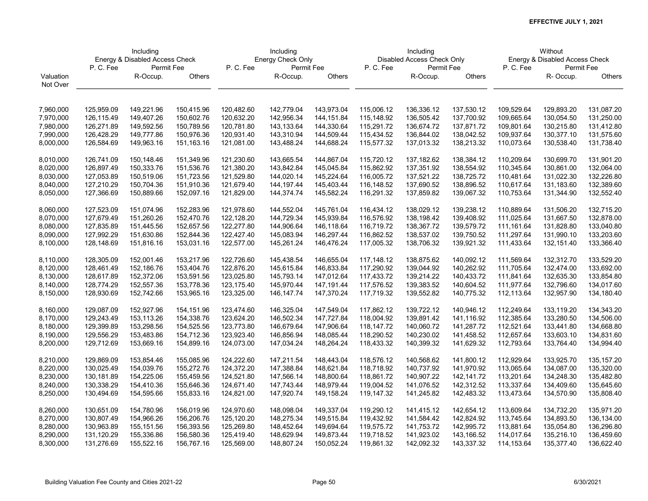|           | Including                      |             |            |            | Including         |            |            | Including                  |            | Without                        |            |               |  |
|-----------|--------------------------------|-------------|------------|------------|-------------------|------------|------------|----------------------------|------------|--------------------------------|------------|---------------|--|
|           | Energy & Disabled Access Check |             |            |            | Energy Check Only |            |            | Disabled Access Check Only |            | Energy & Disabled Access Check |            |               |  |
|           | P.C.Fee                        | Permit Fee  |            | P.C.Fee    | Permit Fee        |            | P.C.Fee    | Permit Fee                 |            | P.C.Fee                        | Permit Fee |               |  |
| Valuation |                                | R-Occup.    | Others     |            | R-Occup.          | Others     |            | R-Occup.                   | Others     |                                | R- Occup.  | <b>Others</b> |  |
| Not Over  |                                |             |            |            |                   |            |            |                            |            |                                |            |               |  |
|           |                                |             |            |            |                   |            |            |                            |            |                                |            |               |  |
| 7,960,000 | 125,959.09                     | 149,221.96  | 150,415.96 | 120,482.60 | 142,779.04        | 143,973.04 | 115,006.12 | 136,336.12                 | 137,530.12 | 109,529.64                     | 129,893.20 | 131,087.20    |  |
| 7,970,000 | 126,115.49                     | 149,407.26  | 150,602.76 | 120,632.20 | 142,956.34        | 144,151.84 | 115,148.92 | 136,505.42                 | 137,700.92 | 109,665.64                     | 130,054.50 | 131,250.00    |  |
| 7,980,000 | 126,271.89                     | 149,592.56  | 150,789.56 | 120,781.80 | 143,133.64        | 144,330.64 | 115,291.72 | 136,674.72                 | 137,871.72 | 109,801.64                     | 130,215.80 | 131,412.80    |  |
| 7,990,000 | 126,428.29                     | 149,777.86  | 150,976.36 | 120,931.40 | 143,310.94        | 144,509.44 | 115,434.52 | 136,844.02                 | 138,042.52 | 109,937.64                     | 130,377.10 | 131,575.60    |  |
| 8,000,000 | 126,584.69                     | 149,963.16  | 151,163.16 | 121,081.00 | 143,488.24        | 144,688.24 | 115,577.32 | 137,013.32                 | 138,213.32 | 110,073.64                     | 130,538.40 | 131,738.40    |  |
|           |                                |             |            |            |                   |            |            |                            |            |                                |            |               |  |
| 8,010,000 | 126,741.09                     | 150,148.46  | 151,349.96 | 121,230.60 | 143,665.54        | 144,867.04 | 115,720.12 | 137,182.62                 | 138,384.12 | 110,209.64                     | 130,699.70 | 131,901.20    |  |
| 8,020,000 | 126,897.49                     | 150,333.76  | 151,536.76 | 121,380.20 | 143,842.84        | 145,045.84 | 115,862.92 | 137,351.92                 | 138,554.92 | 110,345.64                     | 130,861.00 | 132,064.00    |  |
| 8,030,000 | 127,053.89                     | 150,519.06  | 151,723.56 | 121,529.80 | 144,020.14        | 145,224.64 | 116,005.72 | 137,521.22                 | 138,725.72 | 110,481.64                     | 131,022.30 | 132,226.80    |  |
| 8,040,000 | 127,210.29                     | 150,704.36  | 151,910.36 | 121,679.40 | 144, 197. 44      | 145,403.44 | 116,148.52 | 137,690.52                 | 138,896.52 | 110,617.64                     | 131,183.60 | 132,389.60    |  |
| 8,050,000 | 127,366.69                     | 150,889.66  | 152,097.16 | 121,829.00 | 144,374.74        | 145,582.24 | 116,291.32 | 137,859.82                 | 139,067.32 | 110,753.64                     | 131,344.90 | 132,552.40    |  |
|           |                                |             |            |            |                   |            |            |                            |            |                                |            |               |  |
| 8,060,000 | 127,523.09                     | 151,074.96  | 152,283.96 | 121,978.60 | 144,552.04        | 145,761.04 | 116,434.12 | 138,029.12                 | 139,238.12 | 110,889.64                     | 131,506.20 | 132,715.20    |  |
| 8,070,000 | 127,679.49                     | 151,260.26  | 152,470.76 | 122,128.20 | 144,729.34        | 145,939.84 | 116,576.92 | 138,198.42                 | 139,408.92 | 111,025.64                     | 131,667.50 | 132,878.00    |  |
| 8,080,000 | 127,835.89                     | 151,445.56  | 152,657.56 | 122,277.80 | 144,906.64        | 146,118.64 | 116,719.72 | 138,367.72                 | 139,579.72 | 111, 161.64                    | 131,828.80 | 133,040.80    |  |
| 8,090,000 | 127,992.29                     | 151,630.86  | 152,844.36 | 122,427.40 | 145,083.94        | 146,297.44 | 116,862.52 | 138,537.02                 | 139,750.52 | 111,297.64                     | 131,990.10 | 133,203.60    |  |
| 8,100,000 | 128,148.69                     | 151,816.16  | 153,031.16 | 122,577.00 | 145,261.24        | 146,476.24 | 117,005.32 | 138,706.32                 | 139,921.32 | 111,433.64                     | 132,151.40 | 133,366.40    |  |
| 8,110,000 | 128,305.09                     | 152,001.46  | 153,217.96 | 122,726.60 | 145,438.54        | 146,655.04 | 117,148.12 | 138,875.62                 | 140,092.12 | 111,569.64                     | 132,312.70 | 133,529.20    |  |
| 8,120,000 | 128,461.49                     | 152,186.76  | 153,404.76 | 122,876.20 | 145,615.84        | 146,833.84 | 117,290.92 | 139,044.92                 | 140,262.92 | 111,705.64                     | 132,474.00 | 133,692.00    |  |
| 8,130,000 | 128,617.89                     | 152,372.06  | 153,591.56 | 123,025.80 | 145,793.14        | 147,012.64 | 117,433.72 | 139,214.22                 | 140,433.72 | 111,841.64                     | 132,635.30 | 133,854.80    |  |
| 8,140,000 | 128,774.29                     | 152,557.36  | 153,778.36 | 123,175.40 | 145,970.44        | 147,191.44 | 117,576.52 | 139,383.52                 | 140,604.52 | 111,977.64                     | 132,796.60 | 134,017.60    |  |
| 8,150,000 | 128,930.69                     | 152,742.66  | 153,965.16 | 123,325.00 | 146, 147. 74      | 147,370.24 | 117,719.32 | 139,552.82                 | 140,775.32 | 112,113.64                     | 132,957.90 | 134,180.40    |  |
|           |                                |             |            |            |                   |            |            |                            |            |                                |            |               |  |
| 8,160,000 | 129,087.09                     | 152,927.96  | 154,151.96 | 123,474.60 | 146,325.04        | 147,549.04 | 117,862.12 | 139,722.12                 | 140,946.12 | 112,249.64                     | 133,119.20 | 134,343.20    |  |
| 8,170,000 | 129,243.49                     | 153,113.26  | 154,338.76 | 123,624.20 | 146,502.34        | 147,727.84 | 118,004.92 | 139,891.42                 | 141,116.92 | 112,385.64                     | 133,280.50 | 134,506.00    |  |
| 8,180,000 | 129,399.89                     | 153,298.56  | 154,525.56 | 123,773.80 | 146,679.64        | 147,906.64 | 118,147.72 | 140,060.72                 | 141,287.72 | 112,521.64                     | 133,441.80 | 134,668.80    |  |
| 8,190,000 | 129,556.29                     | 153,483.86  | 154,712.36 | 123,923.40 | 146,856.94        | 148,085.44 | 118,290.52 | 140,230.02                 | 141,458.52 | 112,657.64                     | 133,603.10 | 134,831.60    |  |
| 8,200,000 | 129,712.69                     | 153,669.16  | 154,899.16 | 124,073.00 | 147,034.24        | 148,264.24 | 118,433.32 | 140,399.32                 | 141,629.32 | 112,793.64                     | 133,764.40 | 134,994.40    |  |
| 8,210,000 | 129,869.09                     | 153,854.46  | 155,085.96 | 124,222.60 | 147,211.54        | 148,443.04 | 118,576.12 | 140,568.62                 | 141,800.12 | 112,929.64                     | 133,925.70 | 135, 157. 20  |  |
| 8,220,000 | 130,025.49                     | 154,039.76  | 155,272.76 | 124,372.20 | 147,388.84        | 148,621.84 | 118,718.92 | 140,737.92                 | 141,970.92 | 113,065.64                     | 134,087.00 | 135,320.00    |  |
| 8,230,000 | 130,181.89                     | 154,225.06  | 155,459.56 | 124,521.80 | 147,566.14        | 148,800.64 | 118,861.72 | 140,907.22                 | 142,141.72 | 113,201.64                     | 134,248.30 | 135,482.80    |  |
| 8,240,000 | 130,338.29                     | 154,410.36  | 155,646.36 | 124,671.40 | 147,743.44        | 148,979.44 | 119,004.52 | 141,076.52                 | 142,312.52 | 113,337.64                     | 134,409.60 | 135,645.60    |  |
| 8,250,000 | 130,494.69                     | 154,595.66  | 155,833.16 | 124,821.00 | 147,920.74        | 149,158.24 | 119,147.32 | 141,245.82                 | 142,483.32 | 113,473.64                     | 134,570.90 | 135,808.40    |  |
|           |                                |             |            |            |                   |            |            |                            |            |                                |            |               |  |
| 8,260,000 | 130,651.09                     | 154,780.96  | 156,019.96 | 124,970.60 | 148,098.04        | 149,337.04 | 119,290.12 | 141,415.12                 | 142,654.12 | 113,609.64                     | 134,732.20 | 135,971.20    |  |
| 8,270,000 | 130,807.49                     | 154,966.26  | 156,206.76 | 125,120.20 | 148,275.34        | 149,515.84 | 119,432.92 | 141,584.42                 | 142,824.92 | 113,745.64                     | 134,893.50 | 136,134.00    |  |
| 8,280,000 | 130,963.89                     | 155, 151.56 | 156,393.56 | 125,269.80 | 148,452.64        | 149,694.64 | 119,575.72 | 141,753.72                 | 142,995.72 | 113,881.64                     | 135,054.80 | 136,296.80    |  |
| 8,290,000 | 131,120.29                     | 155,336.86  | 156,580.36 | 125,419.40 | 148,629.94        | 149,873.44 | 119,718.52 | 141,923.02                 | 143,166.52 | 114,017.64                     | 135,216.10 | 136,459.60    |  |
| 8,300,000 | 131,276.69                     | 155,522.16  | 156,767.16 | 125,569.00 | 148,807.24        | 150,052.24 | 119,861.32 | 142,092.32                 | 143,337.32 | 114,153.64                     | 135,377.40 | 136,622.40    |  |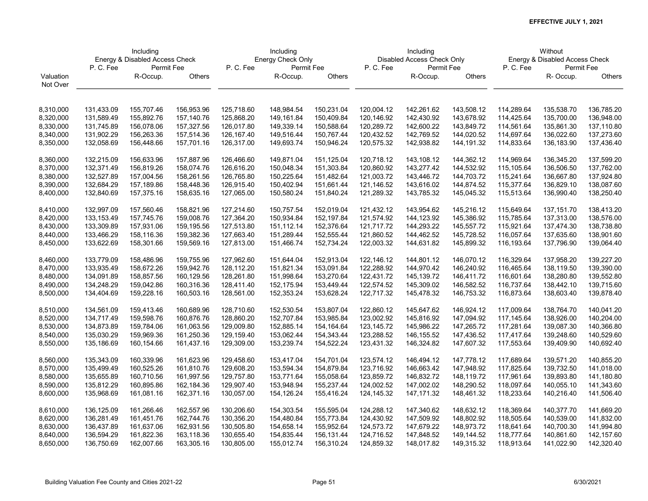|           | Including<br>Energy & Disabled Access Check |            |            |              | Including         |            |            | Including                  |            | Without                        |              |               |  |
|-----------|---------------------------------------------|------------|------------|--------------|-------------------|------------|------------|----------------------------|------------|--------------------------------|--------------|---------------|--|
|           |                                             |            |            |              | Energy Check Only |            |            | Disabled Access Check Only |            | Energy & Disabled Access Check |              |               |  |
|           | P.C.Fee                                     | Permit Fee |            | P.C.Fee      | Permit Fee        |            | P.C.Fee    | Permit Fee                 |            | P.C.Fee                        | Permit Fee   |               |  |
| Valuation |                                             | R-Occup.   | Others     |              | R-Occup.          | Others     |            | R-Occup.                   | Others     |                                | R- Occup.    | <b>Others</b> |  |
| Not Over  |                                             |            |            |              |                   |            |            |                            |            |                                |              |               |  |
|           |                                             |            |            |              |                   |            |            |                            |            |                                |              |               |  |
| 8,310,000 | 131,433.09                                  | 155,707.46 | 156,953.96 | 125,718.60   | 148,984.54        | 150,231.04 | 120,004.12 | 142,261.62                 | 143,508.12 | 114,289.64                     | 135,538.70   | 136,785.20    |  |
| 8,320,000 | 131,589.49                                  | 155,892.76 | 157,140.76 | 125,868.20   | 149,161.84        | 150,409.84 | 120,146.92 | 142,430.92                 | 143,678.92 | 114,425.64                     | 135,700.00   | 136,948.00    |  |
| 8,330,000 | 131,745.89                                  | 156,078.06 | 157,327.56 | 126,017.80   | 149,339.14        | 150,588.64 | 120,289.72 | 142,600.22                 | 143,849.72 | 114,561.64                     | 135,861.30   | 137,110.80    |  |
| 8,340,000 | 131,902.29                                  | 156,263.36 | 157,514.36 | 126, 167. 40 | 149,516.44        | 150,767.44 | 120,432.52 | 142,769.52                 | 144,020.52 | 114,697.64                     | 136,022.60   | 137,273.60    |  |
| 8,350,000 | 132,058.69                                  | 156,448.66 | 157,701.16 | 126,317.00   | 149,693.74        | 150,946.24 | 120,575.32 | 142,938.82                 | 144,191.32 | 114,833.64                     | 136,183.90   | 137,436.40    |  |
|           |                                             |            |            |              |                   |            |            |                            |            |                                |              |               |  |
| 8,360,000 | 132,215.09                                  | 156,633.96 | 157,887.96 | 126,466.60   | 149,871.04        | 151,125.04 | 120,718.12 | 143,108.12                 | 144,362.12 | 114,969.64                     | 136,345.20   | 137,599.20    |  |
| 8,370,000 | 132,371.49                                  | 156,819.26 | 158,074.76 | 126,616.20   | 150,048.34        | 151,303.84 | 120,860.92 | 143,277.42                 | 144,532.92 | 115,105.64                     | 136,506.50   | 137,762.00    |  |
| 8,380,000 | 132,527.89                                  | 157,004.56 | 158,261.56 | 126,765.80   | 150,225.64        | 151,482.64 | 121,003.72 | 143,446.72                 | 144,703.72 | 115,241.64                     | 136,667.80   | 137,924.80    |  |
| 8,390,000 | 132,684.29                                  | 157,189.86 | 158,448.36 | 126,915.40   | 150,402.94        | 151,661.44 | 121,146.52 | 143,616.02                 | 144,874.52 | 115,377.64                     | 136,829.10   | 138,087.60    |  |
| 8,400,000 | 132,840.69                                  | 157,375.16 | 158,635.16 | 127,065.00   | 150,580.24        | 151,840.24 | 121,289.32 | 143,785.32                 | 145,045.32 | 115,513.64                     | 136,990.40   | 138,250.40    |  |
|           |                                             |            |            |              |                   |            |            |                            |            |                                |              |               |  |
| 8,410,000 | 132,997.09                                  | 157,560.46 | 158,821.96 | 127,214.60   | 150,757.54        | 152,019.04 | 121,432.12 | 143,954.62                 | 145,216.12 | 115,649.64                     | 137, 151. 70 | 138,413.20    |  |
| 8,420,000 | 133, 153.49                                 | 157,745.76 | 159,008.76 | 127,364.20   | 150,934.84        | 152,197.84 | 121,574.92 | 144,123.92                 | 145,386.92 | 115,785.64                     | 137,313.00   | 138,576.00    |  |
| 8,430,000 | 133,309.89                                  | 157,931.06 | 159,195.56 | 127,513.80   | 151,112.14        | 152,376.64 | 121,717.72 | 144,293.22                 | 145,557.72 | 115,921.64                     | 137,474.30   | 138,738.80    |  |
| 8,440,000 | 133,466.29                                  | 158,116.36 | 159,382.36 | 127,663.40   | 151,289.44        | 152,555.44 | 121,860.52 | 144,462.52                 | 145,728.52 | 116,057.64                     | 137,635.60   | 138,901.60    |  |
| 8,450,000 | 133,622.69                                  | 158,301.66 | 159,569.16 | 127,813.00   | 151,466.74        | 152,734.24 | 122,003.32 | 144,631.82                 | 145,899.32 | 116,193.64                     | 137,796.90   | 139,064.40    |  |
| 8,460,000 | 133,779.09                                  | 158,486.96 | 159,755.96 | 127,962.60   | 151,644.04        | 152,913.04 | 122,146.12 | 144,801.12                 | 146,070.12 | 116,329.64                     | 137,958.20   | 139,227.20    |  |
| 8,470,000 | 133,935.49                                  | 158,672.26 | 159,942.76 | 128,112.20   | 151,821.34        | 153,091.84 | 122,288.92 | 144,970.42                 | 146,240.92 | 116,465.64                     | 138,119.50   | 139,390.00    |  |
| 8,480,000 | 134,091.89                                  | 158,857.56 | 160,129.56 | 128,261.80   | 151,998.64        | 153,270.64 | 122,431.72 | 145,139.72                 | 146,411.72 | 116,601.64                     | 138,280.80   | 139,552.80    |  |
| 8,490,000 | 134,248.29                                  | 159,042.86 | 160,316.36 | 128,411.40   | 152,175.94        | 153,449.44 | 122,574.52 | 145,309.02                 | 146,582.52 | 116,737.64                     | 138,442.10   | 139,715.60    |  |
| 8,500,000 | 134,404.69                                  | 159,228.16 | 160,503.16 | 128,561.00   | 152,353.24        | 153,628.24 | 122,717.32 | 145,478.32                 | 146,753.32 | 116,873.64                     | 138,603.40   | 139,878.40    |  |
|           |                                             |            |            |              |                   |            |            |                            |            |                                |              |               |  |
| 8,510,000 | 134,561.09                                  | 159,413.46 | 160,689.96 | 128,710.60   | 152,530.54        | 153,807.04 | 122,860.12 | 145,647.62                 | 146,924.12 | 117,009.64                     | 138,764.70   | 140,041.20    |  |
| 8,520,000 | 134,717.49                                  | 159,598.76 | 160,876.76 | 128,860.20   | 152,707.84        | 153,985.84 | 123,002.92 | 145,816.92                 | 147,094.92 | 117,145.64                     | 138,926.00   | 140,204.00    |  |
| 8,530,000 | 134,873.89                                  | 159,784.06 | 161,063.56 | 129,009.80   | 152,885.14        | 154,164.64 | 123,145.72 | 145,986.22                 | 147,265.72 | 117,281.64                     | 139,087.30   | 140,366.80    |  |
| 8,540,000 | 135,030.29                                  | 159,969.36 | 161,250.36 | 129,159.40   | 153,062.44        | 154,343.44 | 123,288.52 | 146, 155.52                | 147,436.52 | 117,417.64                     | 139,248.60   | 140,529.60    |  |
| 8,550,000 | 135,186.69                                  | 160,154.66 | 161,437.16 | 129,309.00   | 153,239.74        | 154,522.24 | 123,431.32 | 146,324.82                 | 147,607.32 | 117,553.64                     | 139,409.90   | 140,692.40    |  |
| 8,560,000 | 135,343.09                                  | 160,339.96 | 161,623.96 | 129,458.60   | 153,417.04        | 154,701.04 | 123,574.12 | 146,494.12                 | 147,778.12 | 117,689.64                     | 139,571.20   | 140,855.20    |  |
| 8,570,000 | 135,499.49                                  | 160,525.26 | 161,810.76 | 129,608.20   | 153,594.34        | 154,879.84 | 123,716.92 | 146,663.42                 | 147,948.92 | 117,825.64                     | 139,732.50   | 141,018.00    |  |
| 8,580,000 | 135,655.89                                  | 160,710.56 | 161,997.56 | 129,757.80   | 153,771.64        | 155,058.64 | 123,859.72 | 146,832.72                 | 148,119.72 | 117,961.64                     | 139,893.80   | 141,180.80    |  |
| 8,590,000 | 135,812.29                                  | 160,895.86 | 162,184.36 | 129,907.40   | 153,948.94        | 155,237.44 | 124,002.52 | 147,002.02                 | 148,290.52 | 118,097.64                     | 140,055.10   | 141,343.60    |  |
| 8,600,000 | 135,968.69                                  | 161,081.16 | 162,371.16 | 130,057.00   | 154,126.24        | 155,416.24 | 124,145.32 | 147, 171.32                | 148,461.32 | 118,233.64                     | 140,216.40   | 141,506.40    |  |
|           |                                             |            |            |              |                   |            |            |                            |            |                                |              |               |  |
| 8,610,000 | 136,125.09                                  | 161,266.46 | 162,557.96 | 130,206.60   | 154,303.54        | 155,595.04 | 124,288.12 | 147,340.62                 | 148,632.12 | 118,369.64                     | 140,377.70   | 141,669.20    |  |
| 8,620,000 | 136,281.49                                  | 161,451.76 | 162,744.76 | 130,356.20   | 154,480.84        | 155,773.84 | 124,430.92 | 147,509.92                 | 148,802.92 | 118,505.64                     | 140,539.00   | 141,832.00    |  |
| 8,630,000 | 136,437.89                                  | 161,637.06 | 162,931.56 | 130,505.80   | 154,658.14        | 155,952.64 | 124,573.72 | 147,679.22                 | 148,973.72 | 118,641.64                     | 140,700.30   | 141,994.80    |  |
| 8,640,000 | 136,594.29                                  | 161,822.36 | 163,118.36 | 130,655.40   | 154,835.44        | 156,131.44 | 124,716.52 | 147,848.52                 | 149,144.52 | 118,777.64                     | 140,861.60   | 142,157.60    |  |
| 8,650,000 | 136,750.69                                  | 162,007.66 | 163,305.16 | 130,805.00   | 155,012.74        | 156,310.24 | 124,859.32 | 148,017.82                 | 149,315.32 | 118,913.64                     | 141,022.90   | 142,320.40    |  |
|           |                                             |            |            |              |                   |            |            |                            |            |                                |              |               |  |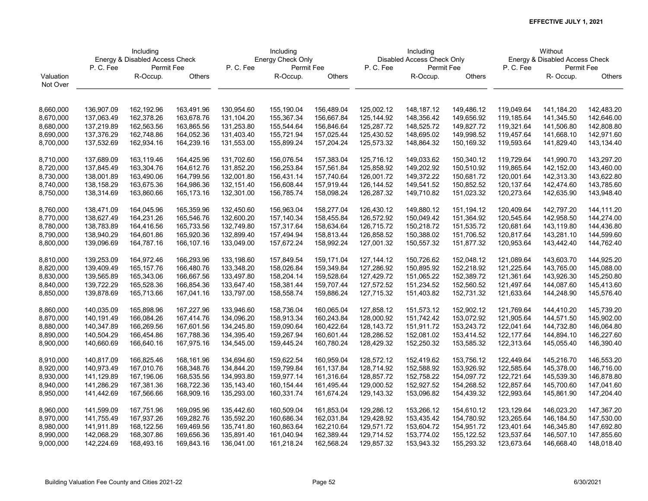|           | Including<br>Energy & Disabled Access Check |            |            |            | Including         |            |              | Including                  |            | Without                        |            |               |  |
|-----------|---------------------------------------------|------------|------------|------------|-------------------|------------|--------------|----------------------------|------------|--------------------------------|------------|---------------|--|
|           |                                             |            |            |            | Energy Check Only |            |              | Disabled Access Check Only |            | Energy & Disabled Access Check |            |               |  |
|           | P.C.Fee                                     | Permit Fee |            | P.C.Fee    | Permit Fee        |            | P.C.Fee      | Permit Fee                 |            | P.C.Fee                        | Permit Fee |               |  |
| Valuation |                                             | R-Occup.   | Others     |            | R-Occup.          | Others     |              | R-Occup.                   | Others     |                                | R- Occup.  | <b>Others</b> |  |
| Not Over  |                                             |            |            |            |                   |            |              |                            |            |                                |            |               |  |
|           |                                             |            |            |            |                   |            |              |                            |            |                                |            |               |  |
| 8,660,000 | 136,907.09                                  | 162,192.96 | 163,491.96 | 130,954.60 | 155,190.04        | 156,489.04 | 125,002.12   | 148,187.12                 | 149,486.12 | 119,049.64                     | 141,184.20 | 142,483.20    |  |
| 8,670,000 | 137,063.49                                  | 162,378.26 | 163,678.76 | 131,104.20 | 155,367.34        | 156,667.84 | 125,144.92   | 148,356.42                 | 149,656.92 | 119,185.64                     | 141,345.50 | 142,646.00    |  |
| 8,680,000 | 137,219.89                                  | 162,563.56 | 163,865.56 | 131,253.80 | 155,544.64        | 156,846.64 | 125,287.72   | 148,525.72                 | 149,827.72 | 119,321.64                     | 141,506.80 | 142,808.80    |  |
| 8,690,000 | 137,376.29                                  | 162,748.86 | 164,052.36 | 131,403.40 | 155,721.94        | 157,025.44 | 125,430.52   | 148,695.02                 | 149,998.52 | 119,457.64                     | 141,668.10 | 142,971.60    |  |
| 8,700,000 | 137,532.69                                  | 162,934.16 | 164,239.16 | 131,553.00 | 155,899.24        | 157,204.24 | 125,573.32   | 148,864.32                 | 150,169.32 | 119,593.64                     | 141,829.40 | 143,134.40    |  |
|           |                                             |            |            |            |                   |            |              |                            |            |                                |            |               |  |
| 8,710,000 | 137,689.09                                  | 163,119.46 | 164,425.96 | 131,702.60 | 156,076.54        | 157,383.04 | 125,716.12   | 149,033.62                 | 150,340.12 | 119,729.64                     | 141,990.70 | 143,297.20    |  |
| 8,720,000 | 137,845.49                                  | 163,304.76 | 164,612.76 | 131,852.20 | 156,253.84        | 157,561.84 | 125,858.92   | 149,202.92                 | 150,510.92 | 119,865.64                     | 142,152.00 | 143,460.00    |  |
| 8,730,000 | 138,001.89                                  | 163,490.06 | 164,799.56 | 132,001.80 | 156,431.14        | 157,740.64 | 126,001.72   | 149,372.22                 | 150,681.72 | 120,001.64                     | 142,313.30 | 143,622.80    |  |
| 8,740,000 | 138,158.29                                  | 163,675.36 | 164,986.36 | 132,151.40 | 156,608.44        | 157,919.44 | 126,144.52   | 149,541.52                 | 150,852.52 | 120,137.64                     | 142,474.60 | 143,785.60    |  |
| 8,750,000 | 138,314.69                                  | 163,860.66 | 165,173.16 | 132,301.00 | 156,785.74        | 158,098.24 | 126,287.32   | 149,710.82                 | 151,023.32 | 120,273.64                     | 142,635.90 | 143,948.40    |  |
|           |                                             |            |            |            |                   |            |              |                            |            |                                |            |               |  |
| 8,760,000 | 138,471.09                                  | 164,045.96 | 165,359.96 | 132,450.60 | 156,963.04        | 158,277.04 | 126,430.12   | 149,880.12                 | 151,194.12 | 120,409.64                     | 142,797.20 | 144,111.20    |  |
| 8,770,000 | 138,627.49                                  | 164,231.26 | 165,546.76 | 132,600.20 | 157,140.34        | 158,455.84 | 126,572.92   | 150,049.42                 | 151,364.92 | 120,545.64                     | 142,958.50 | 144,274.00    |  |
| 8,780,000 | 138,783.89                                  | 164,416.56 | 165,733.56 | 132,749.80 | 157,317.64        | 158,634.64 | 126,715.72   | 150,218.72                 | 151,535.72 | 120,681.64                     | 143,119.80 | 144,436.80    |  |
| 8,790,000 | 138,940.29                                  | 164,601.86 | 165,920.36 | 132,899.40 | 157,494.94        | 158,813.44 | 126,858.52   | 150,388.02                 | 151,706.52 | 120,817.64                     | 143,281.10 | 144,599.60    |  |
| 8,800,000 | 139,096.69                                  | 164,787.16 | 166,107.16 | 133,049.00 | 157,672.24        | 158,992.24 | 127,001.32   | 150,557.32                 | 151,877.32 | 120,953.64                     | 143,442.40 | 144,762.40    |  |
|           |                                             |            |            |            |                   |            |              |                            |            |                                |            |               |  |
| 8,810,000 | 139,253.09                                  | 164,972.46 | 166,293.96 | 133,198.60 | 157,849.54        | 159,171.04 | 127, 144. 12 | 150,726.62                 | 152,048.12 | 121,089.64                     | 143,603.70 | 144,925.20    |  |
| 8,820,000 | 139,409.49                                  | 165,157.76 | 166,480.76 | 133,348.20 | 158,026.84        | 159,349.84 | 127,286.92   | 150,895.92                 | 152,218.92 | 121,225.64                     | 143,765.00 | 145,088.00    |  |
| 8,830,000 | 139,565.89                                  | 165,343.06 | 166,667.56 | 133,497.80 | 158,204.14        | 159,528.64 | 127,429.72   | 151,065.22                 | 152,389.72 | 121,361.64                     | 143,926.30 | 145,250.80    |  |
| 8,840,000 | 139,722.29                                  | 165,528.36 | 166,854.36 | 133,647.40 | 158,381.44        | 159,707.44 | 127,572.52   | 151,234.52                 | 152,560.52 | 121,497.64                     | 144,087.60 | 145,413.60    |  |
| 8,850,000 | 139,878.69                                  | 165,713.66 | 167,041.16 | 133,797.00 | 158,558.74        | 159,886.24 | 127,715.32   | 151,403.82                 | 152,731.32 | 121,633.64                     | 144,248.90 | 145,576.40    |  |
| 8,860,000 | 140,035.09                                  | 165,898.96 | 167,227.96 | 133,946.60 | 158,736.04        | 160,065.04 | 127,858.12   | 151,573.12                 | 152,902.12 | 121,769.64                     | 144,410.20 | 145,739.20    |  |
| 8,870,000 | 140,191.49                                  | 166,084.26 | 167,414.76 | 134,096.20 | 158,913.34        | 160,243.84 | 128,000.92   | 151,742.42                 | 153,072.92 | 121,905.64                     | 144,571.50 | 145,902.00    |  |
| 8,880,000 | 140,347.89                                  | 166,269.56 | 167,601.56 | 134,245.80 | 159,090.64        | 160,422.64 | 128,143.72   | 151,911.72                 | 153,243.72 | 122,041.64                     | 144,732.80 | 146,064.80    |  |
| 8,890,000 | 140,504.29                                  | 166,454.86 | 167,788.36 | 134,395.40 | 159,267.94        | 160,601.44 | 128,286.52   | 152,081.02                 | 153,414.52 | 122, 177.64                    | 144,894.10 | 146,227.60    |  |
| 8,900,000 | 140,660.69                                  | 166,640.16 | 167,975.16 | 134,545.00 | 159,445.24        | 160,780.24 | 128,429.32   | 152,250.32                 | 153,585.32 | 122,313.64                     | 145,055.40 | 146,390.40    |  |
| 8,910,000 | 140,817.09                                  | 166,825.46 | 168,161.96 | 134,694.60 | 159,622.54        | 160,959.04 | 128,572.12   | 152,419.62                 | 153,756.12 | 122,449.64                     | 145,216.70 | 146,553.20    |  |
| 8,920,000 | 140,973.49                                  | 167,010.76 | 168,348.76 | 134,844.20 | 159,799.84        | 161,137.84 | 128,714.92   | 152,588.92                 | 153,926.92 | 122,585.64                     | 145,378.00 | 146,716.00    |  |
| 8,930,000 | 141,129.89                                  | 167,196.06 | 168,535.56 | 134,993.80 | 159,977.14        | 161,316.64 | 128,857.72   | 152,758.22                 | 154,097.72 | 122,721.64                     | 145,539.30 | 146,878.80    |  |
| 8,940,000 | 141,286.29                                  | 167,381.36 | 168,722.36 | 135,143.40 | 160,154.44        | 161,495.44 | 129,000.52   | 152,927.52                 | 154,268.52 | 122,857.64                     | 145,700.60 | 147,041.60    |  |
|           |                                             |            |            |            |                   |            |              |                            |            |                                |            |               |  |
| 8,950,000 | 141,442.69                                  | 167,566.66 | 168,909.16 | 135,293.00 | 160,331.74        | 161,674.24 | 129,143.32   | 153,096.82                 | 154,439.32 | 122,993.64                     | 145,861.90 | 147,204.40    |  |
| 8,960,000 | 141,599.09                                  | 167,751.96 | 169,095.96 | 135,442.60 | 160,509.04        | 161,853.04 | 129,286.12   | 153,266.12                 | 154,610.12 | 123,129.64                     | 146,023.20 | 147,367.20    |  |
| 8,970,000 | 141,755.49                                  | 167,937.26 | 169,282.76 | 135,592.20 | 160,686.34        | 162,031.84 | 129,428.92   | 153,435.42                 | 154,780.92 | 123,265.64                     | 146,184.50 | 147,530.00    |  |
| 8,980,000 | 141,911.89                                  | 168,122.56 | 169,469.56 | 135,741.80 | 160,863.64        | 162,210.64 | 129,571.72   | 153,604.72                 | 154,951.72 | 123,401.64                     | 146,345.80 | 147,692.80    |  |
| 8,990,000 | 142,068.29                                  | 168,307.86 | 169,656.36 | 135,891.40 | 161,040.94        | 162,389.44 | 129,714.52   | 153,774.02                 | 155,122.52 | 123,537.64                     | 146,507.10 | 147,855.60    |  |
| 9,000,000 | 142,224.69                                  | 168,493.16 | 169,843.16 | 136,041.00 | 161,218.24        | 162,568.24 | 129,857.32   | 153,943.32                 | 155,293.32 | 123,673.64                     | 146,668.40 | 148,018.40    |  |
|           |                                             |            |            |            |                   |            |              |                            |            |                                |            |               |  |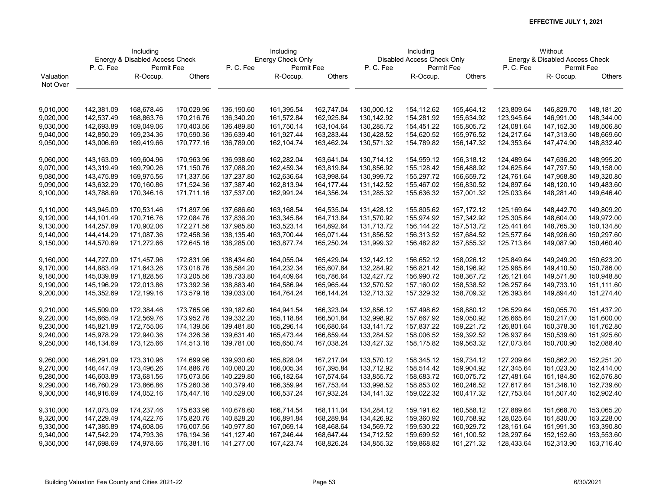|           | Including<br>Energy & Disabled Access Check |            |            |                       | Including         |            |              | Including                  |              | Without                        |            |            |  |
|-----------|---------------------------------------------|------------|------------|-----------------------|-------------------|------------|--------------|----------------------------|--------------|--------------------------------|------------|------------|--|
|           |                                             |            |            |                       | Energy Check Only |            |              | Disabled Access Check Only |              | Energy & Disabled Access Check |            |            |  |
|           | P.C.Fee                                     | Permit Fee |            | P.C.Fee<br>Permit Fee |                   |            | P.C.Fee      | Permit Fee                 |              | P.C.Fee                        | Permit Fee |            |  |
| Valuation |                                             | R-Occup.   | Others     |                       | R-Occup.          | Others     |              | R-Occup.                   | Others       |                                | R- Occup.  | Others     |  |
| Not Over  |                                             |            |            |                       |                   |            |              |                            |              |                                |            |            |  |
|           |                                             |            |            |                       |                   |            |              |                            |              |                                |            |            |  |
| 9,010,000 | 142,381.09                                  | 168,678.46 | 170,029.96 | 136,190.60            | 161,395.54        | 162,747.04 | 130,000.12   | 154,112.62                 | 155,464.12   | 123,809.64                     | 146,829.70 | 148,181.20 |  |
| 9,020,000 | 142,537.49                                  | 168,863.76 | 170,216.76 | 136,340.20            | 161,572.84        | 162,925.84 | 130,142.92   | 154,281.92                 | 155,634.92   | 123,945.64                     | 146,991.00 | 148,344.00 |  |
| 9,030,000 | 142,693.89                                  | 169,049.06 | 170,403.56 | 136,489.80            | 161,750.14        | 163,104.64 | 130,285.72   | 154,451.22                 | 155,805.72   | 124,081.64                     | 147,152.30 | 148,506.80 |  |
| 9,040,000 | 142,850.29                                  | 169,234.36 | 170,590.36 | 136,639.40            | 161,927.44        | 163,283.44 | 130,428.52   | 154,620.52                 | 155,976.52   | 124,217.64                     | 147,313.60 | 148,669.60 |  |
| 9,050,000 | 143,006.69                                  | 169,419.66 | 170,777.16 | 136,789.00            | 162,104.74        | 163,462.24 | 130,571.32   | 154,789.82                 | 156,147.32   | 124,353.64                     | 147,474.90 | 148,832.40 |  |
|           |                                             |            |            |                       |                   |            |              |                            |              |                                |            |            |  |
| 9,060,000 | 143,163.09                                  | 169,604.96 | 170,963.96 | 136,938.60            | 162,282.04        | 163,641.04 | 130,714.12   | 154,959.12                 | 156,318.12   | 124,489.64                     | 147,636.20 | 148,995.20 |  |
| 9,070,000 | 143,319.49                                  | 169,790.26 | 171,150.76 | 137,088.20            | 162,459.34        | 163,819.84 | 130,856.92   | 155,128.42                 | 156,488.92   | 124,625.64                     | 147,797.50 | 149,158.00 |  |
| 9,080,000 | 143,475.89                                  | 169,975.56 | 171,337.56 | 137,237.80            | 162,636.64        | 163,998.64 | 130,999.72   | 155,297.72                 | 156,659.72   | 124,761.64                     | 147,958.80 | 149,320.80 |  |
| 9,090,000 | 143,632.29                                  | 170,160.86 | 171,524.36 | 137,387.40            | 162,813.94        | 164,177.44 | 131,142.52   | 155,467.02                 | 156,830.52   | 124,897.64                     | 148,120.10 | 149,483.60 |  |
| 9,100,000 | 143,788.69                                  | 170,346.16 | 171,711.16 | 137,537.00            | 162,991.24        | 164,356.24 | 131,285.32   | 155,636.32                 | 157,001.32   | 125,033.64                     | 148,281.40 | 149,646.40 |  |
|           |                                             |            |            |                       |                   |            |              |                            |              |                                |            |            |  |
| 9,110,000 | 143,945.09                                  | 170,531.46 | 171,897.96 | 137,686.60            | 163,168.54        | 164,535.04 | 131,428.12   | 155,805.62                 | 157, 172. 12 | 125,169.64                     | 148,442.70 | 149,809.20 |  |
| 9,120,000 | 144,101.49                                  | 170,716.76 | 172,084.76 | 137,836.20            | 163,345.84        | 164,713.84 | 131,570.92   | 155,974.92                 | 157,342.92   | 125,305.64                     | 148,604.00 | 149,972.00 |  |
| 9,130,000 | 144,257.89                                  | 170,902.06 | 172,271.56 | 137,985.80            | 163,523.14        | 164,892.64 | 131,713.72   | 156,144.22                 | 157,513.72   | 125,441.64                     | 148,765.30 | 150,134.80 |  |
| 9,140,000 | 144,414.29                                  | 171,087.36 | 172,458.36 | 138,135.40            | 163,700.44        | 165,071.44 | 131,856.52   | 156,313.52                 | 157,684.52   | 125,577.64                     | 148,926.60 | 150,297.60 |  |
| 9,150,000 | 144,570.69                                  | 171,272.66 | 172,645.16 | 138,285.00            | 163,877.74        | 165,250.24 | 131,999.32   | 156,482.82                 | 157,855.32   | 125,713.64                     | 149,087.90 | 150,460.40 |  |
|           |                                             |            |            |                       |                   |            |              |                            |              |                                |            |            |  |
| 9,160,000 | 144,727.09                                  | 171,457.96 | 172,831.96 | 138,434.60            | 164,055.04        | 165,429.04 | 132,142.12   | 156,652.12                 | 158,026.12   | 125,849.64                     | 149,249.20 | 150,623.20 |  |
| 9,170,000 | 144,883.49                                  | 171,643.26 | 173,018.76 | 138,584.20            | 164,232.34        | 165,607.84 | 132,284.92   | 156,821.42                 | 158,196.92   | 125,985.64                     | 149,410.50 | 150,786.00 |  |
| 9,180,000 | 145,039.89                                  | 171,828.56 | 173,205.56 | 138,733.80            | 164,409.64        | 165,786.64 | 132,427.72   | 156,990.72                 | 158,367.72   | 126,121.64                     | 149,571.80 | 150,948.80 |  |
| 9,190,000 | 145,196.29                                  | 172,013.86 | 173,392.36 | 138,883.40            | 164,586.94        | 165,965.44 | 132,570.52   | 157,160.02                 | 158,538.52   | 126,257.64                     | 149,733.10 | 151,111.60 |  |
| 9,200,000 | 145,352.69                                  | 172,199.16 | 173,579.16 | 139,033.00            | 164,764.24        | 166,144.24 | 132,713.32   | 157,329.32                 | 158,709.32   | 126,393.64                     | 149,894.40 | 151,274.40 |  |
| 9,210,000 | 145,509.09                                  | 172,384.46 | 173,765.96 | 139,182.60            | 164,941.54        | 166,323.04 | 132,856.12   | 157,498.62                 | 158,880.12   | 126,529.64                     | 150,055.70 | 151,437.20 |  |
| 9,220,000 | 145,665.49                                  | 172,569.76 | 173,952.76 | 139,332.20            | 165,118.84        | 166,501.84 | 132,998.92   | 157,667.92                 | 159,050.92   | 126,665.64                     | 150,217.00 | 151,600.00 |  |
| 9,230,000 | 145,821.89                                  | 172,755.06 | 174,139.56 | 139,481.80            | 165,296.14        | 166,680.64 | 133,141.72   | 157,837.22                 | 159,221.72   | 126,801.64                     | 150,378.30 | 151,762.80 |  |
| 9,240,000 | 145,978.29                                  | 172,940.36 | 174,326.36 | 139,631.40            | 165,473.44        | 166,859.44 | 133,284.52   | 158,006.52                 | 159,392.52   | 126,937.64                     | 150,539.60 | 151,925.60 |  |
| 9,250,000 | 146,134.69                                  | 173,125.66 | 174,513.16 | 139,781.00            | 165,650.74        | 167,038.24 | 133,427.32   | 158,175.82                 | 159,563.32   | 127,073.64                     | 150,700.90 | 152,088.40 |  |
|           |                                             |            |            |                       |                   |            |              |                            |              |                                |            |            |  |
| 9,260,000 | 146,291.09                                  | 173,310.96 | 174,699.96 | 139,930.60            | 165,828.04        | 167,217.04 | 133,570.12   | 158,345.12                 | 159,734.12   | 127,209.64                     | 150,862.20 | 152,251.20 |  |
| 9,270,000 | 146,447.49                                  | 173,496.26 | 174,886.76 | 140,080.20            | 166,005.34        | 167,395.84 | 133,712.92   | 158,514.42                 | 159,904.92   | 127,345.64                     | 151,023.50 | 152,414.00 |  |
| 9,280,000 | 146,603.89                                  | 173,681.56 | 175,073.56 | 140,229.80            | 166,182.64        | 167,574.64 | 133,855.72   | 158,683.72                 | 160,075.72   | 127,481.64                     | 151,184.80 | 152,576.80 |  |
| 9,290,000 | 146,760.29                                  | 173,866.86 | 175,260.36 | 140,379.40            | 166,359.94        | 167,753.44 | 133,998.52   | 158,853.02                 | 160,246.52   | 127,617.64                     | 151,346.10 | 152,739.60 |  |
| 9,300,000 | 146,916.69                                  | 174,052.16 | 175,447.16 | 140,529.00            | 166,537.24        | 167,932.24 | 134, 141. 32 | 159,022.32                 | 160,417.32   | 127,753.64                     | 151,507.40 | 152,902.40 |  |
|           |                                             |            |            |                       |                   |            |              |                            |              |                                |            |            |  |
| 9,310,000 | 147,073.09                                  | 174,237.46 | 175,633.96 | 140,678.60            | 166,714.54        | 168,111.04 | 134,284.12   | 159,191.62                 | 160,588.12   | 127,889.64                     | 151,668.70 | 153,065.20 |  |
| 9,320,000 | 147,229.49                                  | 174,422.76 | 175,820.76 | 140,828.20            | 166,891.84        | 168,289.84 | 134,426.92   | 159,360.92                 | 160,758.92   | 128,025.64                     | 151,830.00 | 153,228.00 |  |
| 9,330,000 | 147,385.89                                  | 174,608.06 | 176,007.56 | 140,977.80            | 167,069.14        | 168,468.64 | 134,569.72   | 159,530.22                 | 160,929.72   | 128,161.64                     | 151,991.30 | 153,390.80 |  |
| 9,340,000 | 147,542.29                                  | 174,793.36 | 176,194.36 | 141,127.40            | 167,246.44        | 168,647.44 | 134,712.52   | 159,699.52                 | 161,100.52   | 128,297.64                     | 152,152.60 | 153,553.60 |  |
| 9,350,000 | 147,698.69                                  | 174,978.66 | 176,381.16 | 141,277.00            | 167,423.74        | 168,826.24 | 134,855.32   | 159,868.82                 | 161,271.32   | 128,433.64                     | 152,313.90 | 153,716.40 |  |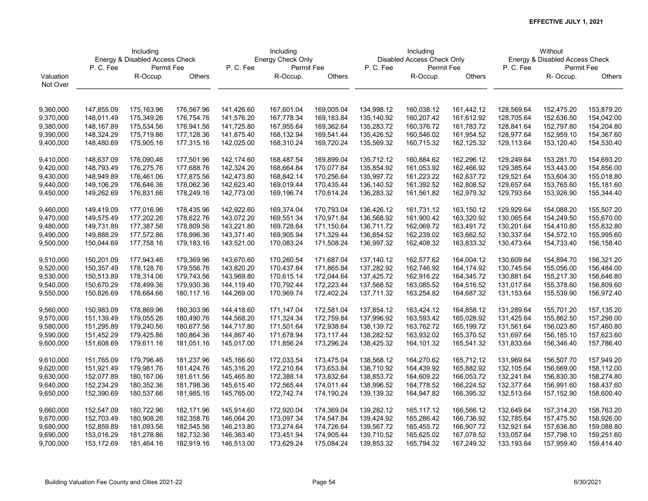|           | Including                      |            |            |            | Including         |            |            | Including                  |            | Without                        |            |               |  |
|-----------|--------------------------------|------------|------------|------------|-------------------|------------|------------|----------------------------|------------|--------------------------------|------------|---------------|--|
|           | Energy & Disabled Access Check |            |            |            | Energy Check Only |            |            | Disabled Access Check Only |            | Energy & Disabled Access Check |            |               |  |
|           | P.C.Fee                        | Permit Fee |            | P.C.Fee    | Permit Fee        |            | P.C.Fee    | Permit Fee                 |            | P.C.Fee                        | Permit Fee |               |  |
| Valuation |                                | R-Occup.   | Others     |            | R-Occup.          | Others     |            | R-Occup.                   | Others     |                                | R-Occup.   | <b>Others</b> |  |
| Not Over  |                                |            |            |            |                   |            |            |                            |            |                                |            |               |  |
|           |                                |            |            |            |                   |            |            |                            |            |                                |            |               |  |
|           |                                |            |            |            |                   |            |            |                            |            |                                |            |               |  |
| 9,360,000 | 147,855.09                     | 175,163.96 | 176,567.96 | 141,426.60 | 167,601.04        | 169,005.04 | 134,998.12 | 160,038.12                 | 161,442.12 | 128,569.64                     | 152,475.20 | 153,879.20    |  |
| 9,370,000 | 148,011.49                     | 175,349.26 | 176,754.76 | 141,576.20 | 167,778.34        | 169,183.84 | 135,140.92 | 160,207.42                 | 161,612.92 | 128,705.64                     | 152,636.50 | 154,042.00    |  |
| 9,380,000 | 148,167.89                     | 175,534.56 | 176,941.56 | 141,725.80 | 167,955.64        | 169,362.64 | 135,283.72 | 160,376.72                 | 161,783.72 | 128,841.64                     | 152,797.80 | 154,204.80    |  |
| 9,390,000 | 148,324.29                     | 175,719.86 | 177,128.36 | 141,875.40 | 168,132.94        | 169,541.44 | 135,426.52 | 160,546.02                 | 161,954.52 | 128,977.64                     | 152,959.10 | 154,367.60    |  |
| 9,400,000 | 148,480.69                     | 175,905.16 | 177,315.16 | 142,025.00 | 168,310.24        | 169,720.24 | 135,569.32 | 160,715.32                 | 162,125.32 | 129,113.64                     | 153,120.40 | 154,530.40    |  |
| 9,410,000 | 148,637.09                     | 176,090.46 | 177,501.96 | 142,174.60 | 168,487.54        | 169,899.04 | 135,712.12 | 160,884.62                 | 162,296.12 | 129,249.64                     | 153,281.70 | 154,693.20    |  |
| 9,420,000 | 148,793.49                     | 176,275.76 | 177,688.76 | 142,324.20 | 168,664.84        | 170,077.84 | 135,854.92 | 161,053.92                 | 162,466.92 | 129,385.64                     | 153,443.00 | 154,856.00    |  |
| 9,430,000 | 148,949.89                     | 176,461.06 | 177,875.56 | 142,473.80 | 168,842.14        | 170,256.64 | 135,997.72 | 161,223.22                 | 162,637.72 | 129,521.64                     | 153,604.30 | 155,018.80    |  |
| 9,440,000 | 149,106.29                     | 176,646.36 | 178,062.36 | 142,623.40 | 169,019.44        | 170,435.44 | 136,140.52 | 161,392.52                 | 162,808.52 | 129,657.64                     | 153,765.60 | 155,181.60    |  |
|           | 149,262.69                     | 176,831.66 | 178,249.16 | 142,773.00 | 169,196.74        | 170,614.24 |            | 161,561.82                 | 162,979.32 | 129,793.64                     | 153,926.90 |               |  |
| 9,450,000 |                                |            |            |            |                   |            | 136,283.32 |                            |            |                                |            | 155,344.40    |  |
| 9,460,000 | 149,419.09                     | 177,016.96 | 178,435.96 | 142,922.60 | 169,374.04        | 170,793.04 | 136,426.12 | 161,731.12                 | 163,150.12 | 129,929.64                     | 154,088.20 | 155,507.20    |  |
| 9,470,000 | 149,575.49                     | 177,202.26 | 178,622.76 | 143,072.20 | 169,551.34        | 170,971.84 | 136,568.92 | 161,900.42                 | 163,320.92 | 130,065.64                     | 154,249.50 | 155,670.00    |  |
| 9,480,000 | 149,731.89                     | 177,387.56 | 178,809.56 | 143,221.80 | 169,728.64        | 171,150.64 | 136,711.72 | 162,069.72                 | 163,491.72 | 130,201.64                     | 154,410.80 | 155,832.80    |  |
| 9,490,000 | 149,888.29                     | 177,572.86 | 178,996.36 | 143,371.40 | 169,905.94        | 171,329.44 | 136,854.52 | 162,239.02                 | 163,662.52 | 130,337.64                     | 154,572.10 | 155,995.60    |  |
| 9,500,000 | 150,044.69                     | 177,758.16 | 179,183.16 | 143,521.00 | 170,083.24        | 171,508.24 | 136,997.32 | 162,408.32                 | 163,833.32 | 130,473.64                     | 154,733.40 | 156,158.40    |  |
|           |                                |            |            |            |                   |            |            |                            |            |                                |            |               |  |
| 9,510,000 | 150,201.09                     | 177,943.46 | 179,369.96 | 143,670.60 | 170,260.54        | 171,687.04 | 137,140.12 | 162,577.62                 | 164,004.12 | 130,609.64                     | 154,894.70 | 156,321.20    |  |
| 9,520,000 | 150,357.49                     | 178,128.76 | 179,556.76 | 143,820.20 | 170,437.84        | 171,865.84 | 137,282.92 | 162,746.92                 | 164,174.92 | 130,745.64                     | 155,056.00 | 156,484.00    |  |
| 9,530,000 | 150,513.89                     | 178,314.06 | 179,743.56 | 143,969.80 | 170,615.14        | 172,044.64 | 137,425.72 | 162,916.22                 | 164,345.72 | 130,881.64                     | 155,217.30 | 156,646.80    |  |
| 9,540,000 | 150,670.29                     | 178,499.36 | 179,930.36 | 144,119.40 | 170,792.44        | 172,223.44 | 137,568.52 | 163,085.52                 | 164,516.52 | 131,017.64                     | 155,378.60 | 156,809.60    |  |
| 9,550,000 | 150,826.69                     | 178,684.66 | 180,117.16 | 144,269.00 | 170,969.74        | 172,402.24 | 137,711.32 | 163,254.82                 | 164,687.32 | 131,153.64                     | 155,539.90 | 156,972.40    |  |
|           |                                |            |            |            |                   |            |            |                            |            |                                |            |               |  |
| 9,560,000 | 150,983.09                     | 178,869.96 | 180,303.96 | 144,418.60 | 171,147.04        | 172,581.04 | 137,854.12 | 163,424.12                 | 164,858.12 | 131,289.64                     | 155,701.20 | 157,135.20    |  |
| 9,570,000 | 151,139.49                     | 179,055.26 | 180,490.76 | 144,568.20 | 171,324.34        | 172,759.84 | 137,996.92 | 163,593.42                 | 165,028.92 | 131,425.64                     | 155,862.50 | 157,298.00    |  |
| 9,580,000 | 151,295.89                     | 179,240.56 | 180,677.56 | 144,717.80 | 171,501.64        | 172,938.64 | 138,139.72 | 163,762.72                 | 165,199.72 | 131,561.64                     | 156,023.80 | 157,460.80    |  |
| 9,590,000 | 151,452.29                     | 179,425.86 | 180,864.36 | 144,867.40 | 171,678.94        | 173,117.44 | 138,282.52 | 163,932.02                 | 165,370.52 | 131,697.64                     | 156,185.10 | 157,623.60    |  |
| 9,600,000 | 151,608.69                     | 179,611.16 | 181,051.16 | 145,017.00 | 171,856.24        | 173,296.24 | 138,425.32 | 164,101.32                 | 165,541.32 | 131,833.64                     | 156,346.40 | 157,786.40    |  |
|           |                                |            |            |            |                   |            |            |                            |            |                                |            |               |  |
| 9,610,000 | 151,765.09                     | 179,796.46 | 181,237.96 | 145,166.60 | 172,033.54        | 173,475.04 | 138,568.12 | 164,270.62                 | 165,712.12 | 131,969.64                     | 156,507.70 | 157,949.20    |  |
| 9,620,000 | 151,921.49                     | 179,981.76 | 181,424.76 | 145,316.20 | 172,210.84        | 173,653.84 | 138,710.92 | 164,439.92                 | 165,882.92 | 132,105.64                     | 156,669.00 | 158,112.00    |  |
| 9,630,000 | 152,077.89                     | 180,167.06 | 181,611.56 | 145,465.80 | 172,388.14        | 173,832.64 | 138,853.72 | 164,609.22                 | 166,053.72 | 132,241.64                     | 156,830.30 | 158,274.80    |  |
| 9,640,000 | 152,234.29                     | 180,352.36 | 181,798.36 | 145,615.40 | 172,565.44        | 174,011.44 | 138,996.52 | 164,778.52                 | 166,224.52 | 132,377.64                     | 156,991.60 | 158,437.60    |  |
| 9,650,000 | 152,390.69                     | 180,537.66 | 181,985.16 | 145,765.00 | 172,742.74        | 174,190.24 | 139,139.32 | 164,947.82                 | 166,395.32 | 132,513.64                     | 157,152.90 | 158,600.40    |  |
| 9,660,000 | 152,547.09                     | 180,722.96 | 182,171.96 | 145,914.60 | 172,920.04        | 174,369.04 | 139,282.12 | 165,117.12                 | 166,566.12 | 132,649.64                     | 157,314.20 | 158,763.20    |  |
| 9,670,000 | 152,703.49                     | 180,908.26 | 182,358.76 | 146,064.20 | 173,097.34        | 174,547.84 | 139,424.92 | 165,286.42                 | 166,736.92 | 132,785.64                     | 157,475.50 | 158,926.00    |  |
| 9,680,000 | 152,859.89                     | 181,093.56 | 182,545.56 | 146,213.80 | 173,274.64        | 174,726.64 | 139,567.72 | 165,455.72                 | 166,907.72 | 132,921.64                     | 157,636.80 | 159,088.80    |  |
| 9,690,000 | 153,016.29                     | 181,278.86 | 182,732.36 | 146,363.40 | 173,451.94        | 174,905.44 | 139,710.52 | 165,625.02                 | 167,078.52 | 133,057.64                     | 157,798.10 | 159,251.60    |  |
| 9,700,000 | 153,172.69                     | 181,464.16 | 182,919.16 | 146,513.00 | 173,629.24        | 175,084.24 | 139,853.32 | 165,794.32                 | 167,249.32 | 133,193.64                     | 157,959.40 | 159,414.40    |  |
|           |                                |            |            |            |                   |            |            |                            |            |                                |            |               |  |